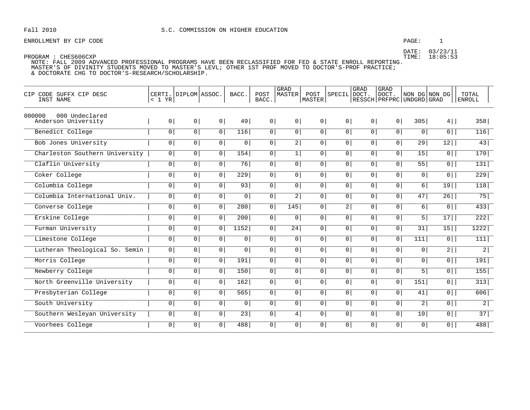## S.C. COMMISSION ON HIGHER EDUCATION

## ENROLLMENT BY CIP CODE

### PAGE:  $\mathbf{1}$

DATE: 03/23/11<br>TIME: 18:05:53

| CODE SUFFX CIP DESC<br>CIP<br>INST NAME         | < 1 YR         | CERTI. DIPLOM ASSOC. |                | BACC.            | POST<br>BACC.  | <b>GRAD</b><br><b>MASTER</b> | POST<br><b>MASTER</b> | SPECIL         | GRAD<br>DOCT.  | <b>GRAD</b><br>DOCT.<br>RESSCH   PRFPRC   UNDGRD   GRAD | NON DG NON DG    |                | TOTAL<br><b>ENROLL</b> |
|-------------------------------------------------|----------------|----------------------|----------------|------------------|----------------|------------------------------|-----------------------|----------------|----------------|---------------------------------------------------------|------------------|----------------|------------------------|
| 000000<br>000 Undeclared<br>Anderson University | 0 <sup>1</sup> | 0 <sup>1</sup>       | 0 <sup>1</sup> | 49               | 0 <sup>1</sup> | 0 <sup>1</sup>               | 0 <sup>1</sup>        | 0 <sup>1</sup> | 0 <sup>1</sup> | 0 <sup>1</sup>                                          | 305              | $4$            | 358                    |
| Benedict College                                | $\circ$        | $\circ$              | 0              | 116              | 0 <sup>1</sup> | $\overline{0}$               | $\overline{0}$        | 0 <sup>1</sup> | 0 <sup>1</sup> | 0 <sup>1</sup>                                          | 0 <sup>1</sup>   | $\overline{0}$ | 116                    |
| Bob Jones University                            | $\mathsf{O}$   | 0 <sup>1</sup>       | 0 <sup>1</sup> | 0 <sup>1</sup>   | 0 <sup>1</sup> | 2                            | $\overline{0}$        | 0 <sup>1</sup> | 0              | $\overline{0}$                                          | 29               | 12             | 43                     |
| Charleston Southern University                  | 0 <sup>1</sup> | 0 <sup>1</sup>       | 0 <sup>1</sup> | 154              | 0 <sup>1</sup> | 1                            | $\overline{0}$        | 0 <sup>1</sup> | 0 <sup>1</sup> | 0 <sup>1</sup>                                          | 15               | $\overline{0}$ | 170                    |
| Claflin University                              | $\overline{0}$ | $\overline{0}$       | $\overline{0}$ | 76               | $\overline{0}$ | $\overline{0}$               | $\overline{0}$        | $\overline{0}$ | $\overline{0}$ | $\overline{0}$                                          | 55               | $\overline{0}$ | 131                    |
| Coker College                                   | $\mathbf 0$    | 0                    | 0 <sup>1</sup> | $\overline{229}$ | 0 <sup>1</sup> | $\circ$                      | 0 <sup>1</sup>        | 0 <sup>1</sup> | 0              | $\circ$                                                 | $\overline{0}$   | $\overline{0}$ | 229                    |
| Columbia College                                | 0 <sup>1</sup> | 0 <sup>1</sup>       | 0              | 93               | 0 <sup>1</sup> | 0 <sup>1</sup>               | 0 <sup>1</sup>        | 0 <sup>1</sup> | 0 <sup>1</sup> | 0 <sup>1</sup>                                          | 6                | 19             | 118                    |
| Columbia International Univ.                    | $\overline{0}$ | $\overline{0}$       | $\overline{0}$ | 0                | $\overline{0}$ | $\overline{2}$               | $\overline{0}$        | $\overline{0}$ | $\overline{0}$ | $\overline{0}$                                          | 47               | 26             | 75                     |
| Converse College                                | $\mathbf 0$    | 0                    | 0 <sup>1</sup> | 280              | $\circ$        | 145                          | $\overline{0}$        | $\overline{2}$ | 0              | $\overline{0}$                                          | 6                | $\overline{0}$ | 433                    |
| Erskine College                                 | $\overline{0}$ | 0 <sup>1</sup>       | 0              | 200              | 0 <sup>1</sup> | 0 <sup>1</sup>               | 0 <sup>1</sup>        | 0 <sup>1</sup> | 0 <sup>1</sup> | $\circ$                                                 | 5                | 17             | 222                    |
| Furman University                               | 0 <sup>1</sup> | 0 <sup>1</sup>       | 0 <sup>1</sup> | 1152             | 0 <sup>1</sup> | $\overline{24}$              | $\overline{0}$        | 0 <sup>1</sup> | 0 <sup>1</sup> | 0 <sup>1</sup>                                          | 31               | 15             | 1222                   |
| Limestone College                               | $\mathbf 0$    | 0                    | 0 <sup>1</sup> | 0                | 0 <sup>1</sup> | 0 <sup>1</sup>               | $\overline{0}$        | 0 <sup>1</sup> | 0 <sup>1</sup> | $\circ$                                                 | $\overline{111}$ | $\overline{0}$ | 111                    |
| Lutheran Theological So. Semin                  | 0 <sup>1</sup> | 0 <sup>1</sup>       | 0 <sup>1</sup> | 0                | 0 <sup>1</sup> | 0 <sup>1</sup>               | 0                     | 0 <sup>1</sup> | 0 <sup>1</sup> | 0 <sup>1</sup>                                          | 0 <sup>1</sup>   | $\overline{2}$ | 2                      |
| Morris College                                  | 0 <sup>1</sup> | $\mathsf{O}$         | 0 <sup>1</sup> | 191              | 0 <sup>1</sup> | 0 <sup>1</sup>               | $\overline{0}$        | 0 <sup>1</sup> | 0              | 0 <sup>1</sup>                                          | $\overline{0}$   | $\overline{0}$ | 191                    |
| Newberry College                                | $\overline{0}$ | $\overline{0}$       | 0 <sup>1</sup> | 150              | $\circ$        | $\overline{0}$               | $\overline{0}$        | $\overline{0}$ | $\mathbf{0}$   | $\circ$                                                 | 5                | $\overline{0}$ | 155                    |
| North Greenville University                     | 0 <sup>1</sup> | 0 <sup>1</sup>       | 0 <sup>1</sup> | 162              | 0 <sup>1</sup> | 0 <sup>1</sup>               | $\overline{0}$        | 0 <sup>1</sup> | 0 <sup>1</sup> | $\circ$                                                 | 151              | $\overline{0}$ | 313                    |
| Presbyterian College                            | $\mathsf{O}$   | 0                    | 0 <sup>1</sup> | 565              | 0 <sup>1</sup> | 0 <sup>1</sup>               | $\overline{0}$        | 0 <sup>1</sup> | 0 <sup>1</sup> | $\overline{0}$                                          | 41               | $\overline{0}$ | 606                    |
| South University                                | $\mathbf{0}$   | 0                    | 0 <sup>1</sup> | 0                | 0 <sup>1</sup> | 0 <sup>1</sup>               | $\overline{0}$        | 0 <sup>1</sup> | 0 <sup>1</sup> | 0 <sup>1</sup>                                          | $\overline{2}$   | $\overline{0}$ | 2                      |
| Southern Wesleyan University                    | 0 <sup>1</sup> | 0 <sup>1</sup>       | 0 <sup>1</sup> | $\overline{23}$  | 0 <sup>1</sup> | 4                            | $\overline{0}$        | 0 <sup>1</sup> | 0 <sup>1</sup> | $\overline{0}$                                          | 10               | $\overline{0}$ | 37                     |
| Voorhees College                                | 0 <sup>1</sup> | 0                    | 0 <sup>1</sup> | 488              | $\mathsf{O}$   | 0 <sup>1</sup>               | $\overline{0}$        | 0 <sup>1</sup> | 0              | 0 <sup>1</sup>                                          | $\overline{0}$   | $\overline{0}$ | 488                    |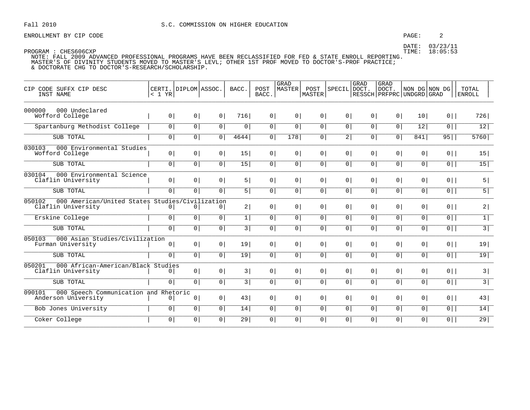### PAGE:  $\overline{a}$

DATE: 03/23/11 TIME: 18:05:53

| CIP CODE SUFFX CIP DESC<br>INST NAME                                            | $< 1$ YR       | CERTI. DIPLOM ASSOC. |                | BACC.          | POST<br>BACC.  | GRAD<br><b>MASTER</b> | POST<br>MASTER | SPECIL DOCT.   | GRAD           | GRAD<br>DOCT.<br>  RESSCH   PRFPRC   UNDGRD   GRAD | NON DG NON DG  |                | TOTAL<br><b>ENROLL</b> |
|---------------------------------------------------------------------------------|----------------|----------------------|----------------|----------------|----------------|-----------------------|----------------|----------------|----------------|----------------------------------------------------|----------------|----------------|------------------------|
| 000000<br>000 Undeclared<br>Wofford College                                     | 0 <sup>1</sup> | 0 <sup>1</sup>       | 0 <sup>1</sup> | 716            | 0 <sup>1</sup> | 0 <sup>1</sup>        | 0 <sup>1</sup> | 0 <sup>1</sup> | 0 <sup>1</sup> | 0 <sup>1</sup>                                     | 10             | $0$            | 726                    |
| Spartanburg Methodist College                                                   | $\overline{0}$ | 0 <sup>1</sup>       | $\overline{0}$ | $\overline{0}$ | 0              | 0 <sup>1</sup>        | 0 <sup>1</sup> | $\overline{0}$ | $\overline{0}$ | $\circ$                                            | 12             | $\overline{0}$ | 12                     |
| SUB TOTAL                                                                       | 0 <sup>1</sup> | 0 <sup>1</sup>       | 0 <sup>1</sup> | 4644           | 0              | 178                   | 0 <sup>1</sup> | 2              | 0 <sup>1</sup> | 0 <sup>1</sup>                                     | 841            | 95             | 5760                   |
| 000 Environmental Studies<br>030103<br>Wofford College                          | 0 <sup>1</sup> | 0 <sup>1</sup>       | 0 <sup>1</sup> | 15             | 0 <sup>1</sup> | 0 <sup>1</sup>        | 0 <sup>1</sup> | 0 <sup>1</sup> | 0 <sup>1</sup> | 0 <sup>1</sup>                                     | 0 <sup>1</sup> | $0$            | 15                     |
| SUB TOTAL                                                                       | $\overline{0}$ | 0 <sup>1</sup>       | 0 <sup>1</sup> | 15             | $\overline{0}$ | 0 <sup>1</sup>        | $\overline{0}$ | $\overline{0}$ | $\overline{0}$ | 0 <sup>1</sup>                                     | $\overline{0}$ | $\overline{0}$ | 15                     |
| 000 Environmental Science<br>030104<br>Claflin University                       | 0 <sup>1</sup> | 0 <sup>1</sup>       | $\circ$        | 5              | 0 <sup>1</sup> | 0 <sup>1</sup>        | 0 <sup>1</sup> | 0 <sup>1</sup> | 0 <sup>1</sup> | 0 <sup>1</sup>                                     | 0              | $0$            | 5                      |
| SUB TOTAL                                                                       | $\overline{0}$ | 0 <sup>1</sup>       | $\overline{0}$ | 5              | 0              | 0                     | $\circ$        | 0 <sup>1</sup> | 0 <sup>1</sup> | 0 <sup>1</sup>                                     | $\circ$        | $\overline{0}$ | $\overline{5}$         |
| 000 American/United States Studies/Civilization<br>050102<br>Claflin University | $\circ$        | $\circ$              | 0              | 2              | 0 <sup>1</sup> | 0 <sup>1</sup>        | 0 <sup>1</sup> | 0 <sup>1</sup> | 0 <sup>1</sup> | 0 <sup>1</sup>                                     | 0 <sup>1</sup> | $0$            | 2                      |
| Erskine College                                                                 | 0 <sup>1</sup> | 0                    | 0 <sup>1</sup> | $\mathbf{1}$   | 0              | 0                     | 0 <sup>1</sup> | 0 <sup>1</sup> | 0 <sup>1</sup> | 0 <sup>1</sup>                                     | 0 <sup>1</sup> | $0$            | 1                      |
| SUB TOTAL                                                                       | $\overline{0}$ | $\overline{0}$       | $\mathbf 0$    | 3 <sup>1</sup> | 0 <sup>1</sup> | $\overline{0}$        | 0 <sup>1</sup> | $\circ$        | $\overline{0}$ | $\overline{0}$                                     | $\overline{0}$ | $\overline{0}$ | $\overline{3}$         |
| 000 Asian Studies/Civilization<br>050103<br>Furman University                   | 0 <sup>1</sup> | 0 <sup>1</sup>       | 0 <sup>1</sup> | 19             | 0 <sup>1</sup> | 0 <sup>1</sup>        | 0 <sup>1</sup> | 0 <sup>1</sup> | 0 <sup>1</sup> | 0 <sup>1</sup>                                     | 0 <sup>1</sup> | $0$            | 19                     |
| SUB TOTAL                                                                       | 0 <sup>1</sup> | 0 <sup>1</sup>       | 0 <sup>1</sup> | 19             | 0              | 0 <sup>1</sup>        | $\overline{0}$ | 0 <sup>1</sup> | 0 <sup>1</sup> | 0 <sup>1</sup>                                     | $\overline{0}$ | $\overline{0}$ | 19                     |
| 000 African-American/Black Studies<br>050201<br>Claflin University              | 0 <sup>1</sup> | 0 <sup>1</sup>       | 0 <sup>1</sup> | 3              | 0 <sup>1</sup> | 0 <sup>1</sup>        | 0 <sup>1</sup> | 0 <sup>1</sup> | 0 <sup>1</sup> | 0 <sup>1</sup>                                     | 0 <sup>1</sup> | $0$            | 3                      |
| SUB TOTAL                                                                       | $\overline{0}$ | 0 <sup>1</sup>       | 0 <sup>1</sup> | 3              | 0              | 0 <sup>1</sup>        | $\overline{0}$ | 0 <sup>1</sup> | 0 <sup>1</sup> | 0 <sup>1</sup>                                     | 0 <sup>1</sup> | $\overline{0}$ | $\overline{3}$         |
| 000 Speech Communication and Rhetoric<br>090101<br>Anderson University          | 0              | 0                    | 0              | 43             | 0 <sup>1</sup> | 0 <sup>1</sup>        | 0 <sup>1</sup> | 0 <sup>1</sup> | 0 <sup>1</sup> | 0 <sup>1</sup>                                     | 0              | $0$            | 43                     |
| Bob Jones University                                                            | $\overline{0}$ | 0 <sup>1</sup>       | $\circ$        | 14             | 0              | $\circ$               | $\circ$        | 0 <sup>1</sup> | 0 <sup>1</sup> | $\circ$                                            | 0 <sup>1</sup> | $\overline{0}$ | 14                     |
| Coker College                                                                   | $\overline{0}$ | 0 <sup>1</sup>       | $\overline{0}$ | 29             | 0 <sup>1</sup> | 0 <sup>1</sup>        | 0 <sup>1</sup> | $\overline{0}$ | $\overline{0}$ | 0 <sup>1</sup>                                     | 0 <sup>1</sup> | $\overline{0}$ | 29                     |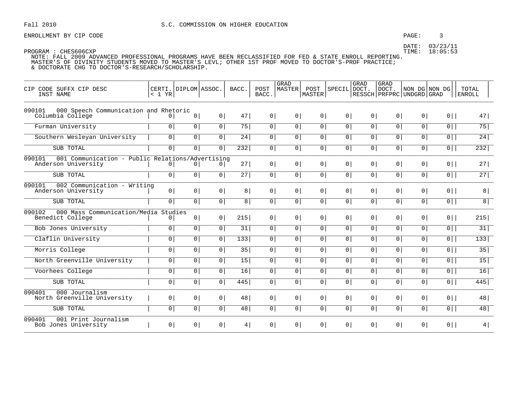### PAGE:  $\overline{3}$

DATE: 03/23/11 TIME: 18:05:53

| CIP CODE SUFFX CIP DESC<br>INST NAME                                              | $< 1$ YR       | CERTI. DIPLOM ASSOC. |                | BACC.          | POST<br>BACC.  | GRAD<br><b>MASTER</b> | POST<br>MASTER | SPECIL DOCT.   | GRAD           | GRAD<br>DOCT.<br>  RESSCH   PRFPRC   UNDGRD   GRAD | NON DG NON DG  |                | TOTAL<br>  ENROLL |
|-----------------------------------------------------------------------------------|----------------|----------------------|----------------|----------------|----------------|-----------------------|----------------|----------------|----------------|----------------------------------------------------|----------------|----------------|-------------------|
| 000 Speech Communication and Rhetoric<br>090101<br>Columbia College               | 0 <sup>1</sup> | 0                    | 0 <sup>1</sup> | 47             | 0 <sup>1</sup> | 0 <sup>1</sup>        | $\circ$        | 0 <sup>1</sup> | 0 <sup>1</sup> | 0 <sup>1</sup>                                     | 0 <sup>1</sup> | $0$            | 47                |
| Furman University                                                                 | $\overline{0}$ | 0 <sup>1</sup>       | $\circ$        | 75             | $\overline{0}$ | 0 <sup>1</sup>        | 0 <sup>1</sup> | $\overline{0}$ | $\overline{0}$ | 0 <sup>1</sup>                                     | 0 <sup>1</sup> | $\overline{0}$ | 75                |
| Southern Wesleyan University                                                      | $\circ$        | $\overline{0}$       | $\mathbf 0$    | 24             | $\mathbf 0$    | $\mathbf 0$           | $\mathbf 0$    | $\circ$        | 0 <sup>1</sup> | 0 <sup>1</sup>                                     | $\overline{0}$ | $\overline{0}$ | 24                |
| SUB TOTAL                                                                         | $\overline{0}$ | 0 <sup>1</sup>       | $\overline{0}$ | 232            | 0              | 0 <sup>1</sup>        | 0 <sup>1</sup> | $\overline{0}$ | $\overline{0}$ | 0 <sup>1</sup>                                     | 0 <sup>1</sup> | $\overline{0}$ | 232               |
| 001 Communication - Public Relations/Advertising<br>090101<br>Anderson University | 0 <sup>1</sup> | $\overline{0}$       | 0 <sup>1</sup> | 27             | 0              | 0 <sup>1</sup>        | 0 <sup>1</sup> | 0 <sup>1</sup> | 0 <sup>1</sup> | 0                                                  | 0              | $0$            | 27                |
| SUB TOTAL                                                                         | $\circ$        | 0 <sup>1</sup>       | $\circ$        | 27             | 0              | $\circ$               | $\circ$        | $\overline{0}$ | $\overline{0}$ | 0 <sup>1</sup>                                     | 0 <sup>1</sup> | $\overline{0}$ | 27                |
| 090101<br>002 Communication - Writing<br>Anderson University                      | 0 <sup>1</sup> | 0 <sup>1</sup>       | 0 <sup>1</sup> | 8 <sup>1</sup> | 0              | 0 <sup>1</sup>        | 0 <sup>1</sup> | 0 <sup>1</sup> | 0 <sup>1</sup> | 0 <sup>1</sup>                                     | 0 <sup>1</sup> | $0$            | 8                 |
| SUB TOTAL                                                                         | 0 <sup>1</sup> | 0 <sup>1</sup>       | 0 <sup>1</sup> | 8              | 0              | 0 <sup>1</sup>        | 0 <sup>1</sup> | 0 <sup>1</sup> | 0              | 0 <sup>1</sup>                                     | 0 <sup>1</sup> | $\overline{0}$ | 8                 |
| 090102<br>000 Mass Communication/Media Studies<br>Benedict College                | 0 <sup>1</sup> | 0 <sup>1</sup>       | 0 <sup>1</sup> | 215            | 0 <sup>1</sup> | $\overline{0}$        | $\overline{0}$ | 0 <sup>1</sup> | 0 <sup>1</sup> | 0                                                  | 0              | $0$            | 215               |
| Bob Jones University                                                              | $\overline{0}$ | 0 <sup>1</sup>       | 0 <sup>1</sup> | 31             | $\overline{0}$ | 0 <sup>1</sup>        | 0 <sup>1</sup> | $\overline{0}$ | $\overline{0}$ | 0 <sup>1</sup>                                     | 0 <sup>1</sup> | $\overline{0}$ | 31                |
| Claflin University                                                                | $\circ$        | 0 <sup>1</sup>       | $\mathbf 0$    | 133            | $\circ$        | $\circ$               | $\circ$        | 0 <sup>1</sup> | 0 <sup>1</sup> | 0 <sup>1</sup>                                     | $\mathbf{0}$   | $\overline{0}$ | 133               |
| Morris College                                                                    | 0 <sup>1</sup> | 0 <sup>1</sup>       | 0 <sup>1</sup> | 35             | 0              | 0 <sup>1</sup>        | 0 <sup>1</sup> | 0 <sup>1</sup> | 0 <sup>1</sup> | 0 <sup>1</sup>                                     | 0 <sup>1</sup> | $0$            | 35                |
| North Greenville University                                                       | $\circ$        | 0 <sup>1</sup>       | $\circ$        | 15             | 0              | 0                     | 0 <sup>1</sup> | 0 <sup>1</sup> | $\circ$        | 0 <sup>1</sup>                                     | 0 <sup>1</sup> | $\overline{0}$ | 15                |
| Voorhees College                                                                  | $\circ$        | 0 <sup>1</sup>       | 0              | 16             | $\mathsf{O}$   | $\mathbf 0$           | 0              | 0 <sup>1</sup> | $\overline{0}$ | 0 <sup>1</sup>                                     | $\overline{0}$ | 0              | 16                |
| SUB TOTAL                                                                         | 0 <sup>1</sup> | 0 <sup>1</sup>       | 0 <sup>1</sup> | 445            | 0              | $\overline{0}$        | $\overline{0}$ | 0 <sup>1</sup> | 0 <sup>1</sup> | 0 <sup>1</sup>                                     | 0 <sup>1</sup> | $0$            | 445               |
| 090401<br>000 Journalism<br>North Greenville University                           | 0 <sup>1</sup> | 0 <sup>1</sup>       | $\overline{0}$ | 48             | 0 <sup>1</sup> | $\overline{0}$        | 0 <sup>1</sup> | 0 <sup>1</sup> | 0 <sup>1</sup> | $\overline{0}$                                     | $\overline{0}$ | $0$            | 48                |
| SUB TOTAL                                                                         | $\overline{0}$ | 0                    | $\circ$        | 48             | $\overline{0}$ | 0 <sup>1</sup>        | 0 <sup>1</sup> | $\overline{0}$ | $\overline{0}$ | 0 <sup>1</sup>                                     | 0 <sup>1</sup> | $\overline{0}$ | 48                |
| 090401<br>001 Print Journalism<br>Bob Jones University                            | 0 <sup>1</sup> | 0 <sup>1</sup>       | 0 <sup>1</sup> | 4              | 0              | $\overline{0}$        | $\overline{0}$ | 0 <sup>1</sup> | 0 <sup>1</sup> | $\overline{0}$                                     | 0              | $0$            | 4                 |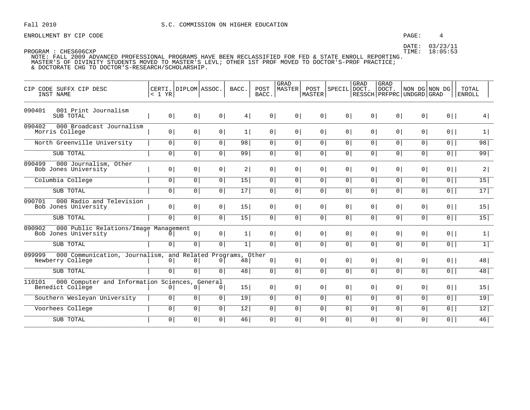### PAGE:  $\overline{4}$

DATE: 03/23/11 TIME: 18:05:53

| CIP CODE SUFFX CIP DESC<br>INST NAME                                                     | < 1 YR         | CERTI. DIPLOM ASSOC. |                | BACC. | POST<br>BACC.  | GRAD<br>MASTER | POST  <br><b>MASTER</b> | SPECIL         | GRAD<br>DOCT.  | GRAD<br>DOCT.<br>RESSCH PRFPRC UNDGRD GRAD | NON DG NON DG  |                | TOTAL<br><b>ENROLL</b> |
|------------------------------------------------------------------------------------------|----------------|----------------------|----------------|-------|----------------|----------------|-------------------------|----------------|----------------|--------------------------------------------|----------------|----------------|------------------------|
| 090401<br>001 Print Journalism<br>SUB TOTAL                                              | 0 <sup>1</sup> | 0 <sup>1</sup>       | 0 <sup>1</sup> | 4     | 0 <sup>1</sup> | 0 <sup>1</sup> | 0 <sup>1</sup>          | 0 <sup>1</sup> | 0 <sup>1</sup> | 0 <sup>1</sup>                             | 0 <sup>1</sup> | $0$            | 4                      |
| 090402<br>000 Broadcast Journalism<br>Morris College                                     | 0 <sup>1</sup> | 0 <sup>1</sup>       | 0 <sup>1</sup> | 1     | 0 <sup>1</sup> | 0 <sup>1</sup> | 0 <sup>1</sup>          | 0 <sup>1</sup> | 0 <sup>1</sup> | 0 <sup>1</sup>                             | 0 <sup>1</sup> | $0$            | 1                      |
| North Greenville University                                                              | 0 <sup>1</sup> | $\circ$              | 0 <sup>1</sup> | 98    | 0 <sup>1</sup> | 0 <sup>1</sup> | 0 <sup>1</sup>          | $\overline{0}$ | 0              | 0 <sup>1</sup>                             | 0 <sup>1</sup> | $\overline{0}$ | 98                     |
| SUB TOTAL                                                                                | 0 <sup>1</sup> | 0 <sup>1</sup>       | 0 <sup>1</sup> | 99    | 0 <sup>1</sup> | 0 <sup>1</sup> | 0                       | 0 <sup>1</sup> | 0 <sup>1</sup> | 0 <sup>1</sup>                             | 0 <sup>1</sup> | $\overline{0}$ | 99                     |
| 000 Journalism, Other<br>090499<br>Bob Jones University                                  | 0 <sup>1</sup> | $\overline{0}$       | 0 <sup>1</sup> | 2     | 0 <sup>1</sup> | 0 <sup>1</sup> | 0 <sup>1</sup>          | $\overline{0}$ | $\overline{0}$ | $\overline{0}$                             | 0 <sup>1</sup> | $0$            | 2                      |
| Columbia College                                                                         | $\mathbf 0$    | 0 <sup>1</sup>       | 0 <sup>1</sup> | 15    | 0 <sup>1</sup> | 0 <sup>1</sup> | 0 <sup>1</sup>          | 0 <sup>1</sup> | 0 <sup>1</sup> | 0 <sup>1</sup>                             | 0 <sup>1</sup> | $\overline{0}$ | $\overline{15}$        |
| SUB TOTAL                                                                                | $\overline{0}$ | 0 <sup>1</sup>       | $\overline{0}$ | 17    | $\overline{0}$ | 0 <sup>1</sup> | 0 <sup>1</sup>          | $\overline{0}$ | 0 <sup>1</sup> | $\overline{0}$                             | 0              | $0$            | 17                     |
| 090701<br>000 Radio and Television<br>Bob Jones University                               | 0 <sup>1</sup> | 0 <sup>1</sup>       | 0 <sup>1</sup> | 15    | 0 <sup>1</sup> | 0 <sup>1</sup> | 0 <sup>1</sup>          | 0 <sup>1</sup> | $\overline{0}$ | 0 <sup>1</sup>                             | 0 <sup>1</sup> | $0$            | 15                     |
| SUB TOTAL                                                                                | 0 <sup>1</sup> | 0 <sup>1</sup>       | 0 <sup>1</sup> | 15    | 0 <sup>1</sup> | 0 <sup>1</sup> | 0 <sup>1</sup>          | 0 <sup>1</sup> | 0 <sup>1</sup> | 0 <sup>1</sup>                             | 0 <sup>1</sup> | $\overline{0}$ | 15                     |
| 090902<br>000 Public Relations/Image Management<br>Bob Jones University                  | $\Omega$       | $\circ$              | 0 <sup>1</sup> | 1     | 0 <sup>1</sup> | 0 <sup>1</sup> | 0 <sup>1</sup>          | 0 <sup>1</sup> | 0 <sup>1</sup> | 0 <sup>1</sup>                             | 0 <sup>1</sup> | $0$            | 1                      |
| SUB TOTAL                                                                                | $\overline{0}$ | $\overline{0}$       | $\overline{0}$ | 1     | $\overline{0}$ | $\overline{0}$ | 0                       | 0 <sup>1</sup> | 0 <sup>1</sup> | 0 <sup>1</sup>                             | $\overline{0}$ | $\overline{0}$ | $\overline{1}$         |
| 000 Communication, Journalism, and Related Programs, Other<br>099999<br>Newberry College | 0 <sup>1</sup> | 0                    | $\overline{0}$ | 48    | 0 <sup>1</sup> | 0 <sup>1</sup> | 0 <sup>1</sup>          | $\overline{0}$ | $\overline{0}$ | 0                                          | $\circ$        | $0$            | 48                     |
| SUB TOTAL                                                                                | $\overline{0}$ | 0 <sup>1</sup>       | 0 <sup>1</sup> | 48    | 0 <sup>1</sup> | 0 <sup>1</sup> | 0 <sup>1</sup>          | $\overline{0}$ | 0 <sup>1</sup> | 0                                          | $\circ$        | $\overline{0}$ | 48                     |
| 000 Computer and Information Sciences, General<br>110101<br>Benedict College             | 0              | $\Omega$             | $\Omega$       | 15    | 0 <sup>1</sup> | 0 <sup>1</sup> | 0 <sup>1</sup>          | $\overline{0}$ | $\overline{0}$ | $\overline{0}$                             | 0 <sup>1</sup> | $0$            | 15                     |
| Southern Wesleyan University                                                             | 0 <sup>1</sup> | 0 <sup>1</sup>       | 0              | 19    | 0 <sup>1</sup> | 0 <sup>1</sup> | 0 <sup>1</sup>          | 0 <sup>1</sup> | 0 <sup>1</sup> | 0 <sup>1</sup>                             | 0 <sup>1</sup> | $\overline{0}$ | 19                     |
| Voorhees College                                                                         | 0 <sup>1</sup> | 0                    | $\overline{0}$ | 12    | $\overline{0}$ | 0 <sup>1</sup> | 0 <sup>1</sup>          | 0 <sup>1</sup> | 0 <sup>1</sup> | 0 <sup>1</sup>                             | 0 <sup>1</sup> | $\overline{0}$ | 12                     |
| SUB TOTAL                                                                                | $\mathbf 0$    | 0 <sup>1</sup>       | 0              | 46    | $\circ$        | 0 <sup>1</sup> | 0 <sup>1</sup>          | 0              | 0              | 0                                          | $\overline{0}$ | $\overline{0}$ | 46                     |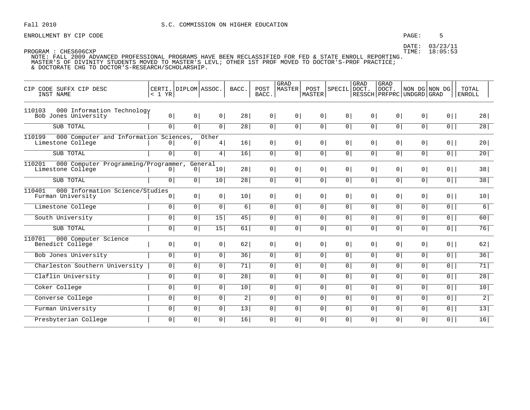### PAGE: 5

DATE: 03/23/11 TIME: 18:05:53

| CIP CODE SUFFX CIP DESC<br>INST NAME                                  | < 1 YR         | CERTI. DIPLOM ASSOC. |                 | BACC.           | POST<br>BACC.  | <b>GRAD</b><br>MASTER | POST<br>MASTER | SPECIL DOCT.   | GRAD           | GRAD<br>DOCT.<br>RESSCH   PRFPRC   UNDGRD   GRAD | NON DG NON DG  |                | TOTAL<br><b>ENROLL</b> |
|-----------------------------------------------------------------------|----------------|----------------------|-----------------|-----------------|----------------|-----------------------|----------------|----------------|----------------|--------------------------------------------------|----------------|----------------|------------------------|
| 110103<br>000 Information Technology<br>Bob Jones University          | 0              | 0 <sup>1</sup>       | 0               | 28              | 0 <sup>1</sup> | 0                     | 0 <sup>1</sup> | 0 <sup>1</sup> | 0 <sup>1</sup> | 0 <sup>1</sup>                                   | 0 <sup>1</sup> | $0$            | 28                     |
| SUB TOTAL                                                             | 0 <sup>1</sup> | 0                    | $\overline{0}$  | 28              | 0 <sup>1</sup> | 0 <sup>1</sup>        | 0 <sup>1</sup> | $\overline{0}$ | $\overline{0}$ | 0 <sup>1</sup>                                   | $\circ$        | $\overline{0}$ | 28                     |
| 000 Computer and Information Sciences,<br>110199<br>Limestone College | $\Omega$       | $\mathbf 0$          | Other<br>4      | 16              | 0 <sup>1</sup> | 0 <sup>1</sup>        | 0 <sup>1</sup> | 0 <sup>1</sup> | 0 <sup>1</sup> | 0 <sup>1</sup>                                   | $\circ$        | $0$            | 20                     |
| SUB TOTAL                                                             | $\overline{0}$ | $\circ$              | 4               | 16              | 0 <sup>1</sup> | 0 <sup>1</sup>        | 0 <sup>1</sup> | 0 <sup>1</sup> | 0 <sup>1</sup> | 0 <sup>1</sup>                                   | 0 <sup>1</sup> | $0$            | 20                     |
| 110201<br>000 Computer Programming/Programmer,<br>Limestone College   | $\Omega$       | 0 <sup>1</sup>       | General<br>10   | 28              | $\overline{0}$ | $\overline{0}$        | 0 <sup>1</sup> | 0 <sup>1</sup> | 0 <sup>1</sup> | 0                                                | $\circ$        | $0$            | 38                     |
| SUB TOTAL                                                             | $\mathbf 0$    | 0                    | 10              | 28              | 0              | 0                     | 0              | $\overline{0}$ | $\overline{0}$ | 0 <sup>1</sup>                                   | $\circ$        | $\overline{0}$ | 38                     |
| 000 Information Science/Studies<br>110401<br>Furman University        | $\overline{0}$ | 0 <sup>1</sup>       | 0 <sup>1</sup>  | 10 <sup>1</sup> | $\overline{0}$ | 0 <sup>1</sup>        | 0 <sup>1</sup> | 0 <sup>1</sup> | 0 <sup>1</sup> | 0 <sup>1</sup>                                   | 0 <sup>1</sup> | $0$            | 10 <sup>1</sup>        |
| Limestone College                                                     | $\circ$        | 0 <sup>1</sup>       | $\overline{0}$  | 6               | $\circ$        | 0 <sup>1</sup>        | $\overline{0}$ | 0 <sup>1</sup> | 0 <sup>1</sup> | 0 <sup>1</sup>                                   | $\circ$        | $\overline{0}$ | 6                      |
| South University                                                      | 0 <sup>1</sup> | $\circ$              | 15              | 45              | 0 <sup>1</sup> | 0 <sup>1</sup>        | 0              | 0 <sup>1</sup> | 0 <sup>1</sup> | 0 <sup>1</sup>                                   | $\overline{0}$ | $\overline{0}$ | 60                     |
| SUB TOTAL                                                             | $\overline{0}$ | $\circ$              | $\overline{15}$ | 61              | $\mathbf{0}$   | 0                     | 0 <sup>1</sup> | 0 <sup>1</sup> | 0              | 0                                                | 0              | 0              | 76                     |
| 000 Computer Science<br>110701<br>Benedict College                    | 0 <sup>1</sup> | 0 <sup>1</sup>       | 0 <sup>1</sup>  | 62              | 0 <sup>1</sup> | 0 <sup>1</sup>        | 0 <sup>1</sup> | 0 <sup>1</sup> | 0 <sup>1</sup> | 0 <sup>1</sup>                                   | $\circ$        | $0$            | 62                     |
| <b>Bob Jones University</b>                                           | 0 <sup>1</sup> | $\circ$              | 0 <sup>1</sup>  | 36              | $\circ$        | 0 <sup>1</sup>        | 0 <sup>1</sup> | $\overline{0}$ | $\overline{0}$ | 0 <sup>1</sup>                                   | $\overline{0}$ | 0              | 36                     |
| Charleston Southern University                                        | $\overline{0}$ | $\circ$              | 0 <sup>1</sup>  | 71              | 0 <sup>1</sup> | 0 <sup>1</sup>        | 0 <sup>1</sup> | 0 <sup>1</sup> | 0 <sup>1</sup> | 0 <sup>1</sup>                                   | $\circ$        | $\overline{0}$ | 71                     |
| Claflin University                                                    | 0 <sup>1</sup> | $\circ$              | $\overline{0}$  | 28              | 0              | 0                     | 0              | $\overline{0}$ | 0 <sup>1</sup> | 0 <sup>1</sup>                                   | $\overline{0}$ | 0              | 28                     |
| Coker College                                                         | $\overline{0}$ | $\overline{0}$       | $\overline{0}$  | 10              | $\overline{0}$ | $\overline{0}$        | $\overline{0}$ | $\overline{0}$ | 0              | $\overline{0}$                                   | $\overline{0}$ | $\overline{0}$ | 10                     |
| Converse College                                                      | $\mathbf 0$    | $\circ$              | $\overline{0}$  | 2               | 0 <sup>1</sup> | 0 <sup>1</sup>        | 0 <sup>1</sup> | $\overline{0}$ | 0 <sup>1</sup> | 0 <sup>1</sup>                                   | 0 <sup>1</sup> | $\overline{0}$ | 2                      |
| Furman University                                                     | $\overline{0}$ | $\overline{0}$       | $\overline{0}$  | 13              | $\overline{0}$ | $\overline{0}$        | 0              | $\overline{0}$ | 0 <sup>1</sup> | 0 <sup>1</sup>                                   | $\overline{0}$ | $\overline{0}$ | 13                     |
| Presbyterian College                                                  | $\mathbf{0}$   | 0                    | 0               | 16              | $\circ$        | $\circ$               | 0 <sup>1</sup> | 0 <sup>1</sup> | 0              | 0                                                | 0              | $0$            | 16                     |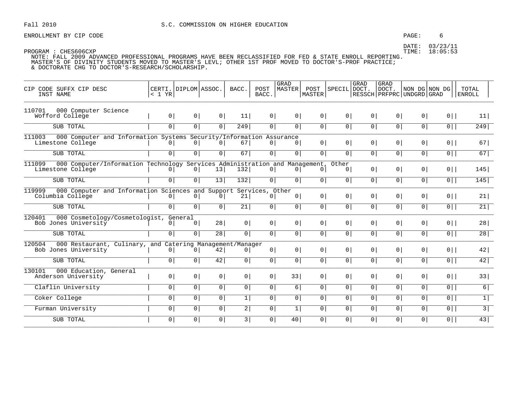ENROLLMENT BY CIP CODE  $\qquad \qquad 6$ 

| CIP CODE SUFFX CIP DESC<br>INST NAME                                                                      | < 1 YR         | CERTI. DIPLOM ASSOC.      |                           | BACC.          | POST<br>BACC.         | GRAD<br>MASTER  | POST<br>MASTER  | SPECIL DOCT.            | GRAD           | <b>GRAD</b><br>DOCT.<br>  RESSCH   PRFPRC   UNDGRD   GRAD | NON DG NON DG  |                | TOTAL<br><b>ENROLL</b> |
|-----------------------------------------------------------------------------------------------------------|----------------|---------------------------|---------------------------|----------------|-----------------------|-----------------|-----------------|-------------------------|----------------|-----------------------------------------------------------|----------------|----------------|------------------------|
| 000 Computer Science<br>110701<br>Wofford College                                                         | 0 <sup>1</sup> | 0 <sup>1</sup>            | 0                         | 11             | 0                     | 0 <sup>1</sup>  | 0               | 0 <sup>1</sup>          | 0 <sup>1</sup> | 0 <sup>1</sup>                                            | 0              | $0$            | 11                     |
| SUB TOTAL                                                                                                 | 0 <sup>1</sup> | $\overline{0}$            | $\overline{0}$            | 249            | $\overline{0}$        | $\circ$         | $\overline{0}$  | $\overline{0}$          | 0              | $\overline{0}$                                            | $\overline{0}$ | $\overline{0}$ | 249                    |
| 000 Computer and Information Systems Security/Information Assurance<br>111003<br>Limestone College        | 0              | 0 <sup>1</sup>            | 0 <sup>1</sup>            | 67             | $\circ$               | $\overline{0}$  | 0               | 0 <sup>1</sup>          | 0 <sup>1</sup> | 0 <sup>1</sup>                                            | 0 <sup>1</sup> | $0$            | 67                     |
| SUB TOTAL                                                                                                 | 0 <sup>1</sup> | $\overline{0}$            | 0 <sup>1</sup>            | 67             | 0 <sup>1</sup>        | $\circ$         | $\overline{0}$  | 0 <sup>1</sup>          | 0 <sup>1</sup> | 0                                                         | 0 <sup>1</sup> | $\overline{0}$ | 67                     |
| 111099<br>000 Computer/Information Technology Services Administration and Management<br>Limestone College | $\circ$        | 0                         | 13                        | 132            | 0 <sup>1</sup>        | $\overline{0}$  | 0 <sup>1</sup>  | Other<br>0 <sup>1</sup> | 0 <sup>1</sup> | 0 <sup>1</sup>                                            | 0 <sup>1</sup> | $0$            | 145                    |
| SUB TOTAL                                                                                                 | $\overline{0}$ | 0 <sup>1</sup>            | 13                        | 132            | 0                     | $\overline{0}$  | 0 <sup>1</sup>  | 0 <sup>1</sup>          | 0 <sup>1</sup> | 0 <sup>1</sup>                                            | 0 <sup>1</sup> | $0$            | 145                    |
| 000 Computer and Information Sciences and<br>119999<br>Columbia College                                   | $\overline{0}$ | 0 <sup>1</sup>            | Support<br>0 <sup>1</sup> | 21             | Services, Other<br> 0 | $\circ$         | $0 \mid$        | 0 <sup>1</sup>          | 0              | 0                                                         | 0 <sup>1</sup> | $0$            | 21                     |
| SUB TOTAL                                                                                                 | 0              | 0                         | $\overline{0}$            | 21             | $\overline{0}$        | $\circ$         | $\overline{0}$  | $\overline{0}$          | 0              | $\overline{0}$                                            | $\overline{0}$ | $\overline{0}$ | 21                     |
| 000 Cosmetology/Cosmetologist,<br>120401<br>Bob Jones University                                          | $\overline{0}$ | General<br>0 <sup>1</sup> | 28                        | 0 <sup>1</sup> | 0 <sup>1</sup>        | $\circ$         | 0 <sup>1</sup>  | 0 <sup>1</sup>          | 0 <sup>1</sup> | 0 <sup>1</sup>                                            | 0 <sup>1</sup> | $0$            | 28                     |
| SUB TOTAL                                                                                                 | 0              | $\overline{0}$            | 28                        | 0 <sup>1</sup> | $\overline{0}$        | $\circ$         | $\overline{0 }$ | 0 <sup>1</sup>          | 0 <sup>1</sup> | 0                                                         | $\overline{0}$ | $\overline{0}$ | $\overline{28}$        |
| 120504<br>000 Restaurant, Culinary, and Catering Management/Manager<br>Bob Jones University               | $\circ$        | 0 <sup>1</sup>            | 42                        | 0 <sup>1</sup> | 0                     | 0 <sup>1</sup>  | 0               | 0 <sup>1</sup>          | 0              | 0 <sup>1</sup>                                            | 0 <sup>1</sup> | $0$            | 42                     |
| SUB TOTAL                                                                                                 | 0 <sup>1</sup> | 0                         | 42                        | 0              | $\overline{0}$        | 0 <sup>1</sup>  | $\overline{0}$  | $\overline{0}$          | 0 <sup>1</sup> | 0 <sup>1</sup>                                            | $\circ$        | $\overline{0}$ | 42                     |
| 000 Education, General<br>130101<br>Anderson University                                                   | 0              | 0 <sup>1</sup>            | 0                         | 0 <sup>1</sup> | 0 <sup>1</sup>        | 33              | 0               | 0 <sup>1</sup>          | 0 <sup>1</sup> | 0 <sup>1</sup>                                            | 0 <sup>1</sup> | $0$            | 33                     |
| Claflin University                                                                                        | 0 <sup>1</sup> | 0                         | $\boxed{0}$               | $\overline{0}$ | $\overline{0}$        | 6               | $\overline{0}$  | $\overline{0}$          | $\overline{0}$ | $\overline{0}$                                            | $\overline{0}$ | $\overline{0}$ | $\overline{6}$         |
| Coker College                                                                                             | $\overline{0}$ | 0 <sup>1</sup>            | $\overline{0}$            | 1              | $\overline{0}$        | 0 <sup>1</sup>  | 0               | 0 <sup>1</sup>          | 0 <sup>1</sup> | 0                                                         | 0 <sup>1</sup> | $\overline{0}$ | 1                      |
| Furman University                                                                                         | $\overline{0}$ | $\boxed{0}$               | $\overline{0}$            | $\overline{2}$ | $\overline{0}$        | 1               | $\overline{0}$  | 0 <sup>1</sup>          | 0              | $\overline{0}$                                            | $\overline{0}$ | $\overline{0}$ | $\overline{3}$         |
| SUB TOTAL                                                                                                 | 0 <sup>1</sup> | $\overline{0}$            | 0 <sup>1</sup>            | 3              | $\overline{0}$        | 40 <sup>1</sup> | 0               | 0 <sup>1</sup>          | 0 <sup>1</sup> | 0                                                         | $\circ$        | $0$            | 43                     |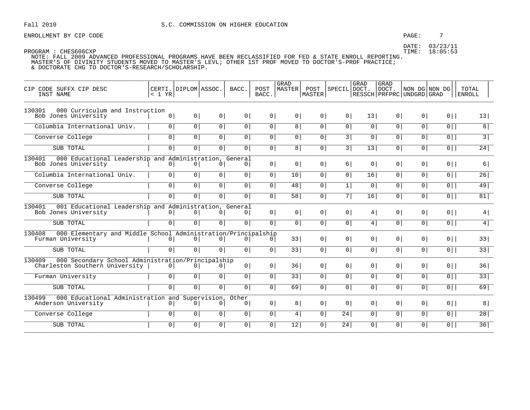ENROLLMENT BY CIP CODE  $\qquad \qquad$  7

DATE: 03/23/11

| CIP CODE SUFFX CIP DESC<br>INST NAME                                                     | < 1 YR         | CERTI.   DIPLOM   ASSOC. |                | BACC.                   | POST<br>BACC.  | GRAD<br>MASTER | POST<br>MASTER | SPECIAL DOCT.  | GRAD            | <b>GRAD</b><br>DOCT.<br>RESSCH PRFPRC UNDGRD GRAD | NON DG NON DG  |                | TOTAL<br>ENROLL |
|------------------------------------------------------------------------------------------|----------------|--------------------------|----------------|-------------------------|----------------|----------------|----------------|----------------|-----------------|---------------------------------------------------|----------------|----------------|-----------------|
| 000 Curriculum and Instruction<br>130301                                                 |                |                          |                |                         |                |                |                |                |                 |                                                   |                |                |                 |
| Bob Jones University                                                                     | $\circ$        | 0                        | 0              | 0 <sup>1</sup>          | 0 <sup>1</sup> | 0 <sup>1</sup> | $0 \mid$       | 0 <sup>1</sup> | 13              | 0 <sup>1</sup>                                    | 0 <sup>1</sup> | $0$            | 13              |
| Columbia International Univ.                                                             | 0              | $\boxed{0}$              | $\overline{0}$ | $\overline{0}$          | $\overline{0}$ | 8              | 0              | $\overline{0}$ | $\overline{0}$  | $\overline{0}$                                    | $\overline{0}$ | $\overline{0}$ | 8               |
| Converse College                                                                         | 0 <sup>1</sup> | $\overline{0}$           | $\overline{0}$ | 0 <sup>1</sup>          | $\overline{0}$ | 0 <sup>1</sup> | $\overline{0}$ | 3              | 0 <sup>1</sup>  | 0                                                 | 0 <sup>1</sup> | $\overline{0}$ | $\overline{3}$  |
| SUB TOTAL                                                                                | 0              | 0                        | $\overline{0}$ | 0 <sup>1</sup>          | $\overline{0}$ | 8              | $\overline{0}$ | $\overline{3}$ | $\overline{13}$ | $\overline{0}$                                    | $\overline{0}$ | $\overline{0}$ | 24              |
| 000 Educational Leadership and Administration, General<br>130401<br>Bob Jones University | 0              | 0 <sup>1</sup>           | 0 <sup>1</sup> | 0 <sup>1</sup>          | 0              | 0 <sup>1</sup> | 0 <sup>1</sup> | 6              | 0 <sup>1</sup>  | 0 <sup>1</sup>                                    | 0 <sup>1</sup> | $0$            | 6               |
| Columbia International Univ.                                                             | $\overline{0}$ | $\boxed{0}$              | $\overline{0}$ | $\overline{0}$          | $\overline{0}$ | 10             | 0              | $\overline{0}$ | 16              | $\overline{0}$                                    | $\overline{0}$ | 0              | 26              |
| Converse College                                                                         | 0              | $\overline{0}$           | $\overline{0}$ | 0 <sup>1</sup>          | $\overline{0}$ | 48             | $\overline{0}$ | $\overline{1}$ | 0 <sup>1</sup>  | 0 <sup>1</sup>                                    | $\overline{0}$ | $\overline{0}$ | 49              |
| SUB TOTAL                                                                                | $\overline{0}$ | 0                        | $\overline{0}$ | 0 <sup>1</sup>          | $\overline{0}$ | 58             | $\overline{0}$ | 7              | 16              | 0                                                 | $\circ$        | $\overline{0}$ | 81              |
| 001 Educational Leadership and Administration, General<br>130401<br>Bob Jones University | 0              | 0                        | 0 <sup>1</sup> | 0 <sup>1</sup>          | 0              | 0 <sup>1</sup> | 0              | 0 <sup>1</sup> | 4               | 0 <sup>1</sup>                                    | 0 <sup>1</sup> | $0$            | 4               |
| SUB TOTAL                                                                                | 0 <sup>1</sup> | $\overline{0}$           | $\overline{0}$ | $\overline{0}$          | $\overline{0}$ | $\overline{0}$ | $\overline{0}$ | $\overline{0}$ | 4               | 0 <sup>1</sup>                                    | $\circ$        | $0$            | 4               |
| 000 Elementary and Middle School Administration/Principalship<br>130408                  |                |                          |                |                         |                |                |                |                |                 |                                                   |                |                |                 |
| Furman University                                                                        | 0              | 0 <sup>1</sup>           | 0 <sup>1</sup> | 0 <sup>1</sup>          | 0 <sup>1</sup> | 33             | 0 <sup>1</sup> | 0 <sup>1</sup> | 0 <sup>1</sup>  | 0 <sup>1</sup>                                    | 0 <sup>1</sup> | $0$            | 33              |
| SUB TOTAL                                                                                | $\circ$        | 0 <sup>1</sup>           | 0 <sup>1</sup> | 0 <sup>1</sup>          | 0              | 33             | 0              | $\overline{0}$ | 0 <sup>1</sup>  | 0 <sup>1</sup>                                    | 0 <sup>1</sup> | $0$            | 33              |
| 000 Secondary School Administration/Principalship<br>130409                              |                |                          |                |                         |                |                |                |                |                 |                                                   |                |                |                 |
| Charleston Southern University                                                           | 0              | 0                        | 0 <sup>1</sup> | 0 <sup>1</sup>          | 0              | 36             | 0 <sup>1</sup> | 0 <sup>1</sup> | 0 <sup>1</sup>  | 0 <sup>1</sup>                                    | 0 <sup>1</sup> | $0$            | 36              |
| Furman University                                                                        | $\overline{0}$ | $\overline{0}$           | $\overline{0}$ | 0 <sup>1</sup>          | 0              | 33             | 0              | 0 <sup>1</sup> | 0 <sup>1</sup>  | 0 <sup>1</sup>                                    | $\circ$        | $0$            | $\overline{33}$ |
| SUB TOTAL                                                                                | $\overline{0}$ | $\overline{0}$           | $\overline{0}$ | $\overline{0}$          | $\overline{0}$ | 69             | $\overline{0}$ | 0 <sup>1</sup> | 0               | $\overline{0}$                                    | $\overline{0}$ | $\overline{0}$ | 69              |
| 000 Educational Administration and Supervision,<br>130499<br>Anderson University         | 0 <sup>1</sup> | 0 <sup>1</sup>           | 0 <sup>1</sup> | Other<br>0 <sup>1</sup> | 0              | 8              | $0 \mid$       | 0 <sup>1</sup> | 0 <sup>1</sup>  | 0 <sup>1</sup>                                    | 0 <sup>1</sup> | $0$            | 8               |
| Converse College                                                                         | 0              | $\overline{0}$           | $\overline{0}$ | 0                       | $\overline{0}$ | 4              | $\overline{0}$ | 24             | 0 <sup>1</sup>  | 0 <sup>1</sup>                                    | 0 <sup>1</sup> | $\overline{0}$ | 28              |
| SUB TOTAL                                                                                | 0 <sup>1</sup> | 0 <sup>1</sup>           | 0 <sup>1</sup> | 0 <sup>1</sup>          | 0              | 12             | 0              | 24             | 0 <sup>1</sup>  | 0                                                 | $\circ$        | $0$            | 36              |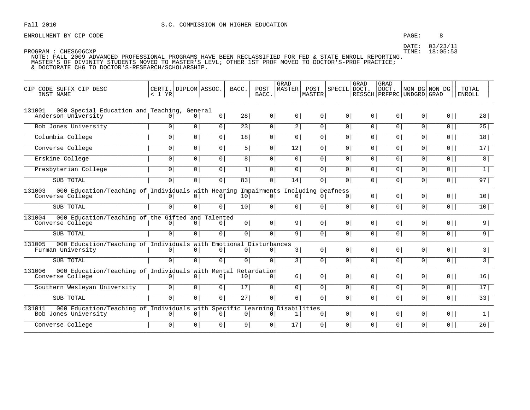ENROLLMENT BY CIP CODE  $\begin{array}{ccc} 8 \end{array}$ 

| CODE SUFFX CIP DESC<br>CTP<br>INST NAME                                                     | CERTI.   DIPLOM   ASSOC.<br>< 1 YR |                |                | BACC.           | POST<br>BACC.  | GRAD<br>MASTER | POST<br>MASTER <sup>1</sup> | SPECIL DOCT.   | GRAD           | <b>GRAD</b><br>DOCT.<br>  RESSCH   PRFPRC   UNDGRD   GRAD | NON DG NON DG  |                | TOTAL<br>ENROLL |
|---------------------------------------------------------------------------------------------|------------------------------------|----------------|----------------|-----------------|----------------|----------------|-----------------------------|----------------|----------------|-----------------------------------------------------------|----------------|----------------|-----------------|
| 000 Special Education and Teaching, General<br>131001                                       |                                    |                |                |                 |                |                |                             |                |                |                                                           |                |                |                 |
| Anderson University                                                                         | 0 <sup>1</sup>                     | 0 <sup>1</sup> | 0              | 28 <sup>1</sup> | 0              | 0 <sup>1</sup> | 0                           | 0 <sup>1</sup> | 0 <sup>1</sup> | 0 <sup>1</sup>                                            | 0 <sup>1</sup> | $0$            | 28              |
| Bob Jones University                                                                        | 0                                  | 0              | $\overline{0}$ | $\overline{23}$ | $\overline{0}$ | $\overline{2}$ | $\overline{0}$              | $\overline{0}$ | 0              | $\overline{0}$                                            | $\overline{0}$ | $\overline{0}$ | 25              |
| Columbia College                                                                            | 0 <sup>1</sup>                     | $\overline{0}$ | 0 <sup>1</sup> | 18              | 0              | 0 <sup>1</sup> | 0 <sup>1</sup>              | 0 <sup>1</sup> | 0 <sup>1</sup> | 0                                                         | 0 <sup>1</sup> | $\overline{0}$ | 18              |
| Converse College                                                                            | 0 <sup>1</sup>                     | $\overline{0}$ | $\overline{0}$ | 5               | $\overline{0}$ | 12             | $\overline{0}$              | $\overline{0}$ | $\overline{0}$ | 0 <sup>1</sup>                                            | $\overline{0}$ | $\overline{0}$ | $\overline{17}$ |
| Erskine College                                                                             | 0                                  | $\overline{0}$ | $\overline{0}$ | 8 <sup>1</sup>  | $\overline{0}$ | $\circ$        | $\overline{0}$              | 0 <sup>1</sup> | $\overline{0}$ | 0 <sup>1</sup>                                            | 0 <sup>1</sup> | $\overline{0}$ | 8               |
| Presbyterian College                                                                        | $\overline{0}$                     | $\overline{0}$ | $\overline{0}$ | 1               | 0 <sup>1</sup> | $\circ$        | 0                           | 0 <sup>1</sup> | 0 <sup>1</sup> | 0                                                         | 0 <sup>1</sup> | $0$            | 1               |
| SUB TOTAL                                                                                   | $\overline{0}$                     | 0 <sup>1</sup> | $\overline{0}$ | $\overline{83}$ | $\overline{0}$ | 14             | 0 <sup>1</sup>              | 0 <sup>1</sup> | 0 <sup>1</sup> | 0                                                         | $\circ$        | $0$            | 97              |
| 000 Education/Teaching of Individuals with Hearing Impairments Including Deafness<br>131003 |                                    |                |                |                 |                |                |                             |                |                |                                                           |                |                |                 |
| Converse College                                                                            | 0 <sup>1</sup>                     | 0 <sup>1</sup> | 0 <sup>1</sup> | 10              | 0 <sup>1</sup> | $\overline{0}$ | 0 <sup>1</sup>              | 0 <sup>1</sup> | 0 <sup>1</sup> | 0 <sup>1</sup>                                            | 0 <sup>1</sup> | $0$            | 10 <sup>1</sup> |
| SUB TOTAL                                                                                   | $\overline{0}$                     | $\overline{0}$ | $\overline{0}$ | 10 <sup>1</sup> | $\overline{0}$ | $\circ$        | 0                           | 0 <sup>1</sup> | 0 <sup>1</sup> | 0 <sup>1</sup>                                            | $\circ$        | $\overline{0}$ | 10              |
| 000 Education/Teaching of the Gifted and Talented<br>131004                                 |                                    |                |                |                 |                |                |                             |                |                |                                                           |                |                |                 |
| Converse College                                                                            | 0                                  | 0 <sup>1</sup> | 0 <sup>1</sup> | 0 <sup>1</sup>  | 0              | 9              | 0 <sup>1</sup>              | 0 <sup>1</sup> | 0 <sup>1</sup> | 0 <sup>1</sup>                                            | 0 <sup>1</sup> | $0$            | 9               |
| SUB TOTAL                                                                                   | $\overline{0}$                     | $\overline{0}$ | $\overline{0}$ | 0 <sup>1</sup>  | 0              | 9              | 0                           | 0 <sup>1</sup> | 0 <sup>1</sup> | 0 <sup>1</sup>                                            | 0 <sup>1</sup> | $\overline{0}$ | 9               |
| 000 Education/Teaching of Individuals with Emotional Disturbances<br>131005                 |                                    |                |                |                 |                |                |                             |                |                |                                                           |                |                |                 |
| Furman University                                                                           | 0 <sup>1</sup>                     | 0 <sup>1</sup> | 0 <sup>1</sup> | $\circ$         | 0 <sup>1</sup> | 3              | 0                           | 0 <sup>1</sup> | 0 <sup>1</sup> | 0 <sup>1</sup>                                            | 0 <sup>1</sup> | $0$            | 3               |
| SUB TOTAL                                                                                   | $\overline{0}$                     | $\overline{0}$ | $\overline{0}$ | 0 <sup>1</sup>  | $\overline{0}$ | $\overline{3}$ | $\overline{0}$              | $\overline{0}$ | $\overline{0}$ | $\overline{0}$                                            | $\overline{0}$ | $\overline{0}$ | $\overline{3}$  |
| 000 Education/Teaching of Individuals with Mental Retardation<br>131006                     |                                    |                |                |                 |                |                |                             |                |                |                                                           |                |                |                 |
| Converse College                                                                            | 0 <sup>1</sup>                     | 0 <sup>1</sup> | 0 <sup>1</sup> | 10 <sup>1</sup> | 0              | 6              | 0 <sup>1</sup>              | 0 <sup>1</sup> | 0 <sup>1</sup> | 0 <sup>1</sup>                                            | 0 <sup>1</sup> | $0$            | 16              |
| Southern Wesleyan University                                                                | 0 <sup>1</sup>                     | 0              | $\overline{0}$ | $\overline{17}$ | $\overline{0}$ | $\circ$        | $\overline{0}$              | 0 <sup>1</sup> | $\circ$        | 0 <sup>1</sup>                                            | 0 <sup>1</sup> | $\overline{0}$ | 17              |
| SUB TOTAL                                                                                   | 0 <sup>1</sup>                     | $\overline{0}$ | $\overline{0}$ | $\overline{27}$ | $\overline{0}$ | 6              | 0 <sup>1</sup>              | 0 <sup>1</sup> | 0 <sup>1</sup> | 0 <sup>1</sup>                                            | 0 <sup>1</sup> | $\overline{0}$ | $\overline{33}$ |
| 000 Education/Teaching of Individuals with Specific Learning Disabilities<br>131011         |                                    |                |                |                 |                |                |                             |                |                |                                                           |                |                |                 |
| Bob Jones University                                                                        | 0 <sup>1</sup>                     | 0              | 0 <sup>1</sup> | 0 <sup>1</sup>  | 0 <sup>1</sup> | 1              | 0 <sup>1</sup>              | 0 <sup>1</sup> | 0              | 0 <sup>1</sup>                                            | 0 <sup>1</sup> | $0$            | 1               |
| Converse College                                                                            | $\circ$                            | 0 <sup>1</sup> | 0 <sup>1</sup> | 9               | 0              | 17             | 0                           | 0 <sup>1</sup> | 0 <sup>1</sup> | $\circ$                                                   | $\circ$        | $0$            | 26              |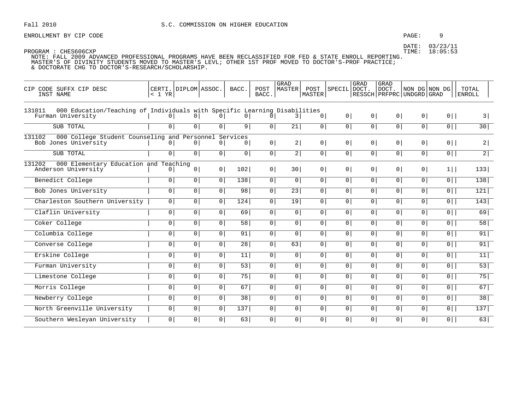### PAGE:  $\overline{9}$

DATE: 03/23/11 TIME: 18:05:53

| CIP CODE SUFFX CIP DESC<br>INST NAME                                                                     | < 1 YR         | CERTI. DIPLOM ASSOC. |                | BACC.          | POST<br>BACC.  | <b>GRAD</b><br>MASTER | POST<br>MASTER | SPECIL DOCT.   | <b>GRAD</b>    | GRAD<br>DOCT.<br>  RESSCH   PRFPRC   UNDGRD   GRAD | NON DG NON DG  |                | TOTAL<br><b>ENROLL</b> |
|----------------------------------------------------------------------------------------------------------|----------------|----------------------|----------------|----------------|----------------|-----------------------|----------------|----------------|----------------|----------------------------------------------------|----------------|----------------|------------------------|
| 000 Education/Teaching of Individuals with Specific Learning Disabilities<br>131011<br>Furman University | 0 I            | 0 <sup>1</sup>       | 0 <sup>1</sup> | 0 <sup>1</sup> | 0 <sup>1</sup> | 3                     | 0 <sup>1</sup> | 0 <sup>1</sup> | 0 <sup>1</sup> | 0 <sup>1</sup>                                     | 0 <sup>1</sup> | $0$            | 3                      |
| SUB TOTAL                                                                                                | $\Omega$       | 0 <sup>1</sup>       | 0 <sup>1</sup> | 9 <sup>1</sup> | 0              | $\overline{21}$       | 0 <sup>1</sup> | 0 <sup>1</sup> | $\overline{0}$ | $\overline{0}$                                     | $\overline{0}$ | $\overline{0}$ | 30                     |
| 131102<br>000 College Student Counseling and Personnel Services<br>Bob Jones University                  | $\Omega$       | 0 <sup>1</sup>       | 0 <sup>1</sup> | 0 <sup>1</sup> | 0 <sup>1</sup> | 2                     | 0 <sup>1</sup> | 0 <sup>1</sup> | 0 <sup>1</sup> | 0 <sup>1</sup>                                     | $\overline{0}$ | $0$            | 2                      |
| SUB TOTAL                                                                                                | 0 <sup>1</sup> | 0 <sup>1</sup>       | 0 <sup>1</sup> | 0 <sup>1</sup> | 0              | 2                     | 0 <sup>1</sup> | 0 <sup>1</sup> | 0 <sup>1</sup> | 0 <sup>1</sup>                                     | 0 <sup>1</sup> | $0$            | $\overline{2}$         |
| 000 Elementary Education and Teaching<br>131202<br>Anderson University                                   | $\overline{0}$ | 0 <sup>1</sup>       | 0 <sup>1</sup> | 102            | 0 <sup>1</sup> | 30                    | $\overline{0}$ | 0 <sup>1</sup> | 0 <sup>1</sup> | 0 <sup>1</sup>                                     | $\overline{0}$ | $1$            | 133                    |
| Benedict College                                                                                         | 0 <sup>1</sup> | $\overline{0}$       | $\overline{0}$ | 138            | $\overline{0}$ | $\overline{0}$        | 0 <sup>1</sup> | $\overline{0}$ | $\overline{0}$ | $\overline{0}$                                     | 0 <sup>1</sup> | $\overline{0}$ | 138                    |
| Bob Jones University                                                                                     | $\circ$        | $\overline{0}$       | 0 <sup>1</sup> | 98             | $\overline{0}$ | $\overline{23}$       | 0 <sup>1</sup> | $\circ$        | $\overline{0}$ | 0 <sup>1</sup>                                     | 0 <sup>1</sup> | $\overline{0}$ | 121                    |
| Charleston Southern University                                                                           | 0 <sup>1</sup> | 0 <sup>1</sup>       | 0 <sup>1</sup> | 124            | 0              | 19                    | 0 <sup>1</sup> | 0 <sup>1</sup> | 0 <sup>1</sup> | 0 <sup>1</sup>                                     | 0 <sup>1</sup> | $0$            | 143                    |
| Claflin University                                                                                       | 0 <sup>1</sup> | $\overline{0}$       | 0 <sup>1</sup> | 69             | 0 <sup>1</sup> | 0                     | 0 <sup>1</sup> | 0 <sup>1</sup> | $\overline{0}$ | 0 <sup>1</sup>                                     | 0 <sup>1</sup> | $\overline{0}$ | 69                     |
| Coker College                                                                                            | $\overline{0}$ | $\overline{0}$       | 0 <sup>1</sup> | 58             | 0 <sup>1</sup> | $\overline{0}$        | $\overline{0}$ | 0 <sup>1</sup> | $\overline{0}$ | $\overline{0}$                                     | $\mathsf{O}$   | 0              | 58                     |
| Columbia College                                                                                         | 0 <sup>1</sup> | 0 <sup>1</sup>       | $\circ$        | 91             | 0              | 0 <sup>1</sup>        | 0 <sup>1</sup> | 0 <sup>1</sup> | 0 <sup>1</sup> | 0 <sup>1</sup>                                     | $\circ$        | $0$            | 91                     |
| Converse College                                                                                         | 0 <sup>1</sup> | $\overline{0}$       | 0 <sup>1</sup> | 28             | 0 <sup>1</sup> | 63                    | 0 <sup>1</sup> | 0 <sup>1</sup> | 0 <sup>1</sup> | 0 <sup>1</sup>                                     | 0 <sup>1</sup> | $\overline{0}$ | 91                     |
| Erskine College                                                                                          | $\overline{0}$ | $\overline{0}$       | 0 <sup>1</sup> | 11             | $\overline{0}$ | $\overline{0}$        | $\overline{0}$ | $\overline{0}$ | $\overline{0}$ | 0 <sup>1</sup>                                     | $\overline{0}$ | 0              | 11                     |
| Furman University                                                                                        | 0 <sup>1</sup> | 0 <sup>1</sup>       | 0 <sup>1</sup> | 53             | 0              | 0 <sup>1</sup>        | 0 <sup>1</sup> | 0 <sup>1</sup> | 0 <sup>1</sup> | 0 <sup>1</sup>                                     | 0 <sup>1</sup> | $0$            | 53                     |
| Limestone College                                                                                        | 0 <sup>1</sup> | 0 <sup>1</sup>       | 0 <sup>1</sup> | 75             | 0 <sup>1</sup> | 0                     | 0 <sup>1</sup> | 0 <sup>1</sup> | 0 <sup>1</sup> | 0 <sup>1</sup>                                     | 0 <sup>1</sup> | $0$            | 75                     |
| Morris College                                                                                           | 0 <sup>1</sup> | $\overline{0}$       | 0 <sup>1</sup> | 67             | 0 <sup>1</sup> | $\overline{0}$        | 0 <sup>1</sup> | $\circ$        | $\overline{0}$ | $\overline{0}$                                     | 0 <sup>1</sup> | $\overline{0}$ | 67                     |
| Newberry College                                                                                         | 0 <sup>1</sup> | $\overline{0}$       | 0 <sup>1</sup> | 38             | 0 <sup>1</sup> | $\overline{0}$        | $\overline{0}$ | 0 <sup>1</sup> | $\overline{0}$ | 0 <sup>1</sup>                                     | 0              | $\overline{0}$ | $\overline{38}$        |
| North Greenville University                                                                              | $\overline{0}$ | 0 <sup>1</sup>       | $\overline{0}$ | 137            | 0 <sup>1</sup> | 0                     | 0 <sup>1</sup> | 0 <sup>1</sup> | 0 <sup>1</sup> | $\circ$                                            | $\overline{0}$ | $\overline{0}$ | 137                    |
| Southern Wesleyan University                                                                             | $\circ$        | $\overline{0}$       | 0 <sup>1</sup> | 63             | 0 <sup>1</sup> | $\circ$               | 0 <sup>1</sup> | 0 <sup>1</sup> | $\overline{0}$ | 0 <sup>1</sup>                                     | 0 <sup>1</sup> | $\overline{0}$ | 63                     |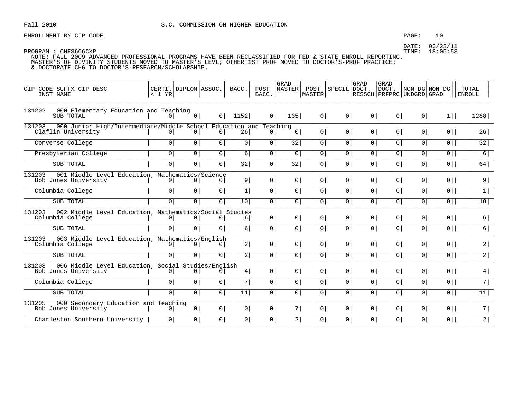ENROLLMENT BY CIP CODE  $PAGE: 10$ 

DATE: 03/23/11

| CIP CODE SUFFX CIP DESC<br>INST NAME                                                              | CERTI. DIPLOM ASSOC.<br>< 1 YR |                |                | BACC.           | POST<br>BACC.  | <b>GRAD</b><br>MASTER | POST<br><b>MASTER</b> | SPECIL DOCT.   | GRAD             | <b>GRAD</b><br>DOCT.<br>RESSCH   PRFPRC   UNDGRD   GRAD | NON DG NON DG  |                | TOTAL<br><b>ENROLL</b> |
|---------------------------------------------------------------------------------------------------|--------------------------------|----------------|----------------|-----------------|----------------|-----------------------|-----------------------|----------------|------------------|---------------------------------------------------------|----------------|----------------|------------------------|
| 000 Elementary Education and Teaching<br>131202<br>SUB TOTAL                                      | 0 <sup>1</sup>                 | 0              | 0 <sup>1</sup> | 1152            | 0 <sup>1</sup> | 135                   | 0 <sup>1</sup>        | $0 \mid$       | 0                | 0                                                       | 0              | $1$            | 1288                   |
| 131203<br>000 Junior High/Intermediate/Middle School Education and Teaching<br>Claflin University | 0 <sup>1</sup>                 | 0 <sup>1</sup> | 0 <sup>1</sup> | 26              | $\overline{0}$ | 0 <sup>1</sup>        | 0 <sup>1</sup>        | 0 <sup>1</sup> | 0 <sup>1</sup>   | 0 <sup>1</sup>                                          | 0 <sup>1</sup> | $0$            | 26                     |
| Converse College                                                                                  | 0                              | 0              | 0 <sup>1</sup> | 0               | 0 <sup>1</sup> | 32                    | $\overline{0}$        | $\overline{0}$ | 0 <sup>1</sup>   | $\circ$                                                 | $\overline{0}$ | $\overline{0}$ | 32                     |
| Presbyterian College                                                                              | 0                              | $\overline{0}$ | 0 <sup>1</sup> | 6               | 0 <sup>1</sup> | 0 <sup>1</sup>        | 0                     | 0 <sup>1</sup> | 0                | 0 <sup>1</sup>                                          | 0 <sup>1</sup> | $\overline{0}$ | 6                      |
| SUB TOTAL                                                                                         | 0 <sup>1</sup>                 | 0              | 0 <sup>1</sup> | $\overline{32}$ | 0 <sup>1</sup> | $\overline{32}$       | 0 <sup>1</sup>        | $\overline{0}$ | 0 <sup>1</sup>   | $\circ$                                                 | $\circ$        | 0              | 64                     |
| 131203<br>001 Middle Level Education, Mathematics/Science<br>Bob Jones University                 | 0 <sup>1</sup>                 | 0 <sup>1</sup> | 0 <sup>1</sup> | 9               | $\circ$        | 0 <sup>1</sup>        | 0 <sup>1</sup>        | 0 <sup>1</sup> | $\circ$          | 0 <sup>1</sup>                                          | 0 <sup>1</sup> | 0              | 9                      |
| Columbia College                                                                                  | $\overline{0}$                 | $\overline{0}$ | $\overline{0}$ | 1               | 0 <sup>1</sup> | $\overline{0}$        | 0 <sup>1</sup>        | $\overline{0}$ | 0 <sup>1</sup>   | $\overline{0}$                                          | $\overline{0}$ | $\overline{0}$ | $\overline{1}$         |
| SUB TOTAL                                                                                         | 0 <sup>1</sup>                 | $\overline{0}$ | 0 <sup>1</sup> | 10 <sup>1</sup> | 0 <sup>1</sup> | 0 <sup>1</sup>        | 0                     | 0 <sup>1</sup> | 0 <sup>1</sup>   | 0 <sup>1</sup>                                          | 0 <sup>1</sup> | $0$            | 10                     |
| 131203<br>002 Middle Level Education, Mathematics/Social Studies<br>Columbia College              | $\circ$                        | 0 <sup>1</sup> | 0 <sup>1</sup> | 6               | $\circ$        | 0 <sup>1</sup>        | 0 <sup>1</sup>        | 0 <sup>1</sup> | 0 <sup>1</sup>   | 0 <sup>1</sup>                                          | 0 <sup>1</sup> | $0$            | 6                      |
| SUB TOTAL                                                                                         | $\overline{0}$                 | $\overline{0}$ | 0 <sup>1</sup> | 6               | 0 <sup>1</sup> | $\overline{0}$        | $\overline{0}$        | $\overline{0}$ | $\overline{0}$   | $\overline{0}$                                          | $\overline{0}$ | $\overline{0}$ | $\overline{6}$         |
| 131203<br>003 Middle Level Education, Mathematics/English<br>Columbia College                     | $\circ$                        | 0 <sup>1</sup> | 0 <sup>1</sup> | 2               | 0 <sup>1</sup> | 0 <sup>1</sup>        | 0 <sup>1</sup>        | 0 <sup>1</sup> | 0 <sup>1</sup>   | 0 <sup>1</sup>                                          | 0 <sup>1</sup> | $0$            | 2                      |
| SUB TOTAL                                                                                         | $\overline{0}$                 | 0 <sup>1</sup> | 0 <sup>1</sup> | $\overline{2}$  | 0 <sup>1</sup> | $\circ$               | 0 <sup>1</sup>        | 0 <sup>1</sup> | 0                | $\circ$                                                 | 0 <sup>1</sup> | $\overline{0}$ | $\overline{2}$         |
| 131203<br>006 Middle Level Education, Social Studies/English<br>Bob Jones University              | 0                              | 0 <sup>1</sup> | 0              | 4               | 0 <sup>1</sup> | 0                     | 0 <sup>1</sup>        | 0 <sup>1</sup> | 0 <sup>1</sup>   | 0 <sup>1</sup>                                          | 0 <sup>1</sup> | $0$            | 4                      |
| Columbia College                                                                                  | 0 <sup>1</sup>                 | 0              | 0 <sup>1</sup> | 7               | 0 <sup>1</sup> | $\overline{0}$        | 0 <sup>1</sup>        | 0 <sup>1</sup> | $\circ$          | 0 <sup>1</sup>                                          | 0 <sup>1</sup> | $\overline{0}$ | $\overline{7}$         |
| SUB TOTAL                                                                                         | 0 <sup>1</sup>                 | $\overline{0}$ | 0 <sup>1</sup> | $\overline{11}$ | 0 <sup>1</sup> | $\overline{0}$        | 0 <sup>1</sup>        | 0 <sup>1</sup> | $\overline{0}$ 1 | $\circ$                                                 | 0 <sup>1</sup> | $\overline{0}$ | 11                     |
| 000 Secondary Education and Teaching<br>131205<br>Bob Jones University                            | $\circ$                        | 0              | 0 <sup>1</sup> | 0               | 0 <sup>1</sup> | 7                     | 0 <sup>1</sup>        | 0 <sup>1</sup> | 0 <sup>1</sup>   | 0 <sup>1</sup>                                          | 0 <sup>1</sup> | $0$            | 7                      |
| Charleston Southern University                                                                    | $\circ$                        | 0              | 0 <sup>1</sup> | $\overline{0}$  | $\circ$        | 2                     | 0 <sup>1</sup>        | 0 <sup>1</sup> | 0 <sup>1</sup>   | $\circ$                                                 | $\circ$        | 0 <sup>1</sup> | 2 <sup>T</sup>         |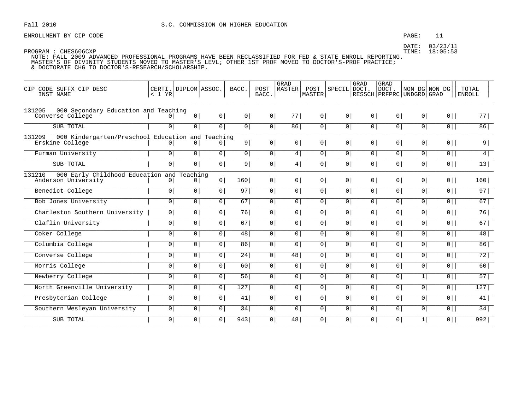# PAGE: 11

DATE: 03/23/11 TIME: 18:05:53

| CIP CODE SUFFX CIP DESC<br>INST NAME                                           | < 1 YR         | CERTI. DIPLOM ASSOC.       |                | BACC.            | POST<br>BACC.  | <b>GRAD</b><br>MASTER | POST<br>MASTER | SPECIL         | GRAD<br> DOCT. | GRAD<br>DOCT.<br>RESSCH   PRFPRC   UNDGRD   GRAD | NON DG NON DG  |                | TOTAL<br><b>ENROLL</b> |
|--------------------------------------------------------------------------------|----------------|----------------------------|----------------|------------------|----------------|-----------------------|----------------|----------------|----------------|--------------------------------------------------|----------------|----------------|------------------------|
| 131205<br>000 Secondary Education and Teaching<br>Converse College             |                | 0                          | 0 <sup>1</sup> | 0 <sup>1</sup>   | 0 <sup>1</sup> | 77                    | 0 <sup>1</sup> | 0 <sup>1</sup> | 0 <sup>1</sup> | 0 <sup>1</sup>                                   | 0 <sup>1</sup> | $0$            | 77                     |
| SUB TOTAL                                                                      | $\overline{0}$ | $\overline{0}$             | $\overline{0}$ | 0 <sup>1</sup>   | $\overline{0}$ | 86                    | 0 <sup>1</sup> | 0 <sup>1</sup> | $\overline{0}$ | $\overline{0}$                                   | 0              | $\overline{0}$ | 86                     |
| 131209<br>000 Kindergarten/Preschool Education and Teaching<br>Erskine College | $\Omega$       | 0 <sup>1</sup>             | $\Omega$       | 9                | 0 <sup>1</sup> | 0 <sup>1</sup>        | 0 <sup>1</sup> | 0 <sup>1</sup> | 0 <sup>1</sup> | 0 <sup>1</sup>                                   | 0 <sup>1</sup> | $0$            | 9                      |
| Furman University                                                              | $\circ$        | 0 <sup>1</sup>             | 0 <sup>1</sup> | 0 <sup>1</sup>   | 0              | 4                     | 0 <sup>1</sup> | 0 <sup>1</sup> | 0 <sup>1</sup> | 0 <sup>1</sup>                                   | 0 <sup>1</sup> | $0$            | 4                      |
| SUB TOTAL                                                                      | $\overline{0}$ | $\overline{0}$             | 0 <sup>1</sup> | 9                | 0 <sup>1</sup> | 4                     | 0 <sup>1</sup> | 0 <sup>1</sup> | $\overline{0}$ | 0 <sup>1</sup>                                   | 0 <sup>1</sup> | $\overline{0}$ | 13                     |
| 131210<br>000 Early Childhood Education and<br>Anderson University             | 0 <sup>1</sup> | Teaching<br>0 <sup>1</sup> | 0 <sup>1</sup> | 160              | 0 <sup>1</sup> | 0 <sup>1</sup>        | 0 <sup>1</sup> | 0 <sup>1</sup> | 0 <sup>1</sup> | 0 <sup>1</sup>                                   | 0 <sup>1</sup> | $0$            | 160                    |
| Benedict College                                                               | $\circ$        | $\overline{0}$             | $\overline{0}$ | 97               | $\overline{0}$ | $\overline{0}$        | 0 <sup>1</sup> | 0 <sup>1</sup> | $\overline{0}$ | 0 <sup>1</sup>                                   | 0 <sup>1</sup> | $\overline{0}$ | 97                     |
| Bob Jones University                                                           | 0 <sup>1</sup> | 0 <sup>1</sup>             | 0 <sup>1</sup> | 67               | 0 <sup>1</sup> | 0                     | 0 <sup>1</sup> | 0 <sup>1</sup> | 0 <sup>1</sup> | 0 <sup>1</sup>                                   | 0 <sup>1</sup> | $\overline{0}$ | 67                     |
| Charleston Southern University                                                 | $\overline{0}$ | $\overline{0}$             | $\overline{0}$ | 76               | $\overline{0}$ | $\overline{0}$        | $\overline{0}$ | $\overline{0}$ | $\overline{0}$ | $\overline{0}$                                   | $\overline{0}$ | 0              | 76                     |
| Claflin University                                                             | 0 <sup>1</sup> | $\overline{0}$             | 0 <sup>1</sup> | 67               | 0 <sup>1</sup> | 0                     | 0 <sup>1</sup> | 0 <sup>1</sup> | 0 <sup>1</sup> | 0 <sup>1</sup>                                   | $\mathsf{O}$   | $\overline{0}$ | 67                     |
| Coker College                                                                  | 0 <sup>1</sup> | 0 <sup>1</sup>             | 0 <sup>1</sup> | 48               | 0 <sup>1</sup> | $\circ$               | 0 <sup>1</sup> | 0 <sup>1</sup> | 0 <sup>1</sup> | 0 <sup>1</sup>                                   | 0 <sup>1</sup> | $0$            | 48                     |
| Columbia College                                                               | 0 <sup>1</sup> | 0                          | 0 <sup>1</sup> | 86               | 0 <sup>1</sup> | $\overline{0}$        | 0 <sup>1</sup> | 0 <sup>1</sup> | $\overline{0}$ | 0 <sup>1</sup>                                   | 0 <sup>1</sup> | $\overline{0}$ | 86                     |
| Converse College                                                               | $\overline{0}$ | $\overline{0}$             | 0 <sup>1</sup> | $\overline{24}$  | 0 <sup>1</sup> | $\overline{48}$       | 0 <sup>1</sup> | $\circ$        | $\overline{0}$ | 0 <sup>1</sup>                                   | 0 <sup>1</sup> | 0              | 72                     |
| Morris College                                                                 | 0 <sup>1</sup> | 0 <sup>1</sup>             | 0 <sup>1</sup> | 60               | 0 <sup>1</sup> | 0                     | 0 <sup>1</sup> | 0 <sup>1</sup> | 0 <sup>1</sup> | 0 <sup>1</sup>                                   | $\overline{0}$ | $0$            | 60                     |
| Newberry College                                                               | 0 <sup>1</sup> | 0                          | $\overline{0}$ | $\overline{56}$  | 0 <sup>1</sup> | $\circ$               | 0 <sup>1</sup> | 0 <sup>1</sup> | $\overline{0}$ | $\overline{0}$                                   | 1              | $\overline{0}$ | 57                     |
| North Greenville University                                                    | $\overline{0}$ | $\overline{0}$             | $\overline{0}$ | $\overline{127}$ | $\overline{0}$ | $\overline{0}$        | $\overline{0}$ | $\overline{0}$ | $\overline{0}$ | 0 <sup>1</sup>                                   | $\overline{0}$ | $\overline{0}$ | 127                    |
| Presbyterian College                                                           | 0 <sup>1</sup> | 0 <sup>1</sup>             | 0 <sup>1</sup> | 41               | 0 <sup>1</sup> | $\overline{0}$        | 0 <sup>1</sup> | 0 <sup>1</sup> | $\overline{0}$ | $\overline{0}$                                   | 0 <sup>1</sup> | $\overline{0}$ | 41                     |
| Southern Wesleyan University                                                   | $\overline{0}$ | $\overline{0}$             | $\overline{0}$ | 34               | $\overline{0}$ | 0                     | $\overline{0}$ | 0 <sup>1</sup> | $\overline{0}$ | 0 <sup>1</sup>                                   | 0 <sup>1</sup> | $\overline{0}$ | 34                     |
| SUB TOTAL                                                                      | $\overline{0}$ | 0 <sup>1</sup>             | 0 <sup>1</sup> | 943              | $\circ$        | 48                    | $\overline{0}$ | $\circ$        | 0 <sup>1</sup> | $\circ$                                          | 1              | $0$            | 992                    |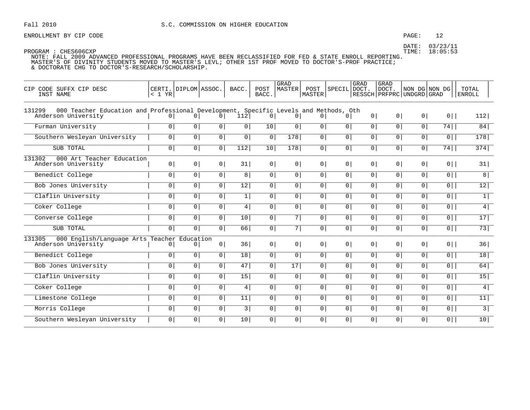# PAGE: 12

DATE: 03/23/11 TIME: 18:05:53

PROGRAM : CHES606CXP

| CODE SUFFX CIP DESC<br>CTP.<br>INST NAME                                                                              | < 1 YR         | CERTI. DIPLOM ASSOC. |                | BACC.           | POST<br>BACC.  | <b>GRAD</b><br><b>MASTER</b> | POST<br>MASTER | SPECIL DOCT.   | GRAD           | <b>GRAD</b><br>DOCT.<br>  RESSCH   PRFPRC   UNDGRD   GRAD |                | NON DG NON DG  | TOTAL<br><b>ENROLL</b> |
|-----------------------------------------------------------------------------------------------------------------------|----------------|----------------------|----------------|-----------------|----------------|------------------------------|----------------|----------------|----------------|-----------------------------------------------------------|----------------|----------------|------------------------|
| 000 Teacher Education and Professional Development, Specific Levels and Methods, Oth<br>131299<br>Anderson University | 0 <sup>1</sup> | $\overline{0}$       | 0              | 112             | 0              | $\overline{0}$               | $\overline{0}$ | 0 <sup>1</sup> | 0 <sup>1</sup> | 0 <sup>1</sup>                                            | $\overline{0}$ | $0$            | 112                    |
| Furman University                                                                                                     | $\circ$        | 0 <sup>1</sup>       | $\circ$        | 0 <sup>1</sup>  | 10             | $\circ$                      | $\circ$        | $\overline{0}$ | $\overline{0}$ | 0 <sup>1</sup>                                            | 0 <sup>1</sup> | 74             | 84                     |
| Southern Wesleyan University                                                                                          | 0 <sup>1</sup> | 0 <sup>1</sup>       | 0 <sup>1</sup> | 0 <sup>1</sup>  | 0 <sup>1</sup> | 178                          | 0 <sup>1</sup> | 0 <sup>1</sup> | 0 <sup>1</sup> | 0 <sup>1</sup>                                            | 0 <sup>1</sup> | 0              | 178                    |
| SUB TOTAL                                                                                                             | $\overline{0}$ | 0 <sup>1</sup>       | 0              | 112             | 10             | 178                          | 0 <sup>1</sup> | $\overline{0}$ | $\overline{0}$ | 0 <sup>1</sup>                                            | $\mathsf{O}$   | 74             | 374                    |
| 000 Art Teacher Education<br>131302<br>Anderson University                                                            | 0 <sup>1</sup> | 0 <sup>1</sup>       | $\circ$        | 31              | 0 <sup>1</sup> | 0 <sup>1</sup>               | 0 <sup>1</sup> | 0 <sup>1</sup> | 0 <sup>1</sup> | $\overline{0}$                                            | 0              | $0$            | 31                     |
| Benedict College                                                                                                      | $\circ$        | $\overline{0}$       | $\overline{0}$ | $\overline{8}$  | $\overline{0}$ | $\overline{0}$               | $\overline{0}$ | $\overline{0}$ | $\overline{0}$ | $\overline{0}$                                            | $\overline{0}$ | $\overline{0}$ | $\overline{8}$         |
| Bob Jones University                                                                                                  | 0 <sup>1</sup> | 0 <sup>1</sup>       | 0 <sup>1</sup> | 12              | 0 <sup>1</sup> | 0 <sup>1</sup>               | 0 <sup>1</sup> | $\overline{0}$ | $\overline{0}$ | 0 <sup>1</sup>                                            | 0 <sup>1</sup> | $\overline{0}$ | 12                     |
| Claflin University                                                                                                    | $\circ$        | $\overline{0}$       | $\overline{0}$ | $\mathbf{1}$    | 0              | $\overline{0}$               | $\mathbf 0$    | 0 <sup>1</sup> | 0 <sup>1</sup> | 0 <sup>1</sup>                                            | $\mathsf{O}$   | $\overline{0}$ | $\boxed{1}$            |
| Coker College                                                                                                         | $\circ$        | 0                    | 0 <sup>1</sup> | 4               | 0 <sup>1</sup> | $\overline{0}$               | 0 <sup>1</sup> | $\overline{0}$ | 0 <sup>1</sup> | 0 <sup>1</sup>                                            | $\mathsf{O}$   | $\overline{0}$ | $\overline{4}$         |
| Converse College                                                                                                      | 0 <sup>1</sup> | 0 <sup>1</sup>       | 0 <sup>1</sup> | 10              | 0 <sup>1</sup> | 7 <sup>1</sup>               | 0 <sup>1</sup> | 0 <sup>1</sup> | 0 <sup>1</sup> | 0 <sup>1</sup>                                            | 0 <sup>1</sup> | $0$            | 17                     |
| SUB TOTAL                                                                                                             | $\circ$        | $\overline{0}$       | $\mathbf 0$    | 66              | $\mathbf 0$    | $\overline{7}$               | $\overline{0}$ | $\circ$        | $\overline{0}$ | $\overline{0}$                                            | $\overline{0}$ | $\overline{0}$ | 73                     |
| 000 English/Language Arts Teacher Education<br>131305<br>Anderson University                                          | $\circ$        | $\circ$              | 0 <sup>1</sup> | 36              | 0              | 0 <sup>1</sup>               | 0 <sup>1</sup> | 0 <sup>1</sup> | 0 <sup>1</sup> | 0 <sup>1</sup>                                            | 0 <sup>1</sup> | $0$            | 36                     |
| Benedict College                                                                                                      | $\circ$        | $\overline{0}$       | $\overline{0}$ | 18              | 0 <sup>1</sup> | $\overline{0}$               | $\overline{0}$ | $\overline{0}$ | $\overline{0}$ | 0 <sup>1</sup>                                            | $\overline{0}$ | $0$            | 18                     |
| Bob Jones University                                                                                                  | $\circ$        | 0 <sup>1</sup>       | 0              | 47              | 0              | $\overline{17}$              | 0 <sup>1</sup> | 0 <sup>1</sup> | 0 <sup>1</sup> | 0 <sup>1</sup>                                            | $\overline{0}$ | 0              | 64                     |
| Claflin University                                                                                                    | $\overline{0}$ | 0 <sup>1</sup>       | 0 <sup>1</sup> | $\overline{15}$ | 0 <sup>1</sup> | 0 <sup>1</sup>               | 0 <sup>1</sup> | $\overline{0}$ | $\overline{0}$ | 0 <sup>1</sup>                                            | 0 <sup>1</sup> | $\overline{0}$ | 15                     |
| Coker College                                                                                                         | $\circ$        | 0 <sup>1</sup>       | 0              | 4 <sup>1</sup>  | 0              | 0 <sup>1</sup>               | 0 <sup>1</sup> | 0 <sup>1</sup> | 0 <sup>1</sup> | 0                                                         | $\overline{0}$ | $\overline{0}$ | 4                      |
| Limestone College                                                                                                     | 0 <sup>1</sup> | 0 <sup>1</sup>       | 0 <sup>1</sup> | 11              | 0 <sup>1</sup> | 0 <sup>1</sup>               | 0 <sup>1</sup> | 0 <sup>1</sup> | 0 <sup>1</sup> | 0 <sup>1</sup>                                            | 0 <sup>1</sup> | $0$            | 11                     |
| Morris College                                                                                                        | $\circ$        | 0 <sup>1</sup>       | 0              | 3               | $\mathsf{O}$   | $\mathsf{O}$                 | 0 <sup>1</sup> | 0 <sup>1</sup> | 0 <sup>1</sup> | 0 <sup>1</sup>                                            | $\overline{0}$ | $\overline{0}$ | $\overline{3}$         |
| Southern Wesleyan University                                                                                          | $\circ$        | 0 <sup>1</sup>       | 0              | 10              | 0 <sup>1</sup> | $\mathbf 0$                  | 0              | 0 <sup>1</sup> | $\overline{0}$ | 0 <sup>1</sup>                                            | $\overline{0}$ | $\overline{0}$ | 10                     |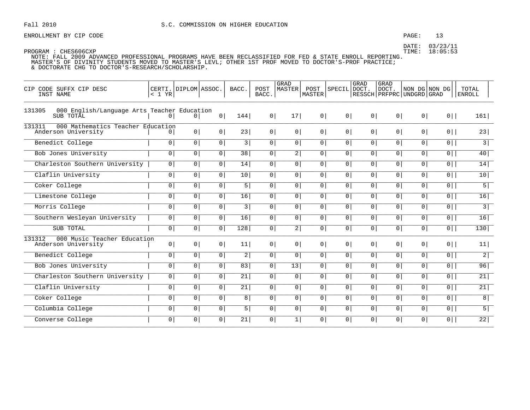# $PAGE: 13$

DATE: 03/23/11 TIME: 18:05:53

| CIP CODE SUFFX CIP DESC<br>INST NAME                               | < 1 YR         | CERTI. DIPLOM ASSOC. |                | BACC.            | POST<br>BACC.  | GRAD<br>MASTER   | POST<br>MASTER | SPECIL         | GRAD<br>DOCT.  | <b>GRAD</b><br>DOCT.<br>RESSCH PRFPRC UNDGRD GRAD | NON DG NON DG  |                | TOTAL<br><b>ENROLL</b> |
|--------------------------------------------------------------------|----------------|----------------------|----------------|------------------|----------------|------------------|----------------|----------------|----------------|---------------------------------------------------|----------------|----------------|------------------------|
| 131305<br>000 English/Language Arts Teacher Education<br>SUB TOTAL | $\Omega$       | 0 <sup>1</sup>       | 0              | 144              | 0 <sup>1</sup> | 17               | 0              | 0 <sup>1</sup> | 0 <sup>1</sup> | 0 <sup>1</sup>                                    | 0 <sup>1</sup> | $0$            | 161                    |
| 131311<br>000 Mathematics Teacher Education<br>Anderson University |                | 0 <sup>1</sup>       | 0 <sup>1</sup> | 23               | 0 <sup>1</sup> | 0 <sup>1</sup>   | 0 <sup>1</sup> | 0 <sup>1</sup> | 0 <sup>1</sup> | 0 <sup>1</sup>                                    | 0 <sup>1</sup> | $0$            | 23                     |
| Benedict College                                                   | 0              | 0 <sup>1</sup>       | $\circ$        | 3                | 0              | $\overline{0}$   | 0 <sup>1</sup> | 0 <sup>1</sup> | 0 <sup>1</sup> | 0 <sup>1</sup>                                    | $\overline{0}$ | $\overline{0}$ | $\overline{3}$         |
| Bob Jones University                                               | $\overline{0}$ | 0                    | 0 <sup>1</sup> | 38               | $\overline{0}$ | $\overline{2}$   | $\overline{0}$ | 0 <sup>1</sup> | $\overline{0}$ | 0 <sup>1</sup>                                    | 0 <sup>1</sup> | $\overline{0}$ | 40                     |
| Charleston Southern University                                     | $\overline{0}$ | 0 <sup>1</sup>       | 0 <sup>1</sup> | 14               | 0 <sup>1</sup> | $\overline{0}$   | $\overline{0}$ | 0 <sup>1</sup> | 0 <sup>1</sup> | 0                                                 | $\overline{0}$ | $\overline{0}$ | 14                     |
| Claflin University                                                 | $\overline{0}$ | 0 <sup>1</sup>       | 0 <sup>1</sup> | 10               | $\overline{0}$ | $\overline{0}$   | $\overline{0}$ | 0              | $\overline{0}$ | $\overline{0}$                                    | $\overline{0}$ | $\overline{0}$ | 10                     |
| Coker College                                                      | 0              | 0                    | 0 <sup>1</sup> | 5                | 0 <sup>1</sup> | $\overline{0}$   | 0              | 0 <sup>1</sup> | 0 <sup>1</sup> | 0 <sup>1</sup>                                    | 0 <sup>1</sup> | $\overline{0}$ | $\overline{5}$         |
| Limestone College                                                  | $\circ$        | $\overline{0}$       | $\overline{0}$ | $\overline{16}$  | $\overline{0}$ | $\overline{0}$   | $\overline{0}$ | 0              | 0 <sup>1</sup> | $\overline{0}$                                    | $\overline{0}$ | 0              | 16                     |
| Morris College                                                     | 0 <sup>1</sup> | $\overline{0}$       | 0 <sup>1</sup> | 3                | 0 <sup>1</sup> | $\overline{0}$   | 0 <sup>1</sup> | 0 <sup>1</sup> | 0 <sup>1</sup> | 0 <sup>1</sup>                                    | $\overline{0}$ | $\overline{0}$ | $\overline{3}$         |
| Southern Wesleyan University                                       | $\overline{0}$ | 0                    | 0 <sup>1</sup> | 16               | 0              | $\overline{0}$   | 0 <sup>1</sup> | 0 <sup>1</sup> | 0 <sup>1</sup> | 0 <sup>1</sup>                                    | $\overline{0}$ | $\overline{0}$ | 16                     |
| SUB TOTAL                                                          | $\overline{0}$ | 0 <sup>1</sup>       | $\overline{0}$ | $\overline{128}$ | $\overline{0}$ | $\overline{2}$   | $\overline{0}$ | 0 <sup>1</sup> | 0 <sup>1</sup> | 0                                                 | $\overline{0}$ | $0$            | $130$                  |
| 131312<br>000 Music Teacher Education<br>Anderson University       | 0              | 0 <sup>1</sup>       | 0 <sup>1</sup> | 11               | 0 <sup>1</sup> | 0 <sup>1</sup>   | 0 <sup>1</sup> | 0 <sup>1</sup> | 0 <sup>1</sup> | 0 <sup>1</sup>                                    | 0 <sup>1</sup> | $0$            | 11                     |
| Benedict College                                                   | 0              | 0                    | $\circ$        | 2                | 0              | 0 <sup>1</sup>   | 0 <sup>1</sup> | 0 <sup>1</sup> | 0 <sup>1</sup> | 0 <sup>1</sup>                                    | $\overline{0}$ | $\overline{0}$ | $\overline{2}$         |
| Bob Jones University                                               | $\overline{0}$ | 0                    | 0 <sup>1</sup> | 83               | 0 <sup>1</sup> | $\overline{13 }$ | 0 <sup>1</sup> | 0 <sup>1</sup> | $\overline{0}$ | 0 <sup>1</sup>                                    | 0 <sup>1</sup> | $\overline{0}$ | 96                     |
| Charleston Southern University                                     | $\overline{0}$ | 0                    | 0 <sup>1</sup> | 21               | $\overline{0}$ | $\overline{0}$   | $\overline{0}$ | 0 <sup>1</sup> | 0 <sup>1</sup> | 0 <sup>1</sup>                                    | $\overline{0}$ | $\overline{0}$ | 21                     |
| Claflin University                                                 | 0 <sup>1</sup> | $\overline{0}$       | $\overline{0}$ | $\overline{21}$  | $\overline{0}$ | $\overline{0}$   | $\overline{0}$ | 0              | $\overline{0}$ | $\overline{0}$                                    | $\overline{0}$ | 0              | 21                     |
| Coker College                                                      | 0              | 0                    | 0 <sup>1</sup> | 8                | 0              | 0 <sup>1</sup>   | 0 <sup>1</sup> | 0 <sup>1</sup> | 0 <sup>1</sup> | 0 <sup>1</sup>                                    | 0 <sup>1</sup> | $0$            | 8                      |
| Columbia College                                                   | $\overline{0}$ | 0                    | 0 <sup>1</sup> | 5                | $\overline{0}$ | $\overline{0}$   | $\overline{0}$ | 0 <sup>1</sup> | 0 <sup>1</sup> | 0 <sup>1</sup>                                    | $\overline{0}$ | $\overline{0}$ | $\overline{5}$         |
| Converse College                                                   | 0 <sup>1</sup> | 0 <sup>1</sup>       | 0              | $\overline{21}$  | 0 <sup>1</sup> | 1                | 0 <sup>1</sup> | 0 <sup>1</sup> | 0 <sup>1</sup> | 0                                                 | 0              | $\overline{0}$ | $\overline{22}$        |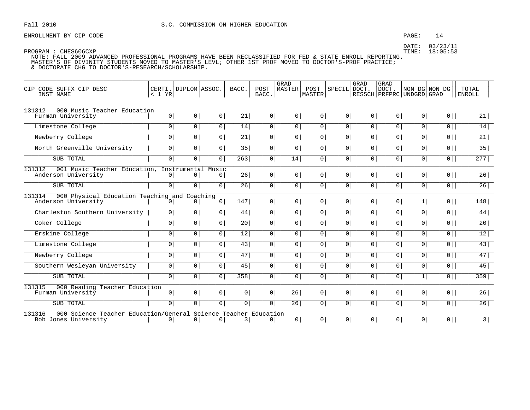# PAGE: 14

DATE: 03/23/11 TIME: 18:05:53

| CIP CODE SUFFX CIP DESC<br>INST NAME                                                              | $< 1$ YR       | CERTI. DIPLOM ASSOC. |                | BACC.           | POST<br>BACC.  | <b>GRAD</b><br><b>MASTER</b> | POST<br>MASTER | SPECIL DOCT.   | GRAD           | <b>GRAD</b><br>DOCT.<br>  RESSCH   PRFPRC   UNDGRD   GRAD | NON DG NON DG  |                | TOTAL<br><b>ENROLL</b> |
|---------------------------------------------------------------------------------------------------|----------------|----------------------|----------------|-----------------|----------------|------------------------------|----------------|----------------|----------------|-----------------------------------------------------------|----------------|----------------|------------------------|
| 131312<br>000 Music Teacher Education<br>Furman University                                        | 0 <sup>1</sup> | 0 <sup>1</sup>       | 0 <sup>1</sup> | 21              | 0 <sup>1</sup> | $\circ$                      | $\circ$        | 0 <sup>1</sup> | 0 <sup>1</sup> | 0 <sup>1</sup>                                            | 0 <sup>1</sup> | $0$            | 21                     |
| Limestone College                                                                                 | $\overline{0}$ | 0                    | $\circ$        | 14              | $\overline{0}$ | 0 <sup>1</sup>               | 0 <sup>1</sup> | $\overline{0}$ | $\overline{0}$ | 0 <sup>1</sup>                                            | $\overline{0}$ | $\overline{0}$ | 14                     |
| Newberry College                                                                                  | 0 <sup>1</sup> | $\circ$              | $\circ$        | 21              | $\circ$        | $\circ$                      | $\circ$        | 0 <sup>1</sup> | 0 <sup>1</sup> | 0 <sup>1</sup>                                            | 0 <sup>1</sup> | $\overline{0}$ | 21                     |
| North Greenville University                                                                       | $\circ$        | 0 <sup>1</sup>       | 0 <sup>1</sup> | 35              | $\overline{0}$ | 0 <sup>1</sup>               | 0 <sup>1</sup> | $\overline{0}$ | 0 <sup>1</sup> | 0 <sup>1</sup>                                            | 0 <sup>1</sup> | $\overline{0}$ | 35                     |
| SUB TOTAL                                                                                         | 0 <sup>1</sup> | 0 <sup>1</sup>       | $\mathbf 0$    | 263             | 0              | 14                           | 0              | $\overline{0}$ | 0              | 0                                                         | $\overline{0}$ | $0$            | 277                    |
| 131312<br>001 Music Teacher Education, Instrumental Music<br>Anderson University                  | 0 <sup>1</sup> | $\circ$              | 0              | 26              | 0              | 0 <sup>1</sup>               | 0 <sup>1</sup> | 0 <sup>1</sup> | 0 <sup>1</sup> | 0 <sup>1</sup>                                            | 0 <sup>1</sup> | $0$            | 26                     |
| SUB TOTAL                                                                                         | 0 <sup>1</sup> | 0 <sup>1</sup>       | $\overline{0}$ | 26              | 0 <sup>1</sup> | $\overline{0}$               | $\overline{0}$ | 0 <sup>1</sup> | 0 <sup>1</sup> | 0                                                         | $\overline{0}$ | $\overline{0}$ | 26                     |
| 000 Physical Education Teaching and Coaching<br>131314<br>Anderson University                     | 0 <sup>1</sup> | 0 <sup>1</sup>       | 0 <sup>1</sup> | 147             | 0 <sup>1</sup> | $\overline{0}$               | $\circ$        | 0 <sup>1</sup> | 0 <sup>1</sup> | 0                                                         | 1              | $0$            | 148                    |
| Charleston Southern University                                                                    | $\circ$        | 0 <sup>1</sup>       | $\circ$        | 44              | $\overline{0}$ | 0 <sup>1</sup>               | 0 <sup>1</sup> | $\overline{0}$ | $\overline{0}$ | 0 <sup>1</sup>                                            | 0 <sup>1</sup> | $\overline{0}$ | 44                     |
| Coker College                                                                                     | $\overline{0}$ | 0 <sup>1</sup>       | 0 <sup>1</sup> | $\overline{20}$ | 0              | 0 <sup>1</sup>               | 0 <sup>1</sup> | $\overline{0}$ | 0 <sup>1</sup> | 0 <sup>1</sup>                                            | $\overline{0}$ | $\overline{0}$ | 20                     |
| Erskine College                                                                                   | $\circ$        | 0 <sup>1</sup>       | 0 <sup>1</sup> | 12              | 0              | 0 <sup>1</sup>               | 0 <sup>1</sup> | $\overline{0}$ | $\overline{0}$ | 0 <sup>1</sup>                                            | 0 <sup>1</sup> | $\overline{0}$ | $\overline{12}$        |
| Limestone College                                                                                 | 0 <sup>1</sup> | 0 <sup>1</sup>       | 0              | 43              | 0              | $\mathbf 0$                  | 0 <sup>1</sup> | $\overline{0}$ | $\overline{0}$ | 0 <sup>1</sup>                                            | 0 <sup>1</sup> | $0$            | $\overline{43}$        |
| Newberry College                                                                                  | $\overline{0}$ | 0 <sup>1</sup>       | $\overline{0}$ | 47              | 0              | 0 <sup>1</sup>               | 0 <sup>1</sup> | $\overline{0}$ | $\overline{0}$ | 0 <sup>1</sup>                                            | 0 <sup>1</sup> | $\overline{0}$ | 47                     |
| Southern Wesleyan University                                                                      | 0 <sup>1</sup> | 0 <sup>1</sup>       | $\circ$        | 45              | 0              | $\overline{0}$               | 0 <sup>1</sup> | 0 <sup>1</sup> | 0 <sup>1</sup> | 0 <sup>1</sup>                                            | 0 <sup>1</sup> | $0$            | 45                     |
| SUB TOTAL                                                                                         | 0              | 0                    | 0              | 358             | 0              | $\overline{0}$               | 0 <sup>1</sup> | 0              | 0 <sup>1</sup> | 0 <sup>1</sup>                                            | $\mathbf{1}$   | $\overline{0}$ | $\overline{359}$       |
| 131315<br>000 Reading Teacher Education<br>Furman University                                      | 0 <sup>1</sup> | 0 <sup>1</sup>       | 0 <sup>1</sup> | 0 <sup>1</sup>  | 0 <sup>1</sup> | 26                           | 0 <sup>1</sup> | 0 <sup>1</sup> | 0 <sup>1</sup> | 0 <sup>1</sup>                                            | 0 <sup>1</sup> | $0$            | 26                     |
| SUB TOTAL                                                                                         | $\overline{0}$ | 0 <sup>1</sup>       | 0              | $\overline{0}$  | $\overline{0}$ | 26                           | 0 <sup>1</sup> | $\overline{0}$ | $\overline{0}$ | 0 <sup>1</sup>                                            | 0 <sup>1</sup> | $\overline{0}$ | 26                     |
| 131316<br>000 Science Teacher Education/General Science Teacher Education<br>Bob Jones University | 0 <sup>1</sup> | 0 <sup>1</sup>       | 0              | 3               | 0              | 0 <sup>1</sup>               | 0 <sup>1</sup> | 0 <sup>1</sup> | 0 <sup>1</sup> | 0 <sup>1</sup>                                            | 0 <sup>1</sup> | $0$            | 3                      |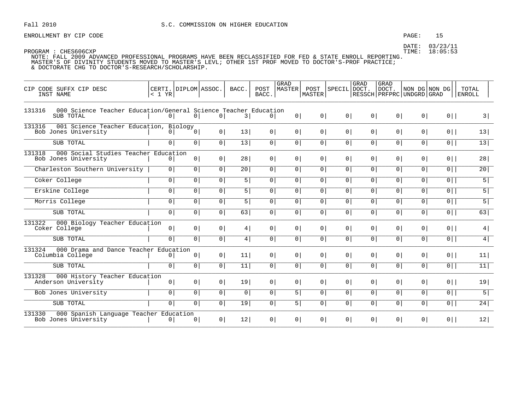ENROLLMENT BY CIP CODE  $PAGE: 15$ 

DATE: 03/23/11

| CIP CODE SUFFX CIP DESC<br>INST NAME                                                   | $< 1$ YR       | CERTI. DIPLOM ASSOC. |                | BACC.          | POST<br>BACC.  | <b>GRAD</b><br>MASTER | POST<br> MASTER | SPECIL DOCT.   | GRAD           | GRAD<br> DOCT.<br>  RESSCH   PRFPRC   UNDGRD   GRAD | NON DG NON DG  |                | TOTAL<br><b>ENROLL</b> |
|----------------------------------------------------------------------------------------|----------------|----------------------|----------------|----------------|----------------|-----------------------|-----------------|----------------|----------------|-----------------------------------------------------|----------------|----------------|------------------------|
| 000 Science Teacher Education/General Science Teacher Education<br>131316<br>SUB TOTAL | 0              | 0 <sup>1</sup>       | 0 <sup>1</sup> | 3              | $\circ$        | 0                     | 0               | 0              | 0              | 0                                                   | 0              | $0$            | 3                      |
| 131316<br>001 Science Teacher Education, Biology<br>Bob Jones University               | 0 <sup>1</sup> | 0 <sup>1</sup>       | 0 <sup>1</sup> | 13             | 0 <sup>1</sup> | 0 <sup>1</sup>        | 0               | 0 <sup>1</sup> | 0 <sup>1</sup> | 0 <sup>1</sup>                                      | 0 <sup>1</sup> | $0$            | 13                     |
| SUB TOTAL                                                                              | $\overline{0}$ | 0                    | $\overline{0}$ | 13             | $\overline{0}$ | $\overline{0}$        | $\overline{0}$  | $\overline{0}$ | $\overline{0}$ | 0 <sup>1</sup>                                      | $\overline{0}$ | $\overline{0}$ | 13                     |
| 131318<br>000 Social Studies Teacher Education<br>Bob Jones University                 | 0 <sup>1</sup> | 0 <sup>1</sup>       | 0 <sup>1</sup> | 28             | 0 <sup>1</sup> | 0 <sup>1</sup>        | 0 <sup>1</sup>  | 0 <sup>1</sup> | 0 <sup>1</sup> | 0 <sup>1</sup>                                      | 0 <sup>1</sup> | $0$            | 28                     |
| Charleston Southern University                                                         | $\overline{0}$ | 0 <sup>1</sup>       | $\overline{0}$ | 20             | 0 <sup>1</sup> | $\overline{0}$        | $\overline{0}$  | 0 <sup>1</sup> | 0 <sup>1</sup> | 0 <sup>1</sup>                                      | $\overline{0}$ | $\overline{0}$ | 20                     |
| Coker College                                                                          | $\overline{0}$ | $\overline{0}$       | 0 <sup>1</sup> | $\overline{5}$ | 0 <sup>1</sup> | $\overline{0}$        | 0               | 0              | $\overline{0}$ | 0 <sup>1</sup>                                      | $\overline{0}$ | $\overline{0}$ | $\overline{5}$         |
| Erskine College                                                                        | $\overline{0}$ | $\overline{0}$       | $\overline{0}$ | 5 <sup>1</sup> | 0 <sup>1</sup> | $\overline{0}$        | $\overline{0}$  | $\overline{0}$ | 0              | $\overline{0}$                                      | $\overline{0}$ | $\overline{0}$ | $\overline{5}$         |
| Morris College                                                                         | $\overline{0}$ | 0 <sup>1</sup>       | 0 <sup>1</sup> | 5              | 0 <sup>1</sup> | 0 <sup>1</sup>        | 0 <sup>1</sup>  | 0              | 0 <sup>1</sup> | 0 <sup>1</sup>                                      | 0 <sup>1</sup> | $0$            | $\overline{5}$         |
| SUB TOTAL                                                                              | $\overline{0}$ | 0 <sup>1</sup>       | 0 <sup>1</sup> | 63             | 0              | 0 l                   | $\overline{0}$  | $\overline{0}$ | $\overline{0}$ | $\overline{0}$                                      | $\overline{0}$ | $\overline{0}$ | 63                     |
| 131322<br>000 Biology Teacher Education<br>Coker College                               | 0 <sup>1</sup> | 0 <sup>1</sup>       | 0 <sup>1</sup> | 4              | 0 <sup>1</sup> | 0 <sup>1</sup>        | 0 <sup>1</sup>  | 0 <sup>1</sup> | 0              | 0 <sup>1</sup>                                      | 0 <sup>1</sup> | $0$            | 4                      |
| SUB TOTAL                                                                              | $\overline{0}$ | 0 <sup>1</sup>       | 0 <sup>1</sup> | 4              | 0 <sup>1</sup> | $\overline{0}$        | $\overline{0}$  | $\overline{0}$ | $\overline{0}$ | $\overline{0}$                                      | $\overline{0}$ | $\overline{0}$ | $\overline{4}$         |
| 131324<br>000 Drama and Dance Teacher Education<br>Columbia College                    | 0 <sup>1</sup> | 0 <sup>1</sup>       | 0 <sup>1</sup> | 11             | 0 <sup>1</sup> | 0 <sup>1</sup>        | 0 <sup>1</sup>  | 0 <sup>1</sup> | 0 <sup>1</sup> | 0 <sup>1</sup>                                      | 0 <sup>1</sup> | $0$            | 11                     |
| SUB TOTAL                                                                              | 0 <sup>1</sup> | 0 <sup>1</sup>       | 0 <sup>1</sup> | 11             | 0 <sup>1</sup> | 0 <sup>1</sup>        | 0 <sup>1</sup>  | 0 <sup>1</sup> | 0 <sup>1</sup> | 0 <sup>1</sup>                                      | 0 <sup>1</sup> | $0$            | 11                     |
| 131328<br>000 History Teacher Education<br>Anderson University                         | 0 <sup>1</sup> | 0 <sup>1</sup>       | 0 <sup>1</sup> | 19             | 0 <sup>1</sup> | 0 <sup>1</sup>        | 0 <sup>1</sup>  | 0 <sup>1</sup> | 0 <sup>1</sup> | 0 <sup>1</sup>                                      | 0 <sup>1</sup> | $0$            | 19                     |
| Bob Jones University                                                                   | $\overline{0}$ | 0 <sup>1</sup>       | $\overline{0}$ | 0 <sup>1</sup> | 0 <sup>1</sup> | 5                     | 0 <sup>1</sup>  | $\overline{0}$ | $\overline{0}$ | $\overline{0}$                                      | $\overline{0}$ | $\overline{0}$ | $\overline{5}$         |
| SUB TOTAL                                                                              | $\overline{0}$ | 0                    | $\overline{0}$ | 19             | $\overline{0}$ | $\overline{5}$        | 0               | $\overline{0}$ | $\overline{0}$ | $\overline{0}$                                      | $\overline{0}$ | $\overline{0}$ | 24                     |
| 131330<br>000 Spanish Language Teacher Education<br>Bob Jones University               | 0 <sup>1</sup> | 0 <sup>1</sup>       | 0 <sup>1</sup> | 12             | 0 <sup>1</sup> | 0 <sup>1</sup>        | 0 <sup>1</sup>  | 0 <sup>1</sup> | 0 <sup>1</sup> | 0 <sup>1</sup>                                      | 0 <sup>1</sup> | $0$            | 12                     |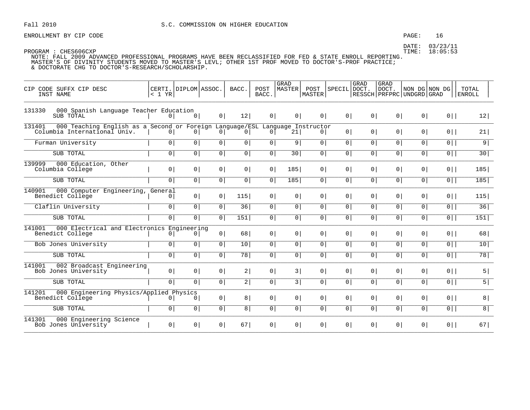ENROLLMENT BY CIP CODE  $PAGE: 16$ 

| CIP CODE SUFFX CIP DESC<br>INST NAME                                                                                   | CERTI.   DIPLOM   ASSOC.<br>< 1 YR |                |                | BACC.           | POST<br>BACC.  | GRAD<br>MASTER | POST<br>MASTER | SPECIL DOCT.   | GRAD           | <b>GRAD</b><br>DOCT. | NON DG NON DG<br>  RESSCH   PRFPRC   UNDGRD   GRAD |                | TOTAL<br>ENROLL |
|------------------------------------------------------------------------------------------------------------------------|------------------------------------|----------------|----------------|-----------------|----------------|----------------|----------------|----------------|----------------|----------------------|----------------------------------------------------|----------------|-----------------|
| 131330<br>000 Spanish Language Teacher Education<br>SUB TOTAL                                                          | 0                                  | 0 <sup>1</sup> | 0              | 12              | 0              | 0 <sup>1</sup> | 0 <sup>1</sup> | 0 <sup>1</sup> | 0              | 0                    | 0 <sup>1</sup>                                     | $0$            | 12              |
| 131401<br>000 Teaching English as a Second or Foreign Language/ESL Language Instructor<br>Columbia International Univ. | $\circ$                            | 0 <sup>1</sup> | 0 <sup>1</sup> | 0 <sup>1</sup>  | 0 <sup>1</sup> | 21             | 0              | 0 <sup>1</sup> | 0 <sup>1</sup> | 0 <sup>1</sup>       | 0 <sup>1</sup>                                     | $0$            | 21              |
| Furman University                                                                                                      | 0 <sup>1</sup>                     | $\overline{0}$ | $\overline{0}$ | 0 <sup>1</sup>  | 0              | 9 <sup>1</sup> | 0 <sup>1</sup> | 0 <sup>1</sup> | 0 <sup>1</sup> | 0                    | $\circ$                                            | $0$            | $\overline{9}$  |
| SUB TOTAL                                                                                                              | 0 <sup>1</sup>                     | $\overline{0}$ | 0 <sup>1</sup> | 0 <sup>1</sup>  | 0              | 30             | 0 <sup>1</sup> | 0 <sup>1</sup> | 0 <sup>1</sup> | 0 <sup>1</sup>       | 0 <sup>1</sup>                                     | $0$            | 30              |
| 139999<br>000 Education, Other<br>Columbia College                                                                     | 0 <sup>1</sup>                     | 0 <sup>1</sup> | 0              | 0 <sup>1</sup>  | 0              | 185            | 0              | 0 <sup>1</sup> | 0 <sup>1</sup> | 0                    | 0 <sup>1</sup>                                     | $0$            | 185             |
| SUB TOTAL                                                                                                              | 0 <sup>1</sup>                     | $\overline{0}$ | $\overline{0}$ | $\overline{0}$  | $\overline{0}$ | 185            | 0 <sup>1</sup> | 0 <sup>1</sup> | 0 <sup>1</sup> | 0 <sup>1</sup>       | $\circ$                                            | $0$            | 185             |
| 140901<br>000 Computer Engineering, General<br>Benedict College                                                        | 0 <sup>1</sup>                     | 0              | 0              | 115             | 0              | $\circ$        | 0 <sup>1</sup> | 0 <sup>1</sup> | 0 <sup>1</sup> | 0 <sup>1</sup>       | 0 <sup>1</sup>                                     | $0$            | 115             |
| Claflin University                                                                                                     | 0 <sup>1</sup>                     | $\overline{0}$ | $\overline{0}$ | $\overline{36}$ | $\overline{0}$ | $\circ$        | $\overline{0}$ | 0 <sup>1</sup> | 0 <sup>1</sup> | 0                    | $\circ$                                            | $\overline{0}$ | 36              |
| SUB TOTAL                                                                                                              | 0                                  | $\overline{0}$ | $\overline{0}$ | 151             | $\overline{0}$ | $\circ$        | $\overline{0}$ | 0 <sup>1</sup> | 0 <sup>1</sup> | 0 <sup>1</sup>       | 0 <sup>1</sup>                                     | $\overline{0}$ | 151             |
| 000 Electrical and Electronics Engineering<br>141001<br>Benedict College                                               | 0                                  | 0 <sup>1</sup> | 0              | 68              | 0              | 0 <sup>1</sup> | 0 <sup>1</sup> | 0 <sup>1</sup> | 0 <sup>1</sup> | 0 <sup>1</sup>       | 0 <sup>1</sup>                                     | $0$            | 68              |
| Bob Jones University                                                                                                   | $\overline{0}$                     | $\boxed{0}$    | $\boxed{0}$    | 10              | $\overline{0}$ | $\circ$        | $\overline{0}$ | $\overline{0}$ | $\overline{0}$ | $\overline{0}$       | $\overline{0}$                                     | $\overline{0}$ | 10              |
| SUB TOTAL                                                                                                              | $\overline{0}$                     | $\overline{0}$ | $\overline{0}$ | $\overline{78}$ | $\overline{0}$ | $\circ$        | $\overline{0}$ | 0 <sup>1</sup> | $\overline{0}$ | $\overline{0}$       | $\circ$                                            | $\overline{0}$ | 78              |
| 141001<br>002 Broadcast Engineering<br>Bob Jones University                                                            | 0                                  | 0 <sup>1</sup> | 0              | 2               | 0              | 3              | 0              | 0 <sup>1</sup> | 0 <sup>1</sup> | 0 <sup>1</sup>       | 0 <sup>1</sup>                                     | $0$            | 5               |
| SUB TOTAL                                                                                                              | 0                                  | $\overline{0}$ | 0 <sup>1</sup> | 2               | 0              | 3              | 0              | 0 <sup>1</sup> | 0 <sup>1</sup> | 0                    | 0 <sup>1</sup>                                     | $0$            | 5               |
| 141201<br>000 Engineering Physics/Applied Physics<br>Benedict College                                                  | 0 <sup>1</sup>                     | 0              | 0              | 8               | 0              | 0 <sup>1</sup> | 0              | 0 <sup>1</sup> | 0 <sup>1</sup> | 0 <sup>1</sup>       | 0 <sup>1</sup>                                     | $0$            | 8               |
| SUB TOTAL                                                                                                              | $\overline{0}$                     | $\boxed{0}$    | $\overline{0}$ | 8 <sup>1</sup>  | $\overline{0}$ | $\circ$        | $\overline{0}$ | 0 <sup>1</sup> | 0              | $\overline{0}$       | $\overline{0}$                                     | $\overline{0}$ | $\overline{8}$  |
| 141301<br>000 Engineering Science<br>Bob Jones University                                                              | 0 <sup>1</sup>                     | 0 <sup>1</sup> | 0              | 67              | 0              | $\circ$        | 0 <sup>1</sup> | 0 <sup>1</sup> | 0 <sup>1</sup> | 0 <sup>1</sup>       | 0 <sup>1</sup>                                     | $0$            | 67              |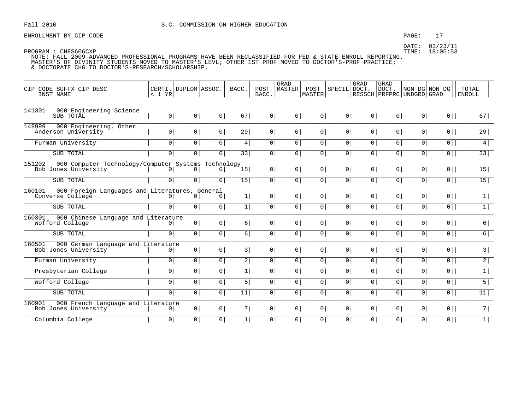## $PAGE: 17$

DATE: 03/23/11 TIME: 18:05:53

| CIP CODE SUFFX CIP DESC<br>INST NAME                                                  | CERTI.<br>< 1 YR | DIPLOM ASSOC.  |                | BACC.           | POST<br>BACC.  | <b>GRAD</b><br><b>MASTER</b> | POST<br>MASTER | SPECIL         | <b>GRAD</b><br>DOCT. | <b>GRAD</b><br>DOCT.<br>RESSCH   PRFPRC   UNDGRD   GRAD | NON DG NON DG  |                | TOTAL<br><b>ENROLL</b> |
|---------------------------------------------------------------------------------------|------------------|----------------|----------------|-----------------|----------------|------------------------------|----------------|----------------|----------------------|---------------------------------------------------------|----------------|----------------|------------------------|
| 141301<br>000 Engineering Science<br>SUB TOTAL                                        | 0                | 0 <sup>1</sup> | 0 <sup>1</sup> | 67              | 0 <sup>1</sup> | 0                            | 0              | 0 <sup>1</sup> | 0 <sup>1</sup>       | 0 <sup>1</sup>                                          | 0 <sup>1</sup> | $0$            | 67                     |
| 149999<br>000 Engineering, Other<br>Anderson University                               | 0 <sup>1</sup>   | 0 <sup>1</sup> | 0 <sup>1</sup> | 29              | $\overline{0}$ | 0                            | 0 <sup>1</sup> | 0 <sup>1</sup> | 0 <sup>1</sup>       | 0 <sup>1</sup>                                          | $\overline{0}$ | $0$            | 29                     |
| Furman University                                                                     | $\mathbf 0$      | $\circ$        | $\overline{0}$ | 4               | $\circ$        | 0 <sup>1</sup>               | 0 <sup>1</sup> | 0 <sup>1</sup> | 0 <sup>1</sup>       | 0                                                       | 0              | $\overline{0}$ | $\overline{4}$         |
| SUB TOTAL                                                                             | 0 <sup>1</sup>   | 0 <sup>1</sup> | 0 <sup>1</sup> | 33              | 0 <sup>1</sup> | 0 <sup>1</sup>               | 0 <sup>1</sup> | 0 <sup>1</sup> | 0 <sup>1</sup>       | 0 <sup>1</sup>                                          | $\overline{0}$ | $\overline{0}$ | 33                     |
| 151202<br>000 Computer Technology/Computer Systems Technology<br>Bob Jones University | $\overline{0}$   | $\mathbf 0$    | $\overline{0}$ | 15 <sup>1</sup> | $\overline{0}$ | $\overline{0}$               | 0 <sup>1</sup> | 0 <sup>1</sup> | 0 <sup>1</sup>       | 0 <sup>1</sup>                                          | $\overline{0}$ | $0$            | 15                     |
| SUB TOTAL                                                                             | $\mathbf 0$      | 0              | 0 <sup>1</sup> | 15              | 0 <sup>1</sup> | 0 <sup>1</sup>               | 0 <sup>1</sup> | 0 <sup>1</sup> | 0 <sup>1</sup>       | 0                                                       | 0              | $\overline{0}$ | 15                     |
| 160101<br>000 Foreign Languages and Literatures, General<br>Converse College          | $\mathbf{0}$     | $\mathbf 0$    | 0 <sup>1</sup> | 1               | 0 <sup>1</sup> | 0 <sup>1</sup>               | 0 <sup>1</sup> | 0 <sup>1</sup> | 0 <sup>1</sup>       | 0 <sup>1</sup>                                          | $\circ$        | $0$            | 1                      |
| SUB TOTAL                                                                             | $\overline{0}$   | $\circ$        | $\overline{0}$ | $1\vert$        | 0 <sup>1</sup> | 0 <sup>1</sup>               | 0 <sup>1</sup> | $\overline{0}$ | 0 <sup>1</sup>       | 0                                                       | 0              | $\overline{0}$ | 1                      |
| 160301<br>000 Chinese Language and Literature<br>Wofford College                      | $\mathbf{0}$     | 0 <sup>1</sup> | 0              | 6               | 0 <sup>1</sup> | 0 <sup>1</sup>               | 0 <sup>1</sup> | 0 <sup>1</sup> | 0 <sup>1</sup>       | 0 <sup>1</sup>                                          | 0 <sup>1</sup> | $0$            | 6                      |
| SUB TOTAL                                                                             | $\overline{0}$   | $\circ$        | 0 <sup>1</sup> | 6               | $\circ$        | $\overline{0}$               | 0 <sup>1</sup> | 0 <sup>1</sup> | $\overline{0}$       | $\overline{0}$                                          | $\overline{0}$ | $\overline{0}$ | 6                      |
| 160501<br>000 German Language and Literature<br>Bob Jones University                  | $\circ$          | 0 <sup>1</sup> | 0 <sup>1</sup> | 3               | 0 <sup>1</sup> | 0 <sup>1</sup>               | 0 <sup>1</sup> | 0 <sup>1</sup> | 0 <sup>1</sup>       | 0 <sup>1</sup>                                          | $\overline{0}$ | $0$            | 3                      |
| Furman University                                                                     | $\mathbf 0$      | 0              | 0 <sup>1</sup> | $\overline{2}$  | $\circ$        | $\circ$                      | 0 <sup>1</sup> | 0 <sup>1</sup> | 0                    | 0                                                       | 0              | $\overline{0}$ | 2                      |
| Presbyterian College                                                                  | $\mathbf 0$      | $\mathbf 0$    | $\overline{0}$ | $1\vert$        | 0 <sup>1</sup> | $\overline{0}$               | 0              | $\overline{0}$ | $\overline{0}$       | 0                                                       | 0              | $\overline{0}$ | $\overline{1}$         |
| Wofford College                                                                       | $\mathbf 0$      | $\mathbf 0$    | 0 <sup>1</sup> | 5               | $\mathsf{O}$   | 0                            | 0              | 0 <sup>1</sup> | 0 <sup>1</sup>       | 0                                                       | 0              | $\overline{0}$ | 5                      |
| SUB TOTAL                                                                             | $\mathbf 0$      | 0              | 0 <sup>1</sup> | $\overline{11}$ | 0 <sup>1</sup> | 0 <sup>1</sup>               | 0 <sup>1</sup> | 0 <sup>1</sup> | 0 <sup>1</sup>       | 0                                                       | 0              | $\overline{0}$ | 11                     |
| 000 French Language and Literature<br>160901<br>Bob Jones University                  | 0 <sup>1</sup>   | 0 <sup>1</sup> | 0 <sup>1</sup> | 7               | $\overline{0}$ | 0 <sup>1</sup>               | 0 <sup>1</sup> | 0 <sup>1</sup> | 0 <sup>1</sup>       | 0 <sup>1</sup>                                          | $\circ$        | $0$            | 7                      |
| Columbia College                                                                      | $\mathbf 0$      | $\mathbf 0$    | 0 <sup>1</sup> | $1\vert$        | $\mathsf{O}$   | 0                            | 0              | 0 <sup>1</sup> | 0 <sup>1</sup>       | 0                                                       | 0              | $\boxed{0}$    | 1                      |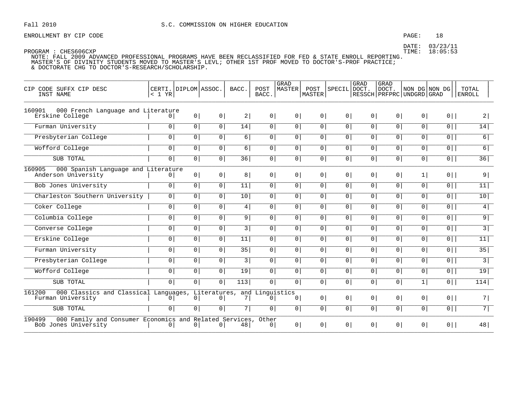## PAGE: 18

DATE: 03/23/11 TIME: 18:05:53

| CIP CODE SUFFX CIP DESC<br>INST NAME                                                            | < 1 YR         | CERTI. DIPLOM ASSOC. |                | BACC.          | POST<br>BACC.                  | GRAD<br><b>MASTER</b> | POST<br>MASTER | SPECIL         | GRAD<br>DOCT.  | GRAD<br>DOCT.<br>RESSCH   PRFPRC   UNDGRD   GRAD | NON DG NON DG  |                | TOTAL<br><b>ENROLL</b> |
|-------------------------------------------------------------------------------------------------|----------------|----------------------|----------------|----------------|--------------------------------|-----------------------|----------------|----------------|----------------|--------------------------------------------------|----------------|----------------|------------------------|
| 160901<br>000 French Language and Literature<br>Erskine College                                 | $\overline{0}$ | 0 <sup>1</sup>       | 0 <sup>1</sup> | 2              | 0 <sup>1</sup>                 | 0                     | 0 <sup>1</sup> | 0 <sup>1</sup> | 0 <sup>1</sup> | 0 <sup>1</sup>                                   | 0 <sup>1</sup> | $0$            | 2                      |
| Furman University                                                                               | 0 <sup>1</sup> | 0                    | $\boxed{0}$    | 14             | 0                              | 0                     | 0              | $\overline{0}$ | $\overline{0}$ | 0 <sup>1</sup>                                   | $\overline{0}$ | $\overline{0}$ | 14                     |
| Presbyterian College                                                                            | $\overline{0}$ | $\overline{0}$       | 0              | $6 \mid$       | $\circ$                        | 0 <sup>1</sup>        | 0 <sup>1</sup> | 0 <sup>1</sup> | $\overline{0}$ | 0 <sup>1</sup>                                   | $\overline{0}$ | $\overline{0}$ | 6                      |
| Wofford College                                                                                 | $\mathbf 0$    | $\mathbf 0$          | $\overline{0}$ | $6 \mid$       | 0 <sup>1</sup>                 | 0 <sup>1</sup>        | 0 <sup>1</sup> | $\overline{0}$ | 0 <sup>1</sup> | 0                                                | $\overline{0}$ | 0              | 6                      |
| SUB TOTAL                                                                                       | $\overline{0}$ | 0                    | $\overline{0}$ | 36             | 0 <sup>1</sup>                 | 0 <sup>1</sup>        | 0 <sup>1</sup> | $\overline{0}$ | 0 <sup>1</sup> | 0                                                | $\overline{0}$ | $\overline{0}$ | 36                     |
| 000 Spanish Language and Literature<br>160905<br>Anderson University                            | 0              | 0 <sup>1</sup>       | 0              | 8              | 0 <sup>1</sup>                 | 0 <sup>1</sup>        | 0 <sup>1</sup> | 0 <sup>1</sup> | 0 <sup>1</sup> | 0 <sup>1</sup>                                   | 1              | $0$            | 9                      |
| Bob Jones University                                                                            | $\overline{0}$ | $\overline{0}$       | 0              | 11             | $\circ$                        | 0 <sup>1</sup>        | 0 <sup>1</sup> | 0 <sup>1</sup> | 0              | $\overline{0}$                                   | $\overline{0}$ | $\overline{0}$ | 11                     |
| Charleston Southern University                                                                  | 0 <sup>1</sup> | $\circ$              | $\overline{0}$ | 10             | $\overline{0}$                 | 0                     | $\overline{0}$ | $\overline{0}$ | $\overline{0}$ | 0 <sup>1</sup>                                   | $\overline{0}$ | $\overline{0}$ | 10                     |
| Coker College                                                                                   | $\mathbf 0$    | $\mathbf 0$          | $\overline{0}$ | 4              | 0 <sup>1</sup>                 | 0 <sup>1</sup>        | 0 <sup>1</sup> | 0 <sup>1</sup> | 0 <sup>1</sup> | 0                                                | $\overline{0}$ | $\overline{0}$ | 4                      |
| Columbia College                                                                                | $\mathbf 0$    | $\circ$              | 0 <sup>1</sup> | 9              | 0 <sup>1</sup>                 | $\overline{0}$        | 0 <sup>1</sup> | 0 <sup>1</sup> | 0 <sup>1</sup> | 0 <sup>1</sup>                                   | $\overline{0}$ | $\overline{0}$ | 9                      |
| Converse College                                                                                | $\mathbf 0$    | $\circ$              | $\overline{0}$ | 3              | 0 <sup>1</sup>                 | 0 <sup>1</sup>        | 0 <sup>1</sup> | $\overline{0}$ | 0 <sup>1</sup> | 0                                                | $\overline{0}$ | $\overline{0}$ | $\overline{3}$         |
| Erskine College                                                                                 | $\mathbf 0$    | $\circ$              | $\overline{0}$ | 11             | 0 <sup>1</sup>                 | 0 <sup>1</sup>        | 0 <sup>1</sup> | 0 <sup>1</sup> | $\overline{0}$ | 0                                                | $\overline{0}$ | $\overline{0}$ | 11                     |
| Furman University                                                                               | $\mathbf 0$    | $\circ$              | 0              | 35             | 0 <sup>1</sup>                 | 0 <sup>1</sup>        | 0 <sup>1</sup> | 0 <sup>1</sup> | 0 <sup>1</sup> | 0                                                | $\overline{0}$ | $0$            | 35                     |
| Presbyterian College                                                                            | $\overline{0}$ | $\overline{0}$       | $\overline{0}$ | 3              | 0 <sup>1</sup>                 | $\overline{0}$        | 0              | $\overline{0}$ | $\overline{0}$ | 0                                                | $\overline{0}$ | 0              | $\overline{3}$         |
| Wofford College                                                                                 | $\mathbf{0}$   | $\circ$              | $\overline{0}$ | 19             | 0 <sup>1</sup>                 | 0 <sup>1</sup>        | 0 <sup>1</sup> | $\overline{0}$ | 0 <sup>1</sup> | 0                                                | 0              | $\overline{0}$ | 19                     |
| SUB TOTAL                                                                                       | $\mathbf 0$    | $\mathbf 0$          | 0 <sup>1</sup> | 113            | 0 <sup>1</sup>                 | $\circ$               | 0 <sup>1</sup> | 0 <sup>1</sup> | 0 <sup>1</sup> | 0                                                | $1\vert$       | $\overline{0}$ | 114                    |
| 161200<br>000 Classics and Classical Languages, Literatures,<br>Furman University               | $\overline{0}$ | 0                    | $\overline{0}$ | 7 <sup>1</sup> | and Linquistics<br>$\mathbf 0$ | $\overline{0}$        | 0 <sup>1</sup> | 0 <sup>1</sup> | 0 <sup>1</sup> | 0                                                | $\circ$        | $0$            | 7                      |
| SUB TOTAL                                                                                       | $\mathbf 0$    | $\mathbf 0$          | $\overline{0}$ | 7              | $\circ$                        | $\circ$               | $\overline{0}$ | $\overline{0}$ | $\overline{0}$ | 0 <sup>1</sup>                                   | $\overline{0}$ | $\overline{0}$ | 71                     |
| 190499<br>000 Family and Consumer Economics and Related Services, Other<br>Bob Jones University | $\overline{0}$ | 0                    | 0 <sup>1</sup> | 48             | 0 <sup>1</sup>                 | 0 <sup>1</sup>        | 0 <sup>1</sup> | 0 <sup>1</sup> | 0 <sup>1</sup> | 0 <sup>1</sup>                                   | 0 <sup>1</sup> | $0$            | 48                     |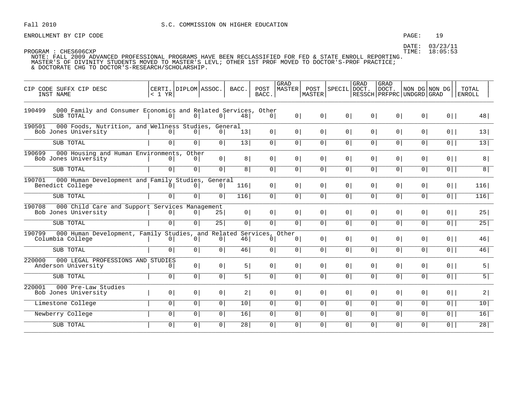ENROLLMENT BY CIP CODE  $PAGE: 19$ 

DATE: 03/23/11

|                                                                                               |                                  |                |                 |                 |                | GRAD           |                |                   | GRAD           | <b>GRAD</b>    |                                                    |                |                 |
|-----------------------------------------------------------------------------------------------|----------------------------------|----------------|-----------------|-----------------|----------------|----------------|----------------|-------------------|----------------|----------------|----------------------------------------------------|----------------|-----------------|
| CIP CODE SUFFX CIP DESC<br>INST NAME                                                          | CERTI. DIPLOM ASSOC.<br>$< 1$ YR |                |                 | BACC.           | POST<br>BACC.  | MASTER         | MASTER         | POST SPECIL DOCT. |                | DOCT.          | NON DG NON DG<br>  RESSCH   PRFPRC   UNDGRD   GRAD |                | TOTAL<br>ENROLL |
| 000 Family and Consumer Economics and Related Services, Other<br>190499<br>SUB TOTAL          | 0                                | 0 <sup>1</sup> | $0 \mid$        | 48              | 0              | 0 <sup>1</sup> | $0 \mid$       | 0 <sup>1</sup>    | $0 \mid$       | 0              | 0                                                  | $0$            | 48              |
| 190501<br>000 Foods, Nutrition, and Wellness Studies, General<br>Bob Jones University         | 0                                | 0              | 0               | 13 <sup>1</sup> | 0              | $\circ$        | $0 \mid$       | 0 <sup>1</sup>    | 0              | 0 <sup>1</sup> | 0 <sup>1</sup>                                     | $0$            | 13              |
| SUB TOTAL                                                                                     | 0 <sup>1</sup>                   | 0 <sup>1</sup> | 0               | 13              | 0              | $\circ$        | 0              | 0 <sup>1</sup>    | 0              | 0              | $\circ$                                            | $0$            | 13              |
| 190699<br>000 Housing and Human Environments, Other<br>Bob Jones University                   | $\circ$                          | 0              | 0               | 8               | 0 <sup>1</sup> | 0 <sup>1</sup> | 0              | 0 <sup>1</sup>    | 0              | 0 <sup>1</sup> | 0 <sup>1</sup>                                     | $0$            | 8               |
| SUB TOTAL                                                                                     | 0                                | 0 <sup>1</sup> | $\overline{0}$  | 8               | 0              | 0 <sup>1</sup> | 0              | 0 <sup>1</sup>    | 0              | 0 <sup>1</sup> | 0                                                  | $\overline{0}$ | 8               |
| 190701 000 Human Development and Family Studies,<br>Benedict College                          | $\circ$                          | 0 <sup>1</sup> | General<br>0    | 116             | 0              | 0 <sup>1</sup> | 0              | 0 <sup>1</sup>    | 0 <sup>1</sup> | 0 <sup>1</sup> | 0 <sup>1</sup>                                     | $0$            | 116             |
| SUB TOTAL                                                                                     | 0 <sup>1</sup>                   | $\overline{0}$ | 0 <sup>1</sup>  | 116             | $\overline{0}$ | $\circ$        | 0              | 0 <sup>1</sup>    | 0              | 0              | $\circ$                                            | $\overline{0}$ | 116             |
| 190708<br>000 Child Care and Support Services Management<br>Bob Jones University              | $\circ$                          | 0              | 25              | 0               | 0              | $\circ$        | 0              | 0 <sup>1</sup>    | 0 <sup>1</sup> | 0 <sup>1</sup> | 0 <sup>1</sup>                                     | $0$            | 25              |
| SUB TOTAL                                                                                     | $\overline{0}$                   | 0 <sup>1</sup> | $\overline{25}$ | $\overline{0}$  | $\overline{0}$ | 0 <sup>1</sup> | 0 <sup>1</sup> | $\overline{0}$    | 0 <sup>1</sup> | 0 <sup>1</sup> | $\circ$                                            | $0$            | 25              |
| 190799 000 Human Development, Family Studies, and Related Services, Other<br>Columbia College | $\circ$                          | 0              | 0 <sup>1</sup>  | 46              | 0 <sup>1</sup> | $\overline{0}$ | 0 <sup>1</sup> | 0 <sup>1</sup>    | 0 <sup>1</sup> | 0 <sup>1</sup> | 0 <sup>1</sup>                                     | $0$            | 46              |
| SUB TOTAL                                                                                     | $\circ$                          | 0 <sup>1</sup> | 0               | 46              | 0              | $\circ$        | 0              | 0 <sup>1</sup>    | 0 <sup>1</sup> | 0 <sup>1</sup> | 0 <sup>1</sup>                                     | $0$            | 46              |
| 220000<br>000 LEGAL PROFESSIONS AND STUDIES<br>Anderson University                            | $\circ$                          | 0              | 0               | 5               | 0              | 0 <sup>1</sup> | 0 <sup>1</sup> | 0 <sup>1</sup>    | 0 <sup>1</sup> | 0 <sup>1</sup> | 0 <sup>1</sup>                                     | $0$            | 5               |
| SUB TOTAL                                                                                     | 0                                | 0 <sup>1</sup> | 0               | 5               | 0              | $\circ$        | 0              | 0 <sup>1</sup>    | 0 <sup>1</sup> | 0 <sup>1</sup> | 0 <sup>1</sup>                                     | $0$            | $\overline{5}$  |
| 220001<br>000 Pre-Law Studies<br>Bob Jones University                                         | 0 <sup>1</sup>                   | 0 <sup>1</sup> | 0               | 2               | 0 <sup>1</sup> | 0 <sup>1</sup> | 0 <sup>1</sup> | 0 <sup>1</sup>    | 0 <sup>1</sup> | 0 <sup>1</sup> | 0 <sup>1</sup>                                     | $0$            | 2               |
| Limestone College                                                                             | 0 <sup>1</sup>                   | $\overline{0}$ | $\overline{0}$  | 10              | $\overline{0}$ | $\circ$        | $\overline{0}$ | $\overline{0}$    | 0              | $\overline{0}$ | $\overline{0}$                                     | $\overline{0}$ | 10              |
| Newberry College                                                                              | 0                                | $\overline{0}$ | $\overline{0}$  | 16              | $\overline{0}$ | 0 <sup>1</sup> | $\overline{0}$ | 0 <sup>1</sup>    | 0              | 0              | 0 <sup>1</sup>                                     | $\overline{0}$ | 16              |
| SUB TOTAL                                                                                     | 0 <sup>1</sup>                   | 0 <sup>1</sup> | 0               | 28              | 0              | $\overline{0}$ | 0              | 0 <sup>1</sup>    | 0 <sup>1</sup> | 0              | $\circ$                                            | $0$            | 28              |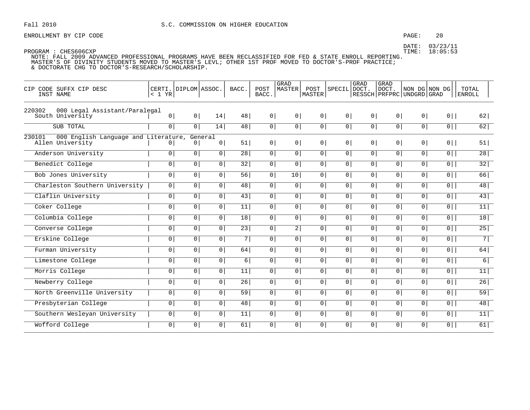### PAGE:  $20$

DATE: 03/23/11 TIME: 18:05:53

| CIP CODE SUFFX CIP DESC<br>INST NAME                               | CERTI.<br>< 1 YR | DIPLOM ASSOC.  |                           | BACC.           | POST<br>BACC.  | GRAD<br><b>MASTER</b> | POST<br>MASTER | <b>SPECIL</b>  | GRAD<br>DOCT.  | GRAD<br>DOCT.<br>RESSCH   PRFPRC   UNDGRD   GRAD | NON DG NON DG  |                | TOTAL<br><b>ENROLL</b> |
|--------------------------------------------------------------------|------------------|----------------|---------------------------|-----------------|----------------|-----------------------|----------------|----------------|----------------|--------------------------------------------------|----------------|----------------|------------------------|
| 220302<br>000 Legal Assistant/Paralegal<br>South University        | 0 <sup>1</sup>   | 0              | 14                        | 48              | 0 <sup>1</sup> | 0                     | 0 <sup>1</sup> | $\overline{0}$ | $\circ$        | 0                                                | 0 <sup>1</sup> | $0$            | 62                     |
| SUB TOTAL                                                          | 0 <sup>1</sup>   | $\overline{0}$ | $\overline{14}$           | 48              | 0              | 0 <sup>1</sup>        | $\overline{0}$ | 0 <sup>1</sup> | $\overline{0}$ | $\overline{0}$                                   | 0 <sup>1</sup> | $\overline{0}$ | 62                     |
| 230101<br>000 English Language and Literature,<br>Allen University | 0                | 0 <sup>1</sup> | General<br>0 <sup>1</sup> | 51              | 0              | 0 <sup>1</sup>        | 0 <sup>1</sup> | 0 <sup>1</sup> | 0 <sup>1</sup> | 0                                                | 0 <sup>1</sup> | $0$            | 51                     |
| Anderson University                                                | 0 <sup>1</sup>   | 0 <sup>1</sup> | 0                         | 28              | 0 <sup>1</sup> | 0 <sup>1</sup>        | 0 <sup>1</sup> | 0 <sup>1</sup> | 0 <sup>1</sup> | 0 <sup>1</sup>                                   | 0 <sup>1</sup> | $\overline{0}$ | $\overline{28}$        |
| Benedict College                                                   | $\overline{0}$   | $\overline{0}$ | $\circ$                   | 32              | 0              | 0 <sup>1</sup>        | $\overline{0}$ | 0 <sup>1</sup> | $\overline{0}$ | 0 <sup>1</sup>                                   | $\overline{0}$ | $\overline{0}$ | 32                     |
| Bob Jones University                                               | 0 <sup>1</sup>   | $\overline{0}$ | $\circ$                   | $\overline{56}$ | $\circ$        | 10                    | 0 <sup>1</sup> | 0 <sup>1</sup> | 0 <sup>1</sup> | 0 <sup>1</sup>                                   | $\overline{0}$ | $\overline{0}$ | 66                     |
| Charleston Southern University                                     | 0 <sup>1</sup>   | $\overline{0}$ | 0 <sup>1</sup>            | 48              | 0              | 0 <sup>1</sup>        | 0 <sup>1</sup> | 0 <sup>1</sup> | $\overline{0}$ | 0 <sup>1</sup>                                   | 0 <sup>1</sup> | $\overline{0}$ | 48                     |
| Claflin University                                                 | $\overline{0}$   | $\overline{0}$ | $\overline{0}$            | $\overline{43}$ | $\overline{0}$ | 0 <sup>1</sup>        | $\overline{0}$ | $\overline{0}$ | $\overline{0}$ | $\overline{0}$                                   | 0 <sup>1</sup> | $\overline{0}$ | 43                     |
| Coker College                                                      | $\overline{0}$   | $\overline{0}$ | 0 <sup>1</sup>            | 11              | $\overline{0}$ | 0                     | $\overline{0}$ | $\overline{0}$ | $\overline{0}$ | $\overline{0}$                                   | 0              | $\overline{0}$ | 11                     |
| Columbia College                                                   | 0 <sup>1</sup>   | 0 <sup>1</sup> | 0 <sup>1</sup>            | 18              | $\mathsf{O}$   | 0 <sup>1</sup>        | 0 <sup>1</sup> | 0 <sup>1</sup> | 0              | 0 <sup>1</sup>                                   | 0 <sup>1</sup> | $\overline{0}$ | 18                     |
| Converse College                                                   | 0 <sup>1</sup>   | 0              | $\circ$                   | $\overline{23}$ | 0 <sup>1</sup> | 2                     | $\overline{0}$ | 0 <sup>1</sup> | $\overline{0}$ | $\overline{0}$                                   | 0              | $\overline{0}$ | 25                     |
| Erskine College                                                    | 0 <sup>1</sup>   | 0              | 0 <sup>1</sup>            | 7               | 0              | 0 <sup>1</sup>        | 0 <sup>1</sup> | 0 <sup>1</sup> | $\overline{0}$ | $\overline{0}$                                   | 0 <sup>1</sup> | $\overline{0}$ | $\overline{7}$         |
| Furman University                                                  | $\overline{0}$   | $\overline{0}$ | $\overline{0}$            | 64              | $\mathbf 0$    | 0 <sup>1</sup>        | 0 <sup>1</sup> | $\overline{0}$ | $\mathbf{0}$   | 0 <sup>1</sup>                                   | $\overline{0}$ | $\overline{0}$ | 64                     |
| Limestone College                                                  | $\overline{0}$   | $\overline{0}$ | 0 <sup>1</sup>            | 6               | $\overline{0}$ | $\overline{0}$        | $\overline{0}$ | $\overline{0}$ | $\overline{0}$ | $\overline{0}$                                   | $\overline{0}$ | 0              | 6                      |
| Morris College                                                     | $\overline{0}$   | $\overline{0}$ | 0 <sup>1</sup>            | 11              | 0 <sup>1</sup> | 0 <sup>1</sup>        | $\overline{0}$ | 0 <sup>1</sup> | $\overline{0}$ | $\overline{0}$                                   | 0 <sup>1</sup> | $\overline{0}$ | 11                     |
| Newberry College                                                   | 0 <sup>1</sup>   | 0 <sup>1</sup> | 0 <sup>1</sup>            | 26              | 0 <sup>1</sup> | 0 <sup>1</sup>        | 0 <sup>1</sup> | 0 <sup>1</sup> | 0 <sup>1</sup> | 0 <sup>1</sup>                                   | 0 <sup>1</sup> | $0$            | 26                     |
| North Greenville University                                        | 0 <sup>1</sup>   | 0              | 0 <sup>1</sup>            | 59              | 0              | 0 <sup>1</sup>        | 0 <sup>1</sup> | 0 <sup>1</sup> | $\overline{0}$ | $\overline{0}$                                   | 0 <sup>1</sup> | $\overline{0}$ | 59                     |
| Presbyterian College                                               | 0 <sup>1</sup>   | $\overline{0}$ | $\circ$                   | 48              | 0              | $\overline{0}$        | $\overline{0}$ | 0 <sup>1</sup> | $\overline{0}$ | $\overline{0}$                                   | $\overline{0}$ | $\overline{0}$ | 48                     |
| Southern Wesleyan University                                       | 0 <sup>1</sup>   | 0 <sup>1</sup> | 0 <sup>1</sup>            | 11              | 0              | 0 <sup>1</sup>        | 0 <sup>1</sup> | 0 <sup>1</sup> | 0 <sup>1</sup> | 0 <sup>1</sup>                                   | 0 <sup>1</sup> | $0$            | 11                     |
| Wofford College                                                    | $\overline{0}$   | $\overline{0}$ | 0 <sup>1</sup>            | 61              | 0              | 0 <sup>1</sup>        | $\overline{0}$ | 0 <sup>1</sup> | 0              | $\overline{0}$                                   | $\overline{0}$ | $\overline{0}$ | 61                     |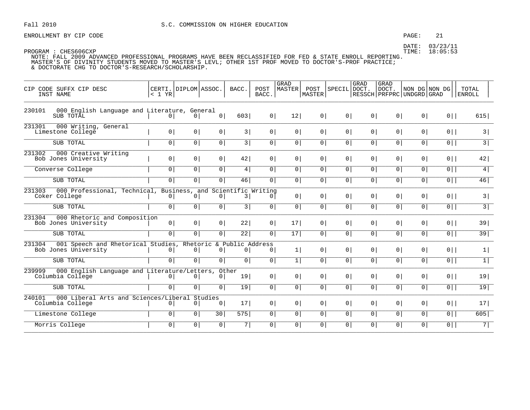ENROLLMENT BY CIP CODE **ENROLLMENT BY CIP** CODE

|                                                                                                |                                |                |                |                 |                | GRAD           |                |                | GRAD           | <b>GRAD</b>    |                                                    |                |                 |
|------------------------------------------------------------------------------------------------|--------------------------------|----------------|----------------|-----------------|----------------|----------------|----------------|----------------|----------------|----------------|----------------------------------------------------|----------------|-----------------|
| CIP CODE SUFFX CIP DESC<br>INST NAME                                                           | CERTI. DIPLOM ASSOC.<br>< 1 YR |                |                | BACC.           | POST<br>BACC.  | MASTER         | POST<br>MASTER | SPECIL DOCT.   |                | DOCT.          | NON DG NON DG<br>  RESSCH   PRFPRC   UNDGRD   GRAD |                | TOTAL<br>ENROLL |
| 000 English Language and Literature, General<br>230101<br>SUB TOTAL                            | 0 <sup>1</sup>                 | 0              | 0              | 603             | 0              | 12             | 0              | 0 <sup>1</sup> | 0              | 0              | 0 <sup>1</sup>                                     | $0$            | 615             |
| 231301<br>000 Writing, General<br>Limestone College                                            | $\circ$                        | 0 <sup>1</sup> | 0              | 3               | 0 <sup>1</sup> | $\circ$        | 0              | 0 <sup>1</sup> | 0 <sup>1</sup> | 0 <sup>1</sup> | 0 <sup>1</sup>                                     | $0$            | 3               |
| SUB TOTAL                                                                                      | 0 <sup>1</sup>                 | 0              | $\overline{0}$ | 3               | 0              | $\circ$        | 0              | 0 <sup>1</sup> | 0 <sup>1</sup> | 0              | $\circ$                                            | $\overline{0}$ | $\overline{3}$  |
| 231302<br>000 Creative Writing<br>Bob Jones University                                         | 0 <sup>1</sup>                 | 0              | 0              | 42              | 0 <sup>1</sup> | 0 <sup>1</sup> | 0              | 0 <sup>1</sup> | 0 <sup>1</sup> | 0 <sup>1</sup> | 0 <sup>1</sup>                                     | $0$            | 42              |
| Converse College                                                                               | 0 <sup>1</sup>                 | $\overline{0}$ | $\overline{0}$ | 4               | 0              | $\circ$        | 0              | 0 <sup>1</sup> | 0              | 0              | 0 <sup>1</sup>                                     | $0$            | 4               |
| SUB TOTAL                                                                                      | $\overline{0}$                 | 0 <sup>1</sup> | $\overline{0}$ | 46              | $\overline{0}$ | $\circ$        | 0 <sup>1</sup> | 0 <sup>1</sup> | 0 <sup>1</sup> | 0              | $\circ$                                            | $0$            | 46              |
| 231303<br>000 Professional, Technical, Business, and Scientific Writing<br>Coker College       | 0                              | 0 <sup>1</sup> | 0 <sup>1</sup> | 3               | 0 <sup>1</sup> | $\circ$        | 0              | 0 <sup>1</sup> | 0 <sup>1</sup> | 0 <sup>1</sup> | 0 <sup>1</sup>                                     | $0$            | 3               |
| SUB TOTAL                                                                                      | 0 <sup>1</sup>                 | 0              | $\overline{0}$ | 3               | $\overline{0}$ | $\circ$        | $\overline{0}$ | 0 <sup>1</sup> | 0 <sup>1</sup> | 0              | $\circ$                                            | $\overline{0}$ | $\overline{3}$  |
| 231304<br>000 Rhetoric and Composition<br>Bob Jones University                                 | 0                              | 0              | 0              | 22              | 0              | 17             | 0              | 0 <sup>1</sup> | 0 <sup>1</sup> | 0 <sup>1</sup> | 0 <sup>1</sup>                                     | $0$            | 39              |
| SUB TOTAL                                                                                      | 0                              | 0 <sup>1</sup> | 0 <sup>1</sup> | 22              | 0              | 17             | 0              | 0 <sup>1</sup> | 0 <sup>1</sup> | 0              | 0 <sup>1</sup>                                     | $\overline{0}$ | 39              |
| 231304<br>001 Speech and Rhetorical Studies, Rhetoric & Public Address<br>Bob Jones University | $\overline{0}$                 | 0 <sup>1</sup> | 0 <sup>1</sup> | 0 <sup>1</sup>  | $\circ$        | $1\vert$       | 0              | 0 <sup>1</sup> | 0 <sup>1</sup> | 0 <sup>1</sup> | 0 <sup>1</sup>                                     | $0$            | 1               |
| SUB TOTAL                                                                                      | $\overline{0}$                 | $\overline{0}$ | $\overline{0}$ | 0 <sup>1</sup>  | $\overline{0}$ | 1              | $\overline{0}$ | $\overline{0}$ | 0              | $\overline{0}$ | $\overline{0}$                                     | $\overline{0}$ | 1               |
| 239999<br>000 English Language and Literature/Letters, Other<br>Columbia College               | 0 <sup>1</sup>                 | 0 <sup>1</sup> | 0 <sup>1</sup> | 19              | 0              | $\circ$        | 0 <sup>1</sup> | 0 <sup>1</sup> | 0 <sup>1</sup> | 0 <sup>1</sup> | 0 <sup>1</sup>                                     | $0$            | 19              |
| SUB TOTAL                                                                                      | $\overline{0}$                 | 0 <sup>1</sup> | $\overline{0}$ | $\overline{19}$ | $\overline{0}$ | $\circ$        | $\overline{0}$ | 0 <sup>1</sup> | $\overline{0}$ | 0 <sup>1</sup> | 0 <sup>1</sup>                                     | $\overline{0}$ | 19              |
| 000 Liberal Arts and Sciences/Liberal Studies<br>240101<br>Columbia College                    | 0 <sup>1</sup>                 | 0 <sup>1</sup> | 0 <sup>1</sup> | 17 <sup>1</sup> | 0              | 0 <sup>1</sup> | 0              | 0 <sup>1</sup> | 0 <sup>1</sup> | 0 <sup>1</sup> | 0 <sup>1</sup>                                     | $0$            | 17 <sup>1</sup> |
| Limestone College                                                                              | 0 <sup>1</sup>                 | $\overline{0}$ | 30             | 575             | $\overline{0}$ | 0 <sup>1</sup> | $\overline{0}$ | 0 <sup>1</sup> | 0              | 0              | 0 <sup>1</sup>                                     | $\overline{0}$ | 605             |
| Morris College                                                                                 | 0 <sup>1</sup>                 | 0 <sup>1</sup> | 0 <sup>1</sup> | 7               | 0              | $\overline{0}$ | 0 <sup>1</sup> | 0 <sup>1</sup> | 0 <sup>1</sup> | $\circ$        | $\circ$                                            | $0$            | 7               |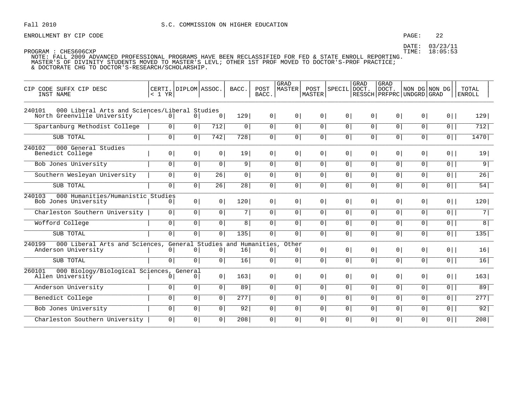### PAGE: 22

DATE: 03/23/11 TIME: 18:05:53

| CODE SUFFX CIP DESC<br>CIP<br>INST NAME                                                | < 1 YR         | CERTI. DIPLOM ASSOC. |                 | BACC.           | POST<br>BACC.                 | <b>GRAD</b><br>MASTER   | POST<br><b>MASTER</b> | SPECIL DOCT.   | GRAD            | <b>GRAD</b><br>DOCT.<br>RESSCH   PRFPRC   UNDGRD   GRAD | NON DG NON DG  |                | TOTAL<br><b>ENROLL</b> |
|----------------------------------------------------------------------------------------|----------------|----------------------|-----------------|-----------------|-------------------------------|-------------------------|-----------------------|----------------|-----------------|---------------------------------------------------------|----------------|----------------|------------------------|
| 000 Liberal Arts and Sciences/Liberal Studies<br>240101<br>North Greenville University | $\overline{0}$ | $\overline{0}$       | $\overline{0}$  | 129             | 0 <sup>1</sup>                | 0 <sup>1</sup>          | $\overline{0}$        | 0 <sup>1</sup> | 0 <sup>1</sup>  | 0 <sup>1</sup>                                          | 0 <sup>1</sup> | $0$            | 129                    |
| Spartanburg Methodist College                                                          | 0 <sup>1</sup> | 0                    | 712             | 0 <sup>1</sup>  | $\overline{0}$                | 0 <sup>1</sup>          | 0 <sup>1</sup>        | 0 <sup>1</sup> | $\overline{0}$  | $\overline{0}$                                          | 0 <sup>1</sup> | $\overline{0}$ | 712                    |
| SUB TOTAL                                                                              | 0 <sup>1</sup> | 0                    | 742             | 728             | 0 <sup>1</sup>                | 0 <sup>1</sup>          | 0 <sup>1</sup>        | 0 <sup>1</sup> | 0 <sup>1</sup>  | $\circ$                                                 | $\overline{0}$ | $\overline{0}$ | 1470                   |
| 240102<br>000 General Studies<br>Benedict College                                      | 0 <sup>1</sup> | 0 <sup>1</sup>       | 0               | 19              | 0 <sup>1</sup>                | 0 <sup>1</sup>          | 0 <sup>1</sup>        | 0 <sup>1</sup> | 0 <sup>1</sup>  | 0 <sup>1</sup>                                          | 0 <sup>1</sup> | $0$            | 19                     |
| Bob Jones University                                                                   | 0 <sup>1</sup> | 0 <sup>1</sup>       | $\overline{0}$  | 9               | $\overline{0}$                | 0 <sup>1</sup>          | 0 <sup>1</sup>        | $\overline{0}$ | $\overline{0}$  | 0 <sup>1</sup>                                          | $\overline{0}$ | $\overline{0}$ | $\overline{9}$         |
| Southern Wesleyan University                                                           | $\mathbf 0$    | $\mathbf 0$          | $\overline{26}$ | 0               | $\overline{0}$                | 0 <sup>1</sup>          | 0 <sup>1</sup>        | $\overline{0}$ | $\overline{0}$  | 0 <sup>1</sup>                                          | 0 <sup>1</sup> | $\overline{0}$ | 26                     |
| SUB TOTAL                                                                              | $\overline{0}$ | 0 <sup>1</sup>       | 26              | 28              | 0 <sup>1</sup>                | 0 <sup>1</sup>          | 0 <sup>1</sup>        | $\overline{0}$ | $\overline{0 }$ | 0 <sup>1</sup>                                          | 0 <sup>1</sup> | $\overline{0}$ | 54                     |
| 000 Humanities/Humanistic Studies<br>240103<br>Bob Jones University                    | 0 <sup>1</sup> | 0 <sup>1</sup>       | 0               | 120             | 0 <sup>1</sup>                | 0 <sup>1</sup>          | 0 <sup>1</sup>        | 0 <sup>1</sup> | 0 <sup>1</sup>  | 0 <sup>1</sup>                                          | 0 <sup>1</sup> | $0$            | 120                    |
| Charleston Southern University                                                         | 0 <sup>1</sup> | $\overline{0}$       | 0               | 7               | $\overline{0}$                | $\overline{0}$          | 0 <sup>1</sup>        | 0 <sup>1</sup> | $\overline{0}$  | 0 <sup>1</sup>                                          | $\overline{0}$ | $\overline{0}$ | $\overline{7}$         |
| Wofford College                                                                        | 0 <sup>1</sup> | 0 <sup>1</sup>       | 0 <sup>1</sup>  | 8               | $\overline{0}$                | 0 <sup>1</sup>          | 0 <sup>1</sup>        | 0 <sup>1</sup> | $\overline{0}$  | 0 <sup>1</sup>                                          | 0 <sup>1</sup> | $\overline{0}$ | $\overline{8}$         |
| SUB TOTAL                                                                              | $\mathsf{O}$   | $\overline{0}$       | 0 <sup>1</sup>  | 135             | 0 <sup>1</sup>                | 0                       | 0 <sup>1</sup>        | $\overline{0}$ | 0 <sup>1</sup>  | 0 <sup>1</sup>                                          | $\overline{0}$ | $\overline{0}$ | $\overline{135}$       |
| 240199<br>000 Liberal Arts and Sciences, General Studies and<br>Anderson University    | 0              | 0                    | 0 <sup>1</sup>  | 16              | Humanities,<br>0 <sup>1</sup> | Other<br>0 <sup>1</sup> | 0 <sup>1</sup>        | 0 <sup>1</sup> | 0 <sup>1</sup>  | 0 <sup>1</sup>                                          | $\overline{0}$ | $0$            | 16                     |
| SUB TOTAL                                                                              | $\mathbf{0}$   | $\mathbf 0$          | $\overline{0}$  | 16              | 0 <sup>1</sup>                | $\overline{0}$          | 0 <sup>1</sup>        | $\overline{0}$ | 0 <sup>1</sup>  | 0 <sup>1</sup>                                          | $\overline{0}$ | $\overline{0}$ | 16                     |
| 000 Biology/Biological Sciences,<br>260101<br>Allen University                         | 0              | General<br>0         | 0               | 163             | 0 <sup>1</sup>                | 0 <sup>1</sup>          | 0                     | 0 <sup>1</sup> | 0 <sup>1</sup>  | 0 <sup>1</sup>                                          | 0 <sup>1</sup> | $0$            | 163                    |
| Anderson University                                                                    | $\mathbf 0$    | 0                    | 0 <sup>1</sup>  | $\overline{89}$ | $\overline{0}$                | $\overline{0}$          | 0 <sup>1</sup>        | $\overline{0}$ | $\overline{0}$  | 0 <sup>1</sup>                                          | 0 <sup>1</sup> | 0              | 89                     |
| Benedict College                                                                       | $\mathbf 0$    | $\overline{0}$       | 0 <sup>1</sup>  | 277             | 0 <sup>1</sup>                | $\overline{0}$          | $\overline{0}$        | $\overline{0}$ | 0 <sup>1</sup>  | 0 <sup>1</sup>                                          | $\overline{0}$ | $0$            | 277                    |
| Bob Jones University                                                                   | $\mathsf{O}$   | $\overline{0}$       | 0 <sup>1</sup>  | 92              | $\overline{0}$                | 0 <sup>1</sup>          | $\overline{0}$        | $\overline{0}$ | $\overline{0}$  | 0 <sup>1</sup>                                          | $\overline{0}$ | $\overline{0}$ | 92                     |
| Charleston Southern University                                                         | $\overline{0}$ | $\overline{0}$       | $\overline{0}$  | 208             | $\overline{0}$                | $\overline{0}$          | 0 <sup>1</sup>        | $\overline{0}$ | $\overline{0}$  | $\overline{0}$                                          | $\overline{0}$ | $\overline{0}$ | 208                    |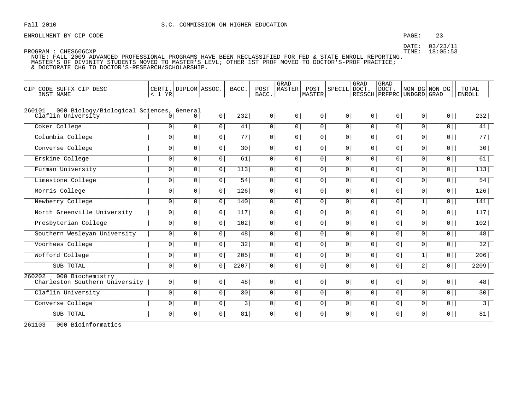### PAGE: 23

DATE: 03/23/11 TIME: 18:05:53

PROGRAM : CHES606CXP NOTE: FALL 2009 ADVANCED PROFESSIONAL PROGRAMS HAVE BEEN RECLASSIFIED FOR FED & STATE ENROLL REPORTING. MASTER'S OF DIVINITY STUDENTS MOVED TO MASTER'S LEVL; OTHER 1ST PROF MOVED TO DOCTOR'S-PROF PRACTICE;

& DOCTORATE CHG TO DOCTOR'S-RESEARCH/SCHOLARSHIP.

| CODE SUFFX CIP DESC<br>C <sub>T</sub> P<br>INST NAME                     | CERTI.<br>< 1 YR | DIPLOM ASSOC.  |                | BACC.           | POST<br>BACC.  | <b>GRAD</b><br>MASTER | POST<br><b>MASTER</b> | <b>SPECIL</b>  | GRAD<br>DOCT.  | GRAD<br>DOCT.<br>RESSCH PRFPRC UNDGRD GRAD | NON DG NON DG  |                | TOTAL<br><b>ENROLL</b> |
|--------------------------------------------------------------------------|------------------|----------------|----------------|-----------------|----------------|-----------------------|-----------------------|----------------|----------------|--------------------------------------------|----------------|----------------|------------------------|
| 000 Biology/Biological Sciences, General<br>260101<br>Claflin University | $\Omega$         | 0              | 0 <sup>1</sup> | 232             | 0 <sup>1</sup> | 0 <sup>1</sup>        | 0 <sup>1</sup>        | 0 <sup>1</sup> | 0 <sup>1</sup> | 0 <sup>1</sup>                             | 0 <sup>1</sup> | $0$            | 232                    |
| Coker College                                                            | $\overline{0}$   | 0 <sup>1</sup> | 0 <sup>1</sup> | 41              | 0              | 0                     | 0 <sup>1</sup>        | $\overline{0}$ | 0 <sup>1</sup> | 0 <sup>1</sup>                             | 0 <sup>1</sup> | $\overline{0}$ | 41                     |
| Columbia College                                                         | $\overline{0}$   | 0 <sup>1</sup> | 0 <sup>1</sup> | 77              | 0 <sup>1</sup> | 0 <sup>1</sup>        | 0 <sup>1</sup>        | 0 <sup>1</sup> | 0 <sup>1</sup> | 0                                          | 0 <sup>1</sup> | $\overline{0}$ | $\overline{77}$        |
| Converse College                                                         | $\mathbf 0$      | $\overline{0}$ | $\overline{0}$ | 30              | $\overline{0}$ | 0 <sup>1</sup>        | $\mathbf 0$           | $\overline{0}$ | $\overline{0}$ | 0                                          | $\overline{0}$ | $\overline{0}$ | 30                     |
| Erskine College                                                          | 0 <sup>1</sup>   | 0 <sup>1</sup> | 0 <sup>1</sup> | 61              | 0 <sup>1</sup> | 0 <sup>1</sup>        | 0                     | $\overline{0}$ | 0 <sup>1</sup> | 0                                          | 0 <sup>1</sup> | $\overline{0}$ | 61                     |
| Furman University                                                        | $\overline{0}$   | 0 <sup>1</sup> | $\overline{0}$ | 113             | 0 <sup>1</sup> | 0 <sup>1</sup>        | $\overline{0}$        | 0 <sup>1</sup> | $\overline{0}$ | 0                                          | 0 <sup>1</sup> | $\overline{0}$ | 113                    |
| Limestone College                                                        | $\overline{0}$   | 0 <sup>1</sup> | $\overline{0}$ | $\overline{54}$ | $\circ$        | 0 <sup>1</sup>        | $\mathbf 0$           | $\overline{0}$ | $\overline{0}$ | $\overline{0}$                             | 0 <sup>1</sup> | $\overline{0}$ | 54                     |
| Morris College                                                           | $\overline{0}$   | 0 <sup>1</sup> | 0 <sup>1</sup> | 126             | 0 <sup>1</sup> | 0                     | 0 <sup>1</sup>        | $\overline{0}$ | 0 <sup>1</sup> | 0                                          | 0 <sup>1</sup> | $\overline{0}$ | 126                    |
| Newberry College                                                         | 0 <sup>1</sup>   | 0 <sup>1</sup> | 0 <sup>1</sup> | 140             | 0 <sup>1</sup> | 0 <sup>1</sup>        | 0 <sup>1</sup>        | 0 <sup>1</sup> | 0 <sup>1</sup> | 0                                          | 1              | $\overline{0}$ | 141                    |
| North Greenville University                                              | 0 <sup>1</sup>   | 0 <sup>1</sup> | 0 <sup>1</sup> | 117             | 0 <sup>1</sup> | $\overline{0}$        | 0                     | $\overline{0}$ | 0 <sup>1</sup> | 0                                          | 0 <sup>1</sup> | $\overline{0}$ | 117                    |
| Presbyterian College                                                     | $\overline{0}$   | 0 <sup>1</sup> | $\overline{0}$ | 102             | 0 <sup>1</sup> | 0 <sup>1</sup>        | $\overline{0}$        | $\overline{0}$ | $\overline{0}$ | 0 <sup>1</sup>                             | $\circ$        | $\overline{0}$ | 102                    |
| Southern Wesleyan University                                             | 0 <sup>1</sup>   | 0 <sup>1</sup> | 0 <sup>1</sup> | 48              | 0 <sup>1</sup> | 0 <sup>1</sup>        | 0 <sup>1</sup>        | 0 <sup>1</sup> | 0 <sup>1</sup> | 0                                          | 0 <sup>1</sup> | $\overline{0}$ | 48                     |
| Voorhees College                                                         | $\overline{0}$   | 0 <sup>1</sup> | $\overline{0}$ | 32              | 0 <sup>1</sup> | 0 <sup>1</sup>        | $\mathbf 0$           | $\circ$        | 0              | 0                                          | 0 <sup>1</sup> | $\overline{0}$ | 32                     |
| Wofford College                                                          | 0 <sup>1</sup>   | 0 <sup>1</sup> | 0 <sup>1</sup> | 205             | 0 <sup>1</sup> | 0 <sup>1</sup>        | 0 <sup>1</sup>        | $\overline{0}$ | 0 <sup>1</sup> | 0                                          | 1              | $\overline{0}$ | 206                    |
| SUB TOTAL                                                                | $\overline{0}$   | 0 <sup>1</sup> | 0 <sup>1</sup> | 2207            | 0 <sup>1</sup> | 0 <sup>1</sup>        | 0 <sup>1</sup>        | 0 <sup>1</sup> | 0 <sup>1</sup> | 0                                          | 2              | $\overline{0}$ | 2209                   |
| 260202<br>000 Biochemistry<br>Charleston Southern University             | 0 <sup>1</sup>   | 0 <sup>1</sup> | 0 <sup>1</sup> | 48              | 0 <sup>1</sup> | 0 <sup>1</sup>        | 0 <sup>1</sup>        | 0 <sup>1</sup> | 0 <sup>1</sup> | 0 <sup>1</sup>                             | 0 <sup>1</sup> | $0$            | 48                     |
| Claflin University                                                       | $\overline{0}$   | 0 <sup>1</sup> | $\overline{0}$ | 30              | 0 <sup>1</sup> | 0                     | 0 <sup>1</sup>        | $\overline{0}$ | $\overline{0}$ | 0 <sup>1</sup>                             | 0 <sup>1</sup> | $\overline{0}$ | 30                     |
| Converse College                                                         | 0 <sup>1</sup>   | 0 <sup>1</sup> | 0 <sup>1</sup> | 3               | 0 <sup>1</sup> | 0 <sup>1</sup>        | 0                     | $\overline{0}$ | 0 <sup>1</sup> | 0                                          | 0 <sup>1</sup> | $\overline{0}$ | $\overline{3}$         |
| SUB TOTAL                                                                | 0 <sup>1</sup>   | 0 <sup>1</sup> | 0 <sup>1</sup> | 81              | 0 <sup>1</sup> | 0 <sup>1</sup>        | 0                     | 0 <sup>1</sup> | 0 <sup>1</sup> | 0                                          | 0 <sup>1</sup> | $\overline{0}$ | 81                     |

261103 000 Bioinformatics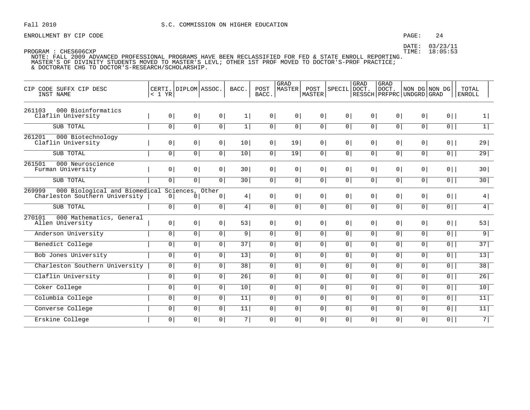### PAGE: 24

DATE: 03/23/11 TIME: 18:05:53

PROGRAM : CHES606CXP

| CIP CODE SUFFX CIP DESC<br>INST NAME                                      | < 1 YR         | CERTI. DIPLOM ASSOC.        |                | BACC.           | POST<br>BACC.  | <b>GRAD</b><br><b>MASTER</b> | POST<br><b>MASTER</b> | <b>SPECIL</b>  | GRAD<br>DOCT.  | <b>GRAD</b><br>DOCT.<br>RESSCH   PRFPRC   UNDGRD   GRAD | NON DG NON DG  |                | TOTAL<br><b>ENROLL</b> |
|---------------------------------------------------------------------------|----------------|-----------------------------|----------------|-----------------|----------------|------------------------------|-----------------------|----------------|----------------|---------------------------------------------------------|----------------|----------------|------------------------|
| 261103<br>000 Bioinformatics<br>Claflin University                        | 0 <sup>1</sup> | 0 <sup>1</sup>              | 0              | 1               | 0 <sup>1</sup> | 0 <sup>1</sup>               | 0                     | 0 <sup>1</sup> | 0 <sup>1</sup> | $0 \mid$                                                | 0              | $0$            | 1                      |
| SUB TOTAL                                                                 | 0 <sup>1</sup> | 0 <sup>1</sup>              | 0              | 1               | 0 <sup>1</sup> | $\overline{0}$               | $\overline{0}$        | $\overline{0}$ | 0 <sup>1</sup> | $\overline{0}$                                          | $\overline{0}$ | $\overline{0}$ | 1                      |
| 261201<br>000 Biotechnology<br>Claflin University                         | 0 <sup>1</sup> | 0 <sup>1</sup>              | 0 <sup>1</sup> | 10 <sup>1</sup> | 0 <sup>1</sup> | 19                           | 0 <sup>1</sup>        | 0 <sup>1</sup> | 0 <sup>1</sup> | 0 <sup>1</sup>                                          | 0 <sup>1</sup> | $0$            | 29                     |
| SUB TOTAL                                                                 | 0              | 0 <sup>1</sup>              | 0 <sup>1</sup> | 10              | 0 <sup>1</sup> | $\overline{19}$              | $\overline{0 }$       | 0 <sup>1</sup> | 0 <sup>1</sup> | $\overline{0}$                                          | $\overline{0}$ | $\overline{0}$ | $\overline{29}$        |
| 261501<br>000 Neuroscience<br>Furman University                           | 0 <sup>1</sup> | 0 <sup>1</sup>              | 0 <sup>1</sup> | 30 <sup>1</sup> | 0 <sup>1</sup> | 0 <sup>1</sup>               | 0 <sup>1</sup>        | 0 <sup>1</sup> | 0 <sup>1</sup> | 0 <sup>1</sup>                                          | 0 <sup>1</sup> | $0 \mid$       | 30                     |
| SUB TOTAL                                                                 | $\overline{0}$ | 0                           | 0 <sup>1</sup> | 30              | 0 <sup>1</sup> | $\overline{0}$               | $\overline{0}$        | 0 <sup>1</sup> | 0 <sup>1</sup> | $\overline{0}$                                          | $\overline{0}$ | $\overline{0}$ | 30                     |
| 269999<br>000 Biological and Biomedical<br>Charleston Southern University | $\overline{0}$ | Sciences, Other<br>$\Omega$ | 0 <sup>1</sup> | 4               | $\overline{0}$ | 0 <sup>1</sup>               | 0 <sup>1</sup>        | 0 <sup>1</sup> | 0 <sup>1</sup> | 0 <sup>1</sup>                                          | 0              | $0 \mid$       | 4                      |
| SUB TOTAL                                                                 | 0              | 0 <sup>1</sup>              | 0 <sup>1</sup> | 4               | 0 <sup>1</sup> | 0 <sup>1</sup>               | $\overline{0}$        | 0 <sup>1</sup> | 0 <sup>1</sup> | $\overline{0}$                                          | $\overline{0}$ | $\overline{0}$ | $\overline{4}$         |
| 000 Mathematics, General<br>270101<br>Allen University                    | 0 <sup>1</sup> | 0 <sup>1</sup>              | 0 <sup>1</sup> | 53              | 0 <sup>1</sup> | 0 <sup>1</sup>               | 0 <sup>1</sup>        | 0 <sup>1</sup> | 0 <sup>1</sup> | 0 <sup>1</sup>                                          | 0              | $0$            | 53                     |
| Anderson University                                                       | 0 <sup>1</sup> | 0 <sup>1</sup>              | 0              | 9 <sup>1</sup>  | 0 <sup>1</sup> | 0                            | 0 <sup>1</sup>        | 0 <sup>1</sup> | 0 <sup>1</sup> | 0 <sup>1</sup>                                          | 0 <sup>1</sup> | $\overline{0}$ | 9                      |
| Benedict College                                                          | $\overline{0}$ | $\overline{0}$              | $\overline{0}$ | 37              | $\overline{0}$ | $\overline{0}$               | $\overline{0}$        | $\overline{0}$ | $\overline{0}$ | $\overline{0}$                                          | $\overline{0}$ | $\overline{0}$ | 37                     |
| <b>Bob Jones University</b>                                               | $\overline{0}$ | $\circ$                     | $\overline{0}$ | 13              | 0 <sup>1</sup> | 0 <sup>1</sup>               | $\overline{0}$        | 0 <sup>1</sup> | 0 <sup>1</sup> | 0 <sup>1</sup>                                          | $\overline{0}$ | $\overline{0}$ | $\overline{13}$        |
| Charleston Southern University                                            | 0 <sup>1</sup> | $\mathbf 0$                 | 0 <sup>1</sup> | 38              | 0 <sup>1</sup> | 0 <sup>1</sup>               | 0 <sup>1</sup>        | 0 <sup>1</sup> | 0 <sup>1</sup> | 0 <sup>1</sup>                                          | 0 <sup>1</sup> | 0              | 38                     |
| Claflin University                                                        | $\overline{0}$ | 0                           | $\overline{0}$ | 26              | $\overline{0}$ | $\overline{0}$               | $\overline{0}$        | $\overline{0}$ | 0 <sup>1</sup> | $\overline{0}$                                          | $\overline{0}$ | $\overline{0}$ | 26                     |
| Coker College                                                             | $\mathbf 0$    | 0                           | 0 <sup>1</sup> | 10              | $\circ$        | 0 <sup>1</sup>               | $\overline{0}$        | 0 <sup>1</sup> | 0              | 0 <sup>1</sup>                                          | $\overline{0}$ | $\overline{0}$ | 10                     |
| Columbia College                                                          | 0 <sup>1</sup> | 0 <sup>1</sup>              | 0              | 11              | 0 <sup>1</sup> | 0 <sup>1</sup>               | 0 <sup>1</sup>        | 0 <sup>1</sup> | 0 <sup>1</sup> | 0 <sup>1</sup>                                          | 0 <sup>1</sup> | 0              | 11                     |
| Converse College                                                          | 0 <sup>1</sup> | 0 <sup>1</sup>              | $\overline{0}$ | 11              | 0 <sup>1</sup> | 0 <sup>1</sup>               | $\overline{0}$        | 0 <sup>1</sup> | 0 <sup>1</sup> | $\overline{0}$                                          | $\overline{0}$ | $\overline{0}$ | $\overline{11}$        |
| Erskine College                                                           | 0 <sup>1</sup> | 0                           | 0 <sup>1</sup> | 7               | $\mathsf{O}$   | 0 <sup>1</sup>               | $\overline{0}$        | 0 <sup>1</sup> | 0              | $\overline{0}$                                          | $\overline{0}$ | $\overline{0}$ | 7                      |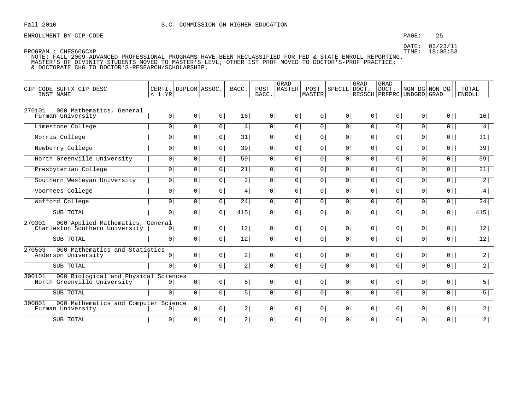### PAGE: 25

DATE: 03/23/11 TIME: 18:05:53

| CIP CODE SUFFX CIP DESC<br>INST NAME                                          | < 1 YR         | CERTI. DIPLOM ASSOC. |                | BACC.          | POST<br>BACC.  | GRAD<br><b>MASTER</b> | POST<br>MASTER | SPECIL         | GRAD<br>DOCT.  | GRAD<br>DOCT.<br>  RESSCH   PRFPRC   UNDGRD   GRAD |                | NON DG NON DG  | TOTAL<br><b>ENROLL</b> |
|-------------------------------------------------------------------------------|----------------|----------------------|----------------|----------------|----------------|-----------------------|----------------|----------------|----------------|----------------------------------------------------|----------------|----------------|------------------------|
| 270101<br>000 Mathematics, General<br>Furman University                       | 0 <sup>1</sup> | 0 <sup>1</sup>       | 0 <sup>1</sup> | 16             | 0 <sup>1</sup> | $\circ$               | 0 <sup>1</sup> | $\circ$        | 0 <sup>1</sup> | 0 <sup>1</sup>                                     | 0 <sup>1</sup> | $0$            | 16                     |
| Limestone College                                                             | 0 <sup>1</sup> | 0 <sup>1</sup>       | 0 <sup>1</sup> | 4              | $\overline{0}$ | $\overline{0}$        | 0 <sup>1</sup> | 0 <sup>1</sup> | $\overline{0}$ | $\overline{0}$                                     | $\overline{0}$ | $\overline{0}$ | 4                      |
| Morris College                                                                | $\mathbf{0}$   | $\circ$              | $\overline{0}$ | 31             | $\circ$        | 0 <sup>1</sup>        | $\overline{0}$ | 0 <sup>1</sup> | $\overline{0}$ | 0 <sup>1</sup>                                     | $\circ$        | 0 <sup>1</sup> | 31                     |
| Newberry College                                                              | 0 <sup>1</sup> | 0 <sup>1</sup>       | $\overline{0}$ | 39             | $\overline{0}$ | $\circ$               | 0 <sup>1</sup> | 0 <sup>1</sup> | 0 <sup>1</sup> | 0 <sup>1</sup>                                     | 0 <sup>1</sup> | 0              | 39                     |
| North Greenville University                                                   | $\overline{0}$ | $\overline{0}$       | $\overline{0}$ | 59             | $\overline{0}$ | $\overline{0}$        | $\overline{0}$ | 0              | $\overline{0}$ | $\overline{0}$                                     | 0              | $\overline{0}$ | 59                     |
| Presbyterian College                                                          | 0 <sup>1</sup> | 0 <sup>1</sup>       | $\overline{0}$ | 21             | 0              | 0 <sup>1</sup>        | $\overline{0}$ | 0 <sup>1</sup> | $\overline{0}$ | 0 <sup>1</sup>                                     | 0 <sup>1</sup> | 0 <sup>1</sup> | 21                     |
| Southern Wesleyan University                                                  | 0 <sup>1</sup> | 0 <sup>1</sup>       | $\mathbf 0$    | $\overline{2}$ | 0              | 0 <sup>1</sup>        | $\overline{0}$ | 0 <sup>1</sup> | 0 <sup>1</sup> | $\overline{0}$                                     | 0 <sup>1</sup> | $\overline{0}$ | $\overline{2}$         |
| Voorhees College                                                              | $\overline{0}$ | 0 <sup>1</sup>       | $\overline{0}$ | 4 <sup>1</sup> | 0              | 0                     | 0 <sup>1</sup> | 0              | 0 <sup>1</sup> | $\overline{0}$                                     | 0 <sup>1</sup> | $\overline{0}$ | 4                      |
| Wofford College                                                               | $\mathbf 0$    | $\mathbf 0$          | $\mathbf 0$    | 24             | 0 <sup>1</sup> | 0 <sup>1</sup>        | $\overline{0}$ | $\overline{0}$ | 0 <sup>1</sup> | 0 <sup>1</sup>                                     | $\overline{0}$ | $\overline{0}$ | 24                     |
| SUB TOTAL                                                                     | 0 <sup>1</sup> | 0 <sup>1</sup>       | $\overline{0}$ | 415            | $\overline{0}$ | 0 <sup>1</sup>        | 0 <sup>1</sup> | 0 <sup>1</sup> | 0 <sup>1</sup> | $\overline{0}$                                     | $\overline{0}$ | $\overline{0}$ | 415                    |
| 270301<br>000 Applied Mathematics, General<br>Charleston Southern University  | 0 <sup>1</sup> | 0 <sup>1</sup>       | 0 <sup>1</sup> | 12             | 0 <sup>1</sup> | $\circ$               | $\overline{0}$ | $\overline{0}$ | $\overline{0}$ | 0 <sup>1</sup>                                     | 0 <sup>1</sup> | $0$            | 12                     |
| SUB TOTAL                                                                     | 0 <sup>1</sup> | 0                    | 0 <sup>1</sup> | 12             | $\overline{0}$ | $\overline{0}$        | 0 <sup>1</sup> | 0 <sup>1</sup> | 0              | $\overline{0}$                                     | $\overline{0}$ | $\overline{0}$ | 12                     |
| 270503<br>000 Mathematics and Statistics<br>Anderson University               | $\overline{0}$ | 0 <sup>1</sup>       | 0 <sup>1</sup> | 2              | 0 <sup>1</sup> | 0 <sup>1</sup>        | 0 <sup>1</sup> | 0 <sup>1</sup> | 0 <sup>1</sup> | 0 <sup>1</sup>                                     | 0 <sup>1</sup> | $0$            | 2                      |
| SUB TOTAL                                                                     | $\circ$        | 0 <sup>1</sup>       | 0 <sup>1</sup> | 2              | 0              | $\circ$               | $\circ$        | 0 <sup>1</sup> | 0 <sup>1</sup> | 0 <sup>1</sup>                                     | 0 <sup>1</sup> | 0              | $\overline{2}$         |
| 300101<br>000 Biological and Physical Sciences<br>North Greenville University | $\circ$        | 0 <sup>1</sup>       | 0 <sup>1</sup> | 5              | 0 <sup>1</sup> | 0 <sup>1</sup>        | 0 <sup>1</sup> | $\circ$        | $\overline{0}$ | 0 <sup>1</sup>                                     | 0 <sup>1</sup> | $0$            | 5                      |
| SUB TOTAL                                                                     | 0 <sup>1</sup> | 0 <sup>1</sup>       | 0 <sup>1</sup> | 5              | $\overline{0}$ | $\circ$               | $\overline{0}$ | 0 <sup>1</sup> | $\overline{0}$ | $\overline{0}$                                     | $\overline{0}$ | $\overline{0}$ | $\overline{5}$         |
| 300801<br>000 Mathematics and Computer Science<br>Furman University           | $\overline{0}$ | 0 <sup>1</sup>       | 0 <sup>1</sup> | 2              | 0 <sup>1</sup> | 0 <sup>1</sup>        | 0 <sup>1</sup> | 0 <sup>1</sup> | 0 <sup>1</sup> | 0 <sup>1</sup>                                     | 0 <sup>1</sup> | $0$            | 2                      |
| SUB TOTAL                                                                     | $\circ$        | 0                    | 0              | $\overline{2}$ | $\circ$        | 0 <sup>1</sup>        | $\circ$        | $\circ$        | 0 <sup>1</sup> | 0 <sup>1</sup>                                     | $\circ$        | 0 <sup>1</sup> | $\overline{2}$         |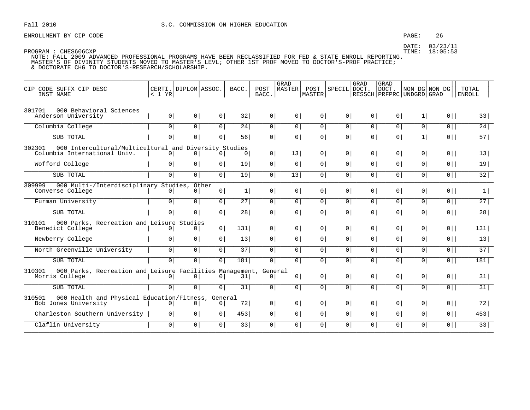ENROLLMENT BY CIP CODE **ENROLLMENT BY CIP** CODE

DATE: 03/23/11

| CIP CODE SUFFX CIP DESC<br>INST NAME                                                            | CERTI. DIPLOM ASSOC.<br>$< 1$ YR |                |                           | BACC. | POST<br>BACC.  | GRAD<br>MASTER | POST<br><b>MASTER</b> | SPECIL DOCT.   | GRAD           | <b>GRAD</b><br>  DOCT.<br>RESSCH   PRFPRC   UNDGRD   GRAD | NON DG NON DG  |                | TOTAL<br><b>ENROLL</b> |
|-------------------------------------------------------------------------------------------------|----------------------------------|----------------|---------------------------|-------|----------------|----------------|-----------------------|----------------|----------------|-----------------------------------------------------------|----------------|----------------|------------------------|
| 301701<br>000 Behavioral Sciences<br>Anderson University                                        | 0                                | 0              | 0 <sup>1</sup>            | 32    | 0 <sup>1</sup> | 0 <sup>1</sup> | 0 <sup>1</sup>        | 0 <sup>1</sup> | 0 <sup>1</sup> | 0 <sup>1</sup>                                            | 1              | $0$            | 33                     |
|                                                                                                 |                                  |                |                           |       |                |                |                       |                |                |                                                           |                |                |                        |
| Columbia College                                                                                | 0                                | $\overline{0}$ | $\overline{0}$            | 24    | $\overline{0}$ | $\overline{0}$ | $\overline{0}$        | $\overline{0}$ | $\overline{0}$ | $\overline{0}$                                            | $\overline{0}$ | 0              | 24                     |
| SUB TOTAL                                                                                       | 0 <sup>1</sup>                   | 0              | 0 <sup>1</sup>            | 56    | 0 <sup>1</sup> | 0 <sup>1</sup> | 0 <sup>1</sup>        | 0 <sup>1</sup> | 0 <sup>1</sup> | 0 <sup>1</sup>                                            | 1              | $\overline{0}$ | 57                     |
| 302301<br>000 Intercultural/Multicultural and Diversity Studies<br>Columbia International Univ. | $\circ$                          | 0 <sup>1</sup> | 0 <sup>1</sup>            | 0     | 0 <sup>1</sup> | 13             | 0 <sup>1</sup>        | 0 <sup>1</sup> | 0 <sup>1</sup> | 0 <sup>1</sup>                                            | 0 <sup>1</sup> | $0$            | 13                     |
| Wofford College                                                                                 | 0 <sup>1</sup>                   | $\overline{0}$ | 0 <sup>1</sup>            | 19    | 0 <sup>1</sup> | $\overline{0}$ | 0 <sup>1</sup>        | $\overline{0}$ | $\overline{0}$ | 0 <sup>1</sup>                                            | $\circ$        | $\overline{0}$ | 19                     |
| SUB TOTAL                                                                                       | $\overline{0}$                   | $\overline{0}$ | $\overline{0}$            | 19    | 0 <sup>1</sup> | 13             | 0 <sup>1</sup>        | $\overline{0}$ | $\circ$        | $\overline{0}$                                            | $\circ$        | 0              | 32                     |
| 000 Multi-/Interdisciplinary Studies, Other<br>309999<br>Converse College                       | $\mathbf{0}$                     | 01             | 0 <sup>1</sup>            | 1     | 0 <sup>1</sup> | 0 <sup>1</sup> | $\overline{0}$        | 0 <sup>1</sup> | 0 <sup>1</sup> | 0 <sup>1</sup>                                            | 0 <sup>1</sup> | $0$            | 1                      |
| Furman University                                                                               | 0 <sup>1</sup>                   | $\overline{0}$ | 0 <sup>1</sup>            | 27    | 0 <sup>1</sup> | 0 <sup>1</sup> | 0 <sup>1</sup>        | $\overline{0}$ | $\overline{0}$ | 0 <sup>1</sup>                                            | 0 <sup>1</sup> | $\overline{0}$ | 27                     |
| SUB TOTAL                                                                                       | $\overline{0}$                   | $\overline{0}$ | $\overline{0}$            | 28    | 0 <sup>1</sup> | $\overline{0}$ | 0 <sup>1</sup>        | 0 <sup>1</sup> | 0 <sup>1</sup> | 0                                                         | 0 <sup>1</sup> | $\overline{0}$ | 28                     |
| 000 Parks, Recreation and Leisure Studies<br>310101<br>Benedict College                         | 0 <sup>1</sup>                   | 0 <sup>1</sup> | 0 <sup>1</sup>            | 131   | $\circ$        | 0 <sup>1</sup> | 0 <sup>1</sup>        | 0 <sup>1</sup> | 0 <sup>1</sup> | 0 <sup>1</sup>                                            | 0 <sup>1</sup> | $0$            | 131                    |
| Newberry College                                                                                | 0                                | 0              | 0 <sup>1</sup>            | 13    | 0 <sup>1</sup> | $\overline{0}$ | 0 <sup>1</sup>        | 0 <sup>1</sup> | 0 <sup>1</sup> | 0 <sup>1</sup>                                            | 0 <sup>1</sup> | $\overline{0}$ | 13                     |
| North Greenville University                                                                     | 0 <sup>1</sup>                   | $\overline{0}$ | 0 <sup>1</sup>            | 37    | $\circ$        | $\overline{0}$ | 0 <sup>1</sup>        | $\overline{0}$ | 0 <sup>1</sup> | 0 <sup>1</sup>                                            | $\circ$        | $\overline{0}$ | 37                     |
| SUB TOTAL                                                                                       | 0                                | 0              | $\overline{0}$            | 181   | $\circ$        | $\overline{0}$ | $\overline{0}$        | 0 <sup>1</sup> | $\circ$        | $\overline{0}$                                            | 0 <sup>1</sup> | $\overline{0}$ | 181                    |
| 000 Parks, Recreation and Leisure Facilities Management, General<br>310301<br>Morris College    | 0 <sup>1</sup>                   | 0 <sup>1</sup> | 0                         | 31    | $\overline{0}$ | 0 <sup>1</sup> | 0 <sup>1</sup>        | 0 <sup>1</sup> | $\circ$        | 0 <sup>1</sup>                                            | 0 <sup>1</sup> | $0$            | 31                     |
| SUB TOTAL                                                                                       | 0 <sup>1</sup>                   | 0              | $\Omega$                  | 31    | 0 <sup>1</sup> | $\overline{0}$ | 0 <sup>1</sup>        | 0 <sup>1</sup> | 0 <sup>1</sup> | 0 <sup>1</sup>                                            | 0 <sup>1</sup> | $\overline{0}$ | 31                     |
| 000 Health and Physical Education/Fitness,<br>310501<br>Bob Jones University                    | 0 <sub>1</sub>                   | 0 <sup>1</sup> | General<br>0 <sup>1</sup> | 72    | 0 <sup>1</sup> | 0 <sup>1</sup> | 0 <sup>1</sup>        | 0 <sup>1</sup> | 0 <sup>1</sup> | 0 <sup>1</sup>                                            | 0 <sup>1</sup> | $0$            | 72                     |
| Charleston Southern University                                                                  | 0                                | $\overline{0}$ | 0 <sup>1</sup>            | 453   | 0 <sup>1</sup> | $\overline{0}$ | 0 <sup>1</sup>        | 0 <sup>1</sup> | 0              | 0 <sup>1</sup>                                            | 0 <sup>1</sup> | $0$            | 453                    |
| Claflin University                                                                              | $\circ$                          | 0              | 0 <sup>1</sup>            | 33    | 0 <sup>1</sup> | 0 <sup>1</sup> | 0 <sup>1</sup>        | 0 <sup>1</sup> | 0 <sup>1</sup> | $\circ$                                                   | $\circ$        | 0              | 33                     |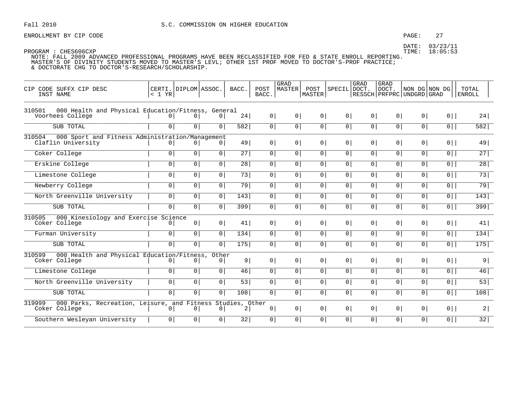### PAGE: 27

DATE: 03/23/11 TIME: 18:05:53

PROGRAM : CHES606CXP

| CIP CODE SUFFX CIP DESC<br>INST NAME                                                  | $< 1$ YR       | CERTI. DIPLOM ASSOC. |                | BACC.          | POST<br>BACC.  | <b>GRAD</b><br><b>MASTER</b> | POST<br>MASTER | SPECIL DOCT.   | GRAD           | GRAD<br>DOCT.<br>  RESSCH   PRFPRC   UNDGRD   GRAD | NON DG NON DG  |                | TOTAL<br><b>ENROLL</b> |
|---------------------------------------------------------------------------------------|----------------|----------------------|----------------|----------------|----------------|------------------------------|----------------|----------------|----------------|----------------------------------------------------|----------------|----------------|------------------------|
| 000 Health and Physical Education/Fitness, General<br>310501<br>Voorhees College      | 0 <sup>1</sup> | 0 <sup>1</sup>       | 0 <sup>1</sup> | 24             | 0 <sup>1</sup> | $\circ$                      | 0 <sup>1</sup> | 0 <sup>1</sup> | 0 <sup>1</sup> | 0 <sup>1</sup>                                     | 0 <sup>1</sup> | $0$            | 24                     |
| SUB TOTAL                                                                             | $\circ$        | 0 <sup>1</sup>       | $\circ$        | 582            | $\overline{0}$ | 0                            | 0 <sup>1</sup> | $\overline{0}$ | $\overline{0}$ | 0 <sup>1</sup>                                     | 0 <sup>1</sup> | $\overline{0}$ | 582                    |
| 000 Sport and Fitness Administration/Management<br>310504<br>Claflin University       | 0 <sup>1</sup> | 0 <sup>1</sup>       | 0              | 49             | 0 <sup>1</sup> | $\overline{0}$               | $\circ$        | 0 <sup>1</sup> | 0 <sup>1</sup> | $\overline{0}$                                     | 0              | $0$            | 49                     |
| Coker College                                                                         | 0 <sup>1</sup> | 0 <sup>1</sup>       | $\circ$        | 27             | 0              | $\mathbf 0$                  | 0 <sup>1</sup> | 0 <sup>1</sup> | 0 <sup>1</sup> | 0 <sup>1</sup>                                     | 0 <sup>1</sup> | $\overline{0}$ | 27                     |
| Erskine College                                                                       | 0 <sup>1</sup> | 0 <sup>1</sup>       | $\overline{0}$ | 28             | 0              | $\mathbf 0$                  | 0              | $\overline{0}$ | $\overline{0}$ | 0 <sup>1</sup>                                     | $\overline{0}$ | $\overline{0}$ | 28                     |
| Limestone College                                                                     | $\circ$        | 0 <sup>1</sup>       | 0 <sup>1</sup> | 73             | 0              | 0 <sup>1</sup>               | 0 <sup>1</sup> | 0 <sup>1</sup> | 0 <sup>1</sup> | 0 <sup>1</sup>                                     | 0 <sup>1</sup> | $\overline{0}$ | 73                     |
| Newberry College                                                                      | 0 <sup>1</sup> | 0                    | 0 <sup>1</sup> | 79             | 0              | $\mathbf 0$                  | 0 <sup>1</sup> | 0 <sup>1</sup> | 0 <sup>1</sup> | 0 <sup>1</sup>                                     | 0 <sup>1</sup> | $\overline{0}$ | $\overline{79}$        |
| North Greenville University                                                           | $\circ$        | $\overline{0}$       | $\overline{0}$ | 143            | 0              | $\mathbf 0$                  | 0 <sup>1</sup> | 0 <sup>1</sup> | $\overline{0}$ | 0 <sup>1</sup>                                     | $\overline{0}$ | $\overline{0}$ | 143                    |
| SUB TOTAL                                                                             | $\overline{0}$ | 0 <sup>1</sup>       | 0 <sup>1</sup> | 399            | 0 <sup>1</sup> | 0 <sup>1</sup>               | 0 <sup>1</sup> | 0 <sup>1</sup> | 0 <sup>1</sup> | 0 <sup>1</sup>                                     | 0 <sup>1</sup> | $\overline{0}$ | 399                    |
| 000 Kinesiology and Exercise Science<br>310505<br>Coker College                       | 01             | 0 <sup>1</sup>       | $\overline{0}$ | 41             | 0 <sup>1</sup> | 0 <sup>1</sup>               | 0 <sup>1</sup> | 0 <sup>1</sup> | 0 <sup>1</sup> | 0 <sup>1</sup>                                     | 0 <sup>1</sup> | $0$            | 41                     |
| Furman University                                                                     | $\circ$        | $\overline{0}$       | $\overline{0}$ | 134            | 0              | 0 <sup>1</sup>               | 0 <sup>1</sup> | 0 <sup>1</sup> | 0 <sup>1</sup> | 0 <sup>1</sup>                                     | 0 <sup>1</sup> | $\overline{0}$ | 134                    |
| SUB TOTAL                                                                             | $\overline{0}$ | 0 <sup>1</sup>       | $\overline{0}$ | 175            | 0              | $\mathbf 0$                  | 0              | $\overline{0}$ | $\overline{0}$ | 0 <sup>1</sup>                                     | 0 <sup>1</sup> | $\overline{0}$ | $175$                  |
| 000 Health and Physical Education/Fitness, Other<br>310599<br>Coker College           | 0 <sup>1</sup> | $\overline{0}$       | 0              | 9              | 0              | 0 <sup>1</sup>               | 0 <sup>1</sup> | 0 <sup>1</sup> | 0 <sup>1</sup> | 0 <sup>1</sup>                                     | 0 <sup>1</sup> | $0$            | 9 <sup>1</sup>         |
| Limestone College                                                                     | $\overline{0}$ | 0 <sup>1</sup>       | $\circ$        | 46             | $\overline{0}$ | 0 <sup>1</sup>               | 0 <sup>1</sup> | $\overline{0}$ | $\overline{0}$ | 0 <sup>1</sup>                                     | 0 <sup>1</sup> | $\overline{0}$ | 46                     |
| North Greenville University                                                           | 0 <sup>1</sup> | 0 <sup>1</sup>       | 0 <sup>1</sup> | 53             | 0              | $\overline{0}$               | 0 <sup>1</sup> | 0 <sup>1</sup> | 0 <sup>1</sup> | 0 <sup>1</sup>                                     | 0 <sup>1</sup> | $0$            | $\overline{53}$        |
| SUB TOTAL                                                                             | $\circ$        | 0 <sup>1</sup>       | 0 <sup>1</sup> | 108            | 0              | 0 <sup>1</sup>               | 0 <sup>1</sup> | 0 <sup>1</sup> | 0 <sup>1</sup> | 0 <sup>1</sup>                                     | 0 <sup>1</sup> | $\overline{0}$ | 108                    |
| 000 Parks, Recreation, Leisure, and Fitness Studies, Other<br>319999<br>Coker College | 01             | 0 <sup>1</sup>       | $\mathbf{0}$   | $\overline{2}$ | 0 <sup>1</sup> | 0 <sup>1</sup>               | 0 <sup>1</sup> | 0 <sup>1</sup> | 0 <sup>1</sup> | 0 <sup>1</sup>                                     | 0 <sup>1</sup> | $0$            | 2                      |
| Southern Wesleyan University                                                          | 0 <sup>1</sup> | $\overline{0}$       | $\overline{0}$ | 32             | $\mathbf 0$    | $\overline{0}$               | $\mathbf 0$    | 0 <sup>1</sup> | 0 <sup>1</sup> | 0                                                  | $\overline{0}$ | $\boxed{0}$    | 32                     |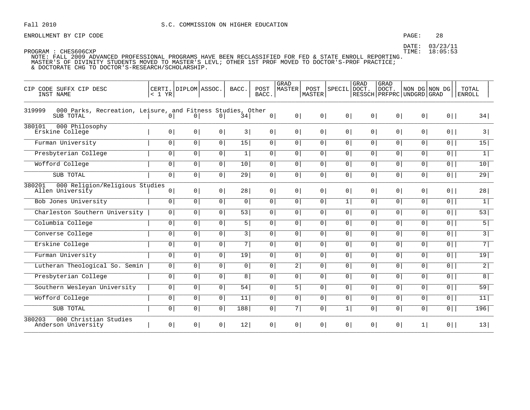### PAGE: 28

TIME: 18:05:53

PROGRAM : CHES606CXP NOTE: FALL 2009 ADVANCED PROFESSIONAL PROGRAMS HAVE BEEN RECLASSIFIED FOR FED & STATE ENROLL REPORTING. MASTER'S OF DIVINITY STUDENTS MOVED TO MASTER'S LEVL; OTHER 1ST PROF MOVED TO DOCTOR'S-PROF PRACTICE; & DOCTORATE CHG TO DOCTOR'S-RESEARCH/SCHOLARSHIP.

| CIP CODE SUFFX CIP DESC<br>INST NAME                                              | < 1 YR         | CERTI. DIPLOM ASSOC. |                | BACC.          | POST<br>BACC.  | GRAD<br><b>MASTER</b> | POST<br><b>MASTER</b> | SPECIL         | GRAD<br>DOCT.  | GRAD<br>DOCT.<br>RESSCH PRFPRC UNDGRD GRAD | NON DG NON DG  |                | TOTAL<br><b>ENROLL</b> |
|-----------------------------------------------------------------------------------|----------------|----------------------|----------------|----------------|----------------|-----------------------|-----------------------|----------------|----------------|--------------------------------------------|----------------|----------------|------------------------|
| 000 Parks, Recreation, Leisure, and Fitness Studies, Other<br>319999<br>SUB TOTAL | $\overline{0}$ | 0 <sup>1</sup>       | 0 <sup>1</sup> | 34             | 0 <sup>1</sup> | 0 <sup>1</sup>        | 0 <sup>1</sup>        | 0 <sup>1</sup> | 0 <sup>1</sup> | 0 <sup>1</sup>                             | 0 <sup>1</sup> | $0$            | 34                     |
| 380101<br>000 Philosophy<br>Erskine College                                       | 0 <sup>1</sup> | 0 <sup>1</sup>       | 0 <sup>1</sup> | 3              | 0 <sup>1</sup> | 0 <sup>1</sup>        | 0 <sup>1</sup>        | 0 <sup>1</sup> | 0 <sup>1</sup> | 0 <sup>1</sup>                             | 0 <sup>1</sup> | $0$            | 3                      |
| Furman University                                                                 | 0 <sup>1</sup> | 0 <sup>1</sup>       | 0 <sup>1</sup> | 15             | 0 <sup>1</sup> | 0 <sup>1</sup>        | 0 <sup>1</sup>        | 0 <sup>1</sup> | 0 <sup>1</sup> | 0                                          | $\circ$        | $\overline{0}$ | 15                     |
| Presbyterian College                                                              | 0 <sup>1</sup> | 0 <sup>1</sup>       | 0 <sup>1</sup> | 1              | 0 <sup>1</sup> | 0 <sup>1</sup>        | 0 <sup>1</sup>        | 0 <sup>1</sup> | 0 <sup>1</sup> | 0 <sup>1</sup>                             | 0 <sup>1</sup> | $0$            | $\overline{1}$         |
| Wofford College                                                                   | $\overline{0}$ | $\overline{0}$       | 0 <sup>1</sup> | 10             | $\overline{0}$ | 0                     | 0                     | $\overline{0}$ | $\mathbf{0}$   | 0                                          | $\overline{0}$ | 0              | 10                     |
| SUB TOTAL                                                                         | $\overline{0}$ | 0 <sup>1</sup>       | $\overline{0}$ | 29             | $\overline{0}$ | $\overline{0}$        | $\overline{0}$        | 0 <sup>1</sup> | 0 <sup>1</sup> | 0 <sup>1</sup>                             | $\overline{0}$ | $\overline{0}$ | 29                     |
| 380201<br>000 Religion/Religious Studies<br>Allen University                      | 0 <sup>1</sup> | 0 <sup>1</sup>       | 0 <sup>1</sup> | 28             | 0 <sup>1</sup> | 0 <sup>1</sup>        | 0 <sup>1</sup>        | $\circ$        | $\overline{0}$ | $\overline{0}$                             | 0 <sup>1</sup> | $0$            | 28                     |
| Bob Jones University                                                              | 0 <sup>1</sup> | 0                    | 0 <sup>1</sup> | 0 <sup>1</sup> | 0 <sup>1</sup> | 0 <sup>1</sup>        | 0 <sup>1</sup>        | 1              | 0 <sup>1</sup> | 0 <sup>1</sup>                             | 0              | $\overline{0}$ | 1                      |
| Charleston Southern University                                                    | $\circ$        | 0 <sup>1</sup>       | $\overline{0}$ | 53             | $\overline{0}$ | $\overline{0}$        | 0 <sup>1</sup>        | 0 <sup>1</sup> | 0 <sup>1</sup> | 0 <sup>1</sup>                             | 0 <sup>1</sup> | $\overline{0}$ | 53                     |
| Columbia College                                                                  | $\overline{0}$ | 0 <sup>1</sup>       | 0 <sup>1</sup> | 5              | $\overline{0}$ | $\overline{0}$        | 0 <sup>1</sup>        | 0 <sup>1</sup> | $\mathbf{0}$   | 0                                          | $\overline{0}$ | $\overline{0}$ | $5\overline{)}$        |
| Converse College                                                                  | $\overline{0}$ | 0 <sup>1</sup>       | 0 <sup>1</sup> | 3              | 0 <sup>1</sup> | 0 <sup>1</sup>        | 0 <sup>1</sup>        | 0 <sup>1</sup> | 0 <sup>1</sup> | 0 <sup>1</sup>                             | 0 <sup>1</sup> | $\overline{0}$ | $\overline{3}$         |
| Erskine College                                                                   | $\overline{0}$ | $\mathbf 0$          | 0 <sup>1</sup> | $7\vert$       | $\overline{0}$ | $\overline{0}$        | 0                     | $\overline{0}$ | $\mathbf{0}$   | 0                                          | $\overline{0}$ | 0              | $\overline{7}$         |
| Furman University                                                                 | $\mathbf 0$    | 0 <sup>1</sup>       | $\overline{0}$ | 19             | $\overline{0}$ | $\overline{0}$        | 0 <sup>1</sup>        | 0 <sup>1</sup> | 0 <sup>1</sup> | 0 <sup>1</sup>                             | 0 <sup>1</sup> | $\overline{0}$ | 19                     |
| Lutheran Theological So. Semin                                                    | $\overline{0}$ | 0 <sup>1</sup>       | 0 <sup>1</sup> | 0 <sup>1</sup> | 0 <sup>1</sup> | 2                     | 0 <sup>1</sup>        | 0 <sup>1</sup> | 0 <sup>1</sup> | 0 <sup>1</sup>                             | 0 <sup>1</sup> | $0$            | $\overline{2}$         |
| Presbyterian College                                                              | 0 <sup>1</sup> | 0 <sup>1</sup>       | 0 <sup>1</sup> | 8              | $\overline{0}$ | $\overline{0}$        | 0 <sup>1</sup>        | 0 <sup>1</sup> | 0 <sup>1</sup> | 0 <sup>1</sup>                             | 0 <sup>1</sup> | $\overline{0}$ | 8                      |
| Southern Wesleyan University                                                      | $\mathbf 0$    | 0                    | 0 <sup>1</sup> | 54             | $\overline{0}$ | 5                     | 0 <sup>1</sup>        | 0 <sup>1</sup> | 0 <sup>1</sup> | 0 <sup>1</sup>                             | 0 <sup>1</sup> | $\overline{0}$ | 59                     |
| Wofford College                                                                   | $\overline{0}$ | $\overline{0}$       | 0 <sup>1</sup> | 11             | 0 <sup>1</sup> | 0 <sup>1</sup>        | 0                     | 0 <sup>1</sup> | 0 <sup>1</sup> | 0                                          | $\overline{0}$ | $\overline{0}$ | 11                     |
| SUB TOTAL                                                                         | $\mathbf 0$    | 0 <sup>1</sup>       | 0 <sup>1</sup> | 188            | $\overline{0}$ | 7                     | 0 <sup>1</sup>        | 1              | 0 <sup>1</sup> | 0 <sup>1</sup>                             | 0 <sup>1</sup> | $\overline{0}$ | 196                    |
| 380203<br>000 Christian Studies<br>Anderson University                            | $\overline{0}$ | 0 <sup>1</sup>       | $\overline{0}$ | 12             | 0 <sup>1</sup> | 0 <sup>1</sup>        | 0 <sup>1</sup>        | $\overline{0}$ | 0 <sup>1</sup> | 0 <sup>1</sup>                             | 1 <sup>1</sup> | $0$            | 13                     |

DATE: 03/23/11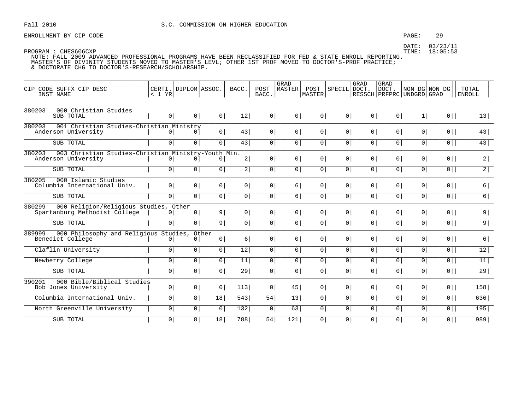ENROLLMENT BY CIP CODE **EXAMPLE 29** PAGE: 29

| CODE SUFFX CIP DESC<br>CTP<br>INST NAME                                              | < 1 YR         | CERTI. DIPLOM ASSOC. |                | BACC.           | POST<br>BACC.  | GRAD<br>MASTER | POST<br>MASTER  | SPECIL DOCT.   | <b>GRAD</b>    | <b>GRAD</b><br>DOCT. | NON DG NON DG<br>RESSCH   PRFPRC   UNDGRD   GRAD |                | TOTAL<br><b>ENROLL</b> |
|--------------------------------------------------------------------------------------|----------------|----------------------|----------------|-----------------|----------------|----------------|-----------------|----------------|----------------|----------------------|--------------------------------------------------|----------------|------------------------|
| 380203<br>000 Christian Studies<br>SUB TOTAL                                         | 0              | 0 <sup>1</sup>       | $0 \mid$       | 12              | $0 \mid$       | 0 <sup>1</sup> | 0               | 0 <sup>1</sup> | 0              | 0                    | 1                                                | $0$            | 13                     |
| 380203<br>001 Christian Studies-Christian Ministry<br>Anderson University            | $\overline{0}$ | 0 <sup>1</sup>       | 0              | 43              | 0 <sup>1</sup> | 0 <sup>1</sup> | 0               | 0 <sup>1</sup> | 0 <sup>1</sup> | 0 <sup>1</sup>       | 0 <sup>1</sup>                                   | $0$            | 43                     |
| SUB TOTAL                                                                            | $\overline{0}$ | 0 <sup>1</sup>       | $\overline{0}$ | 43              | $\overline{0}$ | $\circ$        | $\overline{0}$  | $\overline{0}$ | $\overline{0}$ | $\overline{0}$       | $\circ$                                          | $\overline{0}$ | 43                     |
| 380203<br>003 Christian Studies-Christian Ministry-Youth Min.<br>Anderson University | 0 <sup>1</sup> |                      | 0 <sup>1</sup> | 2               | 0              | 0 <sup>1</sup> | 0               | 0 <sup>1</sup> | 0              | 0                    | 0 <sup>1</sup>                                   | $0$            | 2                      |
| SUB TOTAL                                                                            | 0              | $\overline{0}$       | $\overline{0}$ | $\overline{2}$  | $\overline{0}$ | 0 <sup>1</sup> | $\overline{0}$  | $\overline{0}$ | 0              | 0 <sup>1</sup>       | 0 <sup>1</sup>                                   | $0$            | $\overline{2}$         |
| 380205<br>000 Islamic Studies<br>Columbia International Univ.                        | 0 <sup>1</sup> | 0 <sup>1</sup>       | 0              | 0 <sup>1</sup>  | 0              | 6              | 0               | 0 <sup>1</sup> | 0 <sup>1</sup> | 0 <sup>1</sup>       | 0 <sup>1</sup>                                   | $0$            | 6                      |
| SUB TOTAL                                                                            | 0              | 0                    | $\overline{0}$ | $\overline{0}$  | $\overline{0}$ | 6              | $\overline{0}$  | $\overline{0}$ | 0              | $\overline{0}$       | $\overline{0}$                                   | $\overline{0}$ | $\overline{6}$         |
| 380299<br>000 Religion/Religious Studies, Other<br>Spartanburg Methodist College     | 0 <sup>1</sup> | 0 <sup>1</sup>       | 9              | 0 <sup>1</sup>  | 0              | $\circ$        | 0 <sup>1</sup>  | $\overline{0}$ | 0 <sup>1</sup> | 0 <sup>1</sup>       | 0 <sup>1</sup>                                   | $0$            | 9                      |
| SUB TOTAL                                                                            | $\overline{0}$ | 0                    | $\overline{9}$ | 0 <sup>1</sup>  | $\overline{0}$ | $\circ$        | $\overline{0}$  | 0 <sup>1</sup> | 0              | 0                    | 0                                                | $\overline{0}$ | $\overline{9}$         |
| 000 Philosophy and Religious Studies, Other<br>389999<br>Benedict College            | 0              | 0                    | $0 \mid$       | 6               | 0              | $\circ$        | 0 <sup>1</sup>  | $\overline{0}$ | 0 <sup>1</sup> | 0                    | 0 <sup>1</sup>                                   | $0$            | 6                      |
| Claflin University                                                                   | 0              | $\overline{0}$       | $\overline{0}$ | $\overline{12}$ | $\overline{0}$ | 0 <sup>1</sup> | $\overline{0 }$ | $\overline{0}$ | $\overline{0}$ | 0 <sup>1</sup>       | 0 <sup>1</sup>                                   | $\overline{0}$ | 12                     |
| Newberry College                                                                     | 0 <sup>1</sup> | $\boxed{0}$          | $\overline{0}$ | 11              | $\overline{0}$ | 0 <sup>1</sup> | $\overline{0}$  | $\overline{0}$ | $\overline{0}$ | 0                    | $\circ$                                          | $\overline{0}$ | $\overline{11}$        |
| SUB TOTAL                                                                            | $\overline{0}$ | 0                    | $\overline{0}$ | $\overline{29}$ | $\overline{0}$ | 0 <sup>1</sup> | $\overline{0}$  | 0 <sup>1</sup> | 0              | $\overline{0}$       | $\overline{0}$                                   | $\overline{0}$ | 29                     |
| 000 Bible/Biblical Studies<br>390201<br>Bob Jones University                         | 0              | 0 <sup>1</sup>       | 0 <sup>1</sup> | 113             | 0              | 45             | 0               | 0 <sup>1</sup> | 0 <sup>1</sup> | 0 <sup>1</sup>       | 0 <sup>1</sup>                                   | $0$            | 158                    |
| Columbia International Univ.                                                         | 0              | 8                    | 18             | 543             | 54             | 13             | 0               | $\overline{0}$ | 0 <sup>1</sup> | 0                    | 0 <sup>1</sup>                                   | $0$            | 636                    |
| North Greenville University                                                          | 0 <sup>1</sup> | $\boxed{0}$          | $\overline{0}$ | 132             | $\overline{0}$ | 63             | $\overline{0}$  | 0 <sup>1</sup> | 0              | $\overline{0}$       | $\overline{0}$                                   | $\overline{0}$ | 195                    |
| SUB TOTAL                                                                            | $\overline{0}$ | 8                    | 18             | 788             | 54             | 121            | 0 <sup>1</sup>  | 0 <sup>1</sup> | 0 <sup>1</sup> | 0                    | 0 <sup>1</sup>                                   | $0$            | 989                    |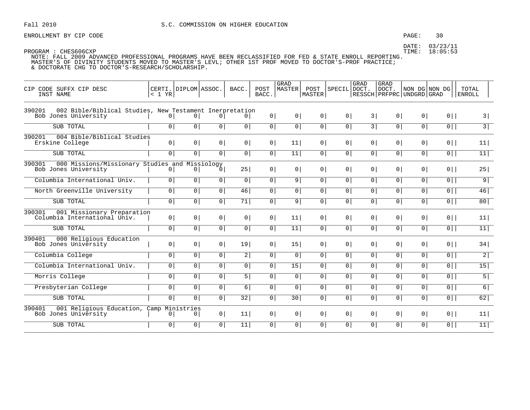### PAGE:  $30$

DATE: 03/23/11 TIME: 18:05:53

| CIP CODE SUFFX CIP DESC<br>INST NAME                                                      | < 1 YR         | CERTI. DIPLOM ASSOC.         |                | BACC.          | POST<br>BACC.  | <b>GRAD</b><br><b>MASTER</b> | POST<br>MASTER | SPECIL DOCT.   | GRAD           | <b>GRAD</b><br>DOCT.<br>  RESSCH   PRFPRC   UNDGRD   GRAD |                | NON DG NON DG  | TOTAL<br><b>ENROLL</b> |
|-------------------------------------------------------------------------------------------|----------------|------------------------------|----------------|----------------|----------------|------------------------------|----------------|----------------|----------------|-----------------------------------------------------------|----------------|----------------|------------------------|
| 002 Bible/Biblical Studies, New Testament Inerpretation<br>390201<br>Bob Jones University | 0 <sup>1</sup> | 0 <sup>1</sup>               | 0 <sup>1</sup> | 0 <sup>1</sup> | 0 <sup>1</sup> | 0 <sup>1</sup>               | 0 <sup>1</sup> | 0 <sup>1</sup> | 3              | 0 <sup>1</sup>                                            | 0 <sup>1</sup> | $0$            | 3                      |
| SUB TOTAL                                                                                 | $\circ$        | $\circ$                      | $\mathbf 0$    | $\overline{0}$ | 0 <sup>1</sup> | $\overline{0}$               | $\overline{0}$ | $\overline{0}$ | $\overline{3}$ | 0 <sup>1</sup>                                            | $\overline{0}$ | $\overline{0}$ | $\overline{3}$         |
| 390201<br>004 Bible/Biblical Studies<br>Erskine College                                   | 0              | 0 <sup>1</sup>               | 0 <sup>1</sup> | 0              | 0              | 11                           | 0 <sup>1</sup> | 0 <sup>1</sup> | 0 <sup>1</sup> | 0 <sup>1</sup>                                            | 0 <sup>1</sup> | $0$            | 11                     |
| SUB TOTAL                                                                                 | $\overline{0}$ | $\overline{0}$               | $\mathbf 0$    | $\overline{0}$ | 0 <sup>1</sup> | 11                           | $\overline{0}$ | $\circ$        | 0 <sup>1</sup> | 0                                                         | $\overline{0}$ | $\overline{0}$ | 11                     |
| 390301<br>000 Missions/Missionary Studies and Missiology                                  |                |                              |                |                |                |                              |                |                |                |                                                           |                |                |                        |
| Bob Jones University                                                                      | 0 <sup>1</sup> | 0 <sup>1</sup>               | 0 <sup>1</sup> | 25             | 0 <sup>1</sup> | 0 <sup>1</sup>               | 0 <sup>1</sup> | 0 <sup>1</sup> | 0 <sup>1</sup> | 0 <sup>1</sup>                                            | 0 <sup>1</sup> | $0$            | 25                     |
| Columbia International Univ.                                                              | $\overline{0}$ | 0 <sup>1</sup>               | 0 <sup>1</sup> | $\overline{0}$ | $\overline{0}$ | $\overline{9}$               | $\overline{0}$ | $\overline{0}$ | $\overline{0}$ | $\overline{0}$                                            | $\overline{0}$ | $\overline{0}$ | 9                      |
| North Greenville University                                                               | $\overline{0}$ | 0 <sup>1</sup>               | $\mathbf 0$    | 46             | 0              | $\mathbf 0$                  | 0 <sup>1</sup> | $\overline{0}$ | $\overline{0}$ | 0 <sup>1</sup>                                            | 0 <sup>1</sup> | 0              | 46                     |
| SUB TOTAL                                                                                 | 0 <sup>1</sup> | 0 <sup>1</sup>               | 0 <sup>1</sup> | 71             | 0              | 9                            | $\mathsf{O}$   | $\overline{0}$ | 0 <sup>1</sup> | 0 <sup>1</sup>                                            | 0 <sup>1</sup> | $0$            | 80                     |
| 390301<br>001 Missionary Preparation<br>Columbia International Univ.                      | 0 <sup>1</sup> | 0 <sup>1</sup>               | $\circ$        | 0              | 0              | 11                           | 0 <sup>1</sup> | 0 <sup>1</sup> | 0 <sup>1</sup> | 0                                                         | 0              | $0$            | 11                     |
| SUB TOTAL                                                                                 | $\overline{0}$ | 0 <sup>1</sup>               | 0 <sup>1</sup> | 0 <sup>1</sup> | $\overline{0}$ | 11                           | 0 <sup>1</sup> | $\overline{0}$ | $\overline{0}$ | 0 <sup>1</sup>                                            | 0 <sup>1</sup> | $\overline{0}$ | 11                     |
| 390401<br>000 Religious Education<br>Bob Jones University                                 | 0 <sup>1</sup> | 0 <sup>1</sup>               | $\circ$        | 19             | 0 <sup>1</sup> | 15                           | 0 <sup>1</sup> | 0 <sup>1</sup> | 0 <sup>1</sup> | 0                                                         | 0              | $0$            | 34                     |
| Columbia College                                                                          | $\overline{0}$ | 0 <sup>1</sup>               | 0 <sup>1</sup> | 2              | $\overline{0}$ | $\overline{0}$               | 0 <sup>1</sup> | $\overline{0}$ | $\overline{0}$ | 0 <sup>1</sup>                                            | 0 <sup>1</sup> | $\overline{0}$ | $2\overline{)}$        |
| Columbia International Univ.                                                              | $\circ$        | 0 <sup>1</sup>               | 0 <sup>1</sup> | $\overline{0}$ | 0              | 15                           | 0 <sup>1</sup> | 0 <sup>1</sup> | 0 <sup>1</sup> | 0 <sup>1</sup>                                            | $\mathsf{O}$   | $\overline{0}$ | 15                     |
| Morris College                                                                            | $\overline{0}$ | $\overline{0}$               | $\mathbf 0$    | 5              | 0 <sup>1</sup> | $\circ$                      | $\overline{0}$ | $\overline{0}$ | 0 <sup>1</sup> | 0 <sup>1</sup>                                            | 0 <sup>1</sup> | $0$            | $\overline{5}$         |
| Presbyterian College                                                                      | $\circ$        | 0 <sup>1</sup>               | 0 <sup>1</sup> | $6 \mid$       | $\overline{0}$ | 0 <sup>1</sup>               | 0 <sup>1</sup> | 0 <sup>1</sup> | 0 <sup>1</sup> | 0 <sup>1</sup>                                            | $\overline{0}$ | $\overline{0}$ | 6                      |
| SUB TOTAL                                                                                 | $\overline{0}$ | 0 <sup>1</sup>               | $\mathbf 0$    | 32             | 0 <sup>1</sup> | 30                           | 0 <sup>1</sup> | 0 <sup>1</sup> | 0 <sup>1</sup> | 0                                                         | $\mathsf{O}$   | $0$            | 62                     |
| 390401<br>001 Religious Education, Camp<br>Bob Jones University                           | $\circ$        | Ministries<br>0 <sup>1</sup> | 0 <sup>1</sup> | 11             | 0 <sup>1</sup> | $\overline{0}$               | 0 <sup>1</sup> | 0 <sup>1</sup> | 0 <sup>1</sup> | 0 <sup>1</sup>                                            | 0 <sup>1</sup> | $0$            | 11                     |
| SUB TOTAL                                                                                 | 0 <sup>1</sup> | $\overline{0}$               | $\overline{0}$ | 11             | 0 <sup>1</sup> | $\overline{0}$               | $\overline{0}$ | 0 <sup>1</sup> | $\overline{0}$ | 0 <sup>1</sup>                                            | $\overline{0}$ | $0$            | 11                     |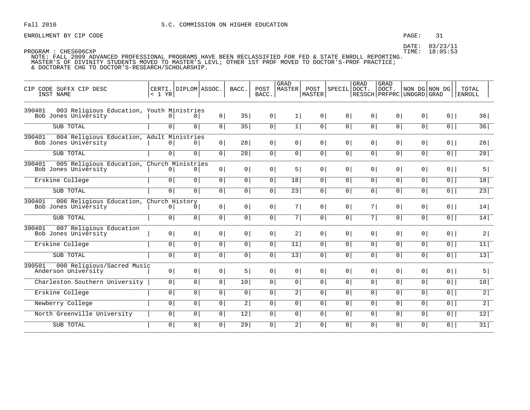### PAGE: 31

DATE: 03/23/11 TIME: 18:05:53

| CIP CODE SUFFX CIP DESC<br>INST NAME                                         | $< 1$ YR       | CERTI. DIPLOM ASSOC. |                | BACC.           | POST<br>BACC.  | GRAD<br><b>MASTER</b> | POST<br>MASTER | SPECIL DOCT.   | GRAD           | GRAD<br>DOCT.<br>  RESSCH   PRFPRC   UNDGRD   GRAD | NON DG NON DG  |                | TOTAL<br>  ENROLL |
|------------------------------------------------------------------------------|----------------|----------------------|----------------|-----------------|----------------|-----------------------|----------------|----------------|----------------|----------------------------------------------------|----------------|----------------|-------------------|
| 003 Religious Education, Youth Ministries<br>390401<br>Bob Jones University  | 0 <sup>1</sup> | 0 <sup>1</sup>       | 0 <sup>1</sup> | 35              | 0 <sup>1</sup> | 1                     | 0 <sup>1</sup> | 0 <sup>1</sup> | 0 <sup>1</sup> | 0 <sup>1</sup>                                     | $\overline{0}$ | $0$            | 36                |
| SUB TOTAL                                                                    | $\Omega$       | $\Omega$             | 0 <sup>1</sup> | 35              | 0              | 1                     | $\circ$        | $\overline{0}$ | $\overline{0}$ | 0 <sup>1</sup>                                     | 0 <sup>1</sup> | $\overline{0}$ | 36                |
| 390401<br>004 Religious Education, Adult Ministries<br>Bob Jones University  | 0 <sup>1</sup> | 0 <sup>1</sup>       | $\circ$        | 28              | 0              | 0 <sup>1</sup>        | 0 <sup>1</sup> | 0 <sup>1</sup> | 0 <sup>1</sup> | 0                                                  | $\overline{0}$ | $0$            | 28                |
| SUB TOTAL                                                                    | $\circ$        | $\overline{0}$       | 0 <sup>1</sup> | 28              | 0              | 0 <sup>1</sup>        | 0 <sup>1</sup> | 0 <sup>1</sup> | 0 <sup>1</sup> | 0 <sup>1</sup>                                     | $\mathsf{O}$   | $\overline{0}$ | $\overline{28}$   |
| 390401<br>005 Religious Education, Church Ministries<br>Bob Jones University | $\circ$        | $\circ$              | 0 <sup>1</sup> | 0 <sup>1</sup>  | 0 <sup>1</sup> | 5                     | 0 <sup>1</sup> | 0 <sup>1</sup> | 0 <sup>1</sup> | 0 <sup>1</sup>                                     | 0 <sup>1</sup> | $0$            | 5                 |
| Erskine College                                                              | $\circ$        | $\circ$              | 0              | $\overline{0}$  | 0              | 18                    | 0 <sup>1</sup> | 0 <sup>1</sup> | $\overline{0}$ | 0 <sup>1</sup>                                     | $\mathsf{O}$   | $\overline{0}$ | 18                |
| SUB TOTAL                                                                    | $\overline{0}$ | $\overline{0}$       | $\mathbf 0$    | $\overline{0}$  | $\mathbf 0$    | $\overline{23}$       | $\mathbf 0$    | $\circ$        | $\overline{0}$ | 0 <sup>1</sup>                                     | $\overline{0}$ | 0              | $\overline{23}$   |
| 006 Religious Education, Church History<br>390401<br>Bob Jones University    | 0 <sup>1</sup> | 0                    | $\circ$        | 0 <sup>1</sup>  | 0 <sup>1</sup> | 7                     | 0 <sup>1</sup> | 0 <sup>1</sup> | 7              | 0 <sup>1</sup>                                     | $\overline{0}$ | $0$            | 14                |
| SUB TOTAL                                                                    | $\circ$        | 0                    | $\mathbf 0$    | $\overline{0}$  | 0 <sup>1</sup> | $7\phantom{.}$        | $\mathbf 0$    | 0 <sup>1</sup> | 7              | 0 <sup>1</sup>                                     | $\overline{0}$ | $\overline{0}$ | 14                |
| 007 Religious Education<br>390401<br>Bob Jones University                    | 0 <sup>1</sup> | 0 <sup>1</sup>       | 0 <sup>1</sup> | 0 <sup>1</sup>  | 0              | 2                     | 0 <sup>1</sup> | 0 <sup>1</sup> | 0 <sup>1</sup> | 0 <sup>1</sup>                                     | 0 <sup>1</sup> | $0$            | 2                 |
| Erskine College                                                              | $\circ$        | $\overline{0}$       | $\mathbf 0$    | $\overline{0}$  | 0 <sup>1</sup> | 11                    | $\overline{0}$ | $\overline{0}$ | $\overline{0}$ | 0 <sup>1</sup>                                     | $\overline{0}$ | $\overline{0}$ | 11                |
| SUB TOTAL                                                                    | $\overline{0}$ | 0 <sup>1</sup>       | 0 <sup>1</sup> | $\overline{0}$  | 0              | $\overline{13}$       | 0 <sup>1</sup> | $\overline{0}$ | $\overline{0}$ | 0 <sup>1</sup>                                     | 0 <sup>1</sup> | $\overline{0}$ | 13                |
| 000 Religious/Sacred Music<br>390501<br>Anderson University                  | 0 <sup>1</sup> | 0 <sup>1</sup>       | 0 <sup>1</sup> | 5               | 0              | 0 <sup>1</sup>        | 0 <sup>1</sup> | 0 <sup>1</sup> | 0 <sup>1</sup> | $\overline{0}$                                     | 0 <sup>1</sup> | $0$            | 5                 |
| Charleston Southern University                                               | $\circ$        | 0 <sup>1</sup>       | 0 <sup>1</sup> | 10              | 0              | 0 <sup>1</sup>        | 0 <sup>1</sup> | 0 <sup>1</sup> | 0 <sup>1</sup> | 0 <sup>1</sup>                                     | 0 <sup>1</sup> | $0$            | 10                |
| Erskine College                                                              | $\circ$        | 0 <sup>1</sup>       | $\mathbf 0$    | $\circ$         | $\circ$        | $\overline{a}$        | $\circ$        | 0 <sup>1</sup> | 0              | 0 <sup>1</sup>                                     | 0 <sup>1</sup> | $\overline{0}$ | $\overline{2}$    |
| Newberry College                                                             | $\circ$        | 0 <sup>1</sup>       | 0              | $\overline{a}$  | 0              | $\mathbf 0$           | 0 <sup>1</sup> | $\overline{0}$ | $\overline{0}$ | 0 <sup>1</sup>                                     | $\mathsf{O}$   | $\overline{0}$ | $2\overline{)}$   |
| North Greenville University                                                  | $\circ$        | 0 <sup>1</sup>       | 0              | 12              | 0              | $\mathbf 0$           | 0 <sup>1</sup> | 0 <sup>1</sup> | 0 <sup>1</sup> | 0                                                  | $\mathsf{O}$   | 0              | $\overline{12}$   |
| SUB TOTAL                                                                    | $\circ$        | 0 <sup>1</sup>       | 0 <sup>1</sup> | $\overline{29}$ | $\mathsf{O}$   | $\overline{2}$        | 0              | $\overline{0}$ | $\overline{0}$ | 0 <sup>1</sup>                                     | $\mathsf{O}$   | $0$            | 31                |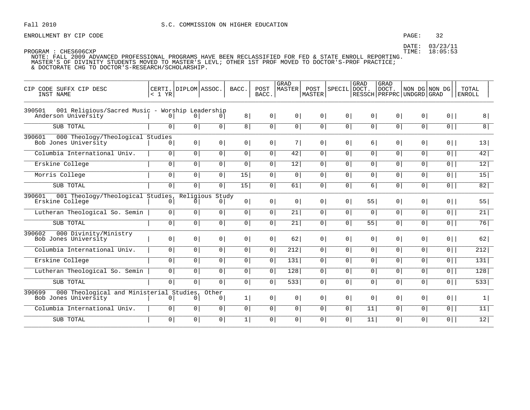### PAGE: 32

DATE: 03/23/11 TIME: 18:05:53

| CODE SUFFX CIP DESC<br>CIP<br>INST NAME                                          | < 1 YR         | CERTI. DIPLOM ASSOC. |                | BACC.          | POST<br>BACC.  | <b>GRAD</b><br><b>MASTER</b> | POST<br>MASTER | SPECIL DOCT.   | <b>GRAD</b>    | <b>GRAD</b><br>DOCT.<br>  RESSCH   PRFPRC   UNDGRD   GRAD | NON DG NON DG  |                | TOTAL<br><b>ENROLL</b> |
|----------------------------------------------------------------------------------|----------------|----------------------|----------------|----------------|----------------|------------------------------|----------------|----------------|----------------|-----------------------------------------------------------|----------------|----------------|------------------------|
| 001 Religious/Sacred Music - Worship Leadership<br>390501<br>Anderson University | $\overline{0}$ | 0 <sup>1</sup>       | $\Omega$       | 8              | 0              | 0 <sup>1</sup>               | $\circ$        | 0 <sup>1</sup> | 0 <sup>1</sup> | 0 <sup>1</sup>                                            | $\circ$        | $0$            | 8 <sup>1</sup>         |
| SUB TOTAL                                                                        | $\circ$        | 0 <sup>1</sup>       | 0              | 8 <sup>1</sup> | 0              | 0 <sup>1</sup>               | 0 <sup>1</sup> | $\overline{0}$ | $\overline{0}$ | 0 <sup>1</sup>                                            | 0 <sup>1</sup> | $\overline{0}$ | 8 <sup>1</sup>         |
| 390601<br>000 Theology/Theological Studies<br>Bob Jones University               | 01             | 0 <sup>1</sup>       | $\overline{0}$ | $\circ$        | 0 <sup>1</sup> | 7                            | 0 <sup>1</sup> | 0 <sup>1</sup> | 6              | 0                                                         | $\overline{0}$ | $0$            | 13                     |
| Columbia International Univ.                                                     | 0 <sup>1</sup> | 0 <sup>1</sup>       | 0 <sup>1</sup> | $\overline{0}$ | 0              | 42                           | 0 <sup>1</sup> | 0 <sup>1</sup> | 0 <sup>1</sup> | 0 <sup>1</sup>                                            | 0 <sup>1</sup> | $0$            | 42                     |
| Erskine College                                                                  | $\circ$        | $\overline{0}$       | $\mathbf 0$    | $\overline{0}$ | 0 <sup>1</sup> | $\overline{12}$              | $\overline{0}$ | 0              | $\overline{0}$ | 0 <sup>1</sup>                                            | $\overline{0}$ | $\overline{0}$ | $\overline{12}$        |
| Morris College                                                                   | $\circ$        | 0 <sup>1</sup>       | 0              | 15             | $\mathsf{O}$   | $\mathbf 0$                  | 0              | 0 <sup>1</sup> | 0 <sup>1</sup> | 0                                                         | $\mathsf{O}$   | $\overline{0}$ | 15                     |
| SUB TOTAL                                                                        | 0 <sup>1</sup> | 0 <sup>1</sup>       | $\overline{0}$ | 15             | $\mathbf 0$    | 61                           | $\overline{0}$ | 0 <sup>1</sup> | 6              | 0 <sup>1</sup>                                            | $\overline{0}$ | $\overline{0}$ | 82                     |
| 390601<br>001 Theology/Theological Studies, Religious Study<br>Erskine College   | $\mathbf{0}$   | $\overline{0}$       | 0              | 0 <sup>1</sup> | 0 <sup>1</sup> | $\overline{0}$               | 0 <sup>1</sup> | 0 <sup>1</sup> | 55             | 0 <sup>1</sup>                                            | $\overline{0}$ | $0$            | 55                     |
| Lutheran Theological So. Semin                                                   | $\overline{0}$ | 0 <sup>1</sup>       | $\circ$        | $\overline{0}$ | $\overline{0}$ | 21                           | 0 <sup>1</sup> | $\overline{0}$ | $\overline{0}$ | 0 <sup>1</sup>                                            | $\overline{0}$ | $\overline{0}$ | 21                     |
| SUB TOTAL                                                                        | $\circ$        | 0 <sup>1</sup>       | 0              | $\mathsf{O}$   | 0              | 21                           | 0              | 0 <sup>1</sup> | 55             | 0                                                         | $\overline{0}$ | $\overline{0}$ | 76                     |
| 000 Divinity/Ministry<br>390602<br>Bob Jones University                          | 0 <sup>1</sup> | 0 <sup>1</sup>       | $\circ$        | $\circ$        | 0              | 62                           | 0 <sup>1</sup> | 0 <sup>1</sup> | 0 <sup>1</sup> | 0 <sup>1</sup>                                            | 0              | $0$            | 62                     |
| Columbia International Univ.                                                     | 0 <sup>1</sup> | 0 <sup>1</sup>       | 0 <sup>1</sup> | 0 <sup>1</sup> | 0              | 212                          | 0 <sup>1</sup> | 0 <sup>1</sup> | 0 <sup>1</sup> | 0 <sup>1</sup>                                            | 0 <sup>1</sup> | $0$            | $\overline{212}$       |
| Erskine College                                                                  | $\circ$        | 0 <sup>1</sup>       | 0              | $\overline{0}$ | 0              | 131                          | 0              | 0 <sup>1</sup> | 0 <sup>1</sup> | 0                                                         | $\overline{0}$ | $\overline{0}$ | 131                    |
| Lutheran Theological So. Semin                                                   | $\overline{0}$ | 0 <sup>1</sup>       | $\mathbf 0$    | $\overline{0}$ | 0 <sup>1</sup> | $\overline{128}$             | $\overline{0}$ | $\overline{0}$ | $\overline{0}$ | 0 <sup>1</sup>                                            | $\overline{0}$ | $0$            | 128                    |
| SUB TOTAL                                                                        | $\circ$        | 0 <sup>1</sup>       | 0              | $\overline{0}$ | 0              | 533                          | 0 <sup>1</sup> | 0 <sup>1</sup> | 0 <sup>1</sup> | 0                                                         | $\overline{0}$ | $\overline{0}$ | 533                    |
| 000 Theological and Ministerial Studies,<br>390699<br>Bob Jones University       | $\circ$        | $\overline{0}$       | Other<br>0     | 1              | 0              | 0 <sup>1</sup>               | 0 <sup>1</sup> | 0 <sup>1</sup> | 0 <sup>1</sup> | 0 <sup>1</sup>                                            | 0 <sup>1</sup> | $0$            | 1                      |
| Columbia International Univ.                                                     | $\circ$        | $\overline{0}$       | 0              | $\overline{0}$ | 0              | $\mathbf 0$                  | 0              | $\overline{0}$ | 11             | 0 <sup>1</sup>                                            | $\overline{0}$ | $\overline{0}$ | 11                     |
| SUB TOTAL                                                                        | $\circ$        | $\circ$              | 0              | $\mathbf{1}$   | $\mathsf{O}$   | $\mathbf{0}$                 | 0              | $\overline{0}$ | 11             | 0                                                         | 0              | $0$            | $\overline{12}$        |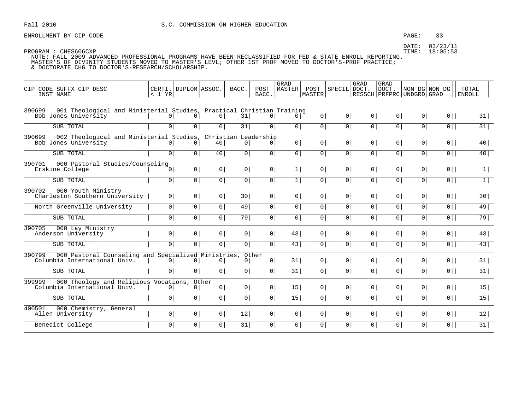ENROLLMENT BY CIP CODE **EXAMPLE 2008** PAGE: 33

DATE: 03/23/11

| CIP CODE SUFFX CIP DESC<br>INST NAME                                                                    | $< 1$ YR       | CERTI. DIPLOM ASSOC. |                | BACC.                      | POST<br>BACC.  | <b>GRAD</b><br> MASTER | POST<br>MASTER | SPECIL DOCT.   | GRAD            | <b>GRAD</b><br>DOCT. | NON DG NON DG<br>RESSCH   PRFPRC   UNDGRD   GRAD |                | TOTAL<br><b>ENROLL</b> |
|---------------------------------------------------------------------------------------------------------|----------------|----------------------|----------------|----------------------------|----------------|------------------------|----------------|----------------|-----------------|----------------------|--------------------------------------------------|----------------|------------------------|
| 001 Theological and Ministerial Studies, Practical Christian Training<br>390699<br>Bob Jones University | 0 <sup>1</sup> | 0                    | 0 <sup>1</sup> | 31                         | 0 <sup>1</sup> | 0                      | 0              | 0 <sup>1</sup> | 0               | 0 <sup>1</sup>       | 0 <sup>1</sup>                                   | $0$            | 31                     |
| SUB TOTAL                                                                                               | $\overline{0}$ | $\overline{0}$       | 0 <sup>1</sup> | 31                         | 0 <sup>1</sup> | $\overline{0}$         | $\overline{0}$ | 0 <sup>1</sup> | $\overline{0}$  | $\overline{0}$       | $\overline{0}$                                   | 0              | 31                     |
| 002 Theological and Ministerial Studies,<br>390699<br>Bob Jones University                              | 0              | 0                    | 40             | Christian Leadership<br> 0 | 0 <sup>1</sup> | 0 <sup>1</sup>         | 0 <sup>1</sup> | 0 <sup>1</sup> | 0 <sup>1</sup>  | 0 <sup>1</sup>       | 0 <sup>1</sup>                                   | $0$            | 40                     |
| SUB TOTAL                                                                                               | 0 <sup>1</sup> | 0 <sup>1</sup>       | 40             | 0                          | 0 <sup>1</sup> | 0 <sup>1</sup>         | 0 <sup>1</sup> | 0 <sup>1</sup> | 0 <sup>1</sup>  | 0 <sup>1</sup>       | 0 <sup>1</sup>                                   | $0$            | 40                     |
| 000 Pastoral Studies/Counseling<br>390701<br>Erskine College                                            | 0              | 0                    | 0 <sup>1</sup> | 0                          | 0 <sup>1</sup> | 1                      | 0 <sup>1</sup> | 0 <sup>1</sup> | 0 <sup>1</sup>  | 0 <sup>1</sup>       | 0 <sup>1</sup>                                   | $0$            | 1                      |
| SUB TOTAL                                                                                               | $\overline{0}$ | 0 <sup>1</sup>       | 0 <sup>1</sup> | 0                          | $\overline{0}$ | 1                      | $\overline{0}$ | 0 <sup>1</sup> | 0 <sup>1</sup>  | 0 <sup>1</sup>       | 0 <sup>1</sup>                                   | $0$            | 1                      |
| 390702<br>000 Youth Ministry<br>Charleston Southern University                                          | 0 <sup>1</sup> | 0                    | 0 <sup>1</sup> | 30 <sup>1</sup>            | $\circ$        | $\overline{0}$         | 0 <sup>1</sup> | 0 <sup>1</sup> | 0 <sup>1</sup>  | 0 <sup>1</sup>       | 0 <sup>1</sup>                                   | $0$            | 30 <sup>1</sup>        |
| North Greenville University                                                                             | 0 <sup>1</sup> | 0 <sup>1</sup>       | $\overline{0}$ | 49                         | $\circ$        | $\overline{0}$         | 0 <sup>1</sup> | 0 <sup>1</sup> | $\overline{0}$  | $\overline{0}$       | $\overline{0}$                                   | $\overline{0}$ | 49                     |
| SUB TOTAL                                                                                               | $\overline{0}$ | 0 <sup>1</sup>       | 0 <sup>1</sup> | 79                         | 0 <sup>1</sup> | 0 <sup>1</sup>         | $\overline{0}$ | 0 <sup>1</sup> | $\overline{0 }$ | 0 <sup>1</sup>       | 0 <sup>1</sup>                                   | $\overline{0}$ | 79                     |
| 390705<br>000 Lay Ministry<br>Anderson University                                                       | 0 <sup>1</sup> | 0                    | 0              | 0                          | 0 <sup>1</sup> | 43                     | 0 <sup>1</sup> | 0 <sup>1</sup> | 0 <sup>1</sup>  | 0 <sup>1</sup>       | 0 <sup>1</sup>                                   | $0$            | 43                     |
| SUB TOTAL                                                                                               | 0              | 0 <sup>1</sup>       | 0 <sup>1</sup> | 0                          | $\overline{0}$ | $\overline{43}$        | 0              | 0 <sup>1</sup> | $\overline{0}$  | $\overline{0}$       | $\overline{0}$                                   | $\overline{0}$ | 43                     |
| 390799<br>000 Pastoral Counseling and Specialized Ministries,<br>Columbia International Univ.           | 0 <sup>1</sup> | $\circ$              | 0 <sup>1</sup> | 0                          | Other<br>0     | 31                     | 0 <sup>1</sup> | 0 <sup>1</sup> | 0 <sup>1</sup>  | 0 <sup>1</sup>       | 0 <sup>1</sup>                                   | $0$            | 31                     |
| SUB TOTAL                                                                                               | $\overline{0}$ | 0                    | 0              | $\overline{0}$             | $\overline{0}$ | 31                     | 0              | 0 <sup>1</sup> | $\overline{0}$  | $\overline{0}$       | $\overline{0}$                                   | $0$            | 31                     |
| 399999<br>000 Theology and Religious Vocations, Other<br>Columbia International Univ.                   | 0              | 0                    | 0 <sup>1</sup> | 0                          | 0 <sup>1</sup> | 15 <sup>1</sup>        | 0 <sup>1</sup> | 0 <sup>1</sup> | 0 <sup>1</sup>  | 0 <sup>1</sup>       | 0 <sup>1</sup>                                   | $0$            | 15                     |
| SUB TOTAL                                                                                               | 0 <sup>1</sup> | 0 <sup>1</sup>       | 0 <sup>1</sup> | $\overline{0}$             | 0 <sup>1</sup> | $\overline{15}$        | 0 <sup>1</sup> | 0 <sup>1</sup> | $\overline{0 }$ | $\overline{0}$       | 0 <sup>1</sup>                                   | $\overline{0}$ | $\overline{15}$        |
| 400501<br>000 Chemistry, General<br>Allen University                                                    | 0 <sup>1</sup> | 0                    | 0 <sup>1</sup> | 12                         | 0 <sup>1</sup> | 0 <sup>1</sup>         | 0 <sup>1</sup> | 0 <sup>1</sup> | 0               | 0 <sup>1</sup>       | 0 <sup>1</sup>                                   | $0$            | 12                     |
| Benedict College                                                                                        | $\circ$        | 0 <sup>1</sup>       | 0 <sup>1</sup> | 31                         | 0 <sup>1</sup> | $\overline{0}$         | 0 <sup>1</sup> | 0 <sup>1</sup> | 0 <sup>1</sup>  | 0 <sup>1</sup>       | $\overline{0}$                                   | $0$            | 31                     |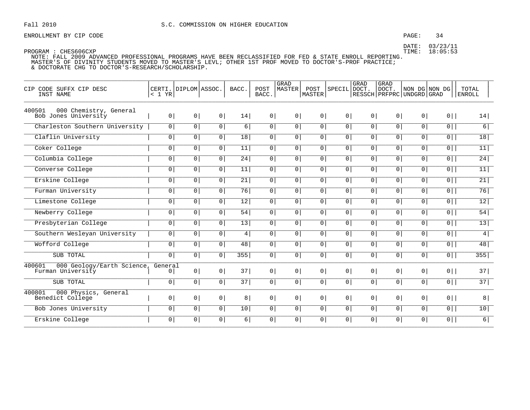### PAGE: 34

DATE: 03/23/11

PROGRAM : CHES606CXP

TIME: 18:05:53

| CODE SUFFX CIP DESC<br>CIP<br>INST NAME                   | < 1 YR         | CERTI. DIPLOM ASSOC. |                | BACC.    | POST<br>BACC.  | GRAD<br><b>MASTER</b> | POST<br>MASTER | SPECIL         | GRAD<br>DOCT.  | GRAD<br>DOCT.<br>RESSCH PRFPRC UNDGRD GRAD | NON DG NON DG  |                | <b>TOTAL</b><br><b>ENROLL</b> |
|-----------------------------------------------------------|----------------|----------------------|----------------|----------|----------------|-----------------------|----------------|----------------|----------------|--------------------------------------------|----------------|----------------|-------------------------------|
| 400501<br>000 Chemistry, General<br>Bob Jones University  | 0 <sup>1</sup> | 0 <sup>1</sup>       | 0 <sup>1</sup> | 14       | 0 <sup>1</sup> | 0 <sup>1</sup>        | 0 <sup>1</sup> | 0 <sup>1</sup> | 0 <sup>1</sup> | 0 <sup>1</sup>                             | 0 <sup>1</sup> | $0$            | 14                            |
| Charleston Southern University                            | 0 <sup>1</sup> | 0                    | $\boxed{0}$    | 6        | 0 <sup>1</sup> | 0 <sup>1</sup>        | $\overline{0}$ | $\overline{0}$ | $\overline{0}$ | 0 <sup>1</sup>                             | $\overline{0}$ | $0$            | $6\overline{)}$               |
| Claflin University                                        | $\mathbf 0$    | $\mathbf 0$          | 0 <sup>1</sup> | 18       | 0 <sup>1</sup> | 0 <sup>1</sup>        | 0              | 0 <sup>1</sup> | 0 <sup>1</sup> | 0                                          | $\overline{0}$ | $\overline{0}$ | 18 <sup>1</sup>               |
| Coker College                                             | $\mathsf{O}$   | $\circ$              | $\boxed{0}$    | 11       | 0 <sup>1</sup> | 0 <sup>1</sup>        | 0              | $\overline{0}$ | $\overline{0}$ | 0 <sup>1</sup>                             | $\overline{0}$ | $0$            | 11                            |
| Columbia College                                          | $\mathbf 0$    | $\mathbf 0$          | 0              | 24       | $\mathsf{O}$   | 0 <sup>1</sup>        | $\circ$        | 0 <sup>1</sup> | 0 <sup>1</sup> | 0                                          | 0              | 0              | 24                            |
| Converse College                                          | $\mathbf 0$    | $\overline{0}$       | $\overline{0}$ | 11       | 0 <sup>1</sup> | 0 <sup>1</sup>        | 0 <sup>1</sup> | 0 <sup>1</sup> | 0              | 0                                          | $\mathbf 0$    | $\overline{0}$ | 11                            |
| Erskine College                                           | $\mathbf 0$    | $\mathbf 0$          | $\overline{0}$ | 21       | $\mathsf{O}$   | 0 <sup>1</sup>        | 0              | 0 <sup>1</sup> | 0 <sup>1</sup> | 0                                          | 0              | $\overline{0}$ | 21                            |
| Furman University                                         | $\mathbf 0$    | $\circ$              | $\overline{0}$ | 76       | 0 <sup>1</sup> | 0 <sup>1</sup>        | 0              | $\overline{0}$ | 0 <sup>1</sup> | 0 <sup>1</sup>                             | $\overline{0}$ | 0              | 76                            |
| Limestone College                                         | $\mathbf 0$    | $\mathbf 0$          | $\overline{0}$ | 12       | 0 <sup>1</sup> | 0 <sup>1</sup>        | 0 <sup>1</sup> | 0 <sup>1</sup> | 0 <sup>1</sup> | 0                                          | 0              | $\overline{0}$ | 12                            |
| Newberry College                                          | $\mathbf 0$    | $\circ$              | $\overline{0}$ | 54       | $\overline{0}$ | 0                     | 0              | $\overline{0}$ | $\overline{0}$ | $\overline{0}$                             | $\overline{0}$ | $\overline{0}$ | 54                            |
| Presbyterian College                                      | $\mathsf{O}$   | $\mathbf 0$          | $\overline{0}$ | 13       | 0 <sup>1</sup> | 0 <sup>1</sup>        | 0              | 0 <sup>1</sup> | 0 <sup>1</sup> | 0                                          | $\overline{0}$ | $\overline{0}$ | 13                            |
| Southern Wesleyan University                              | 0 <sup>1</sup> | $\circ$              | 0              | 4        | $\circ$        | 0 <sup>1</sup>        | 0 <sup>1</sup> | 0 <sup>1</sup> | $\overline{0}$ | 0                                          | $\overline{0}$ | $0$            | 4                             |
| Wofford College                                           | $\overline{0}$ | $\overline{0}$       | $\overline{0}$ | 48       | $\overline{0}$ | $\overline{0}$        | 0              | $\overline{0}$ | 0 <sup>1</sup> | 0                                          | $\overline{0}$ | 0              | 48                            |
| SUB TOTAL                                                 | $\overline{0}$ | $\circ$              | $\overline{0}$ | 355      | 0 <sup>1</sup> | 0 <sup>1</sup>        | $\circ$        | 0 <sup>1</sup> | 0 <sup>1</sup> | 0                                          | $\overline{0}$ | $\overline{0}$ | $\overline{355}$              |
| 400601<br>000 Geology/Earth Science,<br>Furman University | General<br> 0  | 0 <sup>1</sup>       | 0 <sup>1</sup> | 37       | 0 <sup>1</sup> | 0 <sup>1</sup>        | 0 <sup>1</sup> | 0 <sup>1</sup> | 0 <sup>1</sup> | 0 <sup>1</sup>                             | 0 <sup>1</sup> | $0$            | 37                            |
| SUB TOTAL                                                 | $\mathbf 0$    | $\mathbf 0$          | 0 <sup>1</sup> | 37       | 0 <sup>1</sup> | 0 <sup>1</sup>        | 0              | 0 <sup>1</sup> | 0 <sup>1</sup> | 0                                          | $\overline{0}$ | $0$            | $\overline{37}$               |
| 400801<br>000 Physics, General<br>Benedict College        | 0 <sup>1</sup> | 0 <sup>1</sup>       | 0 <sup>1</sup> | 8        | 0 <sup>1</sup> | 0 <sup>1</sup>        | 0 <sup>1</sup> | 0 <sup>1</sup> | 0 <sup>1</sup> | 0 <sup>1</sup>                             | 0 <sup>1</sup> | $0$            | 8                             |
| Bob Jones University                                      | 0 <sup>1</sup> | $\circ$              | $\overline{0}$ | 10       | 0 <sup>1</sup> | 0                     | 0 <sup>1</sup> | 0 <sup>1</sup> | 0 <sup>1</sup> | 0                                          | $\overline{0}$ | $\overline{0}$ | 10                            |
| Erskine College                                           | $\mathbf 0$    | $\mathbf 0$          | 0 <sup>1</sup> | $6 \mid$ | $\mathsf{O}$   | 0                     | $\circ$        | 0 <sup>1</sup> | 0 <sup>1</sup> | 0                                          | 0              | $\boxed{0}$    | 6                             |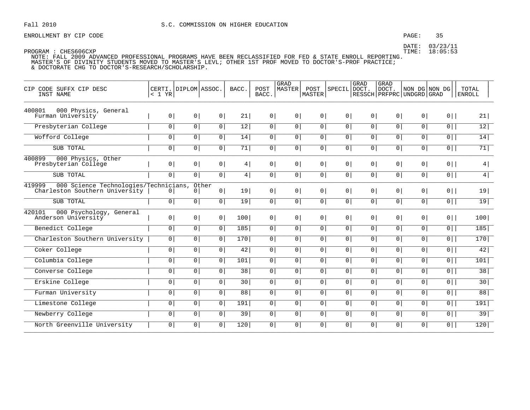### PAGE: 35

DATE: 03/23/11 TIME: 18:05:53

| CIP CODE SUFFX CIP DESC<br>INST NAME                                              | CERTI. DIPLOM ASSOC.<br>< 1 YR |                |                         | BACC.           | POST<br>BACC.  | <b>GRAD</b><br>MASTER | POST<br>MASTER | SPECIL         | GRAD<br>DOCT.  | <b>GRAD</b><br><b>DOCT</b><br>RESSCH   PRFPRC   UNDGRD   GRAD | NON DG NON DG  |                | TOTAL<br><b>ENROLL</b> |
|-----------------------------------------------------------------------------------|--------------------------------|----------------|-------------------------|-----------------|----------------|-----------------------|----------------|----------------|----------------|---------------------------------------------------------------|----------------|----------------|------------------------|
| 400801<br>000 Physics, General<br>Furman University                               | 0 <sup>1</sup>                 | 0 <sup>1</sup> | 0 <sup>1</sup>          | 21              | 0 <sup>1</sup> | 0 <sup>1</sup>        | 0 <sup>1</sup> | 0 <sup>1</sup> | 0 <sup>1</sup> | 0 <sup>1</sup>                                                | 0 <sup>1</sup> | $0$            | 21                     |
| Presbyterian College                                                              | $\overline{0}$                 | $\circ$        | $\overline{0}$          | 12              | $\circ$        | $\overline{0}$        | 0              | $\overline{0}$ | $\overline{0}$ | $\overline{0}$                                                | $\overline{0}$ | $\overline{0}$ | 12                     |
| Wofford College                                                                   | $\mathbf 0$                    | $\mathbf 0$    | 0 <sup>1</sup>          | 14              | $\circ$        | 0 <sup>1</sup>        | 0 <sup>1</sup> | 0 <sup>1</sup> | 0 <sup>1</sup> | 0                                                             | 0              | $\overline{0}$ | 14                     |
| SUB TOTAL                                                                         | $\mathsf{O}$                   | $\circ$        | $\overline{0}$          | 71              | $\overline{0}$ | $\overline{0}$        | 0              | $\overline{0}$ | $\overline{0}$ | 0                                                             | $\overline{0}$ | $\overline{0}$ | 71                     |
| 400899<br>000 Physics, Other<br>Presbyterian College                              | $\overline{0}$                 | 0 <sup>1</sup> | 0 <sup>1</sup>          | 4               | $\overline{0}$ | $\overline{0}$        | 0 <sup>1</sup> | 0 <sup>1</sup> | 0 <sup>1</sup> | $\overline{0}$                                                | $\circ$        | $0$            | 4                      |
| SUB TOTAL                                                                         | $\overline{0}$                 | $\overline{0}$ | $\boxed{0}$             | 4               | 0 <sup>1</sup> | $\overline{0}$        | 0              | $\overline{0}$ | $\overline{0}$ | $\overline{0}$                                                | $\overline{0}$ | $\overline{0}$ | $\overline{4}$         |
| 419999<br>000 Science Technologies/Technicians,<br>Charleston Southern University | $\mathbf{0}$                   | 0              | Other<br>0 <sup>1</sup> | 19              | 0 <sup>1</sup> | 0 <sup>1</sup>        | 0 <sup>1</sup> | 0 <sup>1</sup> | 0 <sup>1</sup> | 0 <sup>1</sup>                                                | 0 <sup>1</sup> | $0$            | 19                     |
| SUB TOTAL                                                                         | 0 <sup>1</sup>                 | $\circ$        | 0                       | 19              | 0 <sup>1</sup> | 0 <sup>1</sup>        | 0 <sup>1</sup> | 0 <sup>1</sup> | 0 <sup>1</sup> | 0 <sup>1</sup>                                                | $\circ$        | $\overline{0}$ | 19                     |
| 420101<br>000 Psychology, General<br>Anderson University                          | 0 <sup>1</sup>                 | 0              | 0 <sup>1</sup>          | 100             | $\overline{0}$ | $\overline{0}$        | 0 <sup>1</sup> | 0 <sup>1</sup> | 0 <sup>1</sup> | 0 <sup>1</sup>                                                | $\circ$        | $0$            | 100                    |
| Benedict College                                                                  | $\mathbf 0$                    | $\mathbf 0$    | $\overline{0}$          | 185             | 0              | 0 <sup>1</sup>        | 0              | $\overline{0}$ | 0 <sup>1</sup> | 0 <sup>1</sup>                                                | $\overline{0}$ | $\overline{0}$ | 185                    |
| Charleston Southern University                                                    | 0 <sup>1</sup>                 | 0              | 0 <sup>1</sup>          | 170             | $\overline{0}$ | $\overline{0}$        | 0              | 0 <sup>1</sup> | 0 <sup>1</sup> | 0                                                             | 0              | 0              | 170                    |
| Coker College                                                                     | $\mathsf{O}$                   | 0              | 0                       | 42              | 0 <sup>1</sup> | 0 <sup>1</sup>        | 0              | 0 <sup>1</sup> | 0 <sup>1</sup> | 0                                                             | $\overline{0}$ | $0$            | 42                     |
| Columbia College                                                                  | $\overline{0}$                 | $\overline{0}$ | $\overline{0}$          | 101             | $\overline{0}$ | $\overline{0}$        | 0              | 0 <sup>1</sup> | 0              | $\overline{0}$                                                | $\overline{0}$ | 0              | 101                    |
| Converse College                                                                  | $\mathbf 0$                    | $\mathbf 0$    | $\overline{0}$          | $\overline{38}$ | 0 <sup>1</sup> | 0 <sup>1</sup>        | 0              | 0 <sup>1</sup> | 0 <sup>1</sup> | 0                                                             | 0              | 0              | 38                     |
| Erskine College                                                                   | $\overline{0}$                 | $\mathsf{O}$   | 0                       | 30              | 0 <sup>1</sup> | 0 <sup>1</sup>        | 0 <sup>1</sup> | 0 <sup>1</sup> | 0 <sup>1</sup> | 0                                                             | $\overline{0}$ | $0$            | 30                     |
| Furman University                                                                 | $\mathbf 0$                    | 0              | $\overline{0}$          | 88              | 0 <sup>1</sup> | $\overline{0}$        | 0 <sup>1</sup> | 0 <sup>1</sup> | 0 <sup>1</sup> | 0                                                             | 0              | $\overline{0}$ | 88                     |
| Limestone College                                                                 | $\mathbf 0$                    | $\mathbf 0$    | $\sqrt{0}$              | 191             | $\circ$        | $\overline{0}$        | $\overline{0}$ | 0              | 0              | $\overline{0}$                                                | 0              | 0              | 191                    |
| Newberry College                                                                  | 0 <sup>1</sup>                 | 0 <sup>1</sup> | 0                       | 39              | 0 <sup>1</sup> | 0 <sup>1</sup>        | 0 <sup>1</sup> | 0 <sup>1</sup> | 0 <sup>1</sup> | 0 <sup>1</sup>                                                | 0 <sup>1</sup> | $0$            | 39                     |
| North Greenville University                                                       | $\mathbf{0}$                   | 0              | 0                       | 120             | 0 <sup>1</sup> | 0 <sup>1</sup>        | 0              | $\overline{0}$ | 0 <sup>1</sup> | 0                                                             | 0              | $\overline{0}$ | 120                    |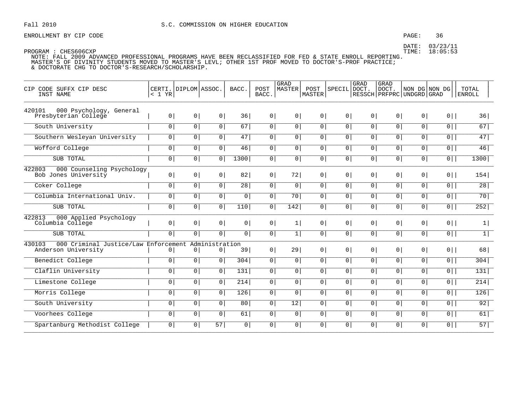### PAGE: 36

DATE: 03/23/11 TIME: 18:05:53

| CODE SUFFX CIP DESC<br>CIP<br>INST NAME                               | CERTI.<br>$< 1$ YR | DIPLOM ASSOC.  |                     | BACC.          | POST<br>BACC.  | <b>GRAD</b><br>MASTER | POST<br>MASTER | SPECIL DOCT.   | GRAD           | <b>GRAD</b><br>DOCT.<br>  RESSCH   PRFPRC   UNDGRD   GRAD |                | NON DG NON DG  | TOTAL<br><b>ENROLL</b> |
|-----------------------------------------------------------------------|--------------------|----------------|---------------------|----------------|----------------|-----------------------|----------------|----------------|----------------|-----------------------------------------------------------|----------------|----------------|------------------------|
| 420101<br>000 Psychology, General<br>Presbyterian College             | 0 <sup>1</sup>     | 0 <sup>1</sup> | 0 <sup>1</sup>      | 36             | 0 <sup>1</sup> | 0 <sup>1</sup>        | 0 <sup>1</sup> | 0 <sup>1</sup> | 0 <sup>1</sup> | 0 <sup>1</sup>                                            | 0 <sup>1</sup> | $0$            | 36                     |
| South University                                                      | $\overline{0}$     | 0              | 0 <sup>1</sup>      | 67             | 0              | 0 <sup>1</sup>        | 0 <sup>1</sup> | $\overline{0}$ | $\overline{0}$ | 0 <sup>1</sup>                                            | $\overline{0}$ | $\overline{0}$ | 67                     |
| Southern Wesleyan University                                          | $\circ$            | $\overline{0}$ | $\overline{0}$      | 47             | 0 <sup>1</sup> | $\overline{0}$        | $\overline{0}$ | $\overline{0}$ | $\overline{0}$ | 0 <sup>1</sup>                                            | $\overline{0}$ | 0              | 47                     |
| Wofford College                                                       | $\circ$            | 0 <sup>1</sup> | 0                   | 46             | $\mathsf{O}$   | $\mathbf 0$           | 0              | $\overline{0}$ | 0 <sup>1</sup> | 0                                                         | $\overline{0}$ | $0$            | 46                     |
| SUB TOTAL                                                             | $\overline{0}$     | 0 <sup>1</sup> | 0 <sup>1</sup>      | 1300           | 0              | $\mathbf 0$           | 0 <sup>1</sup> | $\overline{0}$ | $\overline{0}$ | 0 <sup>1</sup>                                            | $\overline{0}$ | 0              | 1300                   |
| 422803<br>000 Counseling Psychology<br>Bob Jones University           | 0 <sup>1</sup>     | 0 <sup>1</sup> | 0 <sup>1</sup>      | 82             | 0              | 72                    | 0 <sup>1</sup> | 0 <sup>1</sup> | 0 <sup>1</sup> | 0 <sup>1</sup>                                            | 0 <sup>1</sup> | $0$            | 154                    |
| Coker College                                                         | 0 <sup>1</sup>     | 0 <sup>1</sup> | 0 <sup>1</sup>      | 28             | 0              | $\overline{0}$        | 0 <sup>1</sup> | 0 <sup>1</sup> | 0 <sup>1</sup> | 0 <sup>1</sup>                                            | $\overline{0}$ | $0$            | 28                     |
| Columbia International Univ.                                          | $\circ$            | 0 <sup>1</sup> | 0                   | $\mathsf{O}$   | 0              | $\overline{70}$       | 0              | 0 <sup>1</sup> | 0 <sup>1</sup> | 0                                                         | $\overline{0}$ | $\overline{0}$ | 70                     |
| SUB TOTAL                                                             | $\overline{0}$     | 0 <sup>1</sup> | 0 <sup>1</sup>      | 110            | 0              | 142                   | 0              | $\overline{0}$ | $\overline{0}$ | 0 <sup>1</sup>                                            | 0 <sup>1</sup> | $\overline{0}$ | $\overline{252}$       |
| 422813<br>000 Applied Psychology<br>Columbia College                  | 0 <sup>1</sup>     | 0 <sup>1</sup> | 0 <sup>1</sup>      | 0 <sup>1</sup> | 0              | 1                     | 0 <sup>1</sup> | 0 <sup>1</sup> | 0 <sup>1</sup> | 0 <sup>1</sup>                                            | $\overline{0}$ | $0$            | $\vert$                |
| SUB TOTAL                                                             | $\overline{0}$     | 0 <sup>1</sup> | 0                   | $\overline{0}$ | 0              | 1                     | 0              | $\overline{0}$ | 0 <sup>1</sup> | 0 <sup>1</sup>                                            | 0 <sup>1</sup> | $\overline{0}$ | $\overline{1}$         |
| 430103<br>000 Criminal Justice/Law Enforcement<br>Anderson University | 0 <sup>1</sup>     | $\circ$        | Administration<br>0 | 39             | 0              | 29                    | 0 <sup>1</sup> | 0 <sup>1</sup> | 0 <sup>1</sup> | 0 <sup>1</sup>                                            | 0 <sup>1</sup> | $0$            | 68                     |
| Benedict College                                                      | $\circ$            | 0 <sup>1</sup> | $\overline{0}$      | 304            | 0              | $\overline{0}$        | $\overline{0}$ | $\overline{0}$ | $\overline{0}$ | 0 <sup>1</sup>                                            | $\overline{0}$ | $\overline{0}$ | 304                    |
| Claflin University                                                    | $\circ$            | 0 <sup>1</sup> | 0 <sup>1</sup>      | 131            | 0              | $\mathsf{O}$          | 0 <sup>1</sup> | 0 <sup>1</sup> | 0 <sup>1</sup> | 0                                                         | $\mathsf{O}$   | $\overline{0}$ | 131                    |
| Limestone College                                                     | $\circ$            | 0 <sup>1</sup> | $\circ$             | 214            | 0              | 0 <sup>1</sup>        | 0 <sup>1</sup> | 0 <sup>1</sup> | 0 <sup>1</sup> | 0 <sup>1</sup>                                            | 0 <sup>1</sup> | $\overline{0}$ | 214                    |
| Morris College                                                        | $\overline{0}$     | 0              | 0                   | 126            | $\overline{0}$ | $\mathsf{O}$          | $\overline{0}$ | $\overline{0}$ | 0 <sup>1</sup> | 0 <sup>1</sup>                                            | $\mathsf{O}$   | $\overline{0}$ | 126                    |
| South University                                                      | $\circ$            | 0 <sup>1</sup> | $\mathbf 0$         | 80             | $\mathbf 0$    | $\overline{12}$       | $\overline{0}$ | 0 <sup>1</sup> | 0              | 0                                                         | 0              | $\overline{0}$ | 92                     |
| Voorhees College                                                      | $\overline{0}$     | 0 <sup>1</sup> | $\mathsf{O}$        | 61             | 0 <sup>1</sup> | $\overline{0}$        | 0 <sup>1</sup> | 0 <sup>1</sup> | $\overline{0}$ | 0 <sup>1</sup>                                            | $\overline{0}$ | $\overline{0}$ | 61                     |
| Spartanburg Methodist College                                         | $\circ$            | 0 <sup>1</sup> | $\overline{57}$     | $\circ$        | $\mathsf{O}$   | $\mathbf 0$           | 0 <sup>1</sup> | 0 <sup>1</sup> | 0 <sup>1</sup> | 0 <sup>1</sup>                                            | $\mathbf{0}$   | $\overline{0}$ | 57                     |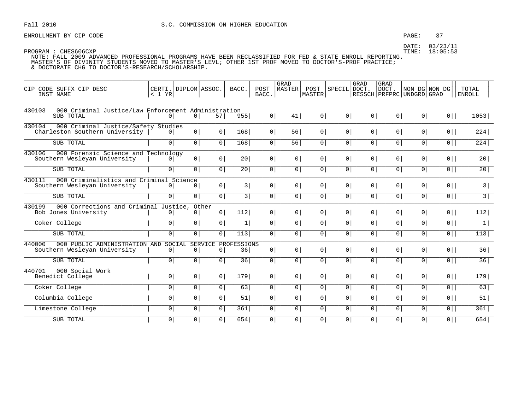ENROLLMENT BY CIP CODE **EXAMPLE 2008** PAGE: 37

| CIP CODE SUFFX CIP DESC<br>INST NAME                                              | CERTI. DIPLOM ASSOC.<br>< 1 YR |                |                      | BACC.             | POST<br>BACC.  | GRAD<br>MASTER | POST<br>MASTER  | SPECIL DOCT.   | GRAD           | <b>GRAD</b><br>DOCT. | NON DG NON DG<br>  RESSCH   PRFPRC   UNDGRD   GRAD |                | TOTAL<br><b>ENROLL</b> |
|-----------------------------------------------------------------------------------|--------------------------------|----------------|----------------------|-------------------|----------------|----------------|-----------------|----------------|----------------|----------------------|----------------------------------------------------|----------------|------------------------|
| 000 Criminal Justice/Law Enforcement Administration<br>430103<br>SUB TOTAL        | 0 <sup>1</sup>                 | 0              | 57                   | 955               | $0 \mid$       | 41             | 0               | 0              | 0              | 0                    | 0                                                  | $0$            | 1053                   |
| 430104<br>000 Criminal Justice/Safety Studies<br>Charleston Southern University   | 0 <sup>1</sup>                 | 0              | 0                    | 168               | 0 <sup>1</sup> | 56             | 0               | 0 <sup>1</sup> | 0 <sup>1</sup> | 0 <sup>1</sup>       | 0 <sup>1</sup>                                     | $0$            | 224                    |
| SUB TOTAL                                                                         | $\overline{0}$                 | $\overline{0}$ | $\overline{0}$       | 168               | $\overline{0}$ | 56             | $\overline{0}$  | $\overline{0}$ | 0              | $\overline{0}$       | 0                                                  | $\overline{0}$ | 224                    |
| 430106<br>000 Forensic Science and Technology<br>Southern Wesleyan University     | 0 <sup>1</sup>                 | 0              | 0                    | 20 <sub>1</sub>   | 0 <sup>1</sup> | 0 <sup>1</sup> | 0               | 0 <sup>1</sup> | 0              | 0                    | 0 <sup>1</sup>                                     | $0$            | 20                     |
| SUB TOTAL                                                                         | 0 <sup>1</sup>                 | $\overline{0}$ | $\overline{0}$       | 20 <sup>1</sup>   | $\overline{0}$ | 0              | $\overline{0}$  | 0 <sup>1</sup> | 0              | 0                    | 0 <sup>1</sup>                                     | $0$            | 20                     |
| 430111<br>000 Criminalistics and Criminal Science<br>Southern Wesleyan University | 0 <sup>1</sup>                 | 0              | 0                    | 3                 | 0              | 0 <sup>1</sup> | 0               | 0 <sup>1</sup> | 0 <sup>1</sup> | 0 <sup>1</sup>       | 0 <sup>1</sup>                                     | $0$            | 3                      |
| SUB TOTAL                                                                         | 0                              | 0              | $\overline{0}$       | $\overline{3}$    | $\overline{0}$ | 0              | $\overline{0}$  | $\overline{0}$ | 0              | $\overline{0}$       | $\overline{0}$                                     | $\overline{0}$ | $\overline{3}$         |
| 000 Corrections and Criminal Justice, Other<br>430199<br>Bob Jones University     | 0                              | 0 <sup>1</sup> | $0 \mid$             | 112               | 0              | $\circ$        | 0 <sup>1</sup>  | 0 <sup>1</sup> | 0 <sup>1</sup> | 0 <sup>1</sup>       | 0 <sup>1</sup>                                     | $0$            | 112                    |
| Coker College                                                                     | 0 <sup>1</sup>                 | 0              | $\overline{0}$       | 1                 | $\overline{0}$ | $\circ$        | $\overline{0}$  | $\overline{0}$ | 0              | 0                    | $\circ$                                            | $\overline{0}$ | $\overline{1}$         |
| SUB TOTAL                                                                         | 0                              | $\overline{0}$ | $\overline{0}$       | 113               | $\overline{0}$ | $\circ$        | $\overline{0 }$ | 0 <sup>1</sup> | $\overline{0}$ | $\overline{0}$       | $\overline{0}$                                     | $\overline{0}$ | $\overline{113}$       |
| 440000<br>000 PUBLIC ADMINISTRATION AND<br>Southern Wesleyan University           | SOCIAL<br>$\circ$              | 0              | <b>SERVICE</b><br> 0 | PROFESSIONS<br>36 | 0              | 0 <sup>1</sup> | $0 \mid$        | 0 <sup>1</sup> | 0              | 0 <sup>1</sup>       | 0 <sup>1</sup>                                     | $0$            | 36                     |
| SUB TOTAL                                                                         | 0 <sup>1</sup>                 | 0              | 0                    | 36                | $\overline{0}$ | 0 <sup>1</sup> | 0               | $\overline{0}$ | 0 <sup>1</sup> | 0 <sup>1</sup>       | $\circ$                                            | $\overline{0}$ | 36                     |
| 440701<br>000 Social Work<br>Benedict College                                     | 0                              | 0              | 0                    | 179               | 0              | 0 <sup>1</sup> | 0               | 0 <sup>1</sup> | 0              | 0 <sup>1</sup>       | 0 <sup>1</sup>                                     | $0$            | 179                    |
| Coker College                                                                     | 0 <sup>1</sup>                 | 0              | $\overline{0}$       | 63                | $\overline{0}$ | 0 <sup>1</sup> | $\overline{0}$  | $\overline{0}$ | $\overline{0}$ | $\overline{0}$       | $\overline{0}$                                     | $\overline{0}$ | 63                     |
| Columbia College                                                                  | $\overline{0}$                 | 0 <sup>1</sup> | $\overline{0}$       | 51                | $\overline{0}$ | 0              | 0               | 0 <sup>1</sup> | 0 <sup>1</sup> | 0                    | 0 <sup>1</sup>                                     | $0$            | 51                     |
| Limestone College                                                                 | 0                              | $\overline{0}$ | $\overline{0}$       | 361               | $\overline{0}$ | 0 <sup>1</sup> | $\overline{0}$  | 0 <sup>1</sup> | 0              | $\overline{0}$       | $\overline{0}$                                     | $\overline{0}$ | 361                    |
| SUB TOTAL                                                                         | 0 <sup>1</sup>                 | $\overline{0}$ | 0 <sup>1</sup>       | 654               | $\overline{0}$ | $\circ$        | 0               | 0 <sup>1</sup> | 0 <sup>1</sup> | 0                    | $\circ$                                            | $0$            | 654                    |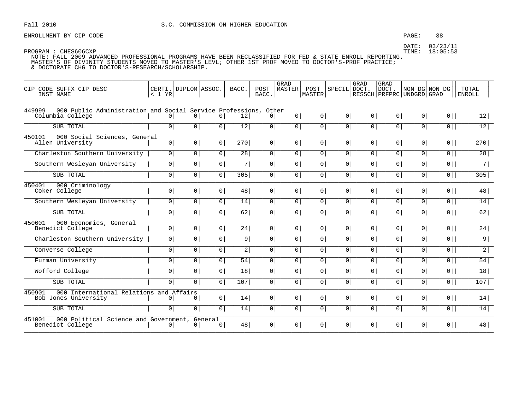### PAGE: 38

DATE: 03/23/11 TIME: 18:05:53

| CIP CODE SUFFX CIP DESC<br>INST NAME                                                          | < 1 YR         | CERTI. DIPLOM ASSOC. |                           | BACC.           | POST<br>BACC.  | <b>GRAD</b><br><b>MASTER</b> | POST<br>MASTER | SPECIL         | <b>GRAD</b><br>DOCT. | GRAD<br>DOCT.<br>  RESSCH   PRFPRC   UNDGRD   GRAD | NON DG NON DG  |                | TOTAL<br><b>ENROLL</b> |
|-----------------------------------------------------------------------------------------------|----------------|----------------------|---------------------------|-----------------|----------------|------------------------------|----------------|----------------|----------------------|----------------------------------------------------|----------------|----------------|------------------------|
| 000 Public Administration and Social Service Professions, Other<br>449999<br>Columbia College | 0 <sup>1</sup> | 0 <sup>1</sup>       | 0 <sup>1</sup>            | 12              | 0 <sup>1</sup> | 0 <sup>1</sup>               | 0 <sup>1</sup> | 0 <sup>1</sup> | 0 <sup>1</sup>       | 0 <sup>1</sup>                                     | 0 <sup>1</sup> | $0$            | 12                     |
| SUB TOTAL                                                                                     | 0 <sup>1</sup> | $\overline{0}$       | $\overline{0}$            | 12              | 0 <sup>1</sup> | $\overline{0}$               | $\overline{0}$ | $\circ$        | $\overline{0}$       | $\circ$                                            | $\overline{0}$ | $\overline{0}$ | 12                     |
| 450101<br>000 Social Sciences, General<br>Allen University                                    | 0 <sup>1</sup> | 0                    | 0 <sup>1</sup>            | 270             | 0 <sup>1</sup> | 0 <sup>1</sup>               | 0 <sup>1</sup> | 0 <sup>1</sup> | 0 <sup>1</sup>       | 0 <sup>1</sup>                                     | $\overline{0}$ | $0$            | 270                    |
| Charleston Southern University                                                                | 0              | 0 <sup>1</sup>       | 0 <sup>1</sup>            | 28              | 0 <sup>1</sup> | 0                            | 0 <sup>1</sup> | 0 <sup>1</sup> | 0 <sup>1</sup>       | 0 <sup>1</sup>                                     | 0 <sup>1</sup> | $0$            | 28                     |
| Southern Wesleyan University                                                                  | $\overline{0}$ | $\circ$              | 0 <sup>1</sup>            | 7               | 0 <sup>1</sup> | $\circ$                      | $\overline{0}$ | $\overline{0}$ | $\overline{0}$       | $\overline{0}$                                     | $\overline{0}$ | 0              | 71                     |
| SUB TOTAL                                                                                     | 0 <sup>1</sup> | $\overline{0}$       | $\overline{0}$            | 305             | $\overline{0}$ | $\overline{0}$               | 0 <sup>1</sup> | 0 <sup>1</sup> | $\overline{0}$       | 0 <sup>1</sup>                                     | 0 <sup>1</sup> | $\overline{0}$ | 305                    |
| 450401<br>000 Criminology<br>Coker College                                                    | 0 <sup>1</sup> | 0 <sup>1</sup>       | 0 <sup>1</sup>            | 48              | 0              | 0 <sup>1</sup>               | 0 <sup>1</sup> | 0 <sup>1</sup> | 0 <sup>1</sup>       | 0 <sup>1</sup>                                     | $\overline{0}$ | $0$            | 48                     |
| Southern Wesleyan University                                                                  | $\circ$        | 0 <sup>1</sup>       | 0 <sup>1</sup>            | 14              | 0              | 0                            | 0 <sup>1</sup> | 0 <sup>1</sup> | 0 <sup>1</sup>       | 0 <sup>1</sup>                                     | 0              | $0$            | 14                     |
| SUB TOTAL                                                                                     | 0 <sup>1</sup> | $\overline{0}$       | 0 <sup>1</sup>            | 62              | 0 <sup>1</sup> | $\circ$                      | 0 <sup>1</sup> | 0 <sup>1</sup> | $\overline{0}$       | 0 <sup>1</sup>                                     | 0 <sup>1</sup> | $\overline{0}$ | 62                     |
| 000 Economics, General<br>450601<br>Benedict College                                          | 0              | 0 <sup>1</sup>       | 0 <sup>1</sup>            | 24              | 0 <sup>1</sup> | 0 <sup>1</sup>               | 0 <sup>1</sup> | $\circ$        | 0 <sup>1</sup>       | 0 <sup>1</sup>                                     | 0 <sup>1</sup> | $0$            | 24                     |
| Charleston Southern University                                                                | 0 <sup>1</sup> | 0 <sup>1</sup>       | 0 <sup>1</sup>            | 9               | $\circ$        | 0                            | $\circ$        | $\circ$        | 0 <sup>1</sup>       | 0 <sup>1</sup>                                     | 0 <sup>1</sup> | $\overline{0}$ | $\overline{9}$         |
| Converse College                                                                              | $\circ$        | 0 <sup>1</sup>       | 0 <sup>1</sup>            | 2               | $\overline{0}$ | 0 <sup>1</sup>               | $\overline{0}$ | 0 <sup>1</sup> | $\overline{0}$       | 0 <sup>1</sup>                                     | $\overline{0}$ | $\overline{0}$ | 2                      |
| Furman University                                                                             | 0 <sup>1</sup> | 0                    | 0 <sup>1</sup>            | 54              | 0 <sup>1</sup> | $\overline{0}$               | 0 <sup>1</sup> | 0 <sup>1</sup> | 0 <sup>1</sup>       | 0 <sup>1</sup>                                     | 0 <sup>1</sup> | $\overline{0}$ | 54                     |
| Wofford College                                                                               | $\overline{0}$ | $\overline{0}$       | 0 <sup>1</sup>            | $\overline{18}$ | $\overline{0}$ | $\circ$                      | $\overline{0}$ | $\overline{0}$ | $\overline{0}$       | $\circ$                                            | 0 <sup>1</sup> | 0              | 18                     |
| SUB TOTAL                                                                                     | 0 <sup>1</sup> | 0 <sup>1</sup>       | 0 <sup>1</sup>            | 107             | 0 <sup>1</sup> | 0                            | 0 <sup>1</sup> | 0 <sup>1</sup> | 0 <sup>1</sup>       | 0 <sup>1</sup>                                     | 0 <sup>1</sup> | $0$            | 107                    |
| 000 International Relations and Affairs<br>450901<br>Bob Jones University                     | 0 <sup>1</sup> | 0 <sup>1</sup>       | 0 <sup>1</sup>            | 14              | 0 <sup>1</sup> | 0 <sup>1</sup>               | 0 <sup>1</sup> | 0 <sup>1</sup> | 0 <sup>1</sup>       | 0 <sup>1</sup>                                     | 0 <sup>1</sup> | $0$            | 14                     |
| SUB TOTAL                                                                                     | $\overline{0}$ | $\overline{0}$       | $\overline{0}$            | 14              | $\overline{0}$ | $\overline{0}$               | $\overline{0}$ | $\circ$        | $\overline{0}$       | $\overline{0}$                                     | 0              | $\overline{0}$ | 14                     |
| 451001<br>000 Political Science and Government,<br>Benedict College                           | 0 <sup>1</sup> | 0 <sup>1</sup>       | General<br>0 <sup>1</sup> | 48              | 0 <sup>1</sup> | 0 <sup>1</sup>               | 0 <sup>1</sup> | 0 <sup>1</sup> | 0 <sup>1</sup>       | 0 <sup>1</sup>                                     | 0 <sup>1</sup> | $0$            | 48                     |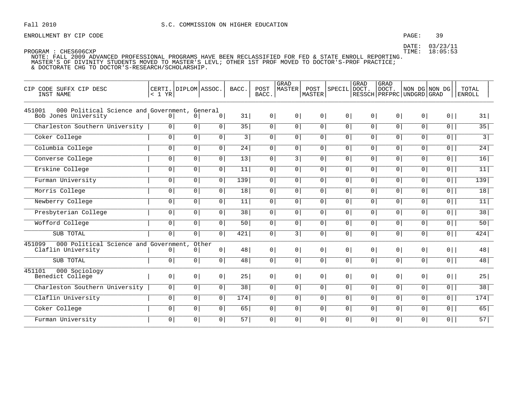### PAGE: 39

DATE: 03/23/11

PROGRAM : CHES606CXP

TIME: 18:05:53

| CIP CODE SUFFX CIP DESC<br>INST NAME                                            | < 1 YR         | CERTI. DIPLOM ASSOC. |                         | BACC.           | POST<br>BACC.  | <b>GRAD</b><br>MASTER | POST<br>MASTER | SPECIL         | GRAD<br>DOCT.<br>RESSCH   PRFPRC   UNDGRD   GRAD | GRAD<br>DOCT.  |                | NON DG NON DG  | <b>TOTAL</b><br><b>ENROLL</b> |
|---------------------------------------------------------------------------------|----------------|----------------------|-------------------------|-----------------|----------------|-----------------------|----------------|----------------|--------------------------------------------------|----------------|----------------|----------------|-------------------------------|
| 451001<br>000 Political Science and Government, General<br>Bob Jones University | 0 <sup>1</sup> | 0 <sup>1</sup>       | 0 <sup>1</sup>          | 31              | 0 <sup>1</sup> | 0 <sup>1</sup>        | 0 <sup>1</sup> | 0 <sup>1</sup> | 0 <sup>1</sup>                                   | 0 <sup>1</sup> | 0 <sup>1</sup> | $0$            | 31                            |
| Charleston Southern University                                                  | $\circ$        | $\overline{0}$       | $\overline{0}$          | $\overline{35}$ | $\overline{0}$ | $\overline{0}$        | 0 <sup>1</sup> | $\overline{0}$ | $\overline{0}$                                   | $\overline{0}$ | 0 <sup>1</sup> | 0              | 35                            |
| Coker College                                                                   | 0 <sup>1</sup> | $\overline{0}$       | 0 <sup>1</sup>          | 3               | 0 <sup>1</sup> | 0                     | 0 <sup>1</sup> | 0 <sup>1</sup> | 0 <sup>1</sup>                                   | 0 <sup>1</sup> | 0 <sup>1</sup> | $\overline{0}$ | $\overline{3}$                |
| Columbia College                                                                | 0 <sup>1</sup> | $\overline{0}$       | $\overline{0}$          | $\overline{24}$ | 0 <sup>1</sup> | 0                     | 0 <sup>1</sup> | 0 <sup>1</sup> | $\overline{0}$                                   | $\overline{0}$ | 0 <sup>1</sup> | $\overline{0}$ | $\overline{24}$               |
| Converse College                                                                | $\overline{0}$ | $\overline{0}$       | $\overline{0}$          | 13              | $\overline{0}$ | $\overline{3}$        | $\overline{0}$ | $\overline{0}$ | $\overline{0}$                                   | $\overline{0}$ | $\overline{0}$ | 0              | 16                            |
| Erskine College                                                                 | 0 <sup>1</sup> | 0 <sup>1</sup>       | 0 <sup>1</sup>          | 11              | 0 <sup>1</sup> | 0 <sup>1</sup>        | $\overline{0}$ | 0 <sup>1</sup> | 0 <sup>1</sup>                                   | 0 <sup>1</sup> | 0 <sup>1</sup> | $\overline{0}$ | 11                            |
| Furman University                                                               | $\overline{0}$ | $\overline{0}$       | 0 <sup>1</sup>          | 139             | $\overline{0}$ | $\overline{0}$        | 0 <sup>1</sup> | 0 <sup>1</sup> | $\overline{0}$                                   | 0 <sup>1</sup> | 0 <sup>1</sup> | $\overline{0}$ | $139$                         |
| Morris College                                                                  | 0 <sup>1</sup> | $\overline{0}$       | 0 <sup>1</sup>          | $\overline{18}$ | 0 <sup>1</sup> | 0                     | 0 <sup>1</sup> | 0 <sup>1</sup> | $\overline{0}$                                   | 0 <sup>1</sup> | 0 <sup>1</sup> | $\overline{0}$ | 18                            |
| Newberry College                                                                | $\overline{0}$ | $\overline{0}$       | 0 <sup>1</sup>          | 11              | $\overline{0}$ | 0 <sup>1</sup>        | $\overline{0}$ | $\overline{0}$ | 0 <sup>1</sup>                                   | $\circ$        | $\overline{0}$ | $\overline{0}$ | 11                            |
| Presbyterian College                                                            | 0 <sup>1</sup> | $\overline{0}$       | 0 <sup>1</sup>          | 38              | 0              | $\overline{0}$        | 0 <sup>1</sup> | $\overline{0}$ | $\overline{0}$                                   | 0 <sup>1</sup> | 0 <sup>1</sup> | $\overline{0}$ | 38                            |
| Wofford College                                                                 | $\overline{0}$ | $\overline{0}$       | $\overline{0}$          | 50              | $\overline{0}$ | $\circ$               | 0 <sup>1</sup> | $\overline{0}$ | $\overline{0}$                                   | 0 <sup>1</sup> | 0 <sup>1</sup> | $\overline{0}$ | 50                            |
| SUB TOTAL                                                                       | 0 <sup>1</sup> | 0 <sup>1</sup>       | 0 <sup>1</sup>          | 421             | 0 <sup>1</sup> | 3                     | 0 <sup>1</sup> | 0 <sup>1</sup> | 0 <sup>1</sup>                                   | 0 <sup>1</sup> | 0 <sup>1</sup> | $0$            | 424                           |
| 000 Political Science and Government,<br>451099<br>Claflin University           | 0 <sup>1</sup> | 0 <sup>1</sup>       | Other<br>0 <sup>1</sup> | 48              | 0 <sup>1</sup> | 0 <sup>1</sup>        | 0 <sup>1</sup> | 0 <sup>1</sup> | 0 <sup>1</sup>                                   | 0 <sup>1</sup> | 0 <sup>1</sup> | $0$            | 48                            |
| SUB TOTAL                                                                       | $\overline{0}$ | $\overline{0}$       | $\overline{0}$          | 48              | $\overline{0}$ | $\overline{0}$        | $\overline{0}$ | $\overline{0}$ | $\overline{0}$                                   | $\overline{0}$ | $\overline{0}$ | $\overline{0}$ | 48                            |
| 000 Sociology<br>451101<br>Benedict College                                     | 0 <sup>1</sup> | 0 <sup>1</sup>       | 0 <sup>1</sup>          | 25              | 0              | 0 <sup>1</sup>        | 0 <sup>1</sup> | 0 <sup>1</sup> | 0 <sup>1</sup>                                   | 0 <sup>1</sup> | 0 <sup>1</sup> | $0$            | 25                            |
| Charleston Southern University                                                  | $\circ$        | $\overline{0}$       | 0 <sup>1</sup>          | $\overline{38}$ | 0 <sup>1</sup> | $\overline{0}$        | 0 <sup>1</sup> | $\circ$        | $\overline{0}$                                   | 0 <sup>1</sup> | 0 <sup>1</sup> | $\overline{0}$ | 38                            |
| Claflin University                                                              | 0 <sup>1</sup> | 0 <sup>1</sup>       | 0 <sup>1</sup>          | 174             | 0 <sup>1</sup> | 0                     | 0 <sup>1</sup> | 0 <sup>1</sup> | 0 <sup>1</sup>                                   | 0 <sup>1</sup> | 0 <sup>1</sup> | $0$            | 174                           |
| Coker College                                                                   | 0 <sup>1</sup> | 0                    | 0 <sup>1</sup>          | 65              | $\overline{0}$ | 0                     | 0 <sup>1</sup> | 0              | 0                                                | 0 <sup>1</sup> | $\overline{0}$ | $\overline{0}$ | 65                            |
| Furman University                                                               | $\overline{0}$ | 0 <sup>1</sup>       | 0 <sup>1</sup>          | $\overline{57}$ | 0 <sup>1</sup> | 0 <sup>1</sup>        | $\overline{0}$ | 0 <sup>1</sup> | 0 <sup>1</sup>                                   | 0 <sup>1</sup> | $\overline{0}$ | $\overline{0}$ | 57                            |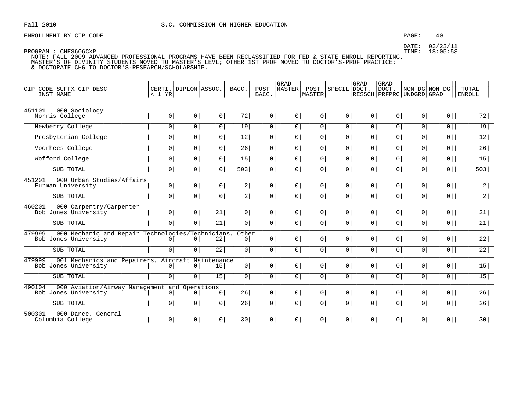### PAGE: 40

DATE: 03/23/11 TIME: 18:05:53

PROGRAM : CHES606CXP

| CIP    | CODE SUFFX CIP DESC<br>INST NAME       |                                                   | < 1 YR         | CERTI. DIPLOM ASSOC. |                | BACC.                   | POST<br>BACC.  | <b>GRAD</b><br>MASTER | POST<br>MASTER | SPECIL         | GRAD<br>DOCT.  | <b>GRAD</b><br>  DOCT.<br>RESSCH PRFPRC UNDGRD GRAD |                | NON DG NON DG  | TOTAL<br><b>ENROLL</b> |
|--------|----------------------------------------|---------------------------------------------------|----------------|----------------------|----------------|-------------------------|----------------|-----------------------|----------------|----------------|----------------|-----------------------------------------------------|----------------|----------------|------------------------|
| 451101 | 000 Sociology<br>Morris College        |                                                   | 0 <sup>1</sup> | 0 <sup>1</sup>       | 0 <sup>1</sup> | 72                      | $\circ$        | $\overline{0}$        | $\circ$        | 0 <sup>1</sup> | 0 <sup>1</sup> | 0 <sup>1</sup>                                      | 0 <sup>1</sup> | $0$            | 72                     |
|        | Newberry College                       |                                                   | $\circ$        | 0                    | 0 <sup>1</sup> | 19                      | $\circ$        | $\circ$               | $\circ$        | 0              | 0              | 0                                                   | $\overline{0}$ | $\overline{0}$ | 19                     |
|        | Presbyterian College                   |                                                   | 0 <sup>1</sup> | 0 <sup>1</sup>       | 0 <sup>1</sup> | 12                      | 0              | 0 <sup>1</sup>        | $\mathbf 0$    | 0 <sup>1</sup> | 0              | 0                                                   | $\mathbf 0$    | $\overline{0}$ | $\overline{12}$        |
|        | Voorhees College                       |                                                   | 0 <sup>1</sup> | $\overline{0}$       | $\overline{0}$ | 26                      | $\mathsf{O}$   | $\mathsf{O}$          | $\mathsf{O}$   | 0 <sup>1</sup> | 0 <sup>1</sup> | 0                                                   | $\mathsf{O}$   | $\overline{0}$ | 26                     |
|        | Wofford College                        |                                                   | $\overline{0}$ | $\overline{0}$       | $\overline{0}$ | $\overline{15}$         | $\overline{0}$ | $\overline{0}$        | $\overline{0}$ | $\overline{0}$ | $\overline{0}$ | $\overline{0}$                                      | $\overline{0}$ | $\overline{0}$ | 15                     |
|        | SUB TOTAL                              |                                                   | $\overline{0}$ | $\overline{0}$       | 0 <sup>1</sup> | 503                     | $\mathsf{O}$   | $\overline{0}$        | $\overline{0}$ | $\overline{0}$ | 0 <sup>1</sup> | $\mathbf 0$                                         | $\overline{0}$ | $\overline{0}$ | $\overline{503}$       |
| 451201 | Furman University                      | 000 Urban Studies/Affairs                         | 0 <sup>1</sup> | 0 <sup>1</sup>       | 0 <sup>1</sup> | 2                       | 0 <sup>1</sup> | 0 <sup>1</sup>        | 0 <sup>1</sup> | 0              | 0 <sup>1</sup> | 0 <sup>1</sup>                                      | 0 <sup>1</sup> | $0$            | 2                      |
|        | SUB TOTAL                              |                                                   | 0 <sup>1</sup> | 0 <sup>1</sup>       | 0 <sup>1</sup> | 2                       | 0 <sup>1</sup> | 0 <sup>1</sup>        | 0              | 0              | 0              | 0                                                   | $\mathbf 0$    | $\overline{0}$ | $\overline{2}$         |
| 460201 | Bob Jones University                   | 000 Carpentry/Carpenter                           | 0 <sup>1</sup> | 0                    | 21             | 0 <sup>1</sup>          | 0 <sup>1</sup> | 0 <sup>1</sup>        | 0 <sup>1</sup> | 0 <sup>1</sup> | 0 <sup>1</sup> | 0                                                   | 0 <sup>1</sup> | $0$            | 21                     |
|        | SUB TOTAL                              |                                                   | 0 <sup>1</sup> | 0 <sup>1</sup>       | 21             | 0 <sup>1</sup>          | 0 <sup>1</sup> | 0 <sup>1</sup>        | 0              | 0              | 0              | 0 <sup>1</sup>                                      | $\mathbf 0$    | $\overline{0}$ | 21                     |
| 479999 | Bob Jones University                   | 000 Mechanic and Repair Technologies/Technicians, | $\overline{0}$ | 0 <sup>1</sup>       | 22             | Other<br>0 <sup>1</sup> | 0 <sup>1</sup> | $\circ$               | 0              | 0              | 0              | 0 <sup>1</sup>                                      | 0 <sup>1</sup> | $0$            | 22                     |
|        | SUB TOTAL                              |                                                   | $\circ$        | 0 <sup>1</sup>       | 22             | 0 <sup>1</sup>          | 0 <sup>1</sup> | 0 <sup>1</sup>        | 0              | 0              | 0              | 0 <sup>1</sup>                                      | $\mathsf{O}$   | $\overline{0}$ | 22                     |
| 479999 | Bob Jones University                   | 001 Mechanics and Repairers, Aircraft Maintenance | 0 <sup>1</sup> | 0 <sup>1</sup>       | 15             | 0 <sup>1</sup>          | 0 <sup>1</sup> | 0 <sup>1</sup>        | 0 <sup>1</sup> | 0              | 0 <sup>1</sup> | 0 <sup>1</sup>                                      | 0 <sup>1</sup> | $0$            | 15                     |
|        | SUB TOTAL                              |                                                   | $\circ$        | 0 <sup>1</sup>       | 15             | 0                       | 0              | 0                     | 0              | 0 <sup>1</sup> | 0 <sup>1</sup> | 0 <sup>1</sup>                                      | $\mathsf{O}$   | $\overline{0}$ | 15                     |
| 490104 | Bob Jones University                   | 000 Aviation/Airway Management and Operations     | 0 <sup>1</sup> | 0 <sup>1</sup>       | 0 <sup>1</sup> | 26                      | 0 <sup>1</sup> | 0 <sup>1</sup>        | 0 <sup>1</sup> | 0 <sup>1</sup> | 0 <sup>1</sup> | 0 <sup>1</sup>                                      | 0 <sup>1</sup> | $0$            | 26                     |
|        | SUB TOTAL                              |                                                   | 0              | 0                    | 0              | 26                      | 0              | 0                     | 0              | $\overline{0}$ | 0              | 0 <sup>1</sup>                                      | $\mathsf{O}$   | $\overline{0}$ | 26                     |
| 500301 | 000 Dance, General<br>Columbia College |                                                   | 0 <sup>1</sup> | 0                    | 0              | 30 <sup>1</sup>         | 0 <sup>1</sup> | 0 <sup>1</sup>        | 0              | $0 \mid$       | $0$            | 0 <sup>1</sup>                                      | 0 <sup>1</sup> | $0$            | 30                     |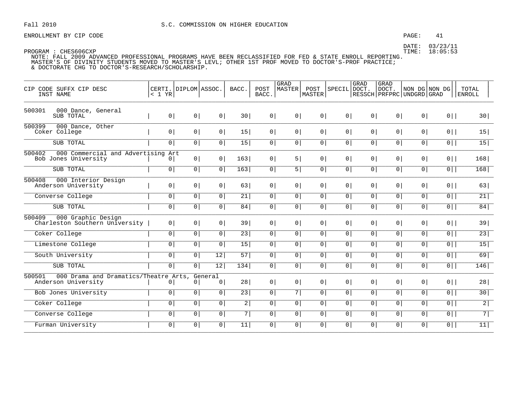### PAGE: 41

DATE: 03/23/11 TIME: 18:05:53

| CODE SUFFX CIP DESC<br>CIP<br>INST NAME                                | CERTI.<br>< 1 YR | DIPLOM ASSOC.  |                           | BACC.          | POST<br>BACC.  | GRAD<br><b>MASTER</b> | POST<br><b>MASTER</b> | SPECIL         | GRAD<br>DOCT.  | GRAD<br>DOCT.<br>RESSCH   PRFPRC   UNDGRD   GRAD |                | NON DG NON DG  | TOTAL<br><b>ENROLL</b> |
|------------------------------------------------------------------------|------------------|----------------|---------------------------|----------------|----------------|-----------------------|-----------------------|----------------|----------------|--------------------------------------------------|----------------|----------------|------------------------|
| 500301<br>000 Dance, General<br>SUB TOTAL                              | 0 <sup>1</sup>   | 0 <sup>1</sup> | 0 <sup>1</sup>            | 30             | 0              | 0 <sup>1</sup>        | 0                     | 0 <sup>1</sup> | 0 <sup>1</sup> | 0 <sup>1</sup>                                   | 0              | $0$            | 30                     |
| 500399<br>000 Dance, Other<br>Coker College                            | 0 <sup>1</sup>   | 0 <sup>1</sup> | 0 <sup>1</sup>            | 15             | 0 <sup>1</sup> | 0 <sup>1</sup>        | 0 <sup>1</sup>        | 0 <sup>1</sup> | 0 <sup>1</sup> | 0 <sup>1</sup>                                   | 0 <sup>1</sup> | $0$            | 15                     |
| SUB TOTAL                                                              | 0 <sup>1</sup>   | 0 <sup>1</sup> | $\overline{0}$            | 15             | $\overline{0}$ | 0 <sup>1</sup>        | 0 <sup>1</sup>        | 0 <sup>1</sup> | 0 <sup>1</sup> | 0 <sup>1</sup>                                   | 0 <sup>1</sup> | $0$            | 15                     |
| 500402<br>000 Commercial and Advertising Art<br>Bob Jones University   | 0                | 0 <sup>1</sup> | 0 <sup>1</sup>            | 163            | 0 <sup>1</sup> | 5                     | 0 <sup>1</sup>        | 0 <sup>1</sup> | 0 <sup>1</sup> | 0 <sup>1</sup>                                   | 0 <sup>1</sup> | $0$            | 168                    |
| SUB TOTAL                                                              | 0 <sup>1</sup>   | 0 <sup>1</sup> | $\overline{0}$            | 163            | $\overline{0}$ | $\overline{5}$        | 0 <sup>1</sup>        | 0 <sup>1</sup> | 0 <sup>1</sup> | 0 <sup>1</sup>                                   | 0 <sup>1</sup> | $\overline{0}$ | 168                    |
| 000 Interior Design<br>500408<br>Anderson University                   | 0 <sup>1</sup>   | 0 <sup>1</sup> | 0 <sup>1</sup>            | 63             | 0 <sup>1</sup> | 0 <sup>1</sup>        | 0 <sup>1</sup>        | 0 <sup>1</sup> | 0 <sup>1</sup> | 0 <sup>1</sup>                                   | 0 <sup>1</sup> | $0$            | 63                     |
| Converse College                                                       | 0 <sup>1</sup>   | 0 <sup>1</sup> | $\overline{0}$            | 21             | 0 <sup>1</sup> | 0 <sup>1</sup>        | 0 <sup>1</sup>        | 0 <sup>1</sup> | 0 <sup>1</sup> | 0 <sup>1</sup>                                   | 0 <sup>1</sup> | $\overline{0}$ | 21                     |
| SUB TOTAL                                                              | $\overline{0}$   | $\overline{0}$ | $\overline{0}$            | 84             | $\overline{0}$ | $\overline{0}$        | $\overline{0}$        | $\overline{0}$ | $\overline{0}$ | $\overline{0}$                                   | $\overline{0}$ | 0              | 84                     |
| 500409<br>000 Graphic Design<br>Charleston Southern University         | 0 <sup>1</sup>   | 0 <sup>1</sup> | 0 <sup>1</sup>            | 39             | 0 <sup>1</sup> | 0 <sup>1</sup>        | 0 <sup>1</sup>        | 0 <sup>1</sup> | 0 <sup>1</sup> | $\overline{0}$                                   | 0 <sup>1</sup> | $0$            | 39                     |
| Coker College                                                          | 0 <sup>1</sup>   | 0 <sup>1</sup> | 0 <sup>1</sup>            | 23             | 0 <sup>1</sup> | 0 <sup>1</sup>        | 0 <sup>1</sup>        | 0 <sup>1</sup> | 0 <sup>1</sup> | 0 <sup>1</sup>                                   | 0 <sup>1</sup> | $\overline{0}$ | $\overline{23}$        |
| Limestone College                                                      | $\mathbf 0$      | $\overline{0}$ | $\overline{0}$            | 15             | $\overline{0}$ | $\overline{0}$        | 0 <sup>1</sup>        | 0 <sup>1</sup> | 0 <sup>1</sup> | 0 <sup>1</sup>                                   | $\overline{0}$ | 0              | 15                     |
| South University                                                       | $\mathbf 0$      | $\overline{0}$ | 12                        | 57             | $\overline{0}$ | $\overline{0}$        | $\overline{0}$        | $\overline{0}$ | $\overline{0}$ | 0 <sup>1</sup>                                   | 0 <sup>1</sup> | 0              | 69                     |
| SUB TOTAL                                                              | 0 <sup>1</sup>   | 0 <sup>1</sup> | $\overline{12}$           | 134            | 0 <sup>1</sup> | 0                     | 0                     | 0 <sup>1</sup> | 0 <sup>1</sup> | 0 <sup>1</sup>                                   | 0 <sup>1</sup> | $\overline{0}$ | 146                    |
| 000 Drama and Dramatics/Theatre Arts,<br>500501<br>Anderson University | $\mathbf{0}$     | 0              | General<br>0 <sup>1</sup> | 28             | 0 <sup>1</sup> | 0 <sup>1</sup>        | 0 <sup>1</sup>        | 0 <sup>1</sup> | 0 <sup>1</sup> | 0 <sup>1</sup>                                   | 0 <sup>1</sup> | $0$            | 28                     |
| Bob Jones University                                                   | 0 <sup>1</sup>   | 0 <sup>1</sup> | $\overline{0}$            | 23             | $\overline{0}$ | 7                     | 0 <sup>1</sup>        | 0 <sup>1</sup> | 0 <sup>1</sup> | 0 <sup>1</sup>                                   | 0 <sup>1</sup> | 0              | 30                     |
| Coker College                                                          | 0 <sup>1</sup>   | 0 <sup>1</sup> | 0 <sup>1</sup>            | $\overline{2}$ | $\overline{0}$ | $\overline{0}$        | $\overline{0}$        | 0 <sup>1</sup> | 0 <sup>1</sup> | 0 <sup>1</sup>                                   | 0 <sup>1</sup> | $\overline{0}$ | $\overline{2}$         |
| Converse College                                                       | 0 <sup>1</sup>   | 0              | 0                         | 7              | 0 <sup>1</sup> | 0 <sup>1</sup>        | 0 <sup>1</sup>        | 0 <sup>1</sup> | 0 <sup>1</sup> | 0 <sup>1</sup>                                   | 0              | $0$            | $\overline{7}$         |
| Furman University                                                      | $\overline{0}$   | $\overline{0}$ | $\overline{0}$            | 11             | $\overline{0}$ | 0 <sup>1</sup>        | 0 <sup>1</sup>        | 0 <sup>1</sup> | 0 <sup>1</sup> | 0 <sup>1</sup>                                   | $\overline{0}$ | 0              | 11                     |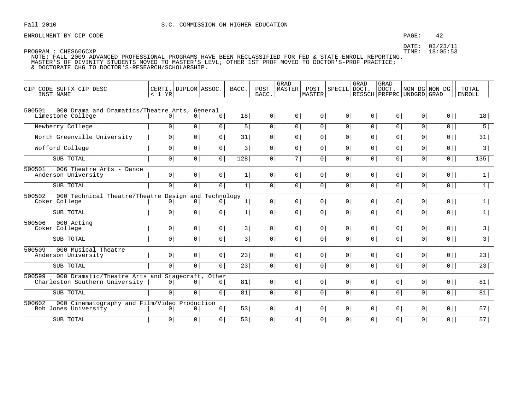### PAGE: 42

DATE: 03/23/11 TIME: 18:05:53

| CIP CODE SUFFX CIP DESC<br>INST NAME                                                        | < 1 YR         | CERTI. DIPLOM ASSOC. |                | BACC. | POST<br>BACC.  | GRAD<br>MASTER | POST<br><b>MASTER</b> | SPECIL DOCT.   | GRAD           | <b>GRAD</b><br>DOCT.<br>RESSCH   PRFPRC   UNDGRD   GRAD |                | NON DG NON DG  | TOTAL<br><b>ENROLL</b> |
|---------------------------------------------------------------------------------------------|----------------|----------------------|----------------|-------|----------------|----------------|-----------------------|----------------|----------------|---------------------------------------------------------|----------------|----------------|------------------------|
| 500501<br>000 Drama and Dramatics/Theatre Arts, General<br>Limestone College                | $\overline{0}$ | $\overline{0}$       | 0              | 18    | $\circ$        | 0              | 0 <sup>1</sup>        | 0 <sup>1</sup> | 0 <sup>1</sup> | 0 <sup>1</sup>                                          | 0 <sup>1</sup> | $0$            | 18                     |
| Newberry College                                                                            | 0 <sup>1</sup> | 0                    | $\boxed{0}$    | 5     | $\overline{0}$ | 0              | 0                     | $\overline{0}$ | 0              | 0 <sup>1</sup>                                          | $\overline{0}$ | $\overline{0}$ | 5                      |
| North Greenville University                                                                 | 0 <sup>1</sup> | $\circ$              | 0              | 31    | $\circ$        | 0 <sup>1</sup> | 0 <sup>1</sup>        | 0 <sup>1</sup> | 0 <sup>1</sup> | 0 <sup>1</sup>                                          | $\overline{0}$ | $0$            | 31                     |
| Wofford College                                                                             | $\mathbf 0$    | 0                    | 0              | 3     | 0 <sup>1</sup> | 0              | 0                     | $\overline{0}$ | 0 <sup>1</sup> | 0 <sup>1</sup>                                          | $\overline{0}$ | $\overline{0}$ | $\overline{3}$         |
| SUB TOTAL                                                                                   | 0 <sup>1</sup> | $\circ$              | $\overline{0}$ | 128   | 0 <sup>1</sup> | 7              | 0                     | $\overline{0}$ | 0 <sup>1</sup> | 0 <sup>1</sup>                                          | $\overline{0}$ | $\overline{0}$ | 135                    |
| 500501<br>006 Theatre Arts - Dance<br>Anderson University                                   | 0 <sup>1</sup> | 0 <sup>1</sup>       | 0 <sup>1</sup> | 1     | $\overline{0}$ | $\overline{0}$ | 0 <sup>1</sup>        | 0 <sup>1</sup> | 0 <sup>1</sup> | $\overline{0}$                                          | $\circ$        | $0$            | $\vert$                |
| SUB TOTAL                                                                                   | 0 <sup>1</sup> | $\circ$              | 0              | 1     | 0 <sup>1</sup> | 0 <sup>1</sup> | 0 <sup>1</sup>        | 0 <sup>1</sup> | 0 <sup>1</sup> | 0 <sup>1</sup>                                          | $\overline{0}$ | $\overline{0}$ | $\overline{1}$         |
| 500502<br>000 Technical Theatre/Theatre Design and Technology<br>Coker College              | 0 <sup>1</sup> | $\mathbf{0}$         | 0 <sup>1</sup> | 1     | 0              | 0 <sup>1</sup> | 0 <sup>1</sup>        | 0 <sup>1</sup> | 0 <sup>1</sup> | $\overline{0}$                                          | $\circ$        | $0$            | 1                      |
| SUB TOTAL                                                                                   | 0              | 0                    | 0              | 1     | $\overline{0}$ | 0              | 0                     | $\overline{0}$ | 0              | 0 <sup>1</sup>                                          | $\circ$        | $\overline{0}$ | $\overline{1}$         |
| 500506<br>000 Acting<br>Coker College                                                       | $\overline{0}$ | 0 <sup>1</sup>       | 0 <sup>1</sup> | 3     | $\overline{0}$ | $\overline{0}$ | 0 <sup>1</sup>        | 0 <sup>1</sup> | 0 <sup>1</sup> | $\overline{0}$                                          | $\circ$        | $0$            | 3                      |
| SUB TOTAL                                                                                   | 0 <sup>1</sup> | $\circ$              | 0 <sup>1</sup> | 3     | 0 <sup>1</sup> | 0 <sup>1</sup> | 0                     | 0 <sup>1</sup> | 0 <sup>1</sup> | 0 <sup>1</sup>                                          | $\circ$        | $\overline{0}$ | $\overline{3}$         |
| 500509<br>000 Musical Theatre<br>Anderson University                                        | 0 <sup>1</sup> | 0 <sup>1</sup>       | 0 <sup>1</sup> | 23    | 0 <sup>1</sup> | 0 <sup>1</sup> | 0 <sup>1</sup>        | 0 <sup>1</sup> | 0 <sup>1</sup> | 0 <sup>1</sup>                                          | $\circ$        | $0$            | 23                     |
| SUB TOTAL                                                                                   | $\overline{0}$ | $\circ$              | 0 <sup>1</sup> | 23    | 0 <sup>1</sup> | $\overline{0}$ | 0 <sup>1</sup>        | 0 <sup>1</sup> | 0 <sup>1</sup> | $\overline{0}$                                          | $\circ$        | $0$            | 23                     |
| 000 Dramatic/Theatre Arts and Stagecraft, Other<br>500599<br>Charleston Southern University | 0 <sup>1</sup> | $\mathbf{0}$         | 0 <sup>1</sup> | 81    | 0 <sup>1</sup> | 0 <sup>1</sup> | 0 <sup>1</sup>        | 0 <sup>1</sup> | 0 <sup>1</sup> | 0 <sup>1</sup>                                          | 0 <sup>1</sup> | $0$            | 81                     |
| SUB TOTAL                                                                                   | $\circ$        | $\circ$              | $\overline{0}$ | 81    | 0 <sup>1</sup> | $\overline{0}$ | 0 <sup>1</sup>        | $\overline{0}$ | $\overline{0}$ | 0 <sup>1</sup>                                          | $\circ$        | $\overline{0}$ | 81                     |
| 000 Cinematography and Film/Video Production<br>500602<br>Bob Jones University              | $\overline{0}$ | $\mathbf{0}$         | 0 <sup>1</sup> | 53    | 0 <sup>1</sup> | 4              | 0 <sup>1</sup>        | 0 <sup>1</sup> | 0 <sup>1</sup> | 0 <sup>1</sup>                                          | 0 <sup>1</sup> | $0$            | 57                     |
| SUB TOTAL                                                                                   | $\circ$        | $\circ$              | 0              | 53    | 0 <sup>1</sup> | 4 <sup>1</sup> | 0 <sup>1</sup>        | 0 <sup>1</sup> | 0 <sup>1</sup> | 0                                                       | $\overline{0}$ | $0$            | 57                     |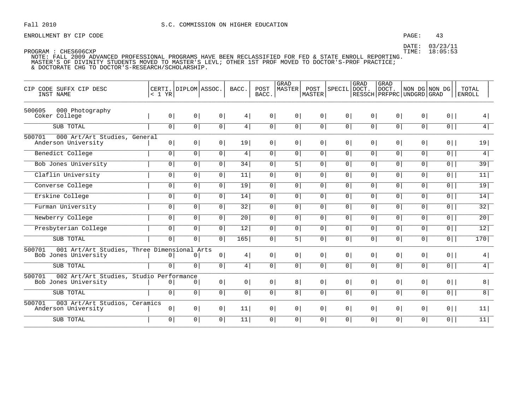### PAGE: 43

DATE: 03/23/11 TIME: 18:05:53

PROGRAM : CHES606CXP NOTE: FALL 2009 ADVANCED PROFESSIONAL PROGRAMS HAVE BEEN RECLASSIFIED FOR FED & STATE ENROLL REPORTING. MASTER'S OF DIVINITY STUDENTS MOVED TO MASTER'S LEVL; OTHER 1ST PROF MOVED TO DOCTOR'S-PROF PRACTICE;

& DOCTORATE CHG TO DOCTOR'S-RESEARCH/SCHOLARSHIP.

| CIP CODE SUFFX CIP DESC<br>INST NAME                                          | < 1 YR         | CERTI. DIPLOM ASSOC. |                | BACC.          | POST<br>BACC.  | GRAD<br>MASTER | POST<br><b>MASTER</b> | SPECIL DOCT.   | GRAD           | <b>GRAD</b><br>DOCT.<br>RESSCH   PRFPRC   UNDGRD   GRAD |                | NON DG NON DG  | TOTAL<br><b>ENROLL</b> |
|-------------------------------------------------------------------------------|----------------|----------------------|----------------|----------------|----------------|----------------|-----------------------|----------------|----------------|---------------------------------------------------------|----------------|----------------|------------------------|
| 500605<br>000 Photography<br>Coker College                                    | $\overline{0}$ | 0 <sup>1</sup>       | 0 <sup>1</sup> | 4              | 0              | 0 <sup>1</sup> | 0 <sup>1</sup>        | 0 <sup>1</sup> | 0 <sup>1</sup> | $\overline{0}$                                          | 0 <sup>1</sup> | $0$            | 4                      |
| SUB TOTAL                                                                     | 0 <sup>1</sup> | 0 <sup>1</sup>       | 0              | 4              | 0              | 0 <sup>1</sup> | 0                     | 0              | 0              | 0 <sup>1</sup>                                          | $\circ$        | $\overline{0}$ | 4                      |
| 500701<br>000 Art/Art Studies, General<br>Anderson University                 | 0              | 0 <sup>1</sup>       | 0 <sup>1</sup> | 19             | $\overline{0}$ | $\overline{0}$ | 0 <sup>1</sup>        | 0 <sup>1</sup> | 0 <sup>1</sup> | $\overline{0}$                                          | $\circ$        | $0$            | 19                     |
| Benedict College                                                              | 0 <sup>1</sup> | $\circ$              | 0              | 4              | 0 <sup>1</sup> | 0 <sup>1</sup> | 0 <sup>1</sup>        | 0 <sup>1</sup> | 0 <sup>1</sup> | 0 <sup>1</sup>                                          | $\overline{0}$ | $0$            | 4                      |
| Bob Jones University                                                          | $\mathbf 0$    | $\circ$              | $\overline{0}$ | 34             | 0 <sup>1</sup> | 5              | 0 <sup>1</sup>        | 0 <sup>1</sup> | 0 <sup>1</sup> | 0                                                       | $\overline{0}$ | $\overline{0}$ | 39                     |
| Claflin University                                                            | $\mathbf 0$    | $\mathbf 0$          | $\overline{0}$ | 11             | 0 <sup>1</sup> | 0 <sup>1</sup> | 0 <sup>1</sup>        | $\overline{0}$ | 0              | 0                                                       | 0              | $\overline{0}$ | 11                     |
| Converse College                                                              | $\mathbf 0$    | $\circ$              | 0              | 19             | 0 <sup>1</sup> | 0 <sup>1</sup> | 0 <sup>1</sup>        | 0 <sup>1</sup> | 0 <sup>1</sup> | 0                                                       | $\overline{0}$ | $\overline{0}$ | 19                     |
| Erskine College                                                               | $\mathbf 0$    | $\mathbf 0$          | $\overline{0}$ | 14             | 0 <sup>1</sup> | $\overline{0}$ | $\overline{0}$        | 0              | 0              | 0                                                       | $\overline{0}$ | $\overline{0}$ | 14                     |
| Furman University                                                             | 0 <sup>1</sup> | 0 <sup>1</sup>       | $\boxed{0}$    | 32             | 0 <sup>1</sup> | 0 <sup>1</sup> | $\overline{0}$        | $\overline{0}$ | $\overline{0}$ | 0 <sup>1</sup>                                          | $\circ$        | $\overline{0}$ | 32                     |
| Newberry College                                                              | $\overline{0}$ | $\circ$              | 0              | 20             | 0 <sup>1</sup> | 0 <sup>1</sup> | 0 <sup>1</sup>        | 0 <sup>1</sup> | 0 <sup>1</sup> | 0                                                       | $\overline{0}$ | $0$            | $\overline{20}$        |
| Presbyterian College                                                          | $\mathbf 0$    | $\mathbf 0$          | $\overline{0}$ | 12             | 0 <sup>1</sup> | 0 <sup>1</sup> | 0 <sup>1</sup>        | $\overline{0}$ | 0 <sup>1</sup> | 0                                                       | $\overline{0}$ | $\overline{0}$ | $\overline{12}$        |
| SUB TOTAL                                                                     | $\overline{0}$ | $\overline{0}$       | $\overline{0}$ | 165            | 0 <sup>1</sup> | 5 <sup>1</sup> | 0                     | $\overline{0}$ | $\overline{0}$ | 0 <sup>1</sup>                                          | $\overline{0}$ | $\overline{0}$ | 170                    |
| 001 Art/Art Studies, Three Dimensional Arts<br>500701<br>Bob Jones University | $\overline{0}$ | $\mathbf{0}$         | 0 <sup>1</sup> | 4              | 0 <sup>1</sup> | $\overline{0}$ | 0 <sup>1</sup>        | 0 <sup>1</sup> | 0 <sup>1</sup> | 0 <sup>1</sup>                                          | 0 <sup>1</sup> | $0$            | 4                      |
| SUB TOTAL                                                                     | $\overline{0}$ | $\overline{0}$       | 0 <sup>1</sup> | 4              | 0 <sup>1</sup> | $\overline{0}$ | 0 <sup>1</sup>        | 0 <sup>1</sup> | 0 <sup>1</sup> | 0 <sup>1</sup>                                          | $\overline{0}$ | $0$            | $\overline{4}$         |
| 500701<br>002 Art/Art Studies, Studio Performance<br>Bob Jones University     | $\overline{0}$ | $\Omega$             | 0 <sup>1</sup> | 0 <sup>1</sup> | 0 <sup>1</sup> | 8              | $\Omega$              | 0 <sup>1</sup> | 0 <sup>1</sup> | 0 <sup>1</sup>                                          | 0 <sup>1</sup> | $0$            | 8                      |
| SUB TOTAL                                                                     | $\circ$        | $\circ$              | $\overline{0}$ | 0 <sup>1</sup> | 0 <sup>1</sup> | 8              | 0 <sup>1</sup>        | $\overline{0}$ | 0 <sup>1</sup> | 0 <sup>1</sup>                                          | $\overline{0}$ | $\overline{0}$ | 8                      |
| 500701<br>003 Art/Art Studios, Ceramics<br>Anderson University                | $\overline{0}$ | 0 <sup>1</sup>       | 0 <sup>1</sup> | 11             | 0 <sup>1</sup> | 0 <sup>1</sup> | 0 <sup>1</sup>        | 0 <sup>1</sup> | 0 <sup>1</sup> | 0 <sup>1</sup>                                          | 0 <sup>1</sup> | $0$            | 11                     |
| SUB TOTAL                                                                     | $\mathbf{0}$   | $\circ$              | 0              | 11             | 0 <sup>1</sup> | 0 <sup>1</sup> | 0 <sup>1</sup>        | 0 <sup>1</sup> | 0 <sup>1</sup> | 0                                                       | 0              | $0$            | 11                     |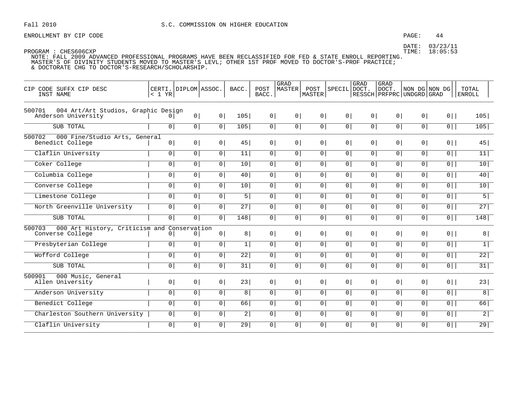### PAGE: 44

DATE: 03/23/11 TIME: 18:05:53

| CIP CODE SUFFX CIP DESC<br>INST NAME                                      | $< 1$ YR       | CERTI. DIPLOM ASSOC. |                | BACC.           | POST<br>BACC.  | <b>GRAD</b><br><b>MASTER</b> | POST<br>MASTER | SPECIL DOCT    | GRAD           | GRAD<br><b>DOCT</b><br>  RESSCH   PRFPRC   UNDGRD   GRAD | NON DG NON DG  |                | TOTAL<br><b>ENROLL</b> |
|---------------------------------------------------------------------------|----------------|----------------------|----------------|-----------------|----------------|------------------------------|----------------|----------------|----------------|----------------------------------------------------------|----------------|----------------|------------------------|
| 004 Art/Art Studios, Graphic Design<br>500701<br>Anderson University      | $\Omega$       | 0 <sup>1</sup>       | 0 <sup>1</sup> | 105             | 0 <sup>1</sup> | 0 <sup>1</sup>               | 0 <sup>1</sup> | 0 <sup>1</sup> | 0 <sup>1</sup> | 0 <sup>1</sup>                                           | 0 <sup>1</sup> | $0$            | 105                    |
| SUB TOTAL                                                                 | $\overline{0}$ | 0 <sup>1</sup>       | 0 <sup>1</sup> | 105             | 0              | 0 <sup>1</sup>               | 0 <sup>1</sup> | $\overline{0}$ | $\overline{0}$ | 0 <sup>1</sup>                                           | 0 <sup>1</sup> | $\overline{0}$ | 105                    |
| 500702<br>000 Fine/Studio Arts, General<br>Benedict College               | 0              | 0 <sup>1</sup>       | 0              | 45              | 0 <sup>1</sup> | 0 <sup>1</sup>               | 0 <sup>1</sup> | 0 <sup>1</sup> | 0 <sup>1</sup> | 0 <sup>1</sup>                                           | 0 <sup>1</sup> | $0$            | 45                     |
| Claflin University                                                        | 0 <sup>1</sup> | 0 <sup>1</sup>       | $\overline{0}$ | 11              | 0 <sup>1</sup> | $\overline{0}$               | $\overline{0}$ | $\overline{0}$ | 0 <sup>1</sup> | 0 <sup>1</sup>                                           | $\overline{0}$ | $0$            | 11                     |
| Coker College                                                             | $\circ$        | 0 <sup>1</sup>       | 0 <sup>1</sup> | 10              | 0              | $\mathbf 0$                  | $\overline{0}$ | $\overline{0}$ | $\overline{0}$ | 0 <sup>1</sup>                                           | $\overline{0}$ | $\overline{0}$ | 10                     |
| Columbia College                                                          | $\circ$        | 0 <sup>1</sup>       | 0 <sup>1</sup> | 40              | $\overline{0}$ | 0 <sup>1</sup>               | 0 <sup>1</sup> | $\overline{0}$ | $\overline{0}$ | 0 <sup>1</sup>                                           | 0 <sup>1</sup> | $\overline{0}$ | 40                     |
| Converse College                                                          | 0 <sup>1</sup> | $\overline{0}$       | $\overline{0}$ | 10              | 0 <sup>1</sup> | $\mathbf 0$                  | 0 <sup>1</sup> | $\overline{0}$ | $\overline{0}$ | 0 <sup>1</sup>                                           | 0 <sup>1</sup> | $\overline{0}$ | 10                     |
| Limestone College                                                         | $\overline{0}$ | 0 <sup>1</sup>       | 0 <sup>1</sup> | 5               | 0              | 0 <sup>1</sup>               | 0 <sup>1</sup> | $\overline{0}$ | $\overline{0}$ | 0 <sup>1</sup>                                           | 0 <sup>1</sup> | $\overline{0}$ | 5                      |
| North Greenville University                                               | $\overline{0}$ | $\overline{0}$       | $\overline{0}$ | 27              | $\overline{0}$ | $\mathbf 0$                  | 0              | $\overline{0}$ | $\overline{0}$ | $\overline{0}$                                           | $\overline{0}$ | $\overline{0}$ | 27                     |
| SUB TOTAL                                                                 | 0 <sup>1</sup> | 0 <sup>1</sup>       | $\overline{0}$ | 148             | 0 <sup>1</sup> | $\overline{0}$               | $\mathsf{O}$   | $\overline{0}$ | 0 <sup>1</sup> | 0 <sup>1</sup>                                           | $\overline{0}$ | $\overline{0}$ | 148                    |
| 000 Art History, Criticism and Conservation<br>500703<br>Converse College | $\circ$        | $\circ$              | 0 <sup>1</sup> | 8               | 0 <sup>1</sup> | 0 <sup>1</sup>               | 0 <sup>1</sup> | 0 <sup>1</sup> | 0 <sup>1</sup> | 0 <sup>1</sup>                                           | 0 <sup>1</sup> | $0$            | 8                      |
| Presbyterian College                                                      | $\circ$        | 0 <sup>1</sup>       | $\mathbf 0$    | $\mathbf{1}$    | 0 <sup>1</sup> | $\overline{0}$               | $\overline{0}$ | $\overline{0}$ | $\overline{0}$ | 0 <sup>1</sup>                                           | $\overline{0}$ | $\overline{0}$ | $\overline{1}$         |
| Wofford College                                                           | $\circ$        | 0 <sup>1</sup>       | 0 <sup>1</sup> | $\overline{22}$ | 0              | 0 <sup>1</sup>               | 0 <sup>1</sup> | $\overline{0}$ | $\overline{0}$ | 0 <sup>1</sup>                                           | 0 <sup>1</sup> | $\overline{0}$ | $\overline{22}$        |
| SUB TOTAL                                                                 | 0 <sup>1</sup> | 0 <sup>1</sup>       | 0              | 31              | 0              | 0 <sup>1</sup>               | 0 <sup>1</sup> | 0              | 0 <sup>1</sup> | 0 <sup>1</sup>                                           | 0 <sup>1</sup> | $\overline{0}$ | 31                     |
| 000 Music, General<br>500901<br>Allen University                          | 0 <sup>1</sup> | 0 <sup>1</sup>       | 0 <sup>1</sup> | 23              | 0              | 0 <sup>1</sup>               | 0 <sup>1</sup> | 0 <sup>1</sup> | 0 <sup>1</sup> | 0 <sup>1</sup>                                           | 0 <sup>1</sup> | $0$            | 23                     |
| Anderson University                                                       | $\overline{0}$ | 0 <sup>1</sup>       | $\overline{0}$ | 8 <sup>1</sup>  | 0              | 0 <sup>1</sup>               | 0 <sup>1</sup> | $\overline{0}$ | $\overline{0}$ | 0 <sup>1</sup>                                           | 0 <sup>1</sup> | $\overline{0}$ | $\overline{8}$         |
| Benedict College                                                          | $\overline{0}$ | 0 <sup>1</sup>       | 0 <sup>1</sup> | 66              | 0              | 0 <sup>1</sup>               | 0 <sup>1</sup> | $\overline{0}$ | $\overline{0}$ | 0 <sup>1</sup>                                           | 0 <sup>1</sup> | $\overline{0}$ | 66                     |
| Charleston Southern University                                            | $\overline{0}$ | 0 <sup>1</sup>       | 0 <sup>1</sup> | $\vert$ 2       | 0              | 0 <sup>1</sup>               | 0 <sup>1</sup> | $\overline{0}$ | 0 <sup>1</sup> | 0 <sup>1</sup>                                           | 0 <sup>1</sup> | $\overline{0}$ | $\overline{2}$         |
| Claflin University                                                        | $\circ$        | 0 <sup>1</sup>       | 0 <sup>1</sup> | 29              | 0              | $\mathbf 0$                  | 0 <sup>1</sup> | $\overline{0}$ | $\overline{0}$ | 0 <sup>1</sup>                                           | $\mathsf{O}$   | 0              | 29                     |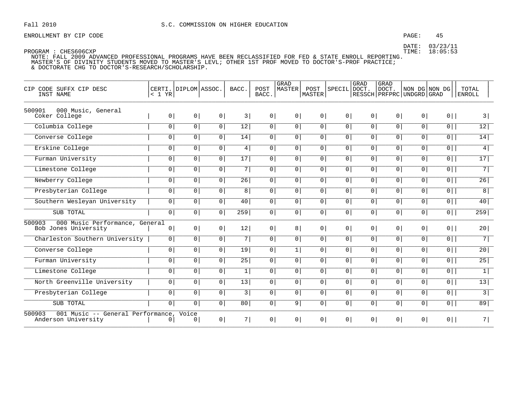### PAGE: 45

DATE: 03/23/11 TIME: 18:05:53

| CODE SUFFX CIP DESC<br>CTP<br>INST NAME                            | < 1 YR         | CERTI. DIPLOM ASSOC. |                | BACC.        | POST<br>BACC.  | <b>GRAD</b><br>MASTER | POST<br>MASTER | SPECIL         | <b>GRAD</b><br>DOCT.<br>RESSCH   PRFPRC   UNDGRD   GRAD | GRAD<br>DOCT.  |                | NON DG NON DG  | TOTAL<br><b>ENROLL</b> |
|--------------------------------------------------------------------|----------------|----------------------|----------------|--------------|----------------|-----------------------|----------------|----------------|---------------------------------------------------------|----------------|----------------|----------------|------------------------|
| 500901<br>000 Music, General<br>Coker College                      | $\overline{0}$ | 0 <sup>1</sup>       | 0 <sup>1</sup> | 3            | 0 <sup>1</sup> | 0 <sup>1</sup>        | 0 <sup>1</sup> | $\overline{0}$ | $\circ$                                                 | $\overline{0}$ | 0 <sup>1</sup> | $0$            | 3                      |
| Columbia College                                                   | $\circ$        | $\circ$              | 0              | 12           | $\overline{0}$ | 0                     | 0              | 0              | 0 <sup>1</sup>                                          | 0 <sup>1</sup> | 0 <sup>1</sup> | $\overline{0}$ | 12                     |
| Converse College                                                   | 0              | 0 <sup>1</sup>       | 0 <sup>1</sup> | 14           | 0              | $\circ$               | 0 <sup>1</sup> | 0 <sup>1</sup> | 0 <sup>1</sup>                                          | 0 <sup>1</sup> | 0 <sup>1</sup> | $\overline{0}$ | 14                     |
| Erskine College                                                    | 0              | 0 <sup>1</sup>       | 0              | 4            | $\overline{0}$ | 0                     | 0              | 0 <sup>1</sup> | 0 <sup>1</sup>                                          | 0 <sup>1</sup> | $\overline{0}$ | $\overline{0}$ | $\overline{4}$         |
| Furman University                                                  | $\overline{0}$ | $\overline{0}$       | $\overline{0}$ | 17           | $\overline{0}$ | $\overline{0}$        | $\overline{0}$ | $\overline{0}$ | $\overline{0}$                                          | $\overline{0}$ | $\overline{0}$ | $\overline{0}$ | 17                     |
| Limestone College                                                  | 0              | $\mathbf 0$          | 0 <sup>1</sup> | 7            | $\overline{0}$ | 0 <sup>1</sup>        | 0 <sup>1</sup> | 0 <sup>1</sup> | 0 <sup>1</sup>                                          | 0 <sup>1</sup> | 0 <sup>1</sup> | $\overline{0}$ | 7                      |
| Newberry College                                                   | 0              | 0                    | $\overline{0}$ | 26           | 0              | $\overline{0}$        | $\circ$        | $\overline{0}$ | 0                                                       | 0 <sup>1</sup> | 0              | $\overline{0}$ | 26                     |
| Presbyterian College                                               | 0              | 0                    | 0 <sup>1</sup> | 8            | $\overline{0}$ | $\circ$               | 0 <sup>1</sup> | 0 <sup>1</sup> | 0 <sup>1</sup>                                          | 0 <sup>1</sup> | 0 <sup>1</sup> | $\overline{0}$ | $\overline{8}$         |
| Southern Wesleyan University                                       | 0              | 0                    | $\overline{0}$ | 40           | 0              | 0 <sup>1</sup>        | 0 <sup>1</sup> | $\overline{0}$ | 0                                                       | 0 <sup>1</sup> | 0              | $\overline{0}$ | 40                     |
| SUB TOTAL                                                          | 0 <sup>1</sup> | 0 <sup>1</sup>       | 0 <sup>1</sup> | 259          | $\overline{0}$ | $\overline{0}$        | $\overline{0}$ | 0 <sup>1</sup> | 0 <sup>1</sup>                                          | 0 <sup>1</sup> | 0 <sup>1</sup> | $0$            | 259                    |
| 000 Music Performance, General<br>500903<br>Bob Jones University   | $\circ$        | 0 <sup>1</sup>       | 0              | 12           | 0 <sup>1</sup> | 8                     | 0 <sup>1</sup> | 0 <sup>1</sup> | 0 <sup>1</sup>                                          | $\overline{0}$ | 0 <sup>1</sup> | $0$            | 20                     |
| Charleston Southern University                                     | $\circ$        | $\circ$              | 0 <sup>1</sup> | 7            | $\overline{0}$ | $\overline{0}$        | $\overline{0}$ | 0 <sup>1</sup> | 0 <sup>1</sup>                                          | 0 <sup>1</sup> | 0 <sup>1</sup> | $\overline{0}$ | 7                      |
| Converse College                                                   | 0              | 0                    | 0              | 19           | 0              | $1\vert$              | 0 <sup>1</sup> | $\overline{0}$ | 0                                                       | 0 <sup>1</sup> | 0 <sup>1</sup> | $\overline{0}$ | 20                     |
| Furman University                                                  | 0              | 0 <sup>1</sup>       | 0 <sup>1</sup> | 25           | $\overline{0}$ | $\circ$               | 0 <sup>1</sup> | 0 <sup>1</sup> | 0 <sup>1</sup>                                          | 0 <sup>1</sup> | 0 <sup>1</sup> | $\overline{0}$ | 25                     |
| Limestone College                                                  | $\overline{0}$ | $\overline{0}$       | $\overline{0}$ | $\mathbf{1}$ | $\overline{0}$ | $\overline{0}$        | $\overline{0}$ | $\overline{0}$ | $\overline{0}$                                          | $\overline{0}$ | $\overline{0}$ | $\overline{0}$ | $\overline{1}$         |
| North Greenville University                                        | 0              | $\overline{0}$       | 0 <sup>1</sup> | 13           | 0 <sup>1</sup> | $\circ$               | $\overline{0}$ | 0 <sup>1</sup> | 0 <sup>1</sup>                                          | $\overline{0}$ | 0 <sup>1</sup> | $\overline{0}$ | $\overline{13}$        |
| Presbyterian College                                               | 0              | 0                    | $\overline{0}$ | 3            | $\overline{0}$ | $\circ$               | 0 <sup>1</sup> | 0 <sup>1</sup> | 0                                                       | 0 <sup>1</sup> | 0 <sup>1</sup> | $\overline{0}$ | $\overline{3}$         |
| SUB TOTAL                                                          | 0              | 0                    | 0              | 80           | $\overline{0}$ | 9                     | 0 <sup>1</sup> | 0 <sup>1</sup> | 0 <sup>1</sup>                                          | $\overline{0}$ | $\overline{0}$ | $\overline{0}$ | 89                     |
| 500903<br>001 Music -- General Performance,<br>Anderson University | 0              | Voice<br>0           | 0              | 7            | 0              | $0 \mid$              | $0 \mid$       | 0 <sup>1</sup> | 0 <sup>1</sup>                                          | 0 <sup>1</sup> | 0 <sup>1</sup> | $0$            | 7                      |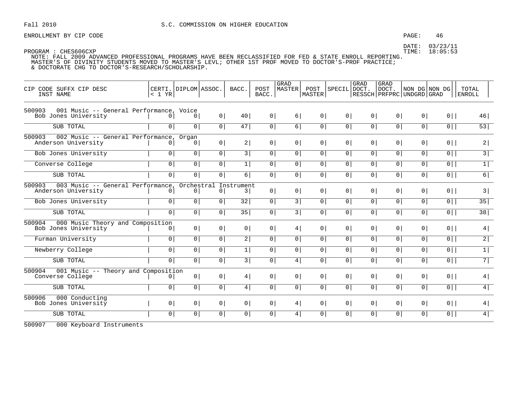### PAGE: 46

DATE: 03/23/11 TIME: 18:05:53

PROGRAM : CHES606CXP NOTE: FALL 2009 ADVANCED PROFESSIONAL PROGRAMS HAVE BEEN RECLASSIFIED FOR FED & STATE ENROLL REPORTING. MASTER'S OF DIVINITY STUDENTS MOVED TO MASTER'S LEVL; OTHER 1ST PROF MOVED TO DOCTOR'S-PROF PRACTICE; & DOCTORATE CHG TO DOCTOR'S-RESEARCH/SCHOLARSHIP.

| CIP CODE SUFFX CIP DESC<br>INST NAME                                      | < 1 YR         | CERTI. DIPLOM ASSOC. |                | BACC.           | POST<br>BACC.  | GRAD<br>MASTER | POST<br>MASTER | SPECIL         | <b>GRAD</b><br>DOCT. | GRAD<br>DOCT.<br>RESSCH   PRFPRC   UNDGRD   GRAD | NON DG NON DG  |                | TOTAL<br><b>ENROLL</b> |
|---------------------------------------------------------------------------|----------------|----------------------|----------------|-----------------|----------------|----------------|----------------|----------------|----------------------|--------------------------------------------------|----------------|----------------|------------------------|
| 001 Music -- General Performance, Voice<br>500903<br>Bob Jones University | 0              | 0                    | 0 <sup>1</sup> | 40              | 0              | 6              | 0 <sup>1</sup> | 0 <sup>1</sup> | 0 <sup>1</sup>       | 0 <sup>1</sup>                                   | 0              | $0$            | 46                     |
| SUB TOTAL                                                                 | $\mathbf 0$    | $\mathbf 0$          | 0              | 47              | 0              | 6              | 0              | 0 <sup>1</sup> | 0 <sup>1</sup>       | $\circ$                                          | $\circ$        | $\overline{0}$ | 53                     |
| 002 Music -- General Performance,<br>500903<br>Anderson University        | $\Omega$       | Organ<br>$\Omega$    | 0              | 2               | 0 <sup>1</sup> | 0              | 0 <sup>1</sup> | 0 <sup>1</sup> | 0 <sup>1</sup>       | 0 <sup>1</sup>                                   | 0 <sup>1</sup> | $0$            | 2                      |
| Bob Jones University                                                      | 0 <sup>1</sup> | 0                    | 0              | 3               | 0              | 0              | 0              | 0 <sup>1</sup> | 0 <sup>1</sup>       | 0 <sup>1</sup>                                   | 0 <sup>1</sup> | $0$            | $\overline{3}$         |
| Converse College                                                          | $\overline{0}$ | $\overline{0}$       | $\overline{0}$ | $\mathbf{1}$    | 0              | 0              | 0 <sup>1</sup> | $\overline{0}$ | 0                    | $\mathsf{O}$                                     | 0              | $\overline{0}$ | $\overline{1}$         |
| SUB TOTAL                                                                 | $\mathbf 0$    | $\mathbf 0$          | $\overline{0}$ | 6               | 0              | 0 <sup>1</sup> | $\overline{0}$ | $\overline{0}$ | $\mathbf 0$          | $\overline{0}$                                   | $\mathbf 0$    | $\overline{0}$ | $\overline{6}$         |
| 003 Music -- General Performance<br>500903<br>Anderson University         | 0              | Orchestral<br>0      | $\overline{0}$ | Instrument<br>3 | 0 <sup>1</sup> | 0 <sup>1</sup> | 0 <sup>1</sup> | 0 <sup>1</sup> | 0 <sup>1</sup>       | $\overline{0}$                                   | 0 <sup>1</sup> | $0$            | 3                      |
| Bob Jones University                                                      | $\mathbf 0$    | $\mathbf 0$          | $\overline{0}$ | 32              | 0              | 3              | 0              | $\circ$        | 0 <sup>1</sup>       | $\overline{0}$                                   | $\overline{0}$ | $0$            | 35                     |
| SUB TOTAL                                                                 | $\mathbf 0$    | $\mathbf 0$          | $\overline{0}$ | $\overline{35}$ | 0 <sup>1</sup> | 3              | $\overline{0}$ | $\overline{0}$ | $\mathbf 0$          | $\overline{0}$                                   | $\mathbf 0$    | $\overline{0}$ | 38                     |
| 000 Music Theory and Composition<br>500904<br>Bob Jones University        | 0              | 0                    | 0              | 0               | 0 <sup>1</sup> | 4              | 0              | 0 <sup>1</sup> | 0 <sup>1</sup>       | $\overline{0}$                                   | 0 <sup>1</sup> | $0$            | 4                      |
| Furman University                                                         | 0              | $\circ$              | 0 <sup>1</sup> | 2               | 0              | 0              | 0              | $\circ$        | 0 <sup>1</sup>       | 0 <sup>1</sup>                                   | 0 <sup>1</sup> | $\overline{0}$ | $\overline{2}$         |
| Newberry College                                                          | 0              | 0                    | $\overline{0}$ | $\mathbf{1}$    | 0              | 0              | 0              | 0 <sup>1</sup> | 0 <sup>1</sup>       | 0 <sup>1</sup>                                   | 0 <sup>1</sup> | $\overline{0}$ | $\overline{1}$         |
| SUB TOTAL                                                                 | $\overline{0}$ | 0 <sup>1</sup>       | $\overline{0}$ | 3               | 0              | 4              | 0 <sup>1</sup> | 0 <sup>1</sup> | 0                    | $\overline{0}$                                   | $\overline{0}$ | $\overline{0}$ | 7                      |
| 500904<br>001 Music -- Theory and Composition<br>Converse College         | 0              | 0 <sup>1</sup>       | 0              | 4               | 0 <sup>1</sup> | 0 <sup>1</sup> | 0 <sup>1</sup> | 0 <sup>1</sup> | 0 <sup>1</sup>       | 0 <sup>1</sup>                                   | $\circ$        | $0$            | 4                      |
| SUB TOTAL                                                                 | 0              | 0                    | $\overline{0}$ | 4               | 0              | $\circ$        | 0 <sup>1</sup> | $\overline{0}$ | 0                    | $\overline{0}$                                   | 0 <sup>1</sup> | $\overline{0}$ | $\overline{4}$         |
| 500906<br>000 Conducting<br>Bob Jones University                          | $\overline{0}$ | $\overline{0}$       | 0 <sup>1</sup> | 0               | 0              | 4              | 0              | 0 <sup>1</sup> | 0 <sup>1</sup>       | 0 <sup>1</sup>                                   | 0 <sup>1</sup> | $0$            | 4                      |
| SUB TOTAL<br>$\frac{1}{2}$                                                | $\mathbf 0$    | $\circ$              | 0 <sup>1</sup> | 0 <sup>1</sup>  | 0              | 4              | 0              | $\circ$        | 0 <sup>1</sup>       | $\overline{0}$                                   | $\overline{0}$ | $\overline{0}$ | 4                      |

500907 000 Keyboard Instruments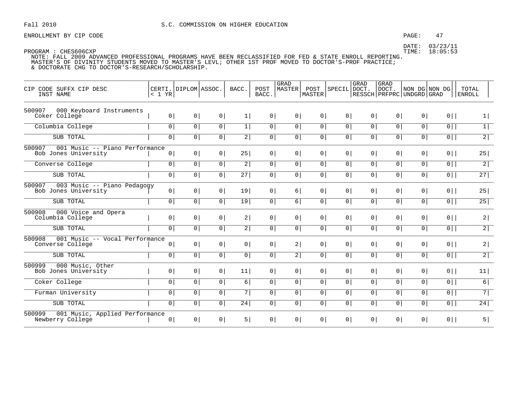### PAGE: 47

DATE: 03/23/11 TIME: 18:05:53

| CIP CODE SUFFX CIP DESC<br>INST NAME                             | < 1 YR         | CERTI. DIPLOM ASSOC. |                | BACC.          | POST<br>BACC.  | GRAD<br><b>MASTER</b> | POST<br>MASTER  | SPECIL DOCT.   | GRAD           | GRAD<br>DOCT.<br>  RESSCH   PRFPRC   UNDGRD   GRAD | NON DG NON DG  |                | TOTAL<br><b>ENROLL</b> |
|------------------------------------------------------------------|----------------|----------------------|----------------|----------------|----------------|-----------------------|-----------------|----------------|----------------|----------------------------------------------------|----------------|----------------|------------------------|
| 500907<br>000 Keyboard Instruments<br>Coker College              | 0 <sup>1</sup> | 0 <sup>1</sup>       | 0 <sup>1</sup> | 1              | 0              | 0 <sup>1</sup>        | 0 <sup>1</sup>  | 0 <sup>1</sup> | 0 <sup>1</sup> | 0                                                  | 0 <sup>1</sup> | $0$            | $\vert$                |
| Columbia College                                                 | $\overline{0}$ | $\circ$              | 0              | 1              | $\overline{0}$ | $\overline{0}$        | 0               | $\overline{0}$ | $\overline{0}$ | 0 <sup>1</sup>                                     | 0 <sup>1</sup> | $\overline{0}$ | $\boxed{1}$            |
| SUB TOTAL                                                        | 0 <sup>1</sup> | 0 <sup>1</sup>       | 0 <sup>1</sup> | 2              | 0              | 0 <sup>1</sup>        | 0 <sup>1</sup>  | 0 <sup>1</sup> | 0 <sup>1</sup> | 0 <sup>1</sup>                                     | 0 <sup>1</sup> | $0$            | 2                      |
| 500907<br>001 Music -- Piano Performance<br>Bob Jones University | 0 <sup>1</sup> | 0 <sup>1</sup>       | 0 <sup>1</sup> | 25             | 0              | 0 <sup>1</sup>        | 0 <sup>1</sup>  | 0 <sup>1</sup> | 0 <sup>1</sup> | 0 <sup>1</sup>                                     | 0              | $0$            | 25                     |
| Converse College                                                 | $\overline{0}$ | 0 <sup>1</sup>       | $\circ$        | $\overline{2}$ | 0              | $\circ$               | 0 <sup>1</sup>  | $\overline{0}$ | $\overline{0}$ | 0 <sup>1</sup>                                     | 0 <sup>1</sup> | $\overline{0}$ | $\overline{2}$         |
| SUB TOTAL                                                        | $\overline{0}$ | 0 <sup>1</sup>       | 0 <sup>1</sup> | 27             | 0              | $\overline{0}$        | 0 <sup>1</sup>  | $\overline{0}$ | $\overline{0}$ | 0 <sup>1</sup>                                     | $\mathsf{O}$   | $\overline{0}$ | 27                     |
| 500907<br>003 Music -- Piano Pedagogy<br>Bob Jones University    | 0 <sup>1</sup> | 0 <sup>1</sup>       | 0 <sup>1</sup> | 19             | 0 <sup>1</sup> | 6                     | 0 <sup>1</sup>  | 0 <sup>1</sup> | 0 <sup>1</sup> | 0 <sup>1</sup>                                     | 0 <sup>1</sup> | $0$            | 25                     |
| SUB TOTAL                                                        | 0 <sup>1</sup> | 0 <sup>1</sup>       | 0 <sup>1</sup> | 19             | 0 <sup>1</sup> | 6                     | 0 <sup>1</sup>  | 0 <sup>1</sup> | 0 <sup>1</sup> | 0 <sup>1</sup>                                     | 0 <sup>1</sup> | $\overline{0}$ | 25                     |
| 500908<br>000 Voice and Opera<br>Columbia College                | 0 <sup>1</sup> | 0 <sup>1</sup>       | 0 <sup>1</sup> | 2              | 0              | 0 <sup>1</sup>        | 0 <sup>1</sup>  | 0 <sup>1</sup> | 0 <sup>1</sup> | 0 <sup>1</sup>                                     | 0 <sup>1</sup> | $0$            | 2                      |
| SUB TOTAL                                                        | $\overline{0}$ | $\overline{0}$       | $\mathbf 0$    | $\overline{2}$ | $\overline{0}$ | $\overline{0}$        | $\overline{0}$  | $\overline{0}$ | $\overline{0}$ | 0 <sup>1</sup>                                     | $\overline{0}$ | $\overline{0}$ | $\overline{2}$         |
| 500908<br>001 Music -- Vocal Performance<br>Converse College     | 0 <sup>1</sup> | 0 <sup>1</sup>       | 0 <sup>1</sup> | 0              | 0              | 2                     | 0 <sup>1</sup>  | 0 <sup>1</sup> | 0 <sup>1</sup> | 0 <sup>1</sup>                                     | 0 <sup>1</sup> | $0$            | 2                      |
| SUB TOTAL                                                        | $\overline{0}$ | 0                    | 0 <sup>1</sup> | 0 <sup>1</sup> | 0              | 2                     | 0 <sup>1</sup>  | $\overline{0}$ | $\overline{0}$ | 0 <sup>1</sup>                                     | $\overline{0}$ | $\overline{0}$ | $\overline{2}$         |
| 500999<br>000 Music, Other<br>Bob Jones University               | 0 <sup>1</sup> | 0 <sup>1</sup>       | 0 <sup>1</sup> | 11             | 0              | 0                     | 0 <sup>1</sup>  | 0 <sup>1</sup> | 0 <sup>1</sup> | 0 <sup>1</sup>                                     | 0              | $0$            | 11                     |
| Coker College                                                    | 0 <sup>1</sup> | 0 <sup>1</sup>       | 0 <sup>1</sup> | $6 \mid$       | 0              | 0 <sup>1</sup>        | 0 <sup>1</sup>  | 0 <sup>1</sup> | 0 <sup>1</sup> | 0 <sup>1</sup>                                     | 0 <sup>1</sup> | $0$            | 6                      |
| Furman University                                                | $\overline{0}$ | $\overline{0}$       | $\overline{0}$ | $\overline{7}$ | $\overline{0}$ | $\overline{0}$        | $\overline{0}$  | $\overline{0}$ | $\overline{0}$ | 0 <sup>1</sup>                                     | 0 <sup>1</sup> | $\overline{0}$ | 7                      |
| SUB TOTAL                                                        | $\overline{0}$ | 0                    | 0 <sup>1</sup> | 24             | 0              | $\circ$               | $\vert 0 \vert$ | $\overline{0}$ | 0              | 0 <sup>1</sup>                                     | $\overline{0}$ | $\overline{0}$ | 24                     |
| 001 Music, Applied Performance<br>500999<br>Newberry College     | 0 <sup>1</sup> | 0 <sup>1</sup>       | 0 <sup>1</sup> | 5              | 0              | 0 <sup>1</sup>        | 0 <sup>1</sup>  | $0 \mid$       | 0 <sup>1</sup> | 0 <sup>1</sup>                                     | 0 <sup>1</sup> | $0$            | 5                      |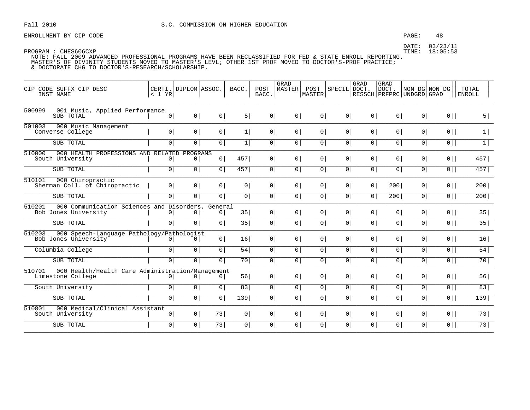ENROLLMENT BY CIP CODE **EXAMPLE 2008**: 48

DATE: 03/23/11

| CODE SUFFX CIP DESC<br>CTP                                                      | CERTI.   DIPLOM   ASSOC.  |                              |                | BACC.          | POST           | GRAD<br>MASTER | POST           | SPECIL DOCT.   | GRAD           | <b>GRAD</b><br>DOCT.            | NON DG NON DG  |                | TOTAL  |
|---------------------------------------------------------------------------------|---------------------------|------------------------------|----------------|----------------|----------------|----------------|----------------|----------------|----------------|---------------------------------|----------------|----------------|--------|
| INST NAME                                                                       | < 1 YR                    |                              |                |                | BACC.          |                | MASTER         |                |                | RESSCH   PRFPRC   UNDGRD   GRAD |                |                | ENROLL |
| 001 Music, Applied Performance<br>500999<br>SUB TOTAL                           | $\circ$                   | 0                            | 0              | 5              | 0              | 0              | 0              | 0 <sup>1</sup> | 0              | 0 <sup>1</sup>                  | 0 <sup>1</sup> | $0$            | 5      |
| 501003<br>000 Music Management<br>Converse College                              | 0 <sup>1</sup>            | 0 <sup>1</sup>               | 0              | 1              | 0              | 0 <sup>1</sup> | $0 \mid$       | 0 <sup>1</sup> | 0 <sup>1</sup> | 0 <sup>1</sup>                  | 0 <sup>1</sup> | $0$            | 1      |
| SUB TOTAL                                                                       | 0 <sup>1</sup>            | $\overline{0}$               | $\overline{0}$ | 1              | $\overline{0}$ | $\circ$        | 0              | 0 <sup>1</sup> | 0 <sup>1</sup> | 0                               | $\circ$        | $\overline{0}$ | 1      |
| 510000<br>000 HEALTH PROFESSIONS AND<br>South University                        | RELATED<br>$\overline{0}$ | PROGRAMS<br> 0               | 0              | 457            | 0 <sup>1</sup> | 0 <sup>1</sup> | 0              | 0 <sup>1</sup> | 0 <sup>1</sup> | 0 <sup>1</sup>                  | 0 <sup>1</sup> | $0$            | 457    |
| SUB TOTAL                                                                       | $\overline{0}$            | 0 <sup>1</sup>               | $\overline{0}$ | 457            | $\overline{0}$ | $\circ$        | 0              | 0 <sup>1</sup> | 0              | 0                               | 0 <sup>1</sup> | $\overline{0}$ | 457    |
| 000 Chiropractic<br>510101<br>Sherman Coll. of Chiropractic                     | 0 <sup>1</sup>            | 0 <sup>1</sup>               | 0              | 0 <sup>1</sup> | 0              | $\circ$        | 0              | 0 <sup>1</sup> | 0 <sup>1</sup> | 200                             | 0 <sup>1</sup> | $0$            | 200    |
| SUB TOTAL                                                                       | 0                         | $\overline{0}$               | $\overline{0}$ | 0 <sup>1</sup> | $\overline{0}$ | $\circ$        | $\overline{0}$ | 0 <sup>1</sup> | 0              | 200                             | $\overline{0}$ | $\overline{0}$ | 200    |
| 510201<br>000 Communication Sciences and<br>Bob Jones University                | $\overline{0}$            | Disorders,<br>0 <sup>1</sup> | General<br> 0  | 35             | 0              | 0 <sup>1</sup> | 0              | 0 <sup>1</sup> | 0 <sup>1</sup> | 0                               | 0 <sup>1</sup> | $0$            | 35     |
| SUB TOTAL                                                                       | 0 <sup>1</sup>            | $\overline{0}$               | $\overline{0}$ | 35             | $\overline{0}$ | 0 <sup>1</sup> | $\overline{0}$ | 0 <sup>1</sup> | $\overline{0}$ | $\overline{0}$                  | $\circ$        | $\overline{0}$ | 35     |
| 510203<br>000 Speech-Language Pathology/Pathologist<br>Bob Jones University     | 0                         | 0                            | 0              | 16             | 0 <sup>1</sup> | $\circ$        | 0 <sup>1</sup> | 0 <sup>1</sup> | 0 <sup>1</sup> | 0 <sup>1</sup>                  | 0 <sup>1</sup> | $0$            | 16     |
| Columbia College                                                                | 0 <sup>1</sup>            | 0 <sup>1</sup>               | $\overline{0}$ | 54             | $\overline{0}$ | $\circ$        | $\overline{0}$ | 0 <sup>1</sup> | 0 <sup>1</sup> | 0 <sup>1</sup>                  | 0 <sup>1</sup> | $0$            | 54     |
| SUB TOTAL                                                                       | $\overline{0}$            | $\overline{0}$               | $\overline{0}$ | 70             | $\overline{0}$ | $\overline{0}$ | $\overline{0}$ | $\overline{0}$ | $\overline{0}$ | 0 <sup>1</sup>                  | $\overline{0}$ | $\overline{0}$ | 70     |
| 510701<br>000 Health/Health Care Administration/Management<br>Limestone College | 0 <sup>1</sup>            | 0 <sup>1</sup>               | 0 <sup>1</sup> | 56             | 0              | $\circ$        | 0 <sup>1</sup> | 0 <sup>1</sup> | 0 <sup>1</sup> | 0 <sup>1</sup>                  | 0 <sup>1</sup> | $0$            | 56     |
| South University                                                                | $\overline{0}$            | 0                            | $\overline{0}$ | 83             | $\overline{0}$ | $\circ$        | $\overline{0}$ | 0 <sup>1</sup> | $\overline{0}$ | 0 <sup>1</sup>                  | 0 <sup>1</sup> | $\overline{0}$ | 83     |
| SUB TOTAL                                                                       | 0 <sup>1</sup>            | $\overline{0}$               | $\overline{0}$ | 139            | $\overline{0}$ | 0 <sup>1</sup> | $\overline{0}$ | 0 <sup>1</sup> | 0 <sup>1</sup> | 0                               | 0 <sup>1</sup> | $\overline{0}$ | 139    |
| 510801<br>000 Medical/Clinical Assistant<br>South University                    | 0                         | 0                            | 73             | 0 <sup>1</sup> | 0              | 0 <sup>1</sup> | 0              | 0 <sup>1</sup> | 0              | 0 <sup>1</sup>                  | 0 <sup>1</sup> | $0$            | 73     |
| SUB TOTAL                                                                       | $\overline{0}$            | 0                            | 73             | $\overline{0}$ | $\circ$        | $\overline{0}$ | 0 <sup>1</sup> | 0 <sup>1</sup> | 0 <sup>1</sup> | $\circ$                         | $\circ$        | $0$            | 73     |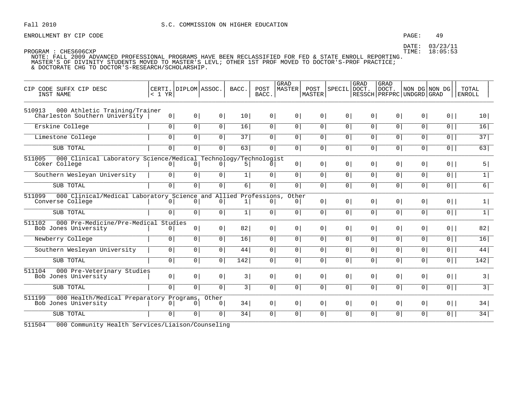ENROLLMENT BY CIP CODE  $\begin{array}{ccc} 49 \end{array}$ 

DATE: 03/23/11

 PROGRAM : CHES606CXP TIME: 18:05:53 NOTE: FALL 2009 ADVANCED PROFESSIONAL PROGRAMS HAVE BEEN RECLASSIFIED FOR FED & STATE ENROLL REPORTING. MASTER'S OF DIVINITY STUDENTS MOVED TO MASTER'S LEVL; OTHER 1ST PROF MOVED TO DOCTOR'S-PROF PRACTICE; & DOCTORATE CHG TO DOCTOR'S-RESEARCH/SCHOLARSHIP.

| GRAD<br>BACC.<br>POST<br>MASTER<br>SPECIL DOCT.<br>DOCT.<br>CERTI. DIPLOM ASSOC.<br>POST<br>NON DG NON DG<br>TOTAL<br>CIP CODE SUFFX CIP DESC<br>MASTER<br>BACC.<br>RESSCH   PRFPRC   UNDGRD   GRAD<br>INST NAME<br>< 1 YR<br><b>ENROLL</b><br>000 Athletic Training/Trainer<br>510913<br>0 <sup>1</sup><br>0 <sup>1</sup><br>10 <sup>1</sup><br>0<br>0 <sup>1</sup><br>0 <sup>1</sup><br>0 <sup>1</sup><br>0 <sup>1</sup><br>0 <sup>1</sup><br>0 <sup>1</sup><br>$0$   <br>Charleston Southern University<br>0 <sup>1</sup><br>10 <sup>1</sup><br>$\overline{0}$<br>Erskine College<br>0 <sup>1</sup><br>$\overline{0}$<br>16<br>$\overline{0}$<br>$\overline{0}$<br>0 <sup>1</sup><br>$\overline{0}$<br>$\overline{0}$<br>$\overline{0}$<br>$\overline{0}$<br>16<br>$\overline{0}$<br>37<br>$\overline{0}$<br>0 <sup>1</sup><br>0 <sup>1</sup><br>37<br>0<br>$\circ$<br>0 <br>0 <sup>1</sup><br>0 <sup>1</sup><br>$0$   <br>Limestone College<br>0 <sup>1</sup><br>$\circ$<br>SUB TOTAL<br>$\overline{0}$<br>$\overline{0}$<br>$\overline{0}$<br>63<br>$\overline{0}$<br>$\overline{0}$<br>$\overline{0}$<br>$\overline{0}$<br>$\overline{0}$<br>63<br>$\circ$<br>$\overline{0}$<br>$\overline{0}$<br>000 Clinical Laboratory Science/Medical Technology/Technologist<br>511005<br>0 <br>5 <br>0 <sup>1</sup><br>0 <sup>1</sup><br>$0$   <br>Coker College<br>$\circ$  <br>0 <sup>1</sup><br>0 <sup>1</sup><br>$\overline{0}$<br>5 <br>0 <sup>1</sup><br>0 <sup>1</sup><br>0 <sup>1</sup><br> 0 <br>$\boxed{0}$<br>$\overline{0}$<br>$\overline{0}$<br> 0 <br>$\overline{0}$<br>0 <sup>1</sup><br> 0 <br>$\overline{0}$<br>$\overline{0}$<br>$\overline{0}$<br>$\overline{1}$<br>Southern Wesleyan University<br>1 <br>0 <sup>1</sup><br>0 <sup>1</sup><br>0 <sup>1</sup><br>6 <br>0 <sup>1</sup><br>0<br>0 <sup>1</sup><br>6 <br>SUB TOTAL<br>$\circ$  <br>0 <sup>1</sup><br> 0 <br>$\circ$<br>$0$   <br>000 Clinical/Medical Laboratory Science and Allied Professions,<br>511099<br>Other<br>0 <sup>1</sup><br>0 <sup>1</sup><br>0 <sup>1</sup><br>0 <sup>1</sup><br>0 <sup>1</sup><br>$0$   <br>1 <br>Converse College<br>0 <sup>1</sup><br>0 <sup>1</sup><br>0<br>0 <sup>1</sup><br>0 <sup>1</sup><br>1<br>$\boxed{1}$<br>SUB TOTAL<br>$\overline{0}$<br> 0 <br>$\boxed{0}$<br>$\overline{0}$<br>$\circ$<br>$\overline{0}$<br>0 <sup>1</sup><br>$\overline{0}$<br>$\overline{0}$<br>$\overline{0}$<br>$\overline{0}$<br>1 <br>511102<br>000 Pre-Medicine/Pre-Medical Studies<br>0 <sup>1</sup><br>0 <br>82 <br>0 <sup>1</sup><br>0 <sup>1</sup><br>0 <sup>1</sup><br>$0$   <br>82 <br>0 <sup>1</sup><br>$\circ$  <br>0 <sup>1</sup><br>0 <sup>1</sup><br>Bob Jones University<br>$\circ$<br>Newberry College<br>$\overline{0}$<br> 0 <br>$\overline{0}$<br>16<br>$\overline{0}$<br>$\circ$<br>$\overline{0}$<br>0 <sup>1</sup><br>$\overline{0}$<br>$\overline{0}$<br>$\overline{0}$<br>$\overline{0}$<br>16<br>0 <sup>1</sup><br>0 <sup>1</sup><br>0 <sup>1</sup><br>$\overline{0}$<br>0 <sup>1</sup><br>0 <sup>1</sup><br>0 <sup>1</sup><br>$0$   <br>44 <br>Southern Wesleyan University<br>44 <br>0 <sup>1</sup><br>0 <sup>1</sup><br>0 <sup>1</sup><br>SUB TOTAL<br>$\overline{0}$<br> 0 <br>$\overline{0}$<br>$\overline{142}$<br>$\overline{0}$<br>$\circ$<br>$\overline{0}$<br>0 <sup>1</sup><br>$\overline{0}$<br>$\overline{0}$<br>$\overline{0}$<br>$\overline{0}$<br>142<br>511104<br>000 Pre-Veterinary Studies<br>0 <sup>1</sup><br>0 <br>3 <br>0 <sup>1</sup><br>0 <sup>1</sup><br>0 <sup>1</sup><br>0 <sup>1</sup><br>$0$   <br>3 <br>0 <sup>1</sup><br>$\circ$  <br>0 <sup>1</sup><br>0 <sup>1</sup><br>Bob Jones University<br>$\overline{3}$<br>$\overline{0}$<br>$\overline{0}$<br>$\overline{0}$<br>3 <br>$\overline{0}$<br>$\circ$<br>$\overline{0}$<br>0 <sup>1</sup><br>SUB TOTAL<br>0 <sup>1</sup><br> 0 <br>$\circ$<br>$0$   <br>511199<br>000 Health/Medical Preparatory Programs,<br>Other<br>0 <sup>1</sup><br>0 <sup>1</sup><br>0 <sup>1</sup><br>$0$   <br>34<br>0<br>$\circ$<br>0 <sup>1</sup><br> 0 <br>34<br>Bob Jones University<br>0<br>$\overline{0}$<br>0 <sup>1</sup><br>$\overline{0}$<br>0 <sup>1</sup><br>0 <sup>1</sup><br>34<br>0 <sup>1</sup><br>$\Omega$<br>0 <sup>1</sup><br>$\overline{0}$<br>$\circ$<br>$\Omega$<br>$\overline{0}$<br>$0$   <br>34<br>SUB TOTAL |  |  |  |             |  |             |  |  |
|-------------------------------------------------------------------------------------------------------------------------------------------------------------------------------------------------------------------------------------------------------------------------------------------------------------------------------------------------------------------------------------------------------------------------------------------------------------------------------------------------------------------------------------------------------------------------------------------------------------------------------------------------------------------------------------------------------------------------------------------------------------------------------------------------------------------------------------------------------------------------------------------------------------------------------------------------------------------------------------------------------------------------------------------------------------------------------------------------------------------------------------------------------------------------------------------------------------------------------------------------------------------------------------------------------------------------------------------------------------------------------------------------------------------------------------------------------------------------------------------------------------------------------------------------------------------------------------------------------------------------------------------------------------------------------------------------------------------------------------------------------------------------------------------------------------------------------------------------------------------------------------------------------------------------------------------------------------------------------------------------------------------------------------------------------------------------------------------------------------------------------------------------------------------------------------------------------------------------------------------------------------------------------------------------------------------------------------------------------------------------------------------------------------------------------------------------------------------------------------------------------------------------------------------------------------------------------------------------------------------------------------------------------------------------------------------------------------------------------------------------------------------------------------------------------------------------------------------------------------------------------------------------------------------------------------------------------------------------------------------------------------------------------------------------------------------------------------------------------------------------------------------------------------------------------------------------------------------------------------------------------------------------------------------------------------------------------------------------------------------------------------------------------------------------------------------------------------------------------------------------------------------------------------------------------------------------------------------------------------------------------------------------------------------------------------------------------------------------------------------------------------------------------------------------------------------------------------------------------------------------------------------------------------------------------------------------------------------------------------------------------------------------------------------------------------------------------------------------------------------------------------------------------------------------------------------------------------------------------------------------------------------------------------------------------------------------|--|--|--|-------------|--|-------------|--|--|
|                                                                                                                                                                                                                                                                                                                                                                                                                                                                                                                                                                                                                                                                                                                                                                                                                                                                                                                                                                                                                                                                                                                                                                                                                                                                                                                                                                                                                                                                                                                                                                                                                                                                                                                                                                                                                                                                                                                                                                                                                                                                                                                                                                                                                                                                                                                                                                                                                                                                                                                                                                                                                                                                                                                                                                                                                                                                                                                                                                                                                                                                                                                                                                                                                                                                                                                                                                                                                                                                                                                                                                                                                                                                                                                                                                                                                                                                                                                                                                                                                                                                                                                                                                                                                                                                                                                         |  |  |  | <b>GRAD</b> |  | <b>GRAD</b> |  |  |
|                                                                                                                                                                                                                                                                                                                                                                                                                                                                                                                                                                                                                                                                                                                                                                                                                                                                                                                                                                                                                                                                                                                                                                                                                                                                                                                                                                                                                                                                                                                                                                                                                                                                                                                                                                                                                                                                                                                                                                                                                                                                                                                                                                                                                                                                                                                                                                                                                                                                                                                                                                                                                                                                                                                                                                                                                                                                                                                                                                                                                                                                                                                                                                                                                                                                                                                                                                                                                                                                                                                                                                                                                                                                                                                                                                                                                                                                                                                                                                                                                                                                                                                                                                                                                                                                                                                         |  |  |  |             |  |             |  |  |
|                                                                                                                                                                                                                                                                                                                                                                                                                                                                                                                                                                                                                                                                                                                                                                                                                                                                                                                                                                                                                                                                                                                                                                                                                                                                                                                                                                                                                                                                                                                                                                                                                                                                                                                                                                                                                                                                                                                                                                                                                                                                                                                                                                                                                                                                                                                                                                                                                                                                                                                                                                                                                                                                                                                                                                                                                                                                                                                                                                                                                                                                                                                                                                                                                                                                                                                                                                                                                                                                                                                                                                                                                                                                                                                                                                                                                                                                                                                                                                                                                                                                                                                                                                                                                                                                                                                         |  |  |  |             |  |             |  |  |
|                                                                                                                                                                                                                                                                                                                                                                                                                                                                                                                                                                                                                                                                                                                                                                                                                                                                                                                                                                                                                                                                                                                                                                                                                                                                                                                                                                                                                                                                                                                                                                                                                                                                                                                                                                                                                                                                                                                                                                                                                                                                                                                                                                                                                                                                                                                                                                                                                                                                                                                                                                                                                                                                                                                                                                                                                                                                                                                                                                                                                                                                                                                                                                                                                                                                                                                                                                                                                                                                                                                                                                                                                                                                                                                                                                                                                                                                                                                                                                                                                                                                                                                                                                                                                                                                                                                         |  |  |  |             |  |             |  |  |
|                                                                                                                                                                                                                                                                                                                                                                                                                                                                                                                                                                                                                                                                                                                                                                                                                                                                                                                                                                                                                                                                                                                                                                                                                                                                                                                                                                                                                                                                                                                                                                                                                                                                                                                                                                                                                                                                                                                                                                                                                                                                                                                                                                                                                                                                                                                                                                                                                                                                                                                                                                                                                                                                                                                                                                                                                                                                                                                                                                                                                                                                                                                                                                                                                                                                                                                                                                                                                                                                                                                                                                                                                                                                                                                                                                                                                                                                                                                                                                                                                                                                                                                                                                                                                                                                                                                         |  |  |  |             |  |             |  |  |
|                                                                                                                                                                                                                                                                                                                                                                                                                                                                                                                                                                                                                                                                                                                                                                                                                                                                                                                                                                                                                                                                                                                                                                                                                                                                                                                                                                                                                                                                                                                                                                                                                                                                                                                                                                                                                                                                                                                                                                                                                                                                                                                                                                                                                                                                                                                                                                                                                                                                                                                                                                                                                                                                                                                                                                                                                                                                                                                                                                                                                                                                                                                                                                                                                                                                                                                                                                                                                                                                                                                                                                                                                                                                                                                                                                                                                                                                                                                                                                                                                                                                                                                                                                                                                                                                                                                         |  |  |  |             |  |             |  |  |
|                                                                                                                                                                                                                                                                                                                                                                                                                                                                                                                                                                                                                                                                                                                                                                                                                                                                                                                                                                                                                                                                                                                                                                                                                                                                                                                                                                                                                                                                                                                                                                                                                                                                                                                                                                                                                                                                                                                                                                                                                                                                                                                                                                                                                                                                                                                                                                                                                                                                                                                                                                                                                                                                                                                                                                                                                                                                                                                                                                                                                                                                                                                                                                                                                                                                                                                                                                                                                                                                                                                                                                                                                                                                                                                                                                                                                                                                                                                                                                                                                                                                                                                                                                                                                                                                                                                         |  |  |  |             |  |             |  |  |
|                                                                                                                                                                                                                                                                                                                                                                                                                                                                                                                                                                                                                                                                                                                                                                                                                                                                                                                                                                                                                                                                                                                                                                                                                                                                                                                                                                                                                                                                                                                                                                                                                                                                                                                                                                                                                                                                                                                                                                                                                                                                                                                                                                                                                                                                                                                                                                                                                                                                                                                                                                                                                                                                                                                                                                                                                                                                                                                                                                                                                                                                                                                                                                                                                                                                                                                                                                                                                                                                                                                                                                                                                                                                                                                                                                                                                                                                                                                                                                                                                                                                                                                                                                                                                                                                                                                         |  |  |  |             |  |             |  |  |
|                                                                                                                                                                                                                                                                                                                                                                                                                                                                                                                                                                                                                                                                                                                                                                                                                                                                                                                                                                                                                                                                                                                                                                                                                                                                                                                                                                                                                                                                                                                                                                                                                                                                                                                                                                                                                                                                                                                                                                                                                                                                                                                                                                                                                                                                                                                                                                                                                                                                                                                                                                                                                                                                                                                                                                                                                                                                                                                                                                                                                                                                                                                                                                                                                                                                                                                                                                                                                                                                                                                                                                                                                                                                                                                                                                                                                                                                                                                                                                                                                                                                                                                                                                                                                                                                                                                         |  |  |  |             |  |             |  |  |
|                                                                                                                                                                                                                                                                                                                                                                                                                                                                                                                                                                                                                                                                                                                                                                                                                                                                                                                                                                                                                                                                                                                                                                                                                                                                                                                                                                                                                                                                                                                                                                                                                                                                                                                                                                                                                                                                                                                                                                                                                                                                                                                                                                                                                                                                                                                                                                                                                                                                                                                                                                                                                                                                                                                                                                                                                                                                                                                                                                                                                                                                                                                                                                                                                                                                                                                                                                                                                                                                                                                                                                                                                                                                                                                                                                                                                                                                                                                                                                                                                                                                                                                                                                                                                                                                                                                         |  |  |  |             |  |             |  |  |
|                                                                                                                                                                                                                                                                                                                                                                                                                                                                                                                                                                                                                                                                                                                                                                                                                                                                                                                                                                                                                                                                                                                                                                                                                                                                                                                                                                                                                                                                                                                                                                                                                                                                                                                                                                                                                                                                                                                                                                                                                                                                                                                                                                                                                                                                                                                                                                                                                                                                                                                                                                                                                                                                                                                                                                                                                                                                                                                                                                                                                                                                                                                                                                                                                                                                                                                                                                                                                                                                                                                                                                                                                                                                                                                                                                                                                                                                                                                                                                                                                                                                                                                                                                                                                                                                                                                         |  |  |  |             |  |             |  |  |
|                                                                                                                                                                                                                                                                                                                                                                                                                                                                                                                                                                                                                                                                                                                                                                                                                                                                                                                                                                                                                                                                                                                                                                                                                                                                                                                                                                                                                                                                                                                                                                                                                                                                                                                                                                                                                                                                                                                                                                                                                                                                                                                                                                                                                                                                                                                                                                                                                                                                                                                                                                                                                                                                                                                                                                                                                                                                                                                                                                                                                                                                                                                                                                                                                                                                                                                                                                                                                                                                                                                                                                                                                                                                                                                                                                                                                                                                                                                                                                                                                                                                                                                                                                                                                                                                                                                         |  |  |  |             |  |             |  |  |
|                                                                                                                                                                                                                                                                                                                                                                                                                                                                                                                                                                                                                                                                                                                                                                                                                                                                                                                                                                                                                                                                                                                                                                                                                                                                                                                                                                                                                                                                                                                                                                                                                                                                                                                                                                                                                                                                                                                                                                                                                                                                                                                                                                                                                                                                                                                                                                                                                                                                                                                                                                                                                                                                                                                                                                                                                                                                                                                                                                                                                                                                                                                                                                                                                                                                                                                                                                                                                                                                                                                                                                                                                                                                                                                                                                                                                                                                                                                                                                                                                                                                                                                                                                                                                                                                                                                         |  |  |  |             |  |             |  |  |
|                                                                                                                                                                                                                                                                                                                                                                                                                                                                                                                                                                                                                                                                                                                                                                                                                                                                                                                                                                                                                                                                                                                                                                                                                                                                                                                                                                                                                                                                                                                                                                                                                                                                                                                                                                                                                                                                                                                                                                                                                                                                                                                                                                                                                                                                                                                                                                                                                                                                                                                                                                                                                                                                                                                                                                                                                                                                                                                                                                                                                                                                                                                                                                                                                                                                                                                                                                                                                                                                                                                                                                                                                                                                                                                                                                                                                                                                                                                                                                                                                                                                                                                                                                                                                                                                                                                         |  |  |  |             |  |             |  |  |
|                                                                                                                                                                                                                                                                                                                                                                                                                                                                                                                                                                                                                                                                                                                                                                                                                                                                                                                                                                                                                                                                                                                                                                                                                                                                                                                                                                                                                                                                                                                                                                                                                                                                                                                                                                                                                                                                                                                                                                                                                                                                                                                                                                                                                                                                                                                                                                                                                                                                                                                                                                                                                                                                                                                                                                                                                                                                                                                                                                                                                                                                                                                                                                                                                                                                                                                                                                                                                                                                                                                                                                                                                                                                                                                                                                                                                                                                                                                                                                                                                                                                                                                                                                                                                                                                                                                         |  |  |  |             |  |             |  |  |
|                                                                                                                                                                                                                                                                                                                                                                                                                                                                                                                                                                                                                                                                                                                                                                                                                                                                                                                                                                                                                                                                                                                                                                                                                                                                                                                                                                                                                                                                                                                                                                                                                                                                                                                                                                                                                                                                                                                                                                                                                                                                                                                                                                                                                                                                                                                                                                                                                                                                                                                                                                                                                                                                                                                                                                                                                                                                                                                                                                                                                                                                                                                                                                                                                                                                                                                                                                                                                                                                                                                                                                                                                                                                                                                                                                                                                                                                                                                                                                                                                                                                                                                                                                                                                                                                                                                         |  |  |  |             |  |             |  |  |
|                                                                                                                                                                                                                                                                                                                                                                                                                                                                                                                                                                                                                                                                                                                                                                                                                                                                                                                                                                                                                                                                                                                                                                                                                                                                                                                                                                                                                                                                                                                                                                                                                                                                                                                                                                                                                                                                                                                                                                                                                                                                                                                                                                                                                                                                                                                                                                                                                                                                                                                                                                                                                                                                                                                                                                                                                                                                                                                                                                                                                                                                                                                                                                                                                                                                                                                                                                                                                                                                                                                                                                                                                                                                                                                                                                                                                                                                                                                                                                                                                                                                                                                                                                                                                                                                                                                         |  |  |  |             |  |             |  |  |
|                                                                                                                                                                                                                                                                                                                                                                                                                                                                                                                                                                                                                                                                                                                                                                                                                                                                                                                                                                                                                                                                                                                                                                                                                                                                                                                                                                                                                                                                                                                                                                                                                                                                                                                                                                                                                                                                                                                                                                                                                                                                                                                                                                                                                                                                                                                                                                                                                                                                                                                                                                                                                                                                                                                                                                                                                                                                                                                                                                                                                                                                                                                                                                                                                                                                                                                                                                                                                                                                                                                                                                                                                                                                                                                                                                                                                                                                                                                                                                                                                                                                                                                                                                                                                                                                                                                         |  |  |  |             |  |             |  |  |

511504 000 Community Health Services/Liaison/Counseling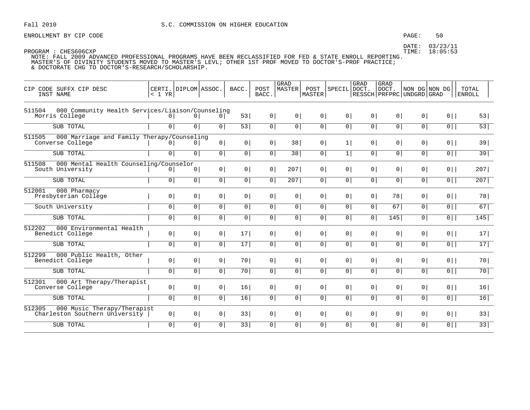### PAGE: 50

DATE: 03/23/11 TIME: 18:05:53

| CIP CODE SUFFX CIP DESC<br>INST NAME                                         | < 1 YR         | CERTI. DIPLOM ASSOC. |                | BACC.           | POST<br>BACC.  | GRAD<br><b>MASTER</b> | POST<br>MASTER | SPECIL DOCT.   | GRAD           | GRAD<br>DOCT.<br>RESSCH PRFPRC UNDGRD GRAD | NON DG NON DG  |                | TOTAL<br><b>ENROLL</b> |
|------------------------------------------------------------------------------|----------------|----------------------|----------------|-----------------|----------------|-----------------------|----------------|----------------|----------------|--------------------------------------------|----------------|----------------|------------------------|
| 000 Community Health Services/Liaison/Counseling<br>511504<br>Morris College | $\circ$        | 0 <sup>1</sup>       | 0 <sup>1</sup> | 53              | 0 <sup>1</sup> | 0 <sup>1</sup>        | 0 <sup>1</sup> | 0 <sup>1</sup> | 0 <sup>1</sup> | 0 <sup>1</sup>                             | 0 <sup>1</sup> | $0$            | 53                     |
| SUB TOTAL                                                                    | $\overline{0}$ | $\overline{0}$       | $\circ$        | 53              | $\overline{0}$ | 0 <sup>1</sup>        | 0 <sup>1</sup> | $\overline{0}$ | $\overline{0}$ | $\overline{0}$                             | $\overline{0}$ | $0$            | 53                     |
| 000 Marriage and Family Therapy/Counseling<br>511505<br>Converse College     | 0 <sup>1</sup> | $\overline{0}$       | 0 <sup>1</sup> | 0 <sup>1</sup>  | 0 <sup>1</sup> | 38                    | 0 <sup>1</sup> | 1              | 0              | 0 <sup>1</sup>                             | 0 <sup>1</sup> | $0$            | 39                     |
| SUB TOTAL                                                                    | 0              | 0 <sup>1</sup>       | 0 <sup>1</sup> | 0               | 0 <sup>1</sup> | 38                    | 0 <sup>1</sup> | 1              | 0 <sup>1</sup> | 0 <sup>1</sup>                             | 0              | $\overline{0}$ | 39                     |
| 511508<br>000 Mental Health Counseling/Counselor<br>South University         | 0 <sup>1</sup> | 0 <sup>1</sup>       | 0 <sup>1</sup> | 0 <sup>1</sup>  | 0 <sup>1</sup> | 207                   | 0 <sup>1</sup> | 0 <sup>1</sup> | 0              | 0 <sup>1</sup>                             | 0 <sup>1</sup> | $0$            | 207                    |
| SUB TOTAL                                                                    | $\overline{0}$ | 0 <sup>1</sup>       | 0 <sup>1</sup> | $\overline{0}$  | $\overline{0}$ | 207                   | 0 <sup>1</sup> | $\overline{0}$ | 0              | $\overline{0}$                             | $\overline{0}$ | $\overline{0}$ | 207                    |
| 512001<br>000 Pharmacy<br>Presbyterian College                               | 0 <sup>1</sup> | 0                    | 0 <sup>1</sup> | 0 <sup>1</sup>  | 0 <sup>1</sup> | 0 <sup>1</sup>        | 0 <sup>1</sup> | 0              | $0 \mid$       | 78                                         | 0 <sup>1</sup> | $0$            | 78                     |
| South University                                                             | $\overline{0}$ | $\overline{0}$       | 0 <sup>1</sup> | $\overline{0}$  | $\overline{0}$ | 0 <sup>1</sup>        | 0 <sup>1</sup> | $\overline{0}$ | $\overline{0}$ | 67                                         | $\circ$        | $\overline{0}$ | 67                     |
| SUB TOTAL                                                                    | 0              | 0 <sup>1</sup>       | 0 <sup>1</sup> | 0 <sup>1</sup>  | 0 <sup>1</sup> | 0 <sup>1</sup>        | 0 <sup>1</sup> | $\overline{0}$ | $\overline{0}$ | 145                                        | $\overline{0}$ | $\overline{0}$ | 145                    |
| 512202<br>000 Environmental Health<br>Benedict College                       | 0 <sup>1</sup> | 0 <sup>1</sup>       | $\circ$        | 17 <sup>1</sup> | 0 <sup>1</sup> | 0 <sup>1</sup>        | 0 <sup>1</sup> | 0 <sup>1</sup> | 0 <sup>1</sup> | 0 <sup>1</sup>                             | 0 <sup>1</sup> | $0$            | 17                     |
| SUB TOTAL                                                                    | $\circ$        | $\overline{0}$       | $\overline{0}$ | 17              | $\circ$        | $\overline{0}$        | 0 <sup>1</sup> | $\overline{0}$ | $\overline{0}$ | $\overline{0}$                             | $\circ$        | $0$            | 17                     |
| 000 Public Health, Other<br>512299<br>Benedict College                       | 0 <sup>1</sup> | 0 <sup>1</sup>       | 0 <sup>1</sup> | 70              | 0 <sup>1</sup> | 0 <sup>1</sup>        | 0 <sup>1</sup> | 0 <sup>1</sup> | 0 <sup>1</sup> | 0 <sup>1</sup>                             | $\circ$        | $0$            | 70                     |
| SUB TOTAL                                                                    | 0 <sup>1</sup> | $\overline{0}$       | 0 <sup>1</sup> | 70              | 0 <sup>1</sup> | 0 <sup>1</sup>        | $\overline{0}$ | 0 <sup>1</sup> | 0 <sup>1</sup> | $\overline{0}$                             | $\overline{0}$ | $\overline{0}$ | 70                     |
| 512301<br>000 Art Therapy/Therapist<br>Converse College                      | 0 <sup>1</sup> | 0 <sup>1</sup>       | $\circ$        | 16              | 0 <sup>1</sup> | 0                     | 0 <sup>1</sup> | 0 <sup>1</sup> | 0 <sup>1</sup> | 0 <sup>1</sup>                             | $\circ$        | $0$            | 16                     |
| SUB TOTAL                                                                    | 0              | $\overline{0}$       | $\overline{0}$ | 16              | $\circ$        | $\overline{0}$        | 0 <sup>1</sup> | 0 <sup>1</sup> | 0 <sup>1</sup> | $\circ$                                    | $\circ$        | $\overline{0}$ | 16                     |
| 000 Music Therapy/Therapist<br>512305<br>Charleston Southern University      | 0              | 0                    | $\circ$        | 33              | 0 <sup>1</sup> | 0                     | 0 <sup>1</sup> | 0 <sup>1</sup> | 0 <sup>1</sup> | 0 <sup>1</sup>                             | 0 <sup>1</sup> | $0$            | 33                     |
| SUB TOTAL                                                                    | 0              | 0 <sup>1</sup>       | 0 <sup>1</sup> | 33              | $\circ$        | 0 <sup>1</sup>        | 0 <sup>1</sup> | $\overline{0}$ | $\overline{0}$ | $\circ$                                    | $\circ$        | $\overline{0}$ | 33                     |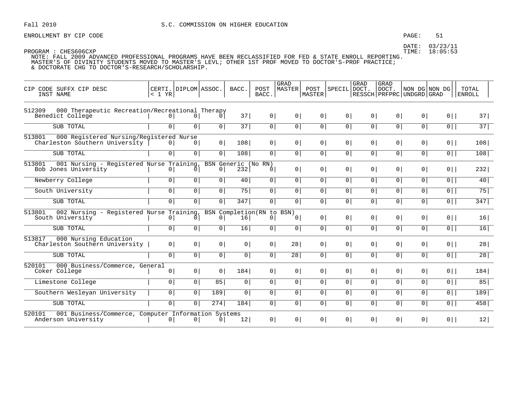ENROLLMENT BY CIP CODE **EXAMPLE SERVICE SERVICE SERVICE SERVICE** STEED FAGE: 51

DATE: 03/23/11

| CODE SUFFX CIP DESC<br>CTP<br>INST NAME                                              | < 1 YR         | CERTI. DIPLOM ASSOC. |                | BACC.                      | POST<br>BACC.                                | GRAD<br>MASTER  | POST<br><b>MASTER</b> | SPECIL DOCT.   | <b>GRAD</b>    | <b>GRAD</b><br>  DOCT.<br>RESSCH PRFPRC UNDGRD GRAD | NON DG NON DG  |                | TOTAL<br><b>ENROLL</b> |
|--------------------------------------------------------------------------------------|----------------|----------------------|----------------|----------------------------|----------------------------------------------|-----------------|-----------------------|----------------|----------------|-----------------------------------------------------|----------------|----------------|------------------------|
| 000 Therapeutic Recreation/Recreational Therapy<br>512309<br>Benedict College        | 0 <sup>1</sup> | 0 <sup>1</sup>       |                | 37                         | 0 <sup>1</sup>                               | 0 <sup>1</sup>  | 0                     | 0 <sup>1</sup> | 0              | 0 <sup>1</sup>                                      | 0 <sup>1</sup> | $0$            | 37                     |
| SUB TOTAL                                                                            | 0 <sup>1</sup> | 0 <sup>1</sup>       | 0 <sup>1</sup> | $\overline{37}$            | 0 <sup>1</sup>                               | $\overline{0}$  | 0                     | $\overline{0}$ | 0              | $\overline{0}$                                      | $\overline{0}$ | $\overline{0}$ | 37                     |
| 000 Registered Nursing/Registered Nurse<br>513801<br>Charleston Southern University  | 0 <sup>1</sup> | 0 <sup>1</sup>       | 0 <sup>1</sup> | 108                        | 0 <sup>1</sup>                               | 0 <sup>1</sup>  | 0 <sup>1</sup>        | 0 <sup>1</sup> | 0 <sup>1</sup> | 0 <sup>1</sup>                                      | 0 <sup>1</sup> | $0$            | 108                    |
| SUB TOTAL                                                                            | 0              | 0 <sup>1</sup>       | $\circ$        | 108                        | 0                                            | 0 <sup>1</sup>  | 0 <sup>1</sup>        | 0              | 0              | 0 <sup>1</sup>                                      | 0 <sup>1</sup> | $0$            | 108                    |
| 513801<br>001 Nursing - Registered Nurse Training<br>Bob Jones University            | 0              | 0                    | $\overline{0}$ | BSN Generic (No RN)<br>232 | 0 <sup>1</sup>                               | 0 <sup>1</sup>  | 0 <sup>1</sup>        | 0 <sup>1</sup> | 0 <sup>1</sup> | 0 <sup>1</sup>                                      | 0 <sup>1</sup> | $0$            | 232                    |
| Newberry College                                                                     | $\overline{0}$ | 0 <sup>1</sup>       | 0 <sup>1</sup> | 40 <sup>°</sup>            | 0 <sup>1</sup>                               | $\overline{0}$  | 0 <sup>1</sup>        | 0 <sup>1</sup> | 0 <sup>1</sup> | 0 <sup>1</sup>                                      | 0 <sup>1</sup> | $\overline{0}$ | 40                     |
| South University                                                                     | 0              | $\overline{0}$       | $\overline{0}$ | 75                         | 0 <sup>1</sup>                               | $\overline{0}$  | $\overline{0}$        | $\overline{0}$ | $\overline{0}$ | $\overline{0}$                                      | $\overline{0}$ | $\overline{0}$ | 75                     |
| SUB TOTAL                                                                            | $\overline{0}$ | 0 <sup>1</sup>       | 0 <sup>1</sup> | 347                        | 0 <sup>1</sup>                               | 0 l             | 0 <sup>1</sup>        | 0              | 0 <sup>1</sup> | 0 <sup>1</sup>                                      | 0 <sup>1</sup> | $0$            | 347                    |
| 002 Nursing - Registered Nurse Training,<br>513801<br>South University               | $\circ$        | 0                    | $\Omega$       | 16                         | BSN Completion (RN to BSN)<br>0 <sup>1</sup> | $\Omega$        | 0 <sup>1</sup>        | 0 <sup>1</sup> | 0 <sup>1</sup> | 0 <sup>1</sup>                                      | 0 <sup>1</sup> | $0$            | 16                     |
| SUB TOTAL                                                                            | $\overline{0}$ | 0 <sup>1</sup>       | 0 <sup>1</sup> | 16                         | 0 <sup>1</sup>                               | $\overline{0}$  | $\overline{0}$        | $\overline{0}$ | 0              | $\overline{0}$                                      | 0 <sup>1</sup> | $\overline{0}$ | 16                     |
| 513817<br>000 Nursing Education<br>Charleston Southern University                    | 0 <sup>1</sup> | 0 <sup>1</sup>       | 0 <sup>1</sup> | 0 <sup>1</sup>             | 0 <sup>1</sup>                               | 28              | 0 <sup>1</sup>        | 0 <sup>1</sup> | 0 <sup>1</sup> | 0 <sup>1</sup>                                      | 0 <sup>1</sup> | $0$            | 28                     |
| SUB TOTAL                                                                            | $\overline{0}$ | $\overline{0}$       | 0 <sup>1</sup> | 0 <sup>1</sup>             | 0 <sup>1</sup>                               | $\overline{28}$ | 0 <sup>1</sup>        | 0              | 0              | 0 <sup>1</sup>                                      | 0 <sup>1</sup> | $0$            | 28                     |
| 000 Business/Commerce, General<br>520101<br>Coker College                            | 0              | 0 <sup>1</sup>       | $\overline{0}$ | 184                        | 0 <sup>1</sup>                               | 0 <sup>1</sup>  | 0 <sup>1</sup>        | 0 <sup>1</sup> | 0 <sup>1</sup> | 0 <sup>1</sup>                                      | 0 <sup>1</sup> | $0$            | 184                    |
| Limestone College                                                                    | 0 <sup>1</sup> | 0 <sup>1</sup>       | 85             | $\circ$                    | 0 <sup>1</sup>                               | 0 <sup>1</sup>  | 0 <sup>1</sup>        | 0 <sup>1</sup> | 0 <sup>1</sup> | 0 <sup>1</sup>                                      | 0 <sup>1</sup> | 0              | 85                     |
| Southern Wesleyan University                                                         | $\overline{0}$ | 0 <sup>1</sup>       | 189            | 0 <sup>1</sup>             | $\overline{0}$                               | 0 <sup>1</sup>  | 0 <sup>1</sup>        | 0              | $\overline{0}$ | 0                                                   | $\overline{0}$ | $\overline{0}$ | 189                    |
| SUB TOTAL                                                                            | $\overline{0}$ | 0 <sup>1</sup>       | 274            | 184                        | 0 <sup>1</sup>                               | 0 <sup>1</sup>  | $\overline{0}$        | 0              | 0              | $\overline{0}$                                      | 0 <sup>1</sup> | $\overline{0}$ | 458                    |
| 520101<br>001 Business/Commerce, Computer Information Systems<br>Anderson University | 0 <sup>1</sup> | 0                    | $\overline{0}$ | 12                         | 0 <sup>1</sup>                               | 0 <sup>1</sup>  | 0                     | 0              | 0 <sup>1</sup> | 0 <sup>1</sup>                                      | 0 <sup>1</sup> | $0$            | 12                     |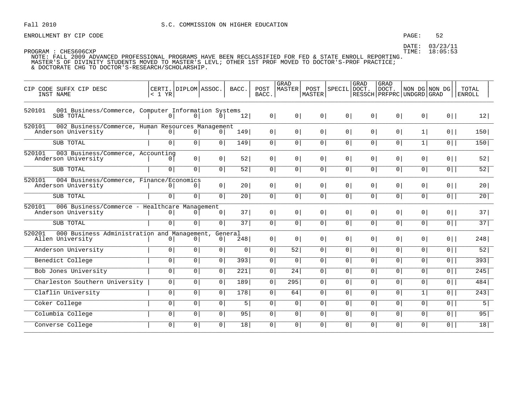ENROLLMENT BY CIP CODE **EXAMPLE SERVICE SERVICE SOME** PAGE: 52

|                                                                                    |                                    |                |                |                  |                | GRAD            |                             |                | <b>GRAD</b>    | <b>GRAD</b>    |                                            |                |                 |
|------------------------------------------------------------------------------------|------------------------------------|----------------|----------------|------------------|----------------|-----------------|-----------------------------|----------------|----------------|----------------|--------------------------------------------|----------------|-----------------|
| CIP CODE SUFFX CIP DESC<br>INST NAME                                               | CERTI.   DIPLOM   ASSOC.<br>< 1 YR |                |                | BACC.            | POST<br>BACC.  | MASTER          | POST<br>MASTER <sup>1</sup> | SPECIL DOCT.   |                | DOCT.          | NON DG NON DG<br>RESSCH PRFPRC UNDGRD GRAD |                | TOTAL<br>ENROLL |
|                                                                                    |                                    |                |                |                  |                |                 |                             |                |                |                |                                            |                |                 |
| 001 Business/Commerce, Computer Information Systems<br>520101                      |                                    |                |                |                  |                |                 |                             |                |                |                |                                            |                |                 |
| SUB TOTAL                                                                          | 0                                  | 0 <sup>1</sup> | 0 <sup>1</sup> | 12               | $0 \mid$       | 0 <sup>1</sup>  | 0                           | 0 <sup>1</sup> | 0 <sup>1</sup> | 0              | 0                                          | $0$            | 12              |
| 520101<br>002 Business/Commerce, Human Resources Management<br>Anderson University | 0 <sup>1</sup>                     | 0 <sup>1</sup> | 0 <sup>1</sup> | 149              | 0 <sup>1</sup> | 0 <sup>1</sup>  | $0 \mid$                    | 0 <sup>1</sup> | 0 <sup>1</sup> | 0 <sup>1</sup> | 1                                          | $0$            | 150             |
|                                                                                    |                                    |                |                |                  |                |                 |                             |                |                |                |                                            |                |                 |
| SUB TOTAL                                                                          | 0 <sup>1</sup>                     | 0 <sup>1</sup> | 0              | 149              | 0              | $\circ$         | 0                           | 0 <sup>1</sup> | 0 <sup>1</sup> | 0 <sup>1</sup> | 1                                          | $0$            | 150             |
| 520101<br>003 Business/Commerce, Accounting<br>Anderson University                 | $\circ$                            | 0 <sup>1</sup> | 0              | 52               | 0 <sup>1</sup> | 0 <sup>1</sup>  | 0                           | 0 <sup>1</sup> | 0 <sup>1</sup> | 0 <sup>1</sup> | 0 <sup>1</sup>                             | $0$            | 52              |
| SUB TOTAL                                                                          |                                    | 0 <sup>1</sup> |                | 52               |                |                 |                             | 0 <sup>1</sup> |                |                |                                            |                |                 |
|                                                                                    | $\overline{0}$                     |                | 0              |                  | $\overline{0}$ | $\circ$         | 0                           |                | 0              | 0 <sup>1</sup> | 0                                          | $0$            | 52              |
| 520101<br>004 Business/Commerce, Finance/Economics<br>Anderson University          | 0                                  | 0              | 0              | 20 <sub>1</sub>  | 0 <sup>1</sup> | 0 <sup>1</sup>  | 0                           | 0 <sup>1</sup> | 0 <sup>1</sup> | 0 <sup>1</sup> | 0 <sup>1</sup>                             | $0$            | 20              |
| SUB TOTAL                                                                          | $\overline{0}$                     | $\overline{0}$ | $\overline{0}$ | 20               | $\overline{0}$ | $\circ$         | $\overline{0}$              | 0 <sup>1</sup> | 0              | 0              | $\circ$                                    | $\overline{0}$ | 20              |
|                                                                                    |                                    |                |                |                  |                |                 |                             |                |                |                |                                            |                |                 |
| 006 Business/Commerce - Healthcare Management<br>520101<br>Anderson University     | 0 <sup>1</sup>                     | 0 <sup>1</sup> | 0 <sup>1</sup> | 37               | 0              | 0 <sup>1</sup>  | 0                           | 0 <sup>1</sup> | 0 <sup>1</sup> | 0 <sup>1</sup> | 0 <sup>1</sup>                             | $0$            | 37              |
| SUB TOTAL                                                                          | 0 <sup>1</sup>                     | 0 <sup>1</sup> | 0 <sup>1</sup> | $\overline{37}$  | $\overline{0}$ | 0 <sup>1</sup>  | 0                           | $\overline{0}$ | 0 <sup>1</sup> | 0 <sup>1</sup> | $\circ$                                    | $0$            | 37              |
| 000 Business Administration and Management, General<br>520201                      |                                    |                |                |                  |                |                 |                             |                |                |                |                                            |                |                 |
| Allen University                                                                   | 0                                  | 0 <sup>1</sup> | 0 <sup>1</sup> | 248              | 0              | $\circ$         | 0 <sup>1</sup>              | 0 <sup>1</sup> | 0 <sup>1</sup> | 0 <sup>1</sup> | 0 <sup>1</sup>                             | $0$            | 248             |
| Anderson University                                                                | 0 <sup>1</sup>                     | 0 <sup>1</sup> | $\overline{0}$ | $\circ$          | 0              | 52              | 0 <sup>1</sup>              | 0 <sup>1</sup> | 0 <sup>1</sup> | 0 <sup>1</sup> | 0 <sup>1</sup>                             | $0$            | $\overline{52}$ |
| Benedict College                                                                   | $\overline{0}$                     | $\overline{0}$ | $\overline{0}$ | $\overline{393}$ | $\overline{0}$ | $\circ$         | $\overline{0}$              | $\overline{0}$ | 0              | $\overline{0}$ | $\overline{0}$                             | $\overline{0}$ | 393             |
| Bob Jones University                                                               |                                    |                |                |                  |                |                 |                             | $\overline{0}$ | $\overline{0}$ | $\overline{0}$ |                                            |                | 245             |
|                                                                                    | 0                                  | 0              | $\overline{0}$ | 221              | $\overline{0}$ | $\overline{24}$ | $\overline{0}$              |                |                |                | $\overline{0}$                             | $\overline{0}$ |                 |
| Charleston Southern University                                                     | 0                                  | $\overline{0}$ | 0 <sup>1</sup> | 189              | 0              | 295             | 0                           | 0 <sup>1</sup> | 0 <sup>1</sup> | 0              | 0 <sup>1</sup>                             | $0$            | 484             |
| Claflin University                                                                 | 0                                  | $\boxed{0}$    | 0 <sup>1</sup> | 178              | $\overline{0}$ | 64              | $\overline{0}$              | 0 <sup>1</sup> | 0 <sup>1</sup> | 0              | 1                                          | $\overline{0}$ | 243             |
| Coker College                                                                      | $\overline{0}$                     | $\overline{0}$ | $\overline{0}$ | 5                | $\overline{0}$ | $\circ$         | $\overline{0}$              | $\overline{0}$ | $\overline{0}$ | $\overline{0}$ | $\overline{0}$                             | $\overline{0}$ | $5\vert$        |
| Columbia College                                                                   | 0                                  | $\overline{0}$ | $\overline{0}$ | 95               | $\overline{0}$ | 0 <sup>1</sup>  | $\overline{0}$              | 0 <sup>1</sup> | 0              | 0              | 0 <sup>1</sup>                             | $\overline{0}$ | 95              |
| Converse College                                                                   | $\overline{0}$                     | 0 <sup>1</sup> | 0              | 18               | 0              | $\overline{0}$  | 0                           | 0 <sup>1</sup> | 0 <sup>1</sup> | 0              | $\circ$                                    | $0$            | 18              |
|                                                                                    |                                    |                |                |                  |                |                 |                             |                |                |                |                                            |                |                 |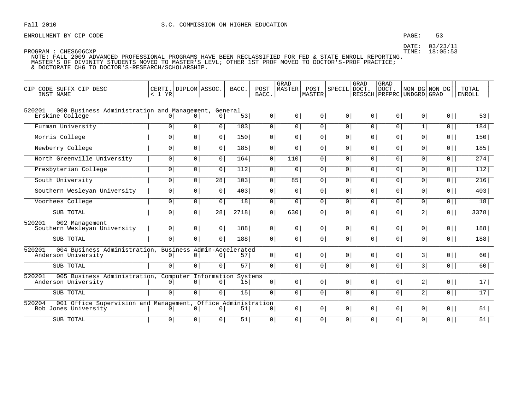ENROLLMENT BY CIP CODE **EXAMPLE SERVICE SERVICE SOME** PAGE: 53

| CODE SUFFX CIP DESC<br><b>CTP</b><br>INST NAME                                                 | < 1 YR         | CERTI. DIPLOM ASSOC. |                 | BACC.         | POST<br>BACC.  | GRAD<br>MASTER | POST<br>MASTER  | SPECIL DOCT.   | GRAD           | <b>GRAD</b><br>DOCT.<br>RESSCH   PRFPRC   UNDGRD   GRAD | NON DG NON DG  |                | TOTAL<br><b>ENROLL</b> |
|------------------------------------------------------------------------------------------------|----------------|----------------------|-----------------|---------------|----------------|----------------|-----------------|----------------|----------------|---------------------------------------------------------|----------------|----------------|------------------------|
| 000 Business Administration and Management, General<br>520201<br>Erskine College               | $\overline{0}$ | 0                    | 0 <sup>1</sup>  | 53            | $0 \mid$       | 0 <sup>1</sup> | 0               | 0 <sup>1</sup> | 0 <sup>1</sup> | 0 <sup>1</sup>                                          | 0 <sup>1</sup> | $0$            | 53                     |
| Furman University                                                                              | $\overline{0}$ | 0                    | $\overline{0}$  | 183           | $\overline{0}$ | 0 <sup>1</sup> | $\overline{0}$  | 0 <sup>1</sup> | $\overline{0}$ | $\overline{0}$                                          | 1              | $\overline{0}$ | 184                    |
| Morris College                                                                                 | 0 <sup>1</sup> | 0 <sup>1</sup>       | 0               | 150           | $\overline{0}$ | $\circ$        | 0 <sup>1</sup>  | 0 <sup>1</sup> | 0 <sup>1</sup> | 0 <sup>1</sup>                                          | 0 <sup>1</sup> | $\overline{0}$ | 150                    |
| Newberry College                                                                               | 0              | 0                    | 0               | 185           | 0              | $\overline{0}$ | 0               | 0 <sup>1</sup> | 0 <sup>1</sup> | 0                                                       | 0              | $\overline{0}$ | 185                    |
| North Greenville University                                                                    | $\overline{0}$ | $\overline{0}$       | $\overline{0}$  | 164           | $\overline{0}$ | 110            | $\overline{0}$  | $\overline{0}$ | $\overline{0}$ | $\overline{0}$                                          | $\overline{0}$ | $\overline{0}$ | 274                    |
| Presbyterian College                                                                           | 0              | $\overline{0}$       | 0 <sup>1</sup>  | 112           | $\overline{0}$ | $\circ$        | $\overline{0 }$ | 0 <sup>1</sup> | 0 <sup>1</sup> | 0                                                       | 0 <sup>1</sup> | $\overline{0}$ | 112                    |
| South University                                                                               | $\overline{0}$ | 0 <sup>1</sup>       | $\overline{28}$ | 103           | $\circ$        | 85             | 0 <sup>1</sup>  | 0 <sup>1</sup> | 0 <sup>1</sup> | 0 <sup>1</sup>                                          | $\circ$        | $\overline{0}$ | 216                    |
| Southern Wesleyan University                                                                   | 0 <sup>1</sup> | 0                    | $\overline{0}$  | 403           | $\overline{0}$ | $\circ$        | $\overline{0}$  | $\overline{0}$ | $\overline{0}$ | $\overline{0}$                                          | $\overline{0}$ | $\overline{0}$ | 403                    |
| Voorhees College                                                                               | 0 <sup>1</sup> | $\overline{0}$       | $\overline{0}$  | 18            | $\overline{0}$ | $\circ$        | 0               | 0 <sup>1</sup> | 0 <sup>1</sup> | 0                                                       | 0 <sup>1</sup> | $0$            | 18                     |
| SUB TOTAL                                                                                      | $\overline{0}$ | $\overline{0}$       | $\overline{28}$ | 2718          | $\overline{0}$ | 630            | $\overline{0}$  | 0 <sup>1</sup> | 0 <sup>1</sup> | 0 <sup>1</sup>                                          | 2              | $\overline{0}$ | 3378                   |
| 520201<br>002 Management<br>Southern Weslevan University                                       | 0 <sup>1</sup> | 0 <sup>1</sup>       | 0 <sup>1</sup>  | 188           | 0              | 0 <sup>1</sup> | 0               | 0 <sup>1</sup> | 0 <sup>1</sup> | 0 <sup>1</sup>                                          | 0 <sup>1</sup> | $0$            | 188                    |
| SUB TOTAL                                                                                      | $\overline{0}$ | $\overline{0}$       | $\overline{0}$  | 188           | $\overline{0}$ | $\circ$        | $\overline{0}$  | 0 <sup>1</sup> | $\overline{0}$ | $\overline{0}$                                          | $\overline{0}$ | $\overline{0}$ | 188                    |
| 004 Business Administration, Business Admin-Accelerated<br>520201<br>Anderson University       | 0              | 0 <sup>1</sup>       | 0 <sup>1</sup>  | 57            | 0              | $\circ$        | 0               | 0 <sup>1</sup> | 0 <sup>1</sup> | 0 <sup>1</sup>                                          | 3              | $0$            | 60                     |
| SUB TOTAL                                                                                      | 0              | 0 <sup>1</sup>       | 0               | 57            | 0              | 0 <sup>1</sup> | 0               | 0 <sup>1</sup> | 0 <sup>1</sup> | 0                                                       | 3              | $0$            | 60                     |
| 005 Business Administration, Computer Information<br>520201<br>Anderson University             | 0              | 0 <sup>1</sup>       | 0 <sup>1</sup>  | Systems<br>15 | 0              | 0 <sup>1</sup> | 0 <sup>1</sup>  | 0 <sup>1</sup> | 0 <sup>1</sup> | 0 <sup>1</sup>                                          | 2              | $0$            | 17 <sup>1</sup>        |
| SUB TOTAL                                                                                      | 0 <sup>1</sup> | 0                    | 0 <sup>1</sup>  | 15            | 0 <sup>1</sup> | $\overline{0}$ | 0               | 0 <sup>1</sup> | 0 <sup>1</sup> | 0 <sup>1</sup>                                          | 2              | $0$            | 17                     |
| 520204<br>001 Office Supervision and Management, Office Administration<br>Bob Jones University | $\Omega$       | 0 <sup>1</sup>       | 0 <sup>1</sup>  | 51            | 0              | 0 <sup>1</sup> | 0               | 0 <sup>1</sup> | 0 <sup>1</sup> | 0 <sup>1</sup>                                          | 0 <sup>1</sup> | $0$            | 51                     |
| SUB TOTAL                                                                                      | 0 <sup>1</sup> | 0 <sup>1</sup>       | 0 <sup>1</sup>  | 51            | 0              | $\circ$        | 0 <sup>1</sup>  | 0 <sup>1</sup> | 0 <sup>1</sup> | 0                                                       | $\circ$        | $0$            | 51                     |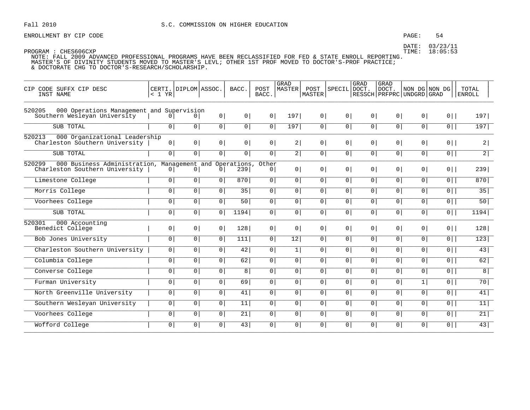### PAGE: 54

DATE: 03/23/11 TIME: 18:05:53

| CIP CODE SUFFX CIP DESC<br>INST NAME                                                                | < 1 YR         | CERTI. DIPLOM ASSOC. |                | BACC.           | POST<br>BACC.           | <b>GRAD</b><br><b>MASTER</b> | POST<br>MASTER | SPECIL         | GRAD<br>DOCT.  | GRAD<br>DOCT.<br>RESSCH   PRFPRC   UNDGRD   GRAD | NON DG NON DG  |                | TOTAL<br><b>ENROLL</b> |
|-----------------------------------------------------------------------------------------------------|----------------|----------------------|----------------|-----------------|-------------------------|------------------------------|----------------|----------------|----------------|--------------------------------------------------|----------------|----------------|------------------------|
| 520205<br>000 Operations Management and Supervision<br>Southern Wesleyan University                 | 0 I            | 0 <sup>1</sup>       | 0 <sup>1</sup> | 0 <sup>1</sup>  | 0 <sup>1</sup>          | 197                          | 0 <sup>1</sup> | 0 <sup>1</sup> | 0 <sup>1</sup> | 0 <sup>1</sup>                                   | 0 <sup>1</sup> | $0$            | 197                    |
| SUB TOTAL                                                                                           | $\overline{0}$ | $\overline{0}$       | $\circ$        | 0 <sup>1</sup>  | $\overline{0}$          | 197                          | 0 <sup>1</sup> | $\overline{0}$ | 0 <sup>1</sup> | 0 <sup>1</sup>                                   | $\overline{0}$ | $\overline{0}$ | 197                    |
| 520213<br>000 Organizational Leadership<br>Charleston Southern University                           | 0              | 0                    | 0 <sup>1</sup> | 0 <sup>1</sup>  | 0 <sup>1</sup>          | 2                            | 0 <sup>1</sup> | 0 <sup>1</sup> | 0 <sup>1</sup> | 0 <sup>1</sup>                                   | 0 <sup>1</sup> | $0$            | 2                      |
| SUB TOTAL                                                                                           | 0 <sup>1</sup> | 0 <sup>1</sup>       | $\overline{0}$ | 0 <sup>1</sup>  | 0 <sup>1</sup>          | 2                            | 0 <sup>1</sup> | 0 <sup>1</sup> | 0 <sup>1</sup> | 0 <sup>1</sup>                                   | 0 <sup>1</sup> | $\overline{0}$ | $\overline{2}$         |
| 520299<br>000 Business Administration, Management and Operations,<br>Charleston Southern University | 0 <sup>1</sup> | 0 <sup>1</sup>       | 0 <sup>1</sup> | 239             | Other<br>0 <sup>1</sup> | $\overline{0}$               | 0 <sup>1</sup> | 0 <sup>1</sup> | 0 <sup>1</sup> | 0 <sup>1</sup>                                   | 0 <sup>1</sup> | $0$            | 239                    |
| Limestone College                                                                                   | $\overline{0}$ | 0 <sup>1</sup>       | 0 <sup>1</sup> | 870             | 0                       | 0 <sup>1</sup>               | $\circ$        | 0              | 0 <sup>1</sup> | 0 <sup>1</sup>                                   | $\overline{0}$ | $\overline{0}$ | 870                    |
| Morris College                                                                                      | 0 <sup>1</sup> | $\overline{0}$       | 0 <sup>1</sup> | $\overline{35}$ | 0 <sup>1</sup>          | $\overline{0}$               | $\circ$        | 0 <sup>1</sup> | 0 <sup>1</sup> | 0 <sup>1</sup>                                   | $\overline{0}$ | $\overline{0}$ | 35                     |
| Voorhees College                                                                                    | 0 <sup>1</sup> | 0 <sup>1</sup>       | 0 <sup>1</sup> | 50              | 0                       | 0 <sup>1</sup>               | 0 <sup>1</sup> | 0 <sup>1</sup> | 0 <sup>1</sup> | 0 <sup>1</sup>                                   | 0 <sup>1</sup> | $\overline{0}$ | 50                     |
| SUB TOTAL                                                                                           | $\overline{0}$ | $\overline{0}$       | 0 <sup>1</sup> | 1194            | 0 <sup>1</sup>          | 0 <sup>1</sup>               | 0 <sup>1</sup> | 0 <sup>1</sup> | 0 <sup>1</sup> | 0 <sup>1</sup>                                   | $\overline{0}$ | $\overline{0}$ | 1194                   |
| 520301<br>000 Accounting<br>Benedict College                                                        | 0 <sup>1</sup> | 0 <sup>1</sup>       | 0 <sup>1</sup> | 128             | 0                       | 0 <sup>1</sup>               | 0 <sup>1</sup> | 0 <sup>1</sup> | 0 <sup>1</sup> | 0 <sup>1</sup>                                   | 0 <sup>1</sup> | $0$            | 128                    |
| Bob Jones University                                                                                | 0 <sup>1</sup> | 0 <sup>1</sup>       | 0 <sup>1</sup> | 111             | $\overline{0}$          | 12                           | 0 <sup>1</sup> | $\overline{0}$ | 0 <sup>1</sup> | 0 <sup>1</sup>                                   | $\overline{0}$ | $\overline{0}$ | 123                    |
| Charleston Southern University                                                                      | 0 <sup>1</sup> | 0 <sup>1</sup>       | 0 <sup>1</sup> | 42              | 0                       | 1                            | 0 <sup>1</sup> | 0              | 0 <sup>1</sup> | 0 <sup>1</sup>                                   | 0 <sup>1</sup> | $\overline{0}$ | 43                     |
| Columbia College                                                                                    | $\overline{0}$ | $\overline{0}$       | $\overline{0}$ | 62              | 0 <sup>1</sup>          | $\overline{0}$               | $\overline{0}$ | $\overline{0}$ | $\overline{0}$ | 0 <sup>1</sup>                                   | $\overline{0}$ | $\overline{0}$ | 62                     |
| Converse College                                                                                    | 0 <sup>1</sup> | $\overline{0}$       | 0              | 8               | $\mathsf{O}$            | $\mathbf 0$                  | 0 <sup>1</sup> | 0 <sup>1</sup> | 0 <sup>1</sup> | 0                                                | $\overline{0}$ | $\overline{0}$ | $\overline{8}$         |
| Furman University                                                                                   | 0 <sup>1</sup> | 0 <sup>1</sup>       | $\overline{0}$ | 69              | 0 <sup>1</sup>          | $\overline{0}$               | $\circ$        | 0 <sup>1</sup> | $\overline{0}$ | 0 <sup>1</sup>                                   | 1              | 0              | 70                     |
| North Greenville University                                                                         | $\overline{0}$ | $\overline{0}$       | 0 <sup>1</sup> | 41              | $\overline{0}$          | 0 <sup>1</sup>               | 0 <sup>1</sup> | 0 <sup>1</sup> | 0 <sup>1</sup> | 0 <sup>1</sup>                                   | $\overline{0}$ | $\overline{0}$ | 41                     |
| Southern Wesleyan University                                                                        | 0 <sup>1</sup> | 0 <sup>1</sup>       | 0              | 11              | $\mathsf{O}$            | $\mathbf 0$                  | 0 <sup>1</sup> | 0 <sup>1</sup> | 0 <sup>1</sup> | 0                                                | $\overline{0}$ | $\overline{0}$ | $\overline{11}$        |
| Voorhees College                                                                                    | 0 <sup>1</sup> | 0 <sup>1</sup>       | 0 <sup>1</sup> | 21              | 0 <sup>1</sup>          | 0 <sup>1</sup>               | 0 <sup>1</sup> | 0 <sup>1</sup> | 0 <sup>1</sup> | 0 <sup>1</sup>                                   | 0 <sup>1</sup> | 0              | 21                     |
| Wofford College                                                                                     | 0 <sup>1</sup> | 0 <sup>1</sup>       | 0 <sup>1</sup> | 43              | $\mathsf{O}$            | $\mathsf{O}$                 | 0 <sup>1</sup> | 0 <sup>1</sup> | 0 <sup>1</sup> | 0                                                | $\overline{0}$ | $\overline{0}$ | 43                     |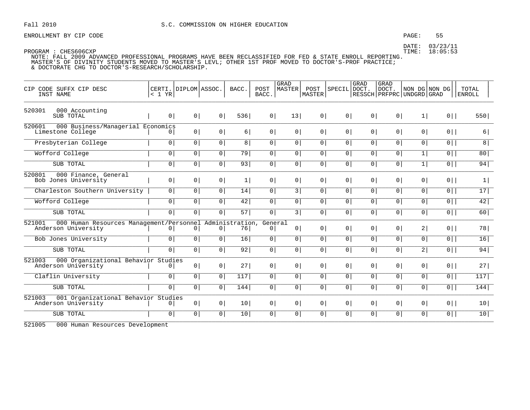### PAGE: 55

DATE: 03/23/11 TIME: 18:05:53

PROGRAM : CHES606CXP NOTE: FALL 2009 ADVANCED PROFESSIONAL PROGRAMS HAVE BEEN RECLASSIFIED FOR FED & STATE ENROLL REPORTING. MASTER'S OF DIVINITY STUDENTS MOVED TO MASTER'S LEVL; OTHER 1ST PROF MOVED TO DOCTOR'S-PROF PRACTICE; & DOCTORATE CHG TO DOCTOR'S-RESEARCH/SCHOLARSHIP.

| CODE SUFFX CIP DESC<br>CIP<br>INST NAME                                                   | CERTI.<br>< 1 YR | DIPLOM ASSOC.  |                | BACC.           | POST<br>BACC.  | GRAD<br><b>MASTER</b> | POST<br>MASTER | <b>SPECIL</b>  | GRAD<br>DOCT.  | GRAD<br>DOCT.<br>RESSCH   PRFPRC   UNDGRD   GRAD | NON DG NON DG  |                | TOTAL<br><b>ENROLL</b> |
|-------------------------------------------------------------------------------------------|------------------|----------------|----------------|-----------------|----------------|-----------------------|----------------|----------------|----------------|--------------------------------------------------|----------------|----------------|------------------------|
| 520301<br>000 Accounting<br>SUB TOTAL                                                     | 0 <sup>1</sup>   | 0 <sup>1</sup> | 0 <sup>1</sup> | 536             | 0 <sup>1</sup> | 13                    | 0 <sup>1</sup> | 0 <sup>1</sup> | 0 <sup>1</sup> | 0 <sup>1</sup>                                   | 1              | $0$            | 550                    |
| 520601<br>000 Business/Managerial Economics<br>Limestone College                          | 0                | 0 <sup>1</sup> | 0 <sup>1</sup> | 6               | 0 <sup>1</sup> | 0 <sup>1</sup>        | 0 <sup>1</sup> | $\circ$        | $\overline{0}$ | $\overline{0}$                                   | 0 <sup>1</sup> | $0$            | 6                      |
| Presbyterian College                                                                      | $\overline{0}$   | 0 <sup>1</sup> | 0 <sup>1</sup> | 8 <sup>1</sup>  | $\circ$        | 0                     | 0              | $\overline{0}$ | 0              | 0 <sup>1</sup>                                   | $\overline{0}$ | $\overline{0}$ | $\overline{8}$         |
| Wofford College                                                                           | 0 <sup>1</sup>   | 0 <sup>1</sup> | 0 <sup>1</sup> | 79              | 0 <sup>1</sup> | 0 <sup>1</sup>        | 0 <sup>1</sup> | 0 <sup>1</sup> | 0              | 0                                                | 1              | $0$            | 80                     |
| SUB TOTAL                                                                                 | $\overline{0}$   | $\overline{0}$ | $\overline{0}$ | 93              | $\overline{0}$ | 0 <sup>1</sup>        | 0 <sup>1</sup> | $\overline{0}$ | 0              | 0                                                | 1              | $\overline{0}$ | 94                     |
| 520801<br>000 Finance, General<br>Bob Jones University                                    | 0 <sup>1</sup>   | 0 <sup>1</sup> | 0 <sup>1</sup> | 1               | 0 <sup>1</sup> | $\overline{0}$        | 0 <sup>1</sup> | 0 <sup>1</sup> | 0 <sup>1</sup> | $\overline{0}$                                   | $\circ$        | $0$            | $\vert$                |
| Charleston Southern University                                                            | 0 <sup>1</sup>   | 0 <sup>1</sup> | $\overline{0}$ | 14              | $\overline{0}$ | $\overline{3}$        | 0 <sup>1</sup> | 0 <sup>1</sup> | 0 <sup>1</sup> | 0 <sup>1</sup>                                   | 0 <sup>1</sup> | $\overline{0}$ | 17                     |
| Wofford College                                                                           | 0 <sup>1</sup>   | 0 <sup>1</sup> | 0 <sup>1</sup> | 42              | 0 <sup>1</sup> | 0 <sup>1</sup>        | 0 <sup>1</sup> | 0              | 0              | 0                                                | $\overline{0}$ | $0$            | 42                     |
| SUB TOTAL                                                                                 | $\overline{0}$   | $\overline{0}$ | $\overline{0}$ | 57              | $\overline{0}$ | $\overline{3}$        | 0              | $\overline{0}$ | $\mathbf{0}$   | 0                                                | $\overline{0}$ | $\overline{0}$ | 60                     |
| 000 Human Resources Management/Personnel Administration,<br>521001<br>Anderson University | $\mathbf{0}$     | 0              | 0 <sup>1</sup> | 76              | General<br>0   | 0 <sup>1</sup>        | 0 <sup>1</sup> | 0 <sup>1</sup> | 0 <sup>1</sup> | 0 <sup>1</sup>                                   | 2              | $0$            | 78                     |
| Bob Jones University                                                                      | $\overline{0}$   | $\overline{0}$ | $\overline{0}$ | 16              | $\overline{0}$ | 0 <sup>1</sup>        | $\overline{0}$ | 0 <sup>1</sup> | 0 <sup>1</sup> | 0 <sup>1</sup>                                   | $\overline{0}$ | $\overline{0}$ | 16                     |
| SUB TOTAL                                                                                 | $\mathbf 0$      | $\overline{0}$ | 0 <sup>1</sup> | 92              | 0 <sup>1</sup> | 0 <sup>1</sup>        | 0 <sup>1</sup> | 0 <sup>1</sup> | 0 <sup>1</sup> | 0 <sup>1</sup>                                   | 2              | $\overline{0}$ | 94                     |
| 000 Organizational Behavior Studies<br>521003<br>Anderson University                      | $\mathbf{0}$     | 0 <sup>1</sup> | 0 <sup>1</sup> | 27              | 0 <sup>1</sup> | 0 <sup>1</sup>        | 0 <sup>1</sup> | 0 <sup>1</sup> | 0 <sup>1</sup> | 0 <sup>1</sup>                                   | 0 <sup>1</sup> | $0$            | 27                     |
| Claflin University                                                                        | $\overline{0}$   | $\overline{0}$ | $\overline{0}$ | 117             | $\overline{0}$ | $\overline{0}$        | 0 <sup>1</sup> | 0 <sup>1</sup> | 0 <sup>1</sup> | 0 <sup>1</sup>                                   | 0 <sup>1</sup> | $\overline{0}$ | 117                    |
| SUB TOTAL                                                                                 | $\overline{0}$   | 0 <sup>1</sup> | $\overline{0}$ | 144             | $\overline{0}$ | $\overline{0}$        | 0 <sup>1</sup> | 0 <sup>1</sup> | 0 <sup>1</sup> | 0 <sup>1</sup>                                   | 0 <sup>1</sup> | $\overline{0}$ | 144                    |
| 001 Organizational Behavior Studies<br>521003<br>Anderson University                      | 0                | 0 <sup>1</sup> | 0 <sup>1</sup> | 10              | 0 <sup>1</sup> | 0 <sup>1</sup>        | 0 <sup>1</sup> | 0 <sup>1</sup> | 0 <sup>1</sup> | 0 <sup>1</sup>                                   | 0 <sup>1</sup> | $0$            | 10 <sup>1</sup>        |
| SUB TOTAL                                                                                 | $\overline{0}$   | 0              | 0 <sup>1</sup> | 10 <sup>1</sup> | 0 <sup>1</sup> | $\overline{0}$        | 0 <sup>1</sup> | 0 <sup>1</sup> | 0 <sup>1</sup> | 0 <sup>1</sup>                                   | 0 <sup>1</sup> | $0$            | 10 <sup>1</sup>        |

521005 000 Human Resources Development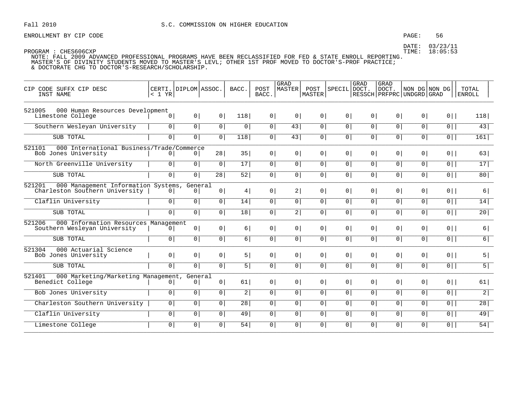### PAGE: 56

DATE: 03/23/11 TIME: 18:05:53

| CIP CODE SUFFX CIP DESC<br>INST NAME                                            | < 1 YR         | CERTI. DIPLOM ASSOC.      |                | BACC.            | POST<br>BACC.  | <b>GRAD</b><br>MASTER | POST<br>MASTER | SPECIL         | <b>GRAD</b><br>DOCT. | GRAD<br>DOCT.<br>RESSCH   PRFPRC   UNDGRD   GRAD | NON DG NON DG  |                | TOTAL<br><b>ENROLL</b> |
|---------------------------------------------------------------------------------|----------------|---------------------------|----------------|------------------|----------------|-----------------------|----------------|----------------|----------------------|--------------------------------------------------|----------------|----------------|------------------------|
| 521005<br>000 Human Resources Development<br>Limestone College                  | 0 <sup>1</sup> | 0                         | 0 <sup>1</sup> | 118              | 0 <sup>1</sup> | 0 <sup>1</sup>        | 0 <sup>1</sup> | 0 <sup>1</sup> | 0 <sup>1</sup>       | 0 <sup>1</sup>                                   | 0 <sup>1</sup> | $0$            | 118                    |
| Southern Wesleyan University                                                    | 0 <sup>1</sup> | 0                         | 0 <sup>1</sup> | $\mathsf{O}$     | $\overline{0}$ | 43                    | 0 <sup>1</sup> | 0 <sup>1</sup> | $\overline{0}$       | $\overline{0}$                                   | $\overline{0}$ | $\overline{0}$ | 43                     |
| SUB TOTAL                                                                       | 0 <sup>1</sup> | 0 <sup>1</sup>            | 0 <sup>1</sup> | 118              | $\overline{0}$ | 43                    | $\overline{0}$ | 0 <sup>1</sup> | $\circ$              | 0 <sup>1</sup>                                   | $\overline{0}$ | $\overline{0}$ | 161                    |
| 521101<br>000 International Business/Trade/Commerce<br>Bob Jones University     | $\overline{0}$ | 0                         | 28             | 35               | 0 <sup>1</sup> | $\circ$               | $\overline{0}$ | 0 <sup>1</sup> | 0 <sup>1</sup>       | $\overline{0}$                                   | $\overline{0}$ | $0$            | 63                     |
| North Greenville University                                                     | $\circ$        | $\overline{0}$            | $\overline{0}$ | 17               | $\overline{0}$ | $\overline{0}$        | $\circ$        | $\circ$        | $\overline{0}$       | $\circ$                                          | $\overline{0}$ | 0              | 17                     |
| SUB TOTAL                                                                       | $\overline{0}$ | $\overline{0}$            | 28             | 52               | 0              | $\overline{0}$        | 0 <sup>1</sup> | 0              | 0                    | 0 <sup>1</sup>                                   | $\overline{0}$ | $\overline{0}$ | 80                     |
| 521201<br>000 Management Information Systems,<br>Charleston Southern University | 0              | General<br>0 <sup>1</sup> | 0 <sup>1</sup> | 4                | 0 <sup>1</sup> | 2                     | 0 <sup>1</sup> | 0 <sup>1</sup> | 0 <sup>1</sup>       | 0 <sup>1</sup>                                   | 0 <sup>1</sup> | $0$            | 6                      |
| Claflin University                                                              | 0 <sup>1</sup> | 0 <sup>1</sup>            | 0              | 14               | 0              | 0                     | 0 <sup>1</sup> | 0 <sup>1</sup> | 0 <sup>1</sup>       | 0 <sup>1</sup>                                   | 0 <sup>1</sup> | $0$            | 14                     |
| SUB TOTAL                                                                       | $\overline{0}$ | $\overline{0}$            | $\overline{0}$ | $\overline{18}$  | 0 <sup>1</sup> | 2                     | 0 <sup>1</sup> | 0 <sup>1</sup> | $\overline{0}$       | $\circ$                                          | 0 <sup>1</sup> | $\overline{0}$ | 20                     |
| 521206<br>000 Information Resources Management<br>Southern Wesleyan University  | 0 <sup>1</sup> | 0 <sup>1</sup>            | 0 <sup>1</sup> | 6                | 0 <sup>1</sup> | 0 <sup>1</sup>        | 0 <sup>1</sup> | 0 <sup>1</sup> | 0 <sup>1</sup>       | 0 <sup>1</sup>                                   | 0 <sup>1</sup> | $0$            | 6                      |
| SUB TOTAL                                                                       | $\overline{0}$ | 0                         | 0              | 6                | $\overline{0}$ | $\overline{0}$        | 0 <sup>1</sup> | 0 <sup>1</sup> | $\overline{0}$       | 0 <sup>1</sup>                                   | 0 <sup>1</sup> | $\overline{0}$ | $\overline{6}$         |
| 521304<br>000 Actuarial Science<br>Bob Jones University                         | 0 <sup>1</sup> | 0 <sup>1</sup>            | 0 <sup>1</sup> | 5                | 0 <sup>1</sup> | 0 <sup>1</sup>        | 0 <sup>1</sup> | 0 <sup>1</sup> | 0 <sup>1</sup>       | 0 <sup>1</sup>                                   | 0 <sup>1</sup> | $0$            | 5                      |
| SUB TOTAL                                                                       | 0              | 0 <sup>1</sup>            | 0 <sup>1</sup> | 5                | 0              | 0                     | 0 <sup>1</sup> | 0              | 0                    | 0 <sup>1</sup>                                   | $\overline{0}$ | $0$            | $\overline{5}$         |
| 521401<br>000 Marketing/Marketing Management,<br>Benedict College               | 0 <sup>1</sup> | General<br>0 <sup>1</sup> | 0 <sup>1</sup> | 61               | 0              | 0 <sup>1</sup>        | 0 <sup>1</sup> | 0 <sup>1</sup> | 0 <sup>1</sup>       | 0 <sup>1</sup>                                   | 0 <sup>1</sup> | $0$            | 61                     |
| Bob Jones University                                                            | $\overline{0}$ | 0 <sup>1</sup>            | 0 <sup>1</sup> | $\left 2\right $ | $\overline{0}$ | $\overline{0}$        | 0 <sup>1</sup> | 0 <sup>1</sup> | $\overline{0}$       | 0 <sup>1</sup>                                   | 0 <sup>1</sup> | 0              | $\overline{2}$         |
| Charleston Southern University                                                  | $\circ$        | $\overline{0}$            | $\overline{0}$ | $\overline{28}$  | $\overline{0}$ | $\circ$               | $\overline{0}$ | $\overline{0}$ | $\circ$              | 0 <sup>1</sup>                                   | $\overline{0}$ | $\overline{0}$ | 28                     |
| Claflin University                                                              | 0 <sup>1</sup> | 0 <sup>1</sup>            | 0 <sup>1</sup> | 49               | 0              | 0                     | 0 <sup>1</sup> | 0 <sup>1</sup> | 0 <sup>1</sup>       | 0 <sup>1</sup>                                   | 0 <sup>1</sup> | $0$            | 49                     |
| Limestone College                                                               | $\overline{0}$ | 0 <sup>1</sup>            | 0 <sup>1</sup> | 54               | 0 <sup>1</sup> | 0 <sup>1</sup>        | $\overline{0}$ | $\overline{0}$ | 0 <sup>1</sup>       | $\circ$                                          | 0 <sup>1</sup> | $\overline{0}$ | $\overline{54}$        |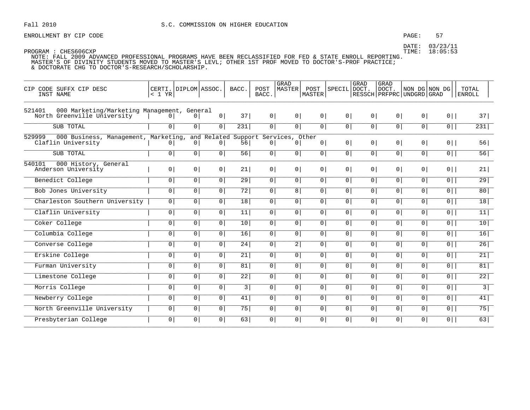### PAGE: 57

DATE: 03/23/11 TIME: 18:05:53

| CIP CODE SUFFX CIP DESC<br>INST NAME                                                 | < 1 YR                 | CERTI. DIPLOM ASSOC. |                                                       | BACC.           | POST<br>BACC.  | GRAD<br>MASTER                | POST<br> MASTER | <b>SPECIL</b>  | GRAD<br>DOCT.  | GRAD<br>DOCT.<br>RESSCH   PRFPRC   UNDGRD   GRAD | NON DG NON DG  |                | TOTAL<br><b>ENROLL</b> |
|--------------------------------------------------------------------------------------|------------------------|----------------------|-------------------------------------------------------|-----------------|----------------|-------------------------------|-----------------|----------------|----------------|--------------------------------------------------|----------------|----------------|------------------------|
| 521401<br>000 Marketing/Marketing Management, General<br>North Greenville University | $\Omega$               | $\Omega$             | 0 <sup>1</sup>                                        | 37              | 0 <sup>1</sup> | 0 <sup>1</sup>                | 0 <sup>1</sup>  | 0 <sup>1</sup> | 0 <sup>1</sup> | 0 <sup>1</sup>                                   | 0 <sup>1</sup> | $0$            | 37                     |
| SUB TOTAL                                                                            | $\overline{0}$         | 0 <sup>1</sup>       | 0 <sup>1</sup>                                        | 231             | $\overline{0}$ | $\overline{0}$                | $\overline{0}$  | $\overline{0}$ | $\overline{0}$ | $\overline{0}$                                   | $\overline{0}$ | $\overline{0}$ | 231                    |
| 529999<br>000 Business, Management,<br>Claflin University                            | Marketing,<br>$\Omega$ | $\circ$              | and Related Support Services, Other<br>$\overline{0}$ | 56              | $\Omega$       | 0 <sup>1</sup>                | 0 <sup>1</sup>  | 0 <sup>1</sup> | 0 <sup>1</sup> | 0 <sup>1</sup>                                   | 0 <sup>1</sup> | $0$            | 56                     |
| SUB TOTAL                                                                            | $\circ$                | 0 <sup>1</sup>       | 0                                                     | 56              | 0 <sup>1</sup> | $\circ$                       | 0 <sup>1</sup>  | 0 <sup>1</sup> | 0 <sup>1</sup> | 0 <sup>1</sup>                                   | $\overline{0}$ | $\overline{0}$ | 56                     |
| 540101<br>000 History, General<br>Anderson University                                | 0 <sup>1</sup>         | 0 <sup>1</sup>       | 0                                                     | 21              | $\overline{0}$ | 0 <sup>1</sup>                | 0 <sup>1</sup>  | 0 <sup>1</sup> | 0 <sup>1</sup> | 0 <sup>1</sup>                                   | 0 <sup>1</sup> | $0$            | 21                     |
| Benedict College                                                                     | $\overline{0}$         | 0 <sup>1</sup>       | 0 <sup>1</sup>                                        | 29              | 0 <sup>1</sup> | $\overline{0}$                | $\overline{0}$  | 0 <sup>1</sup> | $\circ$        | $\circ$                                          | $\overline{0}$ | $\overline{0}$ | $\overline{29}$        |
| Bob Jones University                                                                 | $\circ$                | 0 <sup>1</sup>       | $\overline{0}$                                        | 72              | 0 <sup>1</sup> | 8                             | 0 <sup>1</sup>  | 0              | $\overline{0}$ | 0 <sup>1</sup>                                   | 0 <sup>1</sup> | $\overline{0}$ | 80                     |
| Charleston Southern University                                                       | 0 <sup>1</sup>         | $\overline{0}$       | $\overline{0}$                                        | 18              | 0 <sup>1</sup> | 0 <sup>1</sup>                | 0 <sup>1</sup>  | $\mathbf{0}$   | 0 <sup>1</sup> | $\mathbf 0$                                      | $\overline{0}$ | $\overline{0}$ | 18                     |
| Claflin University                                                                   | $\overline{0}$         | 0 <sup>1</sup>       | 0 <sup>1</sup>                                        | 11              | $\overline{0}$ | $\overline{0}$                | $\overline{0}$  | $\overline{0}$ | 0              | $\overline{0}$                                   | $\overline{0}$ | 0              | 11                     |
| Coker College                                                                        | $\circ$                | 0 <sup>1</sup>       | 0 <sup>1</sup>                                        | 10              | 0 <sup>1</sup> | 0 <sup>1</sup>                | 0 <sup>1</sup>  | 0 <sup>1</sup> | 0 <sup>1</sup> | 0 <sup>1</sup>                                   | 0 <sup>1</sup> | $\overline{0}$ | 10                     |
| Columbia College                                                                     | 0 <sup>1</sup>         | 0 <sup>1</sup>       | 0 <sup>1</sup>                                        | 16              | 0 <sup>1</sup> | $\overline{0}$                | 0 <sup>1</sup>  | 0 <sup>1</sup> | 0 <sup>1</sup> | 0 <sup>1</sup>                                   | $\overline{0}$ | $\overline{0}$ | 16                     |
| Converse College                                                                     | $\circ$                | $\overline{0}$       | $\overline{0}$                                        | 24              | 0 <sup>1</sup> | $\overline{2}$ $\overline{1}$ | 0 <sup>1</sup>  | 0              | 0 <sup>1</sup> | 0 <sup>1</sup>                                   | 0 <sup>1</sup> | $\overline{0}$ | 26                     |
| Erskine College                                                                      | $\circ$                | $\overline{0}$       | $\overline{0}$                                        | $\overline{21}$ | $\overline{0}$ | $\circ$                       | 0 <sup>1</sup>  | $\overline{0}$ | $\overline{0}$ | $\overline{0}$                                   | $\overline{0}$ | 0              | 21                     |
| Furman University                                                                    | $\circ$                | 0 <sup>1</sup>       | $\overline{0}$                                        | 81              | 0 <sup>1</sup> | 0 <sup>1</sup>                | 0 <sup>1</sup>  | 0 <sup>1</sup> | 0 <sup>1</sup> | 0 <sup>1</sup>                                   | $\overline{0}$ | $\overline{0}$ | 81                     |
| Limestone College                                                                    | $\circ$                | 0 <sup>1</sup>       | 0 <sup>1</sup>                                        | $\overline{22}$ | 0 <sup>1</sup> | 0 <sup>1</sup>                | $\overline{0}$  | 0 <sup>1</sup> | 0 <sup>1</sup> | 0 <sup>1</sup>                                   | 0 <sup>1</sup> | $\overline{0}$ | $\overline{22}$        |
| Morris College                                                                       | $\circ$                | $\overline{0}$       | $\overline{0}$                                        | 3               | $\overline{0}$ | 0 <sup>1</sup>                | 0               | $\overline{0}$ | $\overline{0}$ | $\overline{0}$                                   | $\overline{0}$ | $\overline{0}$ | $\overline{3}$         |
| Newberry College                                                                     | 0 <sup>1</sup>         | 0 <sup>1</sup>       | 0 <sup>1</sup>                                        | 41              | 0 <sup>1</sup> | 0 <sup>1</sup>                | 0 <sup>1</sup>  | 0 <sup>1</sup> | 0 <sup>1</sup> | 0 <sup>1</sup>                                   | 0 <sup>1</sup> | $\overline{0}$ | 41                     |
| North Greenville University                                                          | $\overline{0}$         | 0 <sup>1</sup>       | $\overline{0}$                                        | 75              | 0 <sup>1</sup> | 0 <sup>1</sup>                | 0 <sup>1</sup>  | 0 <sup>1</sup> | 0 <sup>1</sup> | 0 <sup>1</sup>                                   | 0 <sup>1</sup> | $\overline{0}$ | 75                     |
| Presbyterian College                                                                 | $\overline{0}$         | $\overline{0}$       | $\overline{0}$                                        | 63              | $\overline{0}$ | $\circ$                       | 0 <sup>1</sup>  | 0              | $\overline{0}$ | 0                                                | 0 <sup>1</sup> | $0$            | 63                     |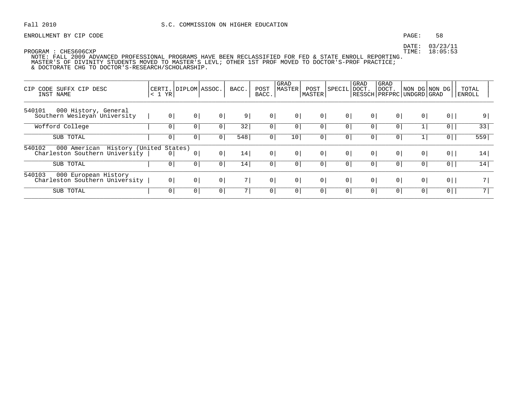ENROLLMENT BY CIP CODE STRAINING THE SERVICE OF SALE AND THE SERVICE OF SALE AND THE SERVICE OF SALE AND STRAINING SERVICE SERVICE SERVICE SERVICE SERVICE SERVICE SERVICE SERVICE SERVICE SERVICE SERVICE SERVICE SERVICE SER

DATE: 03/23/11

| CODE SUFFX CIP DESC<br>CIP<br>INST NAME                          | < 1 YR      | CERTI.   DIPLOM   ASSOC. |              | BACC. | POST<br>BACC.  | GRAD<br>MASTER | POST<br>MASTER | SPECIL         | GRAD<br>DOCT.  | <b>GRAD</b><br>DOCT. | RESSCH   PRFPRC   UNDGRD   GRAD | NON DG NON DG  | TOTAL<br><b>ENROLL</b> |
|------------------------------------------------------------------|-------------|--------------------------|--------------|-------|----------------|----------------|----------------|----------------|----------------|----------------------|---------------------------------|----------------|------------------------|
| 540101<br>000 History, General<br>Southern Wesleyan University   | $\mathbf 0$ | 0 <sup>1</sup>           | $\circ$      | 9     | 0              | 0 <sup>1</sup> | 0              | 0              | 0 <sup>1</sup> | 0                    | 0                               | 0              | 9                      |
| Wofford College                                                  | 0           | 0                        | 0            | 32    | 0              | 0              | 0              | 0 <sup>1</sup> |                |                      |                                 | 0              | 33                     |
| SUB TOTAL                                                        | 0           | 0                        | 0            | 548   | 0 <sup>1</sup> | 10             | 0 <sup>1</sup> | 0 <sup>1</sup> | 0              | 0                    |                                 | 0              | 559                    |
| 540102<br>History (United States)<br>000 American                |             |                          |              |       |                |                |                |                |                |                      |                                 |                |                        |
| Charleston Southern University                                   | 0           | $\overline{0}$           | $\mathsf{O}$ | 14    | 0 <sup>1</sup> | 0              | 0 <sup>1</sup> | 0              | 0 <sup>1</sup> | 0                    | 0                               | 0              | 14                     |
| SUB TOTAL                                                        | 0           | 0                        | 0            | 14    | 0              | 0 <sup>1</sup> | 0              | 0 <sup>1</sup> | 0              | 0                    | 0 <sup>1</sup>                  | 0 <sup>1</sup> | 14 <sub>1</sub>        |
| 540103<br>000 European History<br>Charleston Southern University | $\mathbf 0$ | 0 <sup>1</sup>           | 0            | 7     | 0 <sup>1</sup> | 0              | 0              | 0              | 0 <sup>1</sup> | $\circ$              | 0                               | 0              | 7                      |
| SUB TOTAL                                                        | 0           | $\overline{0}$           | 0            | 7 I   | 0 <sup>1</sup> | 0 <sup>1</sup> | 0 <sup>1</sup> | 0 <sup>1</sup> | 0 <sup>1</sup> | 0 <sup>1</sup>       | 0 <sup>1</sup>                  | 0 <sup>1</sup> | 7                      |